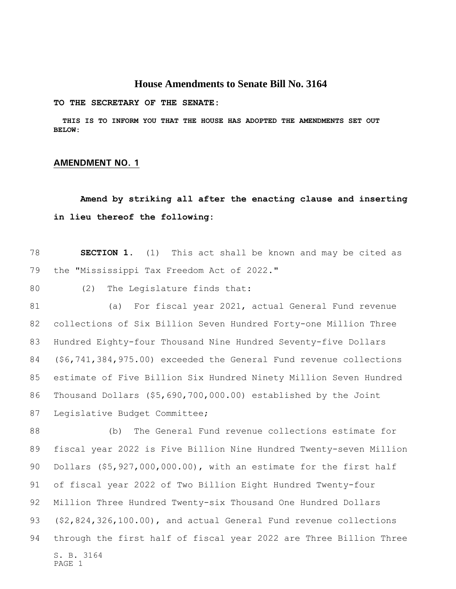## **House Amendments to Senate Bill No. 3164**

**TO THE SECRETARY OF THE SENATE:**

 **THIS IS TO INFORM YOU THAT THE HOUSE HAS ADOPTED THE AMENDMENTS SET OUT BELOW:**

## **AMENDMENT NO. 1**

## **Amend by striking all after the enacting clause and inserting in lieu thereof the following:**

 **SECTION 1.** (1) This act shall be known and may be cited as the "Mississippi Tax Freedom Act of 2022."

(2) The Legislature finds that:

 (a) For fiscal year 2021, actual General Fund revenue collections of Six Billion Seven Hundred Forty-one Million Three Hundred Eighty-four Thousand Nine Hundred Seventy-five Dollars (\$6,741,384,975.00) exceeded the General Fund revenue collections estimate of Five Billion Six Hundred Ninety Million Seven Hundred Thousand Dollars (\$5,690,700,000.00) established by the Joint Legislative Budget Committee;

S. B. 3164 PAGE 1 (b) The General Fund revenue collections estimate for fiscal year 2022 is Five Billion Nine Hundred Twenty-seven Million Dollars (\$5,927,000,000.00), with an estimate for the first half of fiscal year 2022 of Two Billion Eight Hundred Twenty-four Million Three Hundred Twenty-six Thousand One Hundred Dollars (\$2,824,326,100.00), and actual General Fund revenue collections through the first half of fiscal year 2022 are Three Billion Three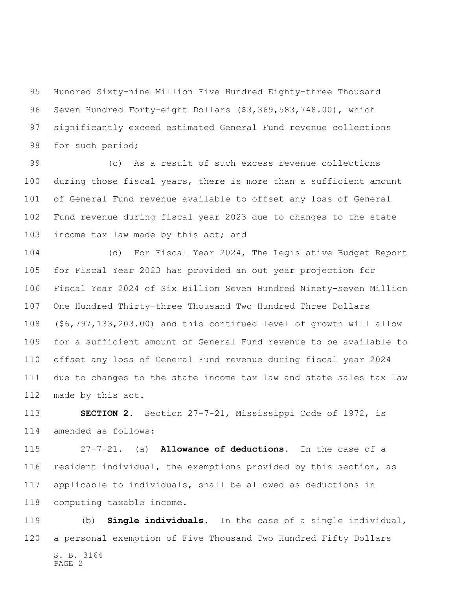Hundred Sixty-nine Million Five Hundred Eighty-three Thousand Seven Hundred Forty-eight Dollars (\$3,369,583,748.00), which significantly exceed estimated General Fund revenue collections 98 for such period;

 (c) As a result of such excess revenue collections during those fiscal years, there is more than a sufficient amount of General Fund revenue available to offset any loss of General Fund revenue during fiscal year 2023 due to changes to the state 103 income tax law made by this act; and

 (d) For Fiscal Year 2024, The Legislative Budget Report for Fiscal Year 2023 has provided an out year projection for Fiscal Year 2024 of Six Billion Seven Hundred Ninety-seven Million One Hundred Thirty-three Thousand Two Hundred Three Dollars (\$6,797,133,203.00) and this continued level of growth will allow for a sufficient amount of General Fund revenue to be available to offset any loss of General Fund revenue during fiscal year 2024 due to changes to the state income tax law and state sales tax law made by this act.

 **SECTION 2.** Section 27-7-21, Mississippi Code of 1972, is amended as follows:

 27-7-21. (a) **Allowance of deductions**. In the case of a resident individual, the exemptions provided by this section, as applicable to individuals, shall be allowed as deductions in computing taxable income.

S. B. 3164 PAGE 2 (b) **Single individuals**. In the case of a single individual, a personal exemption of Five Thousand Two Hundred Fifty Dollars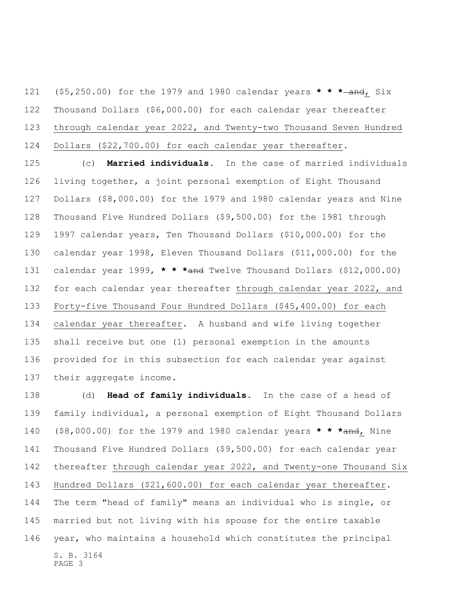(\$5,250.00) for the 1979 and 1980 calendar years **\* \* \*** and, Six Thousand Dollars (\$6,000.00) for each calendar year thereafter through calendar year 2022, and Twenty-two Thousand Seven Hundred Dollars (\$22,700.00) for each calendar year thereafter.

 (c) **Married individuals.** In the case of married individuals living together, a joint personal exemption of Eight Thousand Dollars (\$8,000.00) for the 1979 and 1980 calendar years and Nine Thousand Five Hundred Dollars (\$9,500.00) for the 1981 through 1997 calendar years, Ten Thousand Dollars (\$10,000.00) for the calendar year 1998, Eleven Thousand Dollars (\$11,000.00) for the calendar year 1999, **\* \* \***and Twelve Thousand Dollars (\$12,000.00) for each calendar year thereafter through calendar year 2022, and Forty-five Thousand Four Hundred Dollars (\$45,400.00) for each calendar year thereafter. A husband and wife living together shall receive but one (1) personal exemption in the amounts provided for in this subsection for each calendar year against their aggregate income.

S. B. 3164 PAGE 3 (d) **Head of family individuals.** In the case of a head of family individual, a personal exemption of Eight Thousand Dollars (\$8,000.00) for the 1979 and 1980 calendar years **\* \* \***and, Nine Thousand Five Hundred Dollars (\$9,500.00) for each calendar year thereafter through calendar year 2022, and Twenty-one Thousand Six Hundred Dollars (\$21,600.00) for each calendar year thereafter. The term "head of family" means an individual who is single, or married but not living with his spouse for the entire taxable year, who maintains a household which constitutes the principal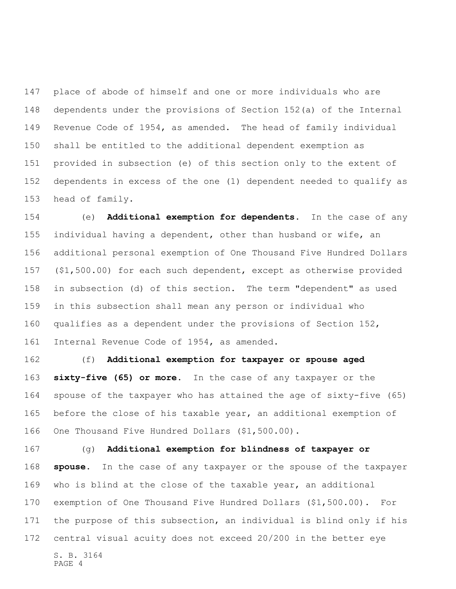place of abode of himself and one or more individuals who are dependents under the provisions of Section 152(a) of the Internal Revenue Code of 1954, as amended. The head of family individual shall be entitled to the additional dependent exemption as provided in subsection (e) of this section only to the extent of dependents in excess of the one (1) dependent needed to qualify as head of family.

 (e) **Additional exemption for dependents.** In the case of any individual having a dependent, other than husband or wife, an additional personal exemption of One Thousand Five Hundred Dollars (\$1,500.00) for each such dependent, except as otherwise provided in subsection (d) of this section. The term "dependent" as used in this subsection shall mean any person or individual who qualifies as a dependent under the provisions of Section 152, Internal Revenue Code of 1954, as amended.

 (f) **Additional exemption for taxpayer or spouse aged sixty-five (65) or more.** In the case of any taxpayer or the spouse of the taxpayer who has attained the age of sixty-five (65) before the close of his taxable year, an additional exemption of One Thousand Five Hundred Dollars (\$1,500.00).

S. B. 3164 PAGE 4 (g) **Additional exemption for blindness of taxpayer or spouse**. In the case of any taxpayer or the spouse of the taxpayer who is blind at the close of the taxable year, an additional exemption of One Thousand Five Hundred Dollars (\$1,500.00). For the purpose of this subsection, an individual is blind only if his central visual acuity does not exceed 20/200 in the better eye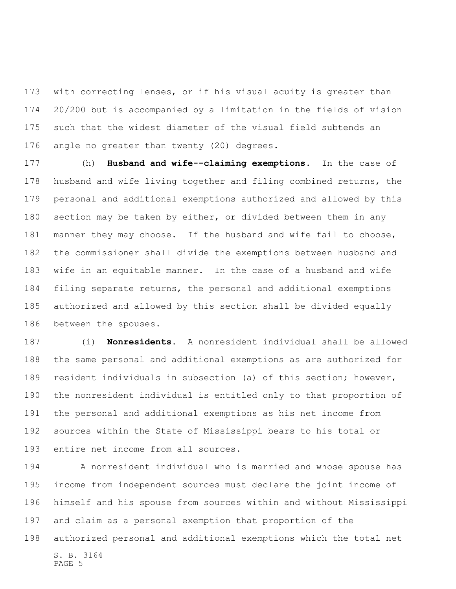with correcting lenses, or if his visual acuity is greater than 20/200 but is accompanied by a limitation in the fields of vision such that the widest diameter of the visual field subtends an angle no greater than twenty (20) degrees.

 (h) **Husband and wife--claiming exemptions**. In the case of husband and wife living together and filing combined returns, the personal and additional exemptions authorized and allowed by this section may be taken by either, or divided between them in any manner they may choose. If the husband and wife fail to choose, the commissioner shall divide the exemptions between husband and wife in an equitable manner. In the case of a husband and wife filing separate returns, the personal and additional exemptions authorized and allowed by this section shall be divided equally between the spouses.

 (i) **Nonresidents**. A nonresident individual shall be allowed the same personal and additional exemptions as are authorized for resident individuals in subsection (a) of this section; however, the nonresident individual is entitled only to that proportion of the personal and additional exemptions as his net income from sources within the State of Mississippi bears to his total or entire net income from all sources.

S. B. 3164 PAGE 5 A nonresident individual who is married and whose spouse has income from independent sources must declare the joint income of himself and his spouse from sources within and without Mississippi and claim as a personal exemption that proportion of the authorized personal and additional exemptions which the total net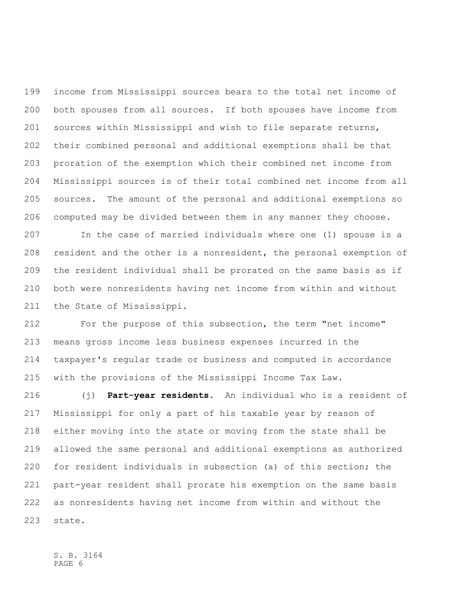income from Mississippi sources bears to the total net income of both spouses from all sources. If both spouses have income from sources within Mississippi and wish to file separate returns, their combined personal and additional exemptions shall be that proration of the exemption which their combined net income from Mississippi sources is of their total combined net income from all sources. The amount of the personal and additional exemptions so computed may be divided between them in any manner they choose.

 In the case of married individuals where one (1) spouse is a resident and the other is a nonresident, the personal exemption of the resident individual shall be prorated on the same basis as if both were nonresidents having net income from within and without the State of Mississippi.

 For the purpose of this subsection, the term "net income" means gross income less business expenses incurred in the taxpayer's regular trade or business and computed in accordance with the provisions of the Mississippi Income Tax Law.

 (j) **Part-year residents**. An individual who is a resident of Mississippi for only a part of his taxable year by reason of either moving into the state or moving from the state shall be allowed the same personal and additional exemptions as authorized for resident individuals in subsection (a) of this section; the part-year resident shall prorate his exemption on the same basis as nonresidents having net income from within and without the state.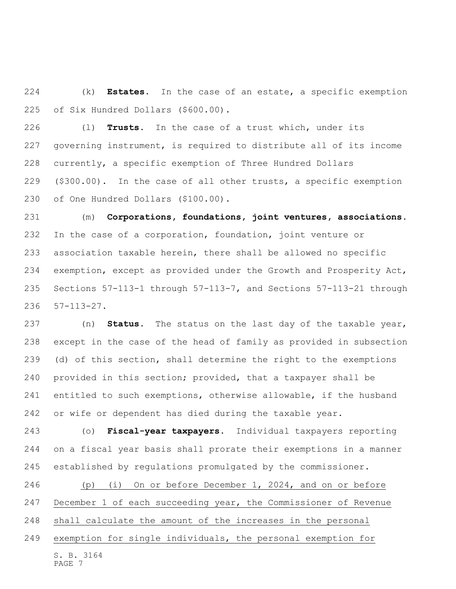(k) **Estates**. In the case of an estate, a specific exemption of Six Hundred Dollars (\$600.00).

 (l) **Trusts**. In the case of a trust which, under its governing instrument, is required to distribute all of its income currently, a specific exemption of Three Hundred Dollars (\$300.00). In the case of all other trusts, a specific exemption of One Hundred Dollars (\$100.00).

 (m) **Corporations, foundations, joint ventures, associations**. In the case of a corporation, foundation, joint venture or association taxable herein, there shall be allowed no specific exemption, except as provided under the Growth and Prosperity Act, Sections 57-113-1 through 57-113-7, and Sections 57-113-21 through 57-113-27.

 (n) **Status**. The status on the last day of the taxable year, except in the case of the head of family as provided in subsection (d) of this section, shall determine the right to the exemptions provided in this section; provided, that a taxpayer shall be entitled to such exemptions, otherwise allowable, if the husband or wife or dependent has died during the taxable year.

 (o) **Fiscal-year taxpayers**. Individual taxpayers reporting on a fiscal year basis shall prorate their exemptions in a manner established by regulations promulgated by the commissioner.

S. B. 3164 PAGE 7 (p) (i) On or before December 1, 2024, and on or before December 1 of each succeeding year, the Commissioner of Revenue shall calculate the amount of the increases in the personal exemption for single individuals, the personal exemption for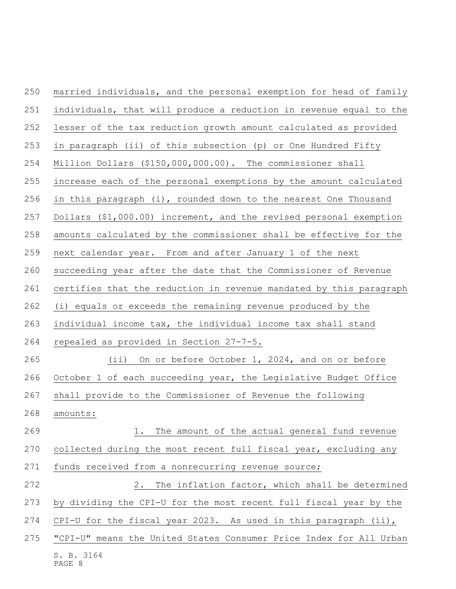| 250 | married individuals, and the personal exemption for head of family |
|-----|--------------------------------------------------------------------|
| 251 | individuals, that will produce a reduction in revenue equal to the |
| 252 | lesser of the tax reduction growth amount calculated as provided   |
| 253 | in paragraph (ii) of this subsection (p) or One Hundred Fifty      |
| 254 | Million Dollars (\$150,000,000.00). The commissioner shall         |
| 255 | increase each of the personal exemptions by the amount calculated  |
| 256 | in this paragraph (i), rounded down to the nearest One Thousand    |
| 257 | Dollars (\$1,000.00) increment, and the revised personal exemption |
| 258 | amounts calculated by the commissioner shall be effective for the  |
| 259 | next calendar year. From and after January 1 of the next           |
| 260 | succeeding year after the date that the Commissioner of Revenue    |
| 261 | certifies that the reduction in revenue mandated by this paragraph |
| 262 | (i) equals or exceeds the remaining revenue produced by the        |
| 263 | individual income tax, the individual income tax shall stand       |
| 264 | repealed as provided in Section 27-7-5.                            |
| 265 | (ii) On or before October 1, 2024, and on or before                |
| 266 | October 1 of each succeeding year, the Legislative Budget Office   |
| 267 | shall provide to the Commissioner of Revenue the following         |
| 268 | amounts:                                                           |
| 269 | The amount of the actual general fund revenue<br>1.                |
| 270 | collected during the most recent full fiscal year, excluding any   |
| 271 | funds received from a nonrecurring revenue source;                 |
| 272 | The inflation factor, which shall be determined<br>2.              |
| 273 | by dividing the CPI-U for the most recent full fiscal year by the  |
| 274 | CPI-U for the fiscal year 2023. As used in this paragraph $(ii)$ , |
| 275 | "CPI-U" means the United States Consumer Price Index for All Urban |
|     | S. B. 3164<br>PAGE 8                                               |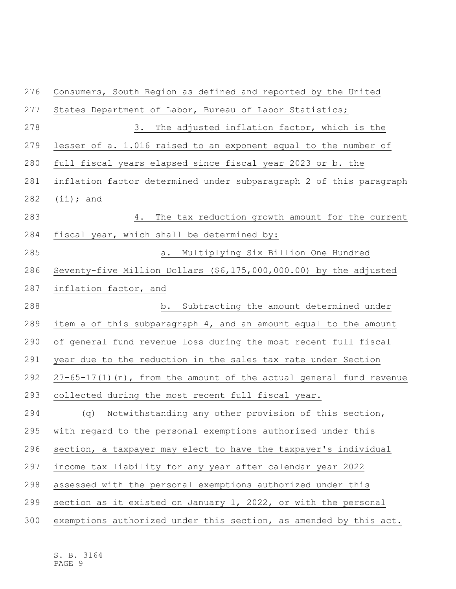| 276 | Consumers, South Region as defined and reported by the United         |
|-----|-----------------------------------------------------------------------|
| 277 | States Department of Labor, Bureau of Labor Statistics;               |
| 278 | 3.<br>The adjusted inflation factor, which is the                     |
| 279 | lesser of a. 1.016 raised to an exponent equal to the number of       |
| 280 | full fiscal years elapsed since fiscal year 2023 or b. the            |
| 281 | inflation factor determined under subparagraph 2 of this paragraph    |
| 282 | $(ii);$ and                                                           |
| 283 | The tax reduction growth amount for the current<br>4.                 |
| 284 | fiscal year, which shall be determined by:                            |
| 285 | a. Multiplying Six Billion One Hundred                                |
| 286 | Seventy-five Million Dollars (\$6,175,000,000.00) by the adjusted     |
| 287 | inflation factor, and                                                 |
| 288 | b. Subtracting the amount determined under                            |
| 289 | item a of this subparagraph 4, and an amount equal to the amount      |
| 290 | of general fund revenue loss during the most recent full fiscal       |
| 291 | year due to the reduction in the sales tax rate under Section         |
| 292 | $27-65-17(1)$ (n), from the amount of the actual general fund revenue |
| 293 | collected during the most recent full fiscal year.                    |
| 294 | Notwithstanding any other provision of this section,<br>(q)           |
| 295 | with regard to the personal exemptions authorized under this          |
| 296 | section, a taxpayer may elect to have the taxpayer's individual       |
| 297 | income tax liability for any year after calendar year 2022            |
| 298 | assessed with the personal exemptions authorized under this           |
| 299 | section as it existed on January 1, 2022, or with the personal        |
| 300 | exemptions authorized under this section, as amended by this act.     |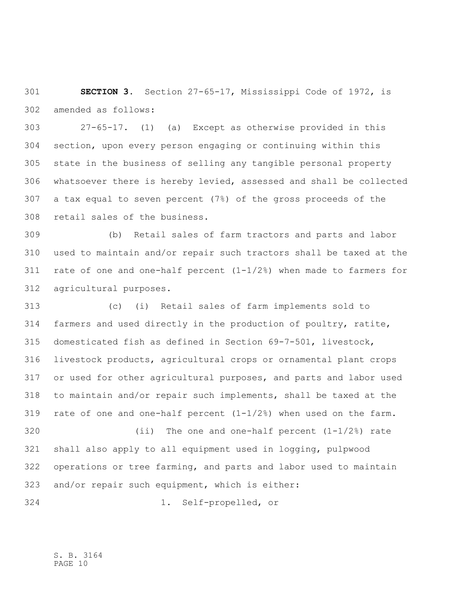**SECTION 3.** Section 27-65-17, Mississippi Code of 1972, is amended as follows:

 27-65-17. (1) (a) Except as otherwise provided in this section, upon every person engaging or continuing within this state in the business of selling any tangible personal property whatsoever there is hereby levied, assessed and shall be collected a tax equal to seven percent (7%) of the gross proceeds of the retail sales of the business.

 (b) Retail sales of farm tractors and parts and labor used to maintain and/or repair such tractors shall be taxed at the 311 rate of one and one-half percent  $(1-1/2)$  when made to farmers for agricultural purposes.

 (c) (i) Retail sales of farm implements sold to farmers and used directly in the production of poultry, ratite, domesticated fish as defined in Section 69-7-501, livestock, livestock products, agricultural crops or ornamental plant crops or used for other agricultural purposes, and parts and labor used to maintain and/or repair such implements, shall be taxed at the rate of one and one-half percent (1-1/2%) when used on the farm. (ii) The one and one-half percent (1-1/2%) rate shall also apply to all equipment used in logging, pulpwood operations or tree farming, and parts and labor used to maintain

and/or repair such equipment, which is either:

1. Self-propelled, or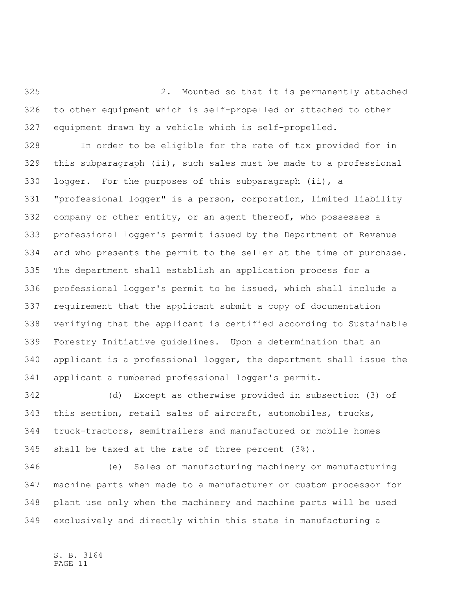2. Mounted so that it is permanently attached to other equipment which is self-propelled or attached to other equipment drawn by a vehicle which is self-propelled.

 In order to be eligible for the rate of tax provided for in this subparagraph (ii), such sales must be made to a professional logger. For the purposes of this subparagraph (ii), a "professional logger" is a person, corporation, limited liability 332 company or other entity, or an agent thereof, who possesses a professional logger's permit issued by the Department of Revenue and who presents the permit to the seller at the time of purchase. The department shall establish an application process for a professional logger's permit to be issued, which shall include a requirement that the applicant submit a copy of documentation verifying that the applicant is certified according to Sustainable Forestry Initiative guidelines. Upon a determination that an applicant is a professional logger, the department shall issue the applicant a numbered professional logger's permit.

 (d) Except as otherwise provided in subsection (3) of this section, retail sales of aircraft, automobiles, trucks, truck-tractors, semitrailers and manufactured or mobile homes shall be taxed at the rate of three percent (3%).

 (e) Sales of manufacturing machinery or manufacturing machine parts when made to a manufacturer or custom processor for plant use only when the machinery and machine parts will be used exclusively and directly within this state in manufacturing a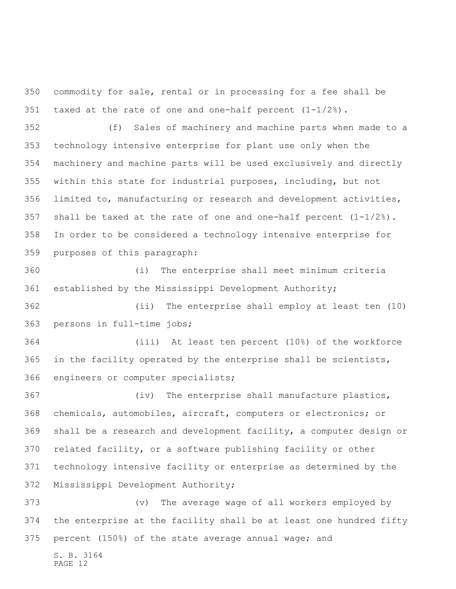commodity for sale, rental or in processing for a fee shall be taxed at the rate of one and one-half percent (1-1/2%).

 (f) Sales of machinery and machine parts when made to a technology intensive enterprise for plant use only when the machinery and machine parts will be used exclusively and directly within this state for industrial purposes, including, but not limited to, manufacturing or research and development activities, shall be taxed at the rate of one and one-half percent (1-1/2%). In order to be considered a technology intensive enterprise for purposes of this paragraph:

 (i) The enterprise shall meet minimum criteria established by the Mississippi Development Authority;

 (ii) The enterprise shall employ at least ten (10) persons in full-time jobs;

 (iii) At least ten percent (10%) of the workforce in the facility operated by the enterprise shall be scientists, engineers or computer specialists;

 (iv) The enterprise shall manufacture plastics, chemicals, automobiles, aircraft, computers or electronics; or shall be a research and development facility, a computer design or related facility, or a software publishing facility or other technology intensive facility or enterprise as determined by the Mississippi Development Authority;

S. B. 3164 (v) The average wage of all workers employed by the enterprise at the facility shall be at least one hundred fifty percent (150%) of the state average annual wage; and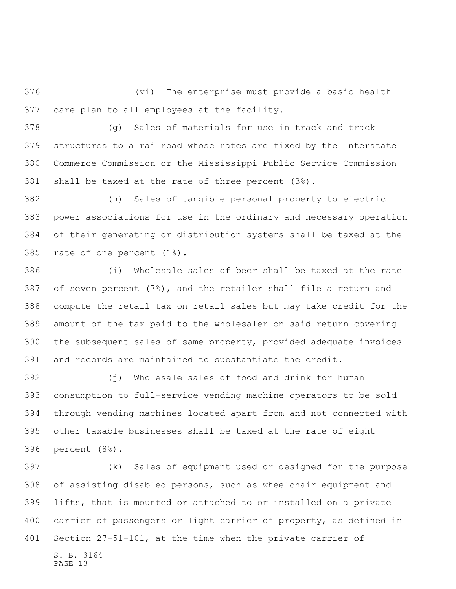(vi) The enterprise must provide a basic health care plan to all employees at the facility.

 (g) Sales of materials for use in track and track structures to a railroad whose rates are fixed by the Interstate Commerce Commission or the Mississippi Public Service Commission shall be taxed at the rate of three percent (3%).

 (h) Sales of tangible personal property to electric power associations for use in the ordinary and necessary operation of their generating or distribution systems shall be taxed at the rate of one percent (1%).

 (i) Wholesale sales of beer shall be taxed at the rate 387 of seven percent  $(7\%)$ , and the retailer shall file a return and compute the retail tax on retail sales but may take credit for the amount of the tax paid to the wholesaler on said return covering the subsequent sales of same property, provided adequate invoices and records are maintained to substantiate the credit.

 (j) Wholesale sales of food and drink for human consumption to full-service vending machine operators to be sold through vending machines located apart from and not connected with other taxable businesses shall be taxed at the rate of eight percent (8%).

S. B. 3164 (k) Sales of equipment used or designed for the purpose of assisting disabled persons, such as wheelchair equipment and lifts, that is mounted or attached to or installed on a private carrier of passengers or light carrier of property, as defined in Section 27-51-101, at the time when the private carrier of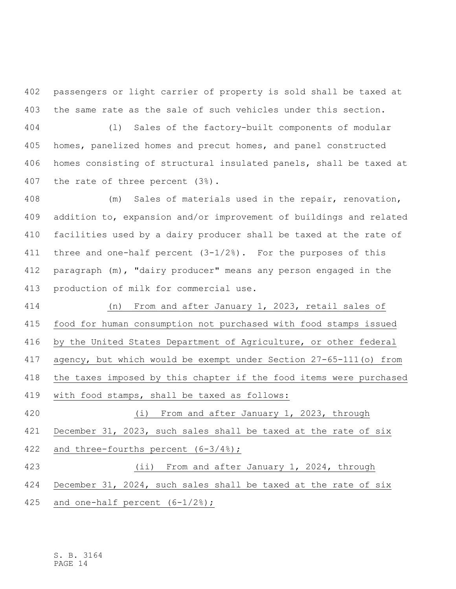passengers or light carrier of property is sold shall be taxed at the same rate as the sale of such vehicles under this section.

 (l) Sales of the factory-built components of modular homes, panelized homes and precut homes, and panel constructed homes consisting of structural insulated panels, shall be taxed at the rate of three percent (3%).

 (m) Sales of materials used in the repair, renovation, addition to, expansion and/or improvement of buildings and related facilities used by a dairy producer shall be taxed at the rate of three and one-half percent (3-1/2%). For the purposes of this paragraph (m), "dairy producer" means any person engaged in the production of milk for commercial use.

 (n) From and after January 1, 2023, retail sales of food for human consumption not purchased with food stamps issued by the United States Department of Agriculture, or other federal agency, but which would be exempt under Section 27-65-111(o) from the taxes imposed by this chapter if the food items were purchased with food stamps, shall be taxed as follows: (i) From and after January 1, 2023, through December 31, 2023, such sales shall be taxed at the rate of six

and three-fourths percent (6-3/4%);

(ii) From and after January 1, 2024, through

December 31, 2024, such sales shall be taxed at the rate of six

and one-half percent (6-1/2%);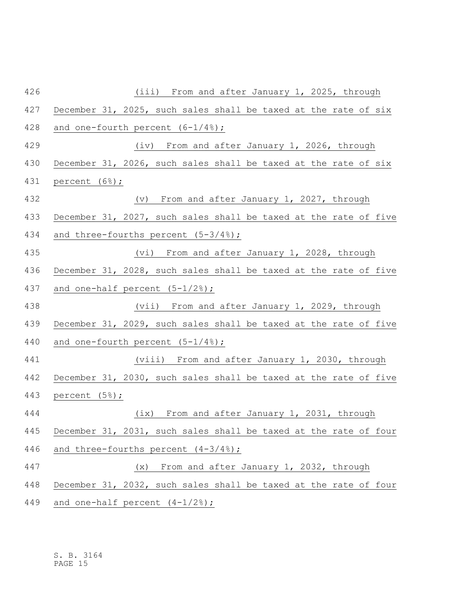| 426 | (iii) From and after January 1, 2025, through                    |
|-----|------------------------------------------------------------------|
| 427 | December 31, 2025, such sales shall be taxed at the rate of six  |
| 428 | and one-fourth percent $(6-1/4)$ ;                               |
| 429 | (iv) From and after January 1, 2026, through                     |
| 430 | December 31, 2026, such sales shall be taxed at the rate of six  |
| 431 | percent $(6%)$ ;                                                 |
| 432 | (v) From and after January 1, 2027, through                      |
| 433 | December 31, 2027, such sales shall be taxed at the rate of five |
| 434 | and three-fourths percent $(5-3/4)$ ;                            |
| 435 | (vi) From and after January 1, 2028, through                     |
| 436 | December 31, 2028, such sales shall be taxed at the rate of five |
| 437 | and one-half percent $(5-1/2)$ ;                                 |
| 438 | (vii) From and after January 1, 2029, through                    |
| 439 | December 31, 2029, such sales shall be taxed at the rate of five |
| 440 | and one-fourth percent $(5-1/4)$ ;                               |
| 441 | (viii) From and after January 1, 2030, through                   |
| 442 | December 31, 2030, such sales shall be taxed at the rate of five |
| 443 | percent (5%);                                                    |
| 444 | (ix) From and after January 1, 2031, through                     |
| 445 | December 31, 2031, such sales shall be taxed at the rate of four |
| 446 | and three-fourths percent $(4-3/4)$ ;                            |
| 447 | From and after January 1, 2032, through<br>(x)                   |
| 448 | December 31, 2032, such sales shall be taxed at the rate of four |
| 449 | and one-half percent $(4-1/2)$ ;                                 |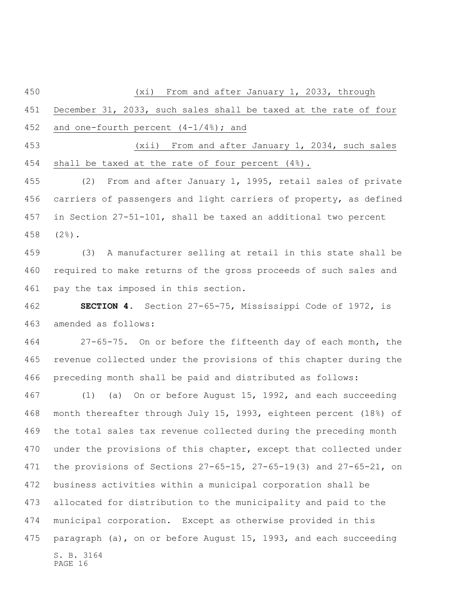(xi) From and after January 1, 2033, through December 31, 2033, such sales shall be taxed at the rate of four and one-fourth percent (4-1/4%); and (xii) From and after January 1, 2034, such sales shall be taxed at the rate of four percent (4%). (2) From and after January 1, 1995, retail sales of private carriers of passengers and light carriers of property, as defined in Section 27-51-101, shall be taxed an additional two percent

 (2%). (3) A manufacturer selling at retail in this state shall be

 required to make returns of the gross proceeds of such sales and pay the tax imposed in this section.

 **SECTION 4.** Section 27-65-75, Mississippi Code of 1972, is amended as follows:

 27-65-75. On or before the fifteenth day of each month, the revenue collected under the provisions of this chapter during the preceding month shall be paid and distributed as follows:

S. B. 3164 PAGE 16 (1) (a) On or before August 15, 1992, and each succeeding month thereafter through July 15, 1993, eighteen percent (18%) of the total sales tax revenue collected during the preceding month 470 under the provisions of this chapter, except that collected under the provisions of Sections 27-65-15, 27-65-19(3) and 27-65-21, on business activities within a municipal corporation shall be allocated for distribution to the municipality and paid to the municipal corporation. Except as otherwise provided in this paragraph (a), on or before August 15, 1993, and each succeeding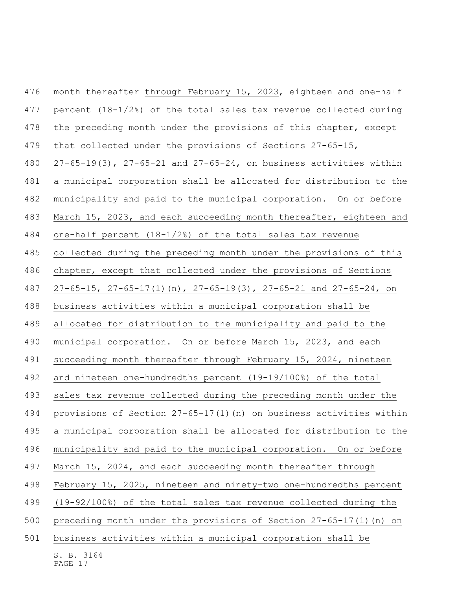S. B. 3164 month thereafter through February 15, 2023, eighteen and one-half percent (18-1/2%) of the total sales tax revenue collected during 478 the preceding month under the provisions of this chapter, except that collected under the provisions of Sections 27-65-15, 27-65-19(3), 27-65-21 and 27-65-24, on business activities within a municipal corporation shall be allocated for distribution to the municipality and paid to the municipal corporation. On or before March 15, 2023, and each succeeding month thereafter, eighteen and one-half percent (18-1/2%) of the total sales tax revenue collected during the preceding month under the provisions of this chapter, except that collected under the provisions of Sections 27-65-15, 27-65-17(1)(n), 27-65-19(3), 27-65-21 and 27-65-24, on business activities within a municipal corporation shall be allocated for distribution to the municipality and paid to the municipal corporation. On or before March 15, 2023, and each succeeding month thereafter through February 15, 2024, nineteen and nineteen one-hundredths percent (19-19/100%) of the total sales tax revenue collected during the preceding month under the provisions of Section 27-65-17(1)(n) on business activities within a municipal corporation shall be allocated for distribution to the municipality and paid to the municipal corporation. On or before March 15, 2024, and each succeeding month thereafter through February 15, 2025, nineteen and ninety-two one-hundredths percent (19-92/100%) of the total sales tax revenue collected during the preceding month under the provisions of Section 27-65-17(1)(n) on business activities within a municipal corporation shall be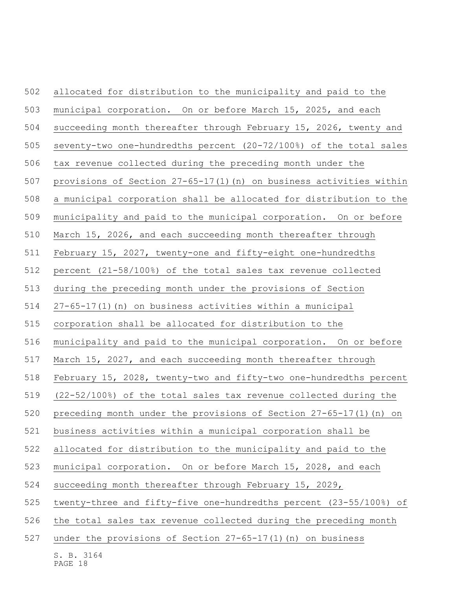| 502 | allocated for distribution to the municipality and paid to the        |
|-----|-----------------------------------------------------------------------|
| 503 | municipal corporation. On or before March 15, 2025, and each          |
| 504 | succeeding month thereafter through February 15, 2026, twenty and     |
| 505 | seventy-two one-hundredths percent (20-72/100%) of the total sales    |
| 506 | tax revenue collected during the preceding month under the            |
| 507 | provisions of Section $27-65-17(1)$ (n) on business activities within |
| 508 | a municipal corporation shall be allocated for distribution to the    |
| 509 | municipality and paid to the municipal corporation. On or before      |
| 510 | March 15, 2026, and each succeeding month thereafter through          |
| 511 | February 15, 2027, twenty-one and fifty-eight one-hundredths          |
| 512 | percent (21-58/100%) of the total sales tax revenue collected         |
| 513 | during the preceding month under the provisions of Section            |
| 514 | 27-65-17(1) (n) on business activities within a municipal             |
| 515 | corporation shall be allocated for distribution to the                |
| 516 | municipality and paid to the municipal corporation. On or before      |
| 517 | March 15, 2027, and each succeeding month thereafter through          |
| 518 | February 15, 2028, twenty-two and fifty-two one-hundredths percent    |
| 519 | (22-52/100%) of the total sales tax revenue collected during the      |
| 520 | preceding month under the provisions of Section $27-65-17(1)$ (n) on  |
| 521 | business activities within a municipal corporation shall be           |
| 522 | allocated for distribution to the municipality and paid to the        |
| 523 | municipal corporation. On or before March 15, 2028, and each          |
| 524 | succeeding month thereafter through February 15, 2029,                |
| 525 | twenty-three and fifty-five one-hundredths percent (23-55/100%) of    |
| 526 | the total sales tax revenue collected during the preceding month      |
| 527 | under the provisions of Section $27-65-17(1)$ (n) on business         |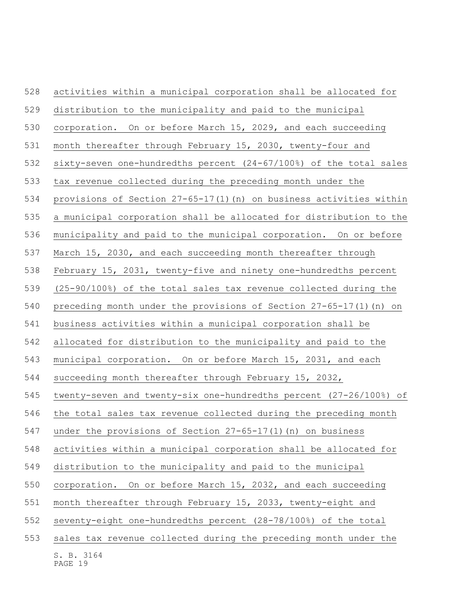| 528 | activities within a municipal corporation shall be allocated for    |
|-----|---------------------------------------------------------------------|
| 529 | distribution to the municipality and paid to the municipal          |
| 530 | corporation. On or before March 15, 2029, and each succeeding       |
| 531 | month thereafter through February 15, 2030, twenty-four and         |
| 532 | sixty-seven one-hundredths percent (24-67/100%) of the total sales  |
| 533 | tax revenue collected during the preceding month under the          |
| 534 | provisions of Section 27-65-17(1) (n) on business activities within |
| 535 | a municipal corporation shall be allocated for distribution to the  |
| 536 | municipality and paid to the municipal corporation. On or before    |
| 537 | March 15, 2030, and each succeeding month thereafter through        |
| 538 | February 15, 2031, twenty-five and ninety one-hundredths percent    |
| 539 | (25-90/100%) of the total sales tax revenue collected during the    |
| 540 | preceding month under the provisions of Section 27-65-17(1) (n) on  |
| 541 | business activities within a municipal corporation shall be         |
| 542 | allocated for distribution to the municipality and paid to the      |
| 543 | municipal corporation. On or before March 15, 2031, and each        |
| 544 | succeeding month thereafter through February 15, 2032,              |
| 545 | twenty-seven and twenty-six one-hundredths percent (27-26/100%) of  |
| 546 | the total sales tax revenue collected during the preceding month    |
| 547 | under the provisions of Section $27-65-17(1)$ (n) on business       |
| 548 | activities within a municipal corporation shall be allocated for    |
| 549 | distribution to the municipality and paid to the municipal          |
| 550 | On or before March 15, 2032, and each succeeding<br>corporation.    |
| 551 | month thereafter through February 15, 2033, twenty-eight and        |
| 552 | seventy-eight one-hundredths percent (28-78/100%) of the total      |
| 553 | sales tax revenue collected during the preceding month under the    |
|     | S. B. 3164<br>PAGE 19                                               |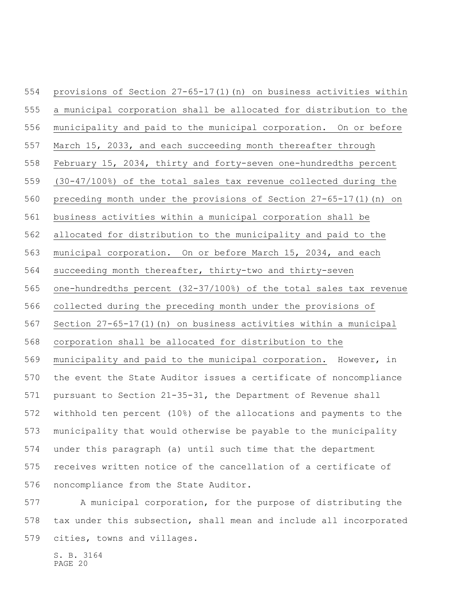provisions of Section 27-65-17(1)(n) on business activities within a municipal corporation shall be allocated for distribution to the municipality and paid to the municipal corporation. On or before March 15, 2033, and each succeeding month thereafter through February 15, 2034, thirty and forty-seven one-hundredths percent (30-47/100%) of the total sales tax revenue collected during the preceding month under the provisions of Section 27-65-17(1)(n) on business activities within a municipal corporation shall be allocated for distribution to the municipality and paid to the municipal corporation. On or before March 15, 2034, and each succeeding month thereafter, thirty-two and thirty-seven one-hundredths percent (32-37/100%) of the total sales tax revenue collected during the preceding month under the provisions of Section 27-65-17(1)(n) on business activities within a municipal corporation shall be allocated for distribution to the municipality and paid to the municipal corporation. However, in the event the State Auditor issues a certificate of noncompliance pursuant to Section 21-35-31, the Department of Revenue shall withhold ten percent (10%) of the allocations and payments to the municipality that would otherwise be payable to the municipality under this paragraph (a) until such time that the department receives written notice of the cancellation of a certificate of noncompliance from the State Auditor.

 A municipal corporation, for the purpose of distributing the tax under this subsection, shall mean and include all incorporated cities, towns and villages.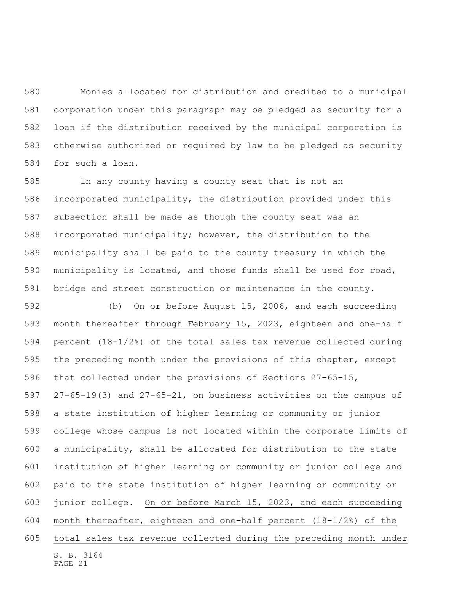Monies allocated for distribution and credited to a municipal corporation under this paragraph may be pledged as security for a loan if the distribution received by the municipal corporation is otherwise authorized or required by law to be pledged as security for such a loan.

 In any county having a county seat that is not an incorporated municipality, the distribution provided under this subsection shall be made as though the county seat was an incorporated municipality; however, the distribution to the municipality shall be paid to the county treasury in which the municipality is located, and those funds shall be used for road, bridge and street construction or maintenance in the county.

S. B. 3164 (b) On or before August 15, 2006, and each succeeding month thereafter through February 15, 2023, eighteen and one-half percent (18-1/2%) of the total sales tax revenue collected during the preceding month under the provisions of this chapter, except that collected under the provisions of Sections 27-65-15, 27-65-19(3) and 27-65-21, on business activities on the campus of a state institution of higher learning or community or junior college whose campus is not located within the corporate limits of a municipality, shall be allocated for distribution to the state institution of higher learning or community or junior college and paid to the state institution of higher learning or community or junior college. On or before March 15, 2023, and each succeeding month thereafter, eighteen and one-half percent (18-1/2%) of the total sales tax revenue collected during the preceding month under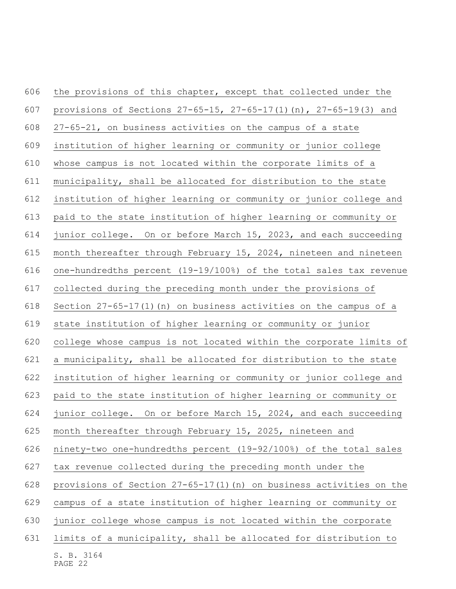S. B. 3164 PAGE 22 606 the provisions of this chapter, except that collected under the provisions of Sections 27-65-15, 27-65-17(1)(n), 27-65-19(3) and 27-65-21, on business activities on the campus of a state institution of higher learning or community or junior college whose campus is not located within the corporate limits of a municipality, shall be allocated for distribution to the state institution of higher learning or community or junior college and paid to the state institution of higher learning or community or junior college. On or before March 15, 2023, and each succeeding month thereafter through February 15, 2024, nineteen and nineteen one-hundredths percent (19-19/100%) of the total sales tax revenue collected during the preceding month under the provisions of Section 27-65-17(1)(n) on business activities on the campus of a state institution of higher learning or community or junior college whose campus is not located within the corporate limits of a municipality, shall be allocated for distribution to the state institution of higher learning or community or junior college and paid to the state institution of higher learning or community or junior college. On or before March 15, 2024, and each succeeding month thereafter through February 15, 2025, nineteen and ninety-two one-hundredths percent (19-92/100%) of the total sales tax revenue collected during the preceding month under the provisions of Section 27-65-17(1)(n) on business activities on the campus of a state institution of higher learning or community or junior college whose campus is not located within the corporate limits of a municipality, shall be allocated for distribution to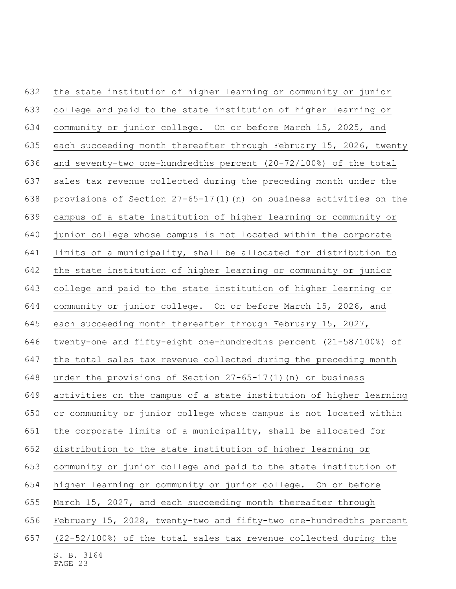| 632 | the state institution of higher learning or community or junior     |
|-----|---------------------------------------------------------------------|
| 633 | college and paid to the state institution of higher learning or     |
| 634 | community or junior college. On or before March 15, 2025, and       |
| 635 | each succeeding month thereafter through February 15, 2026, twenty  |
| 636 | and seventy-two one-hundredths percent (20-72/100%) of the total    |
| 637 | sales tax revenue collected during the preceding month under the    |
| 638 | provisions of Section 27-65-17(1) (n) on business activities on the |
| 639 | campus of a state institution of higher learning or community or    |
| 640 | junior college whose campus is not located within the corporate     |
| 641 | limits of a municipality, shall be allocated for distribution to    |
| 642 | the state institution of higher learning or community or junior     |
| 643 | college and paid to the state institution of higher learning or     |
| 644 | community or junior college. On or before March 15, 2026, and       |
| 645 | each succeeding month thereafter through February 15, 2027,         |
| 646 | twenty-one and fifty-eight one-hundredths percent (21-58/100%) of   |
| 647 | the total sales tax revenue collected during the preceding month    |
| 648 | under the provisions of Section $27-65-17(1)$ (n) on business       |
| 649 | activities on the campus of a state institution of higher learning  |
| 650 | or community or junior college whose campus is not located within   |
| 651 | the corporate limits of a municipality, shall be allocated for      |
| 652 | distribution to the state institution of higher learning or         |
| 653 | community or junior college and paid to the state institution of    |
| 654 | higher learning or community or junior college. On or before        |
| 655 | March 15, 2027, and each succeeding month thereafter through        |
| 656 | February 15, 2028, twenty-two and fifty-two one-hundredths percent  |
| 657 | (22-52/100%) of the total sales tax revenue collected during the    |
|     | S. B. 3164<br>PAGE 23                                               |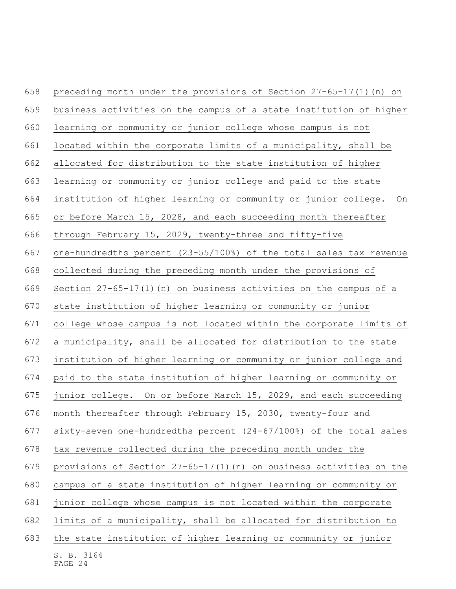| 658 | preceding month under the provisions of Section $27-65-17(1)$ (n) on  |
|-----|-----------------------------------------------------------------------|
| 659 | business activities on the campus of a state institution of higher    |
| 660 | learning or community or junior college whose campus is not           |
| 661 | located within the corporate limits of a municipality, shall be       |
| 662 | allocated for distribution to the state institution of higher         |
| 663 | learning or community or junior college and paid to the state         |
| 664 | institution of higher learning or community or junior college.<br>On  |
| 665 | or before March 15, 2028, and each succeeding month thereafter        |
| 666 | through February 15, 2029, twenty-three and fifty-five                |
| 667 | one-hundredths percent (23-55/100%) of the total sales tax revenue    |
| 668 | collected during the preceding month under the provisions of          |
| 669 | Section 27-65-17(1) (n) on business activities on the campus of a     |
| 670 | state institution of higher learning or community or junior           |
| 671 | college whose campus is not located within the corporate limits of    |
| 672 | a municipality, shall be allocated for distribution to the state      |
| 673 | institution of higher learning or community or junior college and     |
| 674 | paid to the state institution of higher learning or community or      |
| 675 | junior college. On or before March 15, 2029, and each succeeding      |
| 676 | month thereafter through February 15, 2030, twenty-four and           |
| 677 | sixty-seven one-hundredths percent (24-67/100%) of the total sales    |
| 678 | tax revenue collected during the preceding month under the            |
| 679 | provisions of Section $27-65-17(1)$ (n) on business activities on the |
| 680 | campus of a state institution of higher learning or community or      |
| 681 | junior college whose campus is not located within the corporate       |
| 682 | limits of a municipality, shall be allocated for distribution to      |
| 683 | the state institution of higher learning or community or junior       |
|     | S. B. 3164<br>PAGE 24                                                 |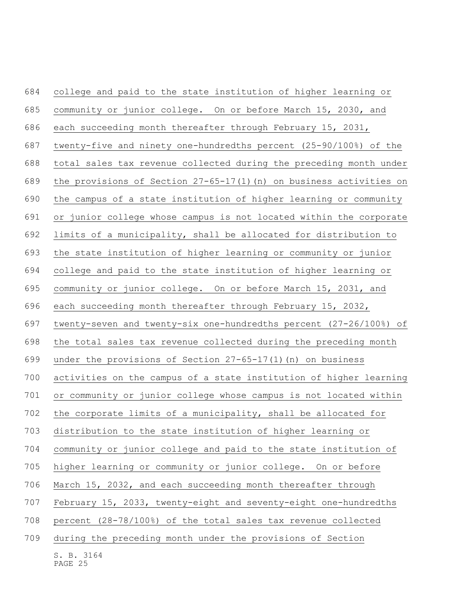| 684 | college and paid to the state institution of higher learning or       |
|-----|-----------------------------------------------------------------------|
| 685 | community or junior college. On or before March 15, 2030, and         |
| 686 | each succeeding month thereafter through February 15, 2031,           |
| 687 | twenty-five and ninety one-hundredths percent (25-90/100%) of the     |
| 688 | total sales tax revenue collected during the preceding month under    |
| 689 | the provisions of Section $27-65-17(1)$ (n) on business activities on |
| 690 | the campus of a state institution of higher learning or community     |
| 691 | or junior college whose campus is not located within the corporate    |
| 692 | limits of a municipality, shall be allocated for distribution to      |
| 693 | the state institution of higher learning or community or junior       |
| 694 | college and paid to the state institution of higher learning or       |
| 695 | community or junior college. On or before March 15, 2031, and         |
| 696 | each succeeding month thereafter through February 15, 2032,           |
| 697 | twenty-seven and twenty-six one-hundredths percent (27-26/100%) of    |
| 698 | the total sales tax revenue collected during the preceding month      |
| 699 | under the provisions of Section $27-65-17(1)$ (n) on business         |
| 700 | activities on the campus of a state institution of higher learning    |
| 701 | or community or junior college whose campus is not located within     |
| 702 | the corporate limits of a municipality, shall be allocated for        |
| 703 | distribution to the state institution of higher learning or           |
| 704 | community or junior college and paid to the state institution of      |
| 705 | higher learning or community or junior college. On or before          |
| 706 | March 15, 2032, and each succeeding month thereafter through          |
| 707 | February 15, 2033, twenty-eight and seventy-eight one-hundredths      |
| 708 | percent (28-78/100%) of the total sales tax revenue collected         |
| 709 | during the preceding month under the provisions of Section            |
|     | S. B. 3164<br>PAGE 25                                                 |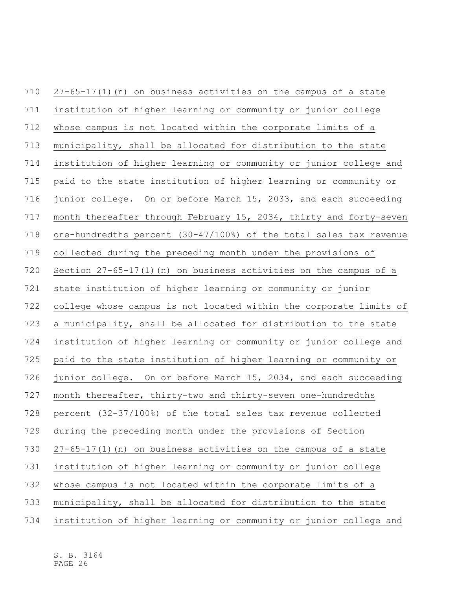27-65-17(1)(n) on business activities on the campus of a state institution of higher learning or community or junior college whose campus is not located within the corporate limits of a municipality, shall be allocated for distribution to the state institution of higher learning or community or junior college and paid to the state institution of higher learning or community or junior college. On or before March 15, 2033, and each succeeding month thereafter through February 15, 2034, thirty and forty-seven one-hundredths percent (30-47/100%) of the total sales tax revenue collected during the preceding month under the provisions of Section 27-65-17(1)(n) on business activities on the campus of a state institution of higher learning or community or junior college whose campus is not located within the corporate limits of a municipality, shall be allocated for distribution to the state institution of higher learning or community or junior college and paid to the state institution of higher learning or community or junior college. On or before March 15, 2034, and each succeeding month thereafter, thirty-two and thirty-seven one-hundredths percent (32-37/100%) of the total sales tax revenue collected during the preceding month under the provisions of Section 27-65-17(1)(n) on business activities on the campus of a state institution of higher learning or community or junior college whose campus is not located within the corporate limits of a municipality, shall be allocated for distribution to the state institution of higher learning or community or junior college and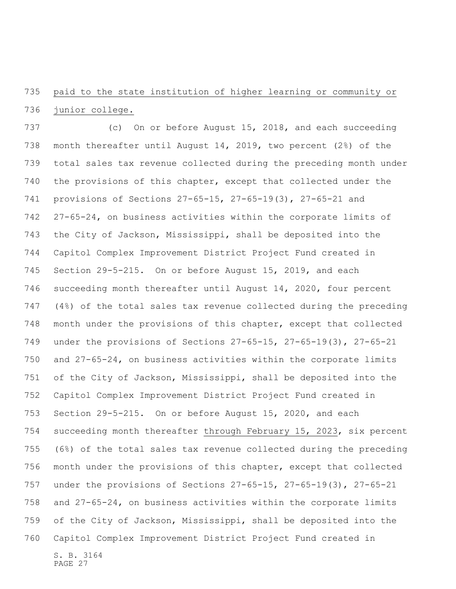paid to the state institution of higher learning or community or junior college.

S. B. 3164 (c) On or before August 15, 2018, and each succeeding month thereafter until August 14, 2019, two percent (2%) of the total sales tax revenue collected during the preceding month under the provisions of this chapter, except that collected under the provisions of Sections 27-65-15, 27-65-19(3), 27-65-21 and 27-65-24, on business activities within the corporate limits of the City of Jackson, Mississippi, shall be deposited into the Capitol Complex Improvement District Project Fund created in Section 29-5-215. On or before August 15, 2019, and each succeeding month thereafter until August 14, 2020, four percent (4%) of the total sales tax revenue collected during the preceding month under the provisions of this chapter, except that collected under the provisions of Sections 27-65-15, 27-65-19(3), 27-65-21 and 27-65-24, on business activities within the corporate limits of the City of Jackson, Mississippi, shall be deposited into the Capitol Complex Improvement District Project Fund created in Section 29-5-215. On or before August 15, 2020, and each succeeding month thereafter through February 15, 2023, six percent (6%) of the total sales tax revenue collected during the preceding month under the provisions of this chapter, except that collected under the provisions of Sections 27-65-15, 27-65-19(3), 27-65-21 and 27-65-24, on business activities within the corporate limits of the City of Jackson, Mississippi, shall be deposited into the Capitol Complex Improvement District Project Fund created in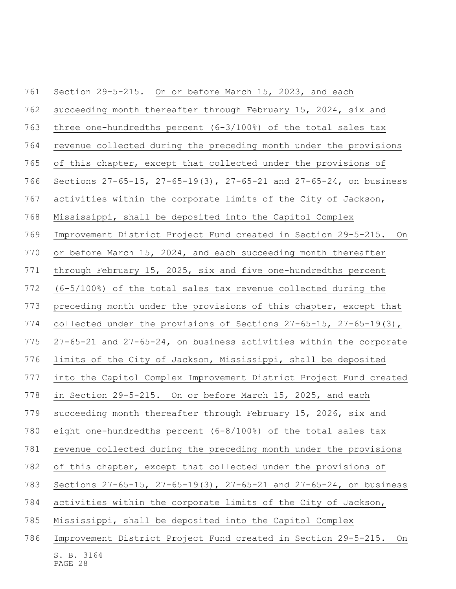| 761 | Section 29-5-215. On or before March 15, 2023, and each              |
|-----|----------------------------------------------------------------------|
| 762 | succeeding month thereafter through February 15, 2024, six and       |
| 763 | three one-hundredths percent $(6-3/100)$ of the total sales tax      |
| 764 | revenue collected during the preceding month under the provisions    |
| 765 | of this chapter, except that collected under the provisions of       |
| 766 | Sections 27-65-15, 27-65-19(3), 27-65-21 and 27-65-24, on business   |
| 767 | activities within the corporate limits of the City of Jackson,       |
| 768 | Mississippi, shall be deposited into the Capitol Complex             |
| 769 | Improvement District Project Fund created in Section 29-5-215. On    |
| 770 | or before March 15, 2024, and each succeeding month thereafter       |
| 771 | through February 15, 2025, six and five one-hundredths percent       |
| 772 | $(6-5/100)$ of the total sales tax revenue collected during the      |
| 773 | preceding month under the provisions of this chapter, except that    |
| 774 | collected under the provisions of Sections 27-65-15, 27-65-19(3),    |
| 775 | 27-65-21 and 27-65-24, on business activities within the corporate   |
| 776 | limits of the City of Jackson, Mississippi, shall be deposited       |
| 777 | into the Capitol Complex Improvement District Project Fund created   |
| 778 | in Section 29-5-215. On or before March 15, 2025, and each           |
| 779 | succeeding month thereafter through February 15, 2026, six and       |
| 780 | eight one-hundredths percent (6-8/100%) of the total sales tax       |
| 781 | revenue collected during the preceding month under the provisions    |
| 782 | of this chapter, except that collected under the provisions of       |
| 783 | Sections 27-65-15, 27-65-19(3), 27-65-21 and 27-65-24, on business   |
| 784 | activities within the corporate limits of the City of Jackson,       |
| 785 | Mississippi, shall be deposited into the Capitol Complex             |
| 786 | Improvement District Project Fund created in Section 29-5-215.<br>On |
|     | S. B. 3164<br>PAGE 28                                                |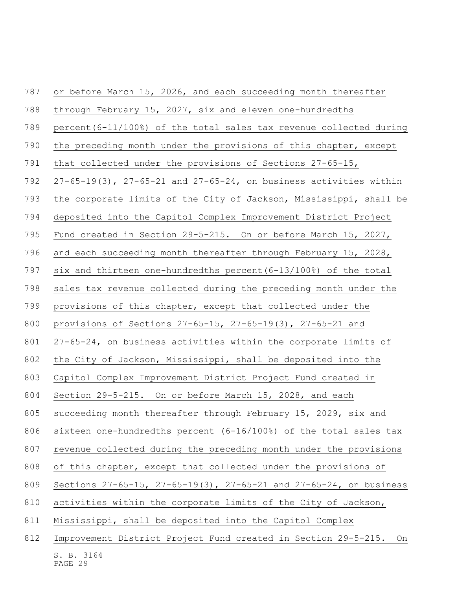| 787 | or before March 15, 2026, and each succeeding month thereafter            |
|-----|---------------------------------------------------------------------------|
| 788 | through February 15, 2027, six and eleven one-hundredths                  |
| 789 | percent $(6-11/100)$ of the total sales tax revenue collected during      |
| 790 | the preceding month under the provisions of this chapter, except          |
| 791 | that collected under the provisions of Sections 27-65-15,                 |
| 792 | $27-65-19(3)$ , $27-65-21$ and $27-65-24$ , on business activities within |
| 793 | the corporate limits of the City of Jackson, Mississippi, shall be        |
| 794 | deposited into the Capitol Complex Improvement District Project           |
| 795 | Fund created in Section 29-5-215. On or before March 15, 2027,            |
| 796 | and each succeeding month thereafter through February 15, 2028,           |
| 797 | six and thirteen one-hundredths percent (6-13/100%) of the total          |
| 798 | sales tax revenue collected during the preceding month under the          |
| 799 | provisions of this chapter, except that collected under the               |
| 800 | provisions of Sections $27-65-15$ , $27-65-19(3)$ , $27-65-21$ and        |
| 801 | 27-65-24, on business activities within the corporate limits of           |
| 802 | the City of Jackson, Mississippi, shall be deposited into the             |
| 803 | Capitol Complex Improvement District Project Fund created in              |
| 804 | Section 29-5-215. On or before March 15, 2028, and each                   |
| 805 | succeeding month thereafter through February 15, 2029, six and            |
| 806 | sixteen one-hundredths percent (6-16/100%) of the total sales tax         |
| 807 | revenue collected during the preceding month under the provisions         |
| 808 | of this chapter, except that collected under the provisions of            |
| 809 | Sections 27-65-15, 27-65-19(3), 27-65-21 and 27-65-24, on business        |
| 810 | activities within the corporate limits of the City of Jackson,            |
| 811 | Mississippi, shall be deposited into the Capitol Complex                  |
| 812 | Improvement District Project Fund created in Section 29-5-215.<br>On      |
|     | S. B. 3164                                                                |

PAGE 29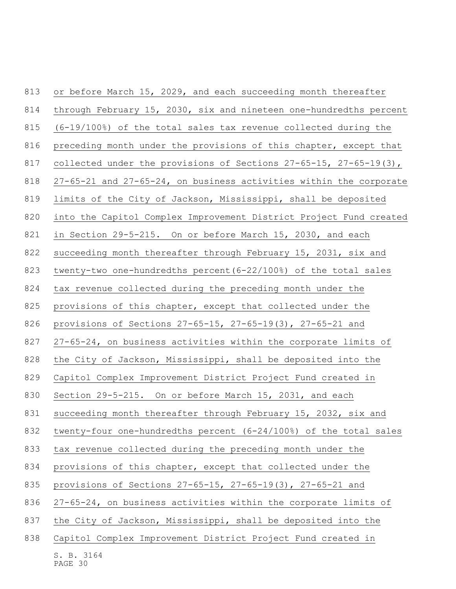| 813 | or before March 15, 2029, and each succeeding month thereafter          |
|-----|-------------------------------------------------------------------------|
| 814 | through February 15, 2030, six and nineteen one-hundredths percent      |
| 815 | (6-19/100%) of the total sales tax revenue collected during the         |
| 816 | preceding month under the provisions of this chapter, except that       |
| 817 | collected under the provisions of Sections $27-65-15$ , $27-65-19(3)$ , |
| 818 | 27-65-21 and 27-65-24, on business activities within the corporate      |
| 819 | limits of the City of Jackson, Mississippi, shall be deposited          |
| 820 | into the Capitol Complex Improvement District Project Fund created      |
| 821 | in Section 29-5-215. On or before March 15, 2030, and each              |
| 822 | succeeding month thereafter through February 15, 2031, six and          |
| 823 | twenty-two one-hundredths percent (6-22/100%) of the total sales        |
| 824 | tax revenue collected during the preceding month under the              |
| 825 | provisions of this chapter, except that collected under the             |
| 826 | provisions of Sections $27-65-15$ , $27-65-19(3)$ , $27-65-21$ and      |
| 827 | 27-65-24, on business activities within the corporate limits of         |
| 828 | the City of Jackson, Mississippi, shall be deposited into the           |
| 829 | Capitol Complex Improvement District Project Fund created in            |
| 830 | Section 29-5-215. On or before March 15, 2031, and each                 |
| 831 | succeeding month thereafter through February 15, 2032, six and          |
| 832 | twenty-four one-hundredths percent (6-24/100%) of the total sales       |
| 833 | tax revenue collected during the preceding month under the              |
| 834 | provisions of this chapter, except that collected under the             |
| 835 | provisions of Sections $27-65-15$ , $27-65-19(3)$ , $27-65-21$ and      |
| 836 | 27-65-24, on business activities within the corporate limits of         |
| 837 | the City of Jackson, Mississippi, shall be deposited into the           |
| 838 | Capitol Complex Improvement District Project Fund created in            |
|     | S. B. 3164                                                              |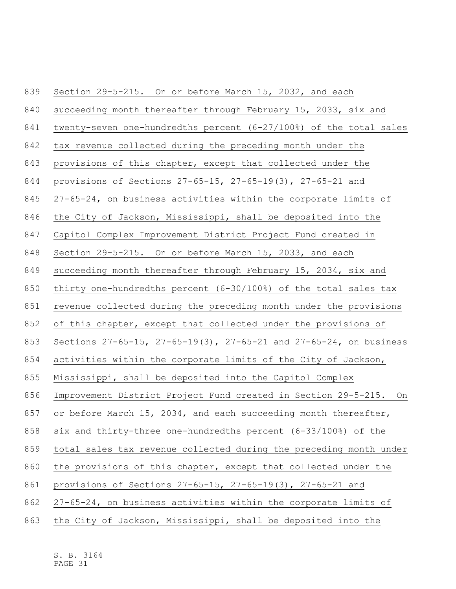| 839 | Section 29-5-215. On or before March 15, 2032, and each            |
|-----|--------------------------------------------------------------------|
| 840 | succeeding month thereafter through February 15, 2033, six and     |
| 841 | twenty-seven one-hundredths percent (6-27/100%) of the total sales |
| 842 | tax revenue collected during the preceding month under the         |
| 843 | provisions of this chapter, except that collected under the        |
| 844 | provisions of Sections 27-65-15, 27-65-19(3), 27-65-21 and         |
| 845 | 27-65-24, on business activities within the corporate limits of    |
| 846 | the City of Jackson, Mississippi, shall be deposited into the      |
| 847 | Capitol Complex Improvement District Project Fund created in       |
| 848 | Section 29-5-215. On or before March 15, 2033, and each            |
| 849 | succeeding month thereafter through February 15, 2034, six and     |
| 850 | thirty one-hundredths percent (6-30/100%) of the total sales tax   |
| 851 | revenue collected during the preceding month under the provisions  |
| 852 | of this chapter, except that collected under the provisions of     |
| 853 | Sections 27-65-15, 27-65-19(3), 27-65-21 and 27-65-24, on business |
| 854 | activities within the corporate limits of the City of Jackson,     |
| 855 | Mississippi, shall be deposited into the Capitol Complex           |
| 856 | Improvement District Project Fund created in Section 29-5-215. On  |
| 857 | or before March 15, 2034, and each succeeding month thereafter,    |
| 858 | six and thirty-three one-hundredths percent (6-33/100%) of the     |
| 859 | total sales tax revenue collected during the preceding month under |
| 860 | the provisions of this chapter, except that collected under the    |
| 861 | provisions of Sections 27-65-15, 27-65-19(3), 27-65-21 and         |
| 862 | 27-65-24, on business activities within the corporate limits of    |
| 863 | the City of Jackson, Mississippi, shall be deposited into the      |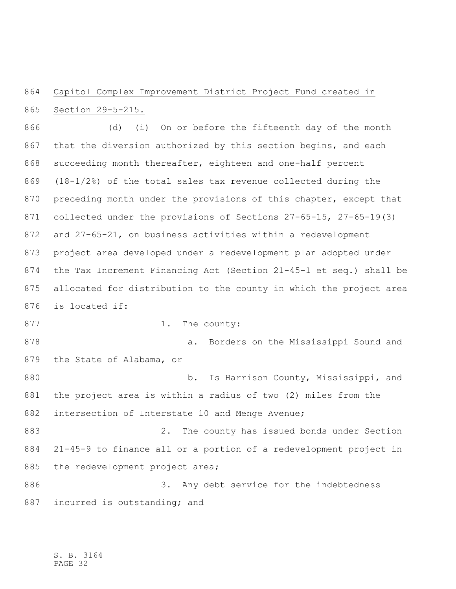## Capitol Complex Improvement District Project Fund created in Section 29-5-215.

 (d) (i) On or before the fifteenth day of the month that the diversion authorized by this section begins, and each 868 succeeding month thereafter, eighteen and one-half percent (18-1/2%) of the total sales tax revenue collected during the 870 preceding month under the provisions of this chapter, except that collected under the provisions of Sections 27-65-15, 27-65-19(3) and 27-65-21, on business activities within a redevelopment project area developed under a redevelopment plan adopted under the Tax Increment Financing Act (Section 21-45-1 et seq.) shall be allocated for distribution to the county in which the project area is located if: 877 1. The county:

 a. Borders on the Mississippi Sound and the State of Alabama, or

880 b. Is Harrison County, Mississippi, and the project area is within a radius of two (2) miles from the intersection of Interstate 10 and Menge Avenue;

 2. The county has issued bonds under Section 21-45-9 to finance all or a portion of a redevelopment project in 885 the redevelopment project area;

 3. Any debt service for the indebtedness 887 incurred is outstanding; and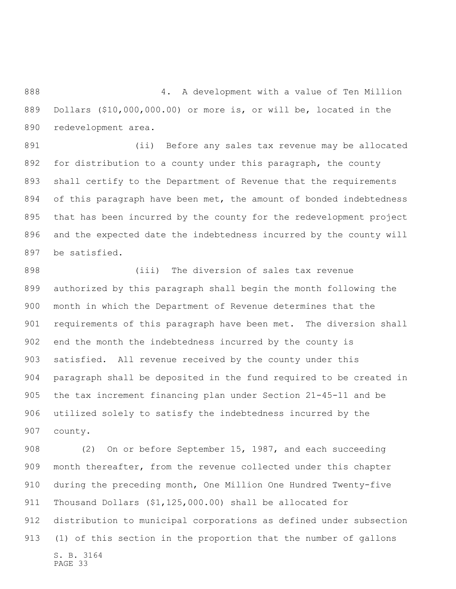4. A development with a value of Ten Million Dollars (\$10,000,000.00) or more is, or will be, located in the redevelopment area.

 (ii) Before any sales tax revenue may be allocated for distribution to a county under this paragraph, the county shall certify to the Department of Revenue that the requirements of this paragraph have been met, the amount of bonded indebtedness that has been incurred by the county for the redevelopment project and the expected date the indebtedness incurred by the county will be satisfied.

 (iii) The diversion of sales tax revenue authorized by this paragraph shall begin the month following the month in which the Department of Revenue determines that the requirements of this paragraph have been met. The diversion shall end the month the indebtedness incurred by the county is satisfied. All revenue received by the county under this paragraph shall be deposited in the fund required to be created in the tax increment financing plan under Section 21-45-11 and be utilized solely to satisfy the indebtedness incurred by the county.

S. B. 3164 PAGE 33 (2) On or before September 15, 1987, and each succeeding month thereafter, from the revenue collected under this chapter during the preceding month, One Million One Hundred Twenty-five Thousand Dollars (\$1,125,000.00) shall be allocated for distribution to municipal corporations as defined under subsection (1) of this section in the proportion that the number of gallons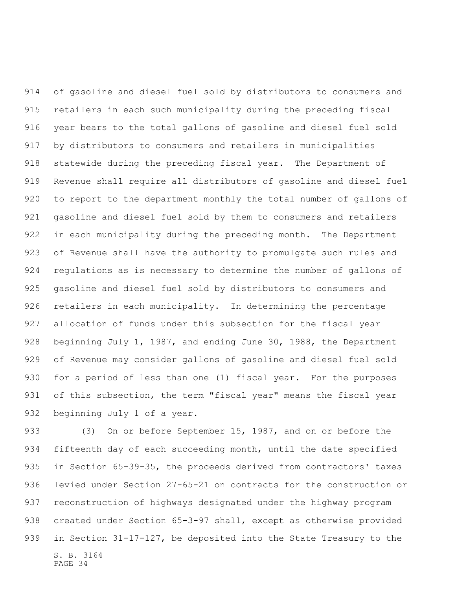of gasoline and diesel fuel sold by distributors to consumers and retailers in each such municipality during the preceding fiscal year bears to the total gallons of gasoline and diesel fuel sold by distributors to consumers and retailers in municipalities statewide during the preceding fiscal year. The Department of Revenue shall require all distributors of gasoline and diesel fuel to report to the department monthly the total number of gallons of gasoline and diesel fuel sold by them to consumers and retailers in each municipality during the preceding month. The Department of Revenue shall have the authority to promulgate such rules and regulations as is necessary to determine the number of gallons of gasoline and diesel fuel sold by distributors to consumers and retailers in each municipality. In determining the percentage allocation of funds under this subsection for the fiscal year 928 beginning July 1, 1987, and ending June 30, 1988, the Department of Revenue may consider gallons of gasoline and diesel fuel sold for a period of less than one (1) fiscal year. For the purposes 931 of this subsection, the term "fiscal year" means the fiscal year beginning July 1 of a year.

S. B. 3164 PAGE 34 933 (3) On or before September 15, 1987, and on or before the fifteenth day of each succeeding month, until the date specified in Section 65-39-35, the proceeds derived from contractors' taxes levied under Section 27-65-21 on contracts for the construction or reconstruction of highways designated under the highway program created under Section 65-3-97 shall, except as otherwise provided in Section 31-17-127, be deposited into the State Treasury to the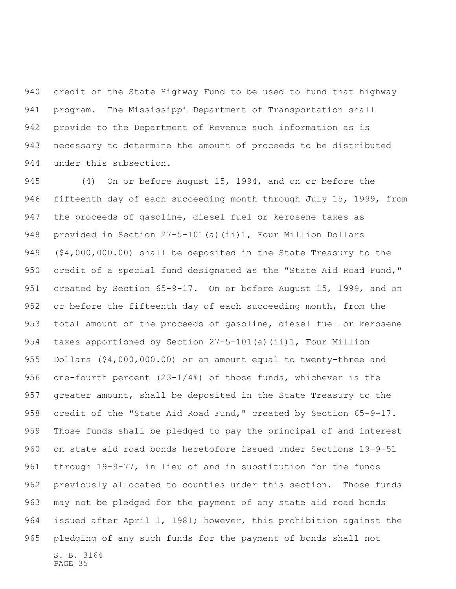credit of the State Highway Fund to be used to fund that highway program. The Mississippi Department of Transportation shall provide to the Department of Revenue such information as is necessary to determine the amount of proceeds to be distributed under this subsection.

S. B. 3164 (4) On or before August 15, 1994, and on or before the fifteenth day of each succeeding month through July 15, 1999, from the proceeds of gasoline, diesel fuel or kerosene taxes as provided in Section 27-5-101(a)(ii)1, Four Million Dollars (\$4,000,000.00) shall be deposited in the State Treasury to the 950 credit of a special fund designated as the "State Aid Road Fund," 951 created by Section 65-9-17. On or before August 15, 1999, and on 952 or before the fifteenth day of each succeeding month, from the total amount of the proceeds of gasoline, diesel fuel or kerosene taxes apportioned by Section 27-5-101(a)(ii)1, Four Million Dollars (\$4,000,000.00) or an amount equal to twenty-three and one-fourth percent (23-1/4%) of those funds, whichever is the greater amount, shall be deposited in the State Treasury to the 958 credit of the "State Aid Road Fund," created by Section 65-9-17. Those funds shall be pledged to pay the principal of and interest on state aid road bonds heretofore issued under Sections 19-9-51 through 19-9-77, in lieu of and in substitution for the funds previously allocated to counties under this section. Those funds may not be pledged for the payment of any state aid road bonds issued after April 1, 1981; however, this prohibition against the pledging of any such funds for the payment of bonds shall not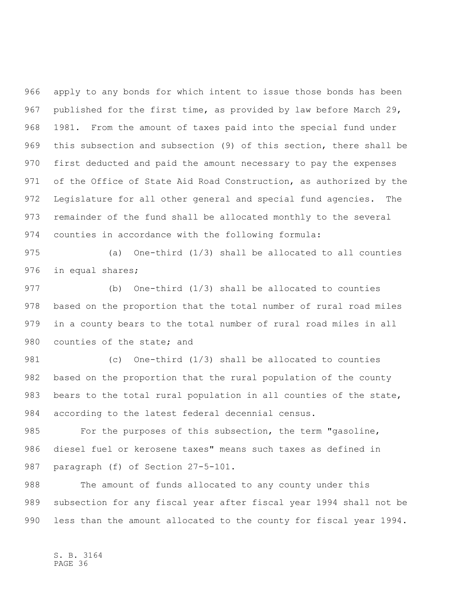apply to any bonds for which intent to issue those bonds has been published for the first time, as provided by law before March 29, 1981. From the amount of taxes paid into the special fund under this subsection and subsection (9) of this section, there shall be first deducted and paid the amount necessary to pay the expenses of the Office of State Aid Road Construction, as authorized by the Legislature for all other general and special fund agencies. The remainder of the fund shall be allocated monthly to the several counties in accordance with the following formula:

 (a) One-third (1/3) shall be allocated to all counties in equal shares;

 (b) One-third (1/3) shall be allocated to counties based on the proportion that the total number of rural road miles in a county bears to the total number of rural road miles in all 980 counties of the state; and

 (c) One-third (1/3) shall be allocated to counties based on the proportion that the rural population of the county bears to the total rural population in all counties of the state, according to the latest federal decennial census.

 For the purposes of this subsection, the term "gasoline, diesel fuel or kerosene taxes" means such taxes as defined in paragraph (f) of Section 27-5-101.

 The amount of funds allocated to any county under this subsection for any fiscal year after fiscal year 1994 shall not be less than the amount allocated to the county for fiscal year 1994.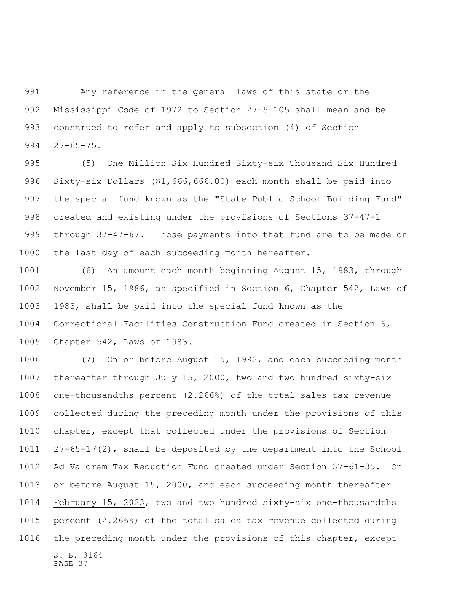Any reference in the general laws of this state or the Mississippi Code of 1972 to Section 27-5-105 shall mean and be construed to refer and apply to subsection (4) of Section 27-65-75.

 (5) One Million Six Hundred Sixty-six Thousand Six Hundred Sixty-six Dollars (\$1,666,666.00) each month shall be paid into the special fund known as the "State Public School Building Fund" created and existing under the provisions of Sections 37-47-1 through 37-47-67. Those payments into that fund are to be made on the last day of each succeeding month hereafter.

 (6) An amount each month beginning August 15, 1983, through November 15, 1986, as specified in Section 6, Chapter 542, Laws of 1983, shall be paid into the special fund known as the Correctional Facilities Construction Fund created in Section 6, Chapter 542, Laws of 1983.

S. B. 3164 (7) On or before August 15, 1992, and each succeeding month thereafter through July 15, 2000, two and two hundred sixty-six one-thousandths percent (2.266%) of the total sales tax revenue collected during the preceding month under the provisions of this chapter, except that collected under the provisions of Section 27-65-17(2), shall be deposited by the department into the School Ad Valorem Tax Reduction Fund created under Section 37-61-35. On or before August 15, 2000, and each succeeding month thereafter February 15, 2023, two and two hundred sixty-six one-thousandths percent (2.266%) of the total sales tax revenue collected during the preceding month under the provisions of this chapter, except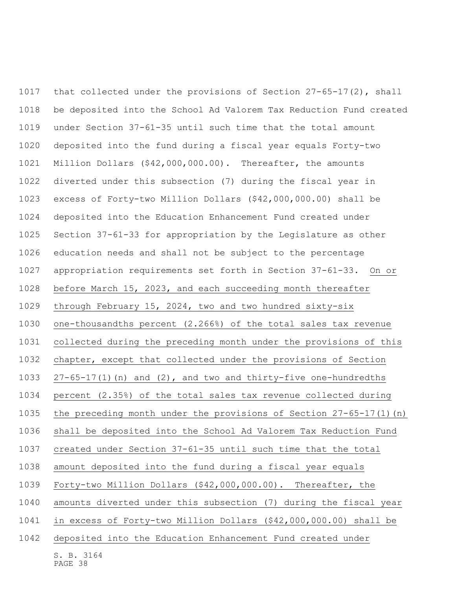S. B. 3164 that collected under the provisions of Section 27-65-17(2), shall be deposited into the School Ad Valorem Tax Reduction Fund created under Section 37-61-35 until such time that the total amount deposited into the fund during a fiscal year equals Forty-two Million Dollars (\$42,000,000.00). Thereafter, the amounts diverted under this subsection (7) during the fiscal year in excess of Forty-two Million Dollars (\$42,000,000.00) shall be deposited into the Education Enhancement Fund created under Section 37-61-33 for appropriation by the Legislature as other education needs and shall not be subject to the percentage appropriation requirements set forth in Section 37-61-33. On or before March 15, 2023, and each succeeding month thereafter through February 15, 2024, two and two hundred sixty-six one-thousandths percent (2.266%) of the total sales tax revenue collected during the preceding month under the provisions of this chapter, except that collected under the provisions of Section 27-65-17(1)(n) and (2), and two and thirty-five one-hundredths percent (2.35%) of the total sales tax revenue collected during the preceding month under the provisions of Section 27-65-17(1)(n) shall be deposited into the School Ad Valorem Tax Reduction Fund created under Section 37-61-35 until such time that the total amount deposited into the fund during a fiscal year equals Forty-two Million Dollars (\$42,000,000.00). Thereafter, the amounts diverted under this subsection (7) during the fiscal year in excess of Forty-two Million Dollars (\$42,000,000.00) shall be deposited into the Education Enhancement Fund created under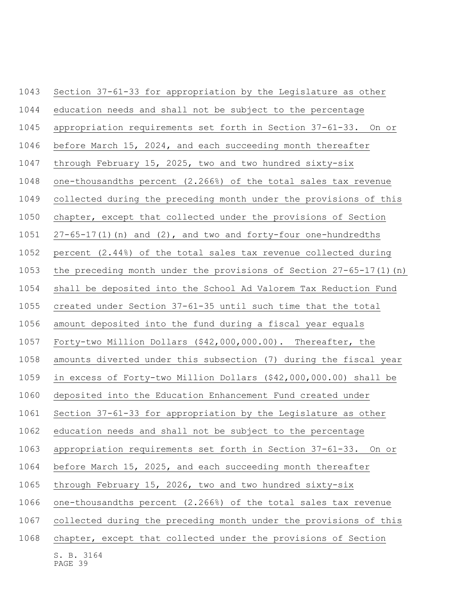| 1043 | Section 37-61-33 for appropriation by the Legislature as other        |
|------|-----------------------------------------------------------------------|
| 1044 | education needs and shall not be subject to the percentage            |
| 1045 | appropriation requirements set forth in Section 37-61-33. On or       |
| 1046 | before March 15, 2024, and each succeeding month thereafter           |
| 1047 | through February 15, 2025, two and two hundred sixty-six              |
| 1048 | one-thousandths percent (2.266%) of the total sales tax revenue       |
| 1049 | collected during the preceding month under the provisions of this     |
| 1050 | chapter, except that collected under the provisions of Section        |
| 1051 | $27-65-17(1)$ (n) and $(2)$ , and two and forty-four one-hundredths   |
| 1052 | percent (2.44%) of the total sales tax revenue collected during       |
| 1053 | the preceding month under the provisions of Section $27-65-17(1)$ (n) |
| 1054 | shall be deposited into the School Ad Valorem Tax Reduction Fund      |
| 1055 | created under Section 37-61-35 until such time that the total         |
| 1056 | amount deposited into the fund during a fiscal year equals            |
| 1057 | Forty-two Million Dollars (\$42,000,000.00). Thereafter, the          |
| 1058 | amounts diverted under this subsection (7) during the fiscal year     |
| 1059 | in excess of Forty-two Million Dollars (\$42,000,000.00) shall be     |
| 1060 | deposited into the Education Enhancement Fund created under           |
| 1061 | Section 37-61-33 for appropriation by the Legislature as other        |
| 1062 | education needs and shall not be subject to the percentage            |
| 1063 | appropriation requirements set forth in Section 37-61-33. On or       |
| 1064 | before March 15, 2025, and each succeeding month thereafter           |
| 1065 | through February 15, 2026, two and two hundred sixty-six              |
| 1066 | one-thousandths percent (2.266%) of the total sales tax revenue       |
| 1067 | collected during the preceding month under the provisions of this     |
| 1068 | chapter, except that collected under the provisions of Section        |
|      | S. B. 3164<br>PAGE 39                                                 |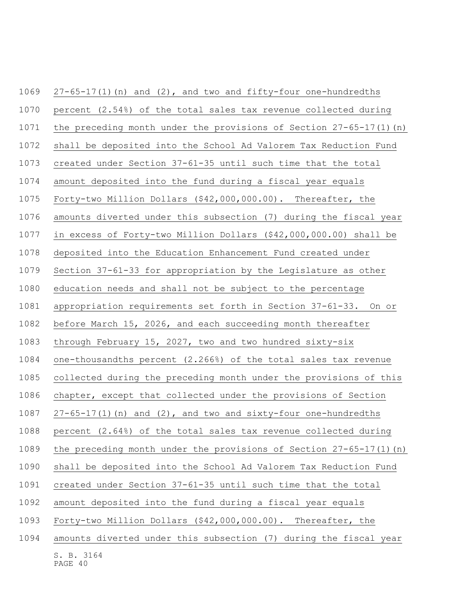| 1069 | $27-65-17(1)$ (n) and $(2)$ , and two and fifty-four one-hundredths   |
|------|-----------------------------------------------------------------------|
| 1070 | percent (2.54%) of the total sales tax revenue collected during       |
| 1071 | the preceding month under the provisions of Section $27-65-17(1)$ (n) |
| 1072 | shall be deposited into the School Ad Valorem Tax Reduction Fund      |
| 1073 | created under Section 37-61-35 until such time that the total         |
| 1074 | amount deposited into the fund during a fiscal year equals            |
| 1075 | Forty-two Million Dollars (\$42,000,000.00). Thereafter, the          |
| 1076 | amounts diverted under this subsection (7) during the fiscal year     |
| 1077 | in excess of Forty-two Million Dollars (\$42,000,000.00) shall be     |
| 1078 | deposited into the Education Enhancement Fund created under           |
| 1079 | Section 37-61-33 for appropriation by the Legislature as other        |
| 1080 | education needs and shall not be subject to the percentage            |
| 1081 | appropriation requirements set forth in Section 37-61-33. On or       |
| 1082 | before March 15, 2026, and each succeeding month thereafter           |
| 1083 | through February 15, 2027, two and two hundred sixty-six              |
| 1084 | one-thousandths percent (2.266%) of the total sales tax revenue       |
| 1085 | collected during the preceding month under the provisions of this     |
| 1086 | chapter, except that collected under the provisions of Section        |
| 1087 | $27-65-17(1)$ (n) and $(2)$ , and two and sixty-four one-hundredths   |
| 1088 | percent (2.64%) of the total sales tax revenue collected during       |
| 1089 | the preceding month under the provisions of Section $27-65-17(1)$ (n) |
| 1090 | shall be deposited into the School Ad Valorem Tax Reduction Fund      |
| 1091 | created under Section 37-61-35 until such time that the total         |
| 1092 | amount deposited into the fund during a fiscal year equals            |
| 1093 | Forty-two Million Dollars (\$42,000,000.00). Thereafter, the          |
| 1094 | amounts diverted under this subsection (7) during the fiscal year     |
|      | S. B. 3164                                                            |

PAGE 40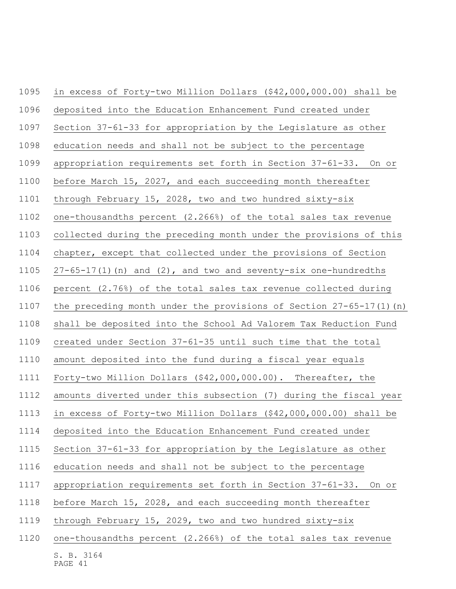| 1095 | in excess of Forty-two Million Dollars (\$42,000,000.00) shall be     |
|------|-----------------------------------------------------------------------|
| 1096 | deposited into the Education Enhancement Fund created under           |
| 1097 | Section 37-61-33 for appropriation by the Legislature as other        |
| 1098 | education needs and shall not be subject to the percentage            |
| 1099 | appropriation requirements set forth in Section 37-61-33. On or       |
| 1100 | before March 15, 2027, and each succeeding month thereafter           |
| 1101 | through February 15, 2028, two and two hundred sixty-six              |
| 1102 | one-thousandths percent (2.266%) of the total sales tax revenue       |
| 1103 | collected during the preceding month under the provisions of this     |
| 1104 | chapter, except that collected under the provisions of Section        |
| 1105 | $27-65-17(1)$ (n) and (2), and two and seventy-six one-hundredths     |
| 1106 | percent (2.76%) of the total sales tax revenue collected during       |
| 1107 | the preceding month under the provisions of Section $27-65-17(1)$ (n) |
| 1108 | shall be deposited into the School Ad Valorem Tax Reduction Fund      |
| 1109 | created under Section 37-61-35 until such time that the total         |
| 1110 | amount deposited into the fund during a fiscal year equals            |
| 1111 | Forty-two Million Dollars (\$42,000,000.00). Thereafter, the          |
| 1112 | amounts diverted under this subsection (7) during the fiscal year     |
| 1113 | in excess of Forty-two Million Dollars (\$42,000,000.00) shall be     |
| 1114 | deposited into the Education Enhancement Fund created under           |
| 1115 | Section 37-61-33 for appropriation by the Legislature as other        |
| 1116 | education needs and shall not be subject to the percentage            |
| 1117 | appropriation requirements set forth in Section 37-61-33. On or       |
| 1118 | before March 15, 2028, and each succeeding month thereafter           |
| 1119 | through February 15, 2029, two and two hundred sixty-six              |
| 1120 | one-thousandths percent (2.266%) of the total sales tax revenue       |
|      |                                                                       |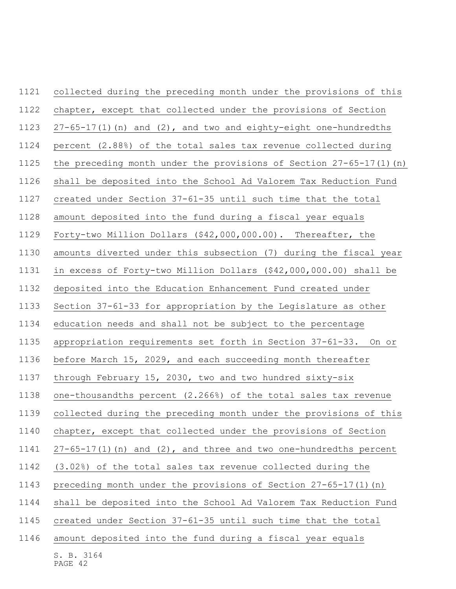| 1121 | collected during the preceding month under the provisions of this      |
|------|------------------------------------------------------------------------|
| 1122 | chapter, except that collected under the provisions of Section         |
| 1123 | $27-65-17(1)$ (n) and $(2)$ , and two and eighty-eight one-hundredths  |
| 1124 | percent (2.88%) of the total sales tax revenue collected during        |
| 1125 | the preceding month under the provisions of Section $27-65-17(1)$ (n)  |
| 1126 | shall be deposited into the School Ad Valorem Tax Reduction Fund       |
| 1127 | created under Section 37-61-35 until such time that the total          |
| 1128 | amount deposited into the fund during a fiscal year equals             |
| 1129 | Forty-two Million Dollars (\$42,000,000.00). Thereafter, the           |
| 1130 | amounts diverted under this subsection (7) during the fiscal year      |
| 1131 | in excess of Forty-two Million Dollars (\$42,000,000.00) shall be      |
| 1132 | deposited into the Education Enhancement Fund created under            |
| 1133 | Section 37-61-33 for appropriation by the Legislature as other         |
| 1134 | education needs and shall not be subject to the percentage             |
| 1135 | appropriation requirements set forth in Section 37-61-33. On or        |
| 1136 | before March 15, 2029, and each succeeding month thereafter            |
| 1137 | through February 15, 2030, two and two hundred sixty-six               |
| 1138 | one-thousandths percent (2.266%) of the total sales tax revenue        |
| 1139 | collected during the preceding month under the provisions of this      |
| 1140 | chapter, except that collected under the provisions of Section         |
| 1141 | $27-65-17(1)$ (n) and $(2)$ , and three and two one-hundredths percent |
| 1142 | (3.02%) of the total sales tax revenue collected during the            |
| 1143 | preceding month under the provisions of Section 27-65-17(1) (n)        |
| 1144 | shall be deposited into the School Ad Valorem Tax Reduction Fund       |
| 1145 | created under Section 37-61-35 until such time that the total          |
| 1146 | amount deposited into the fund during a fiscal year equals             |
|      | S. B. 3164                                                             |

PAGE 42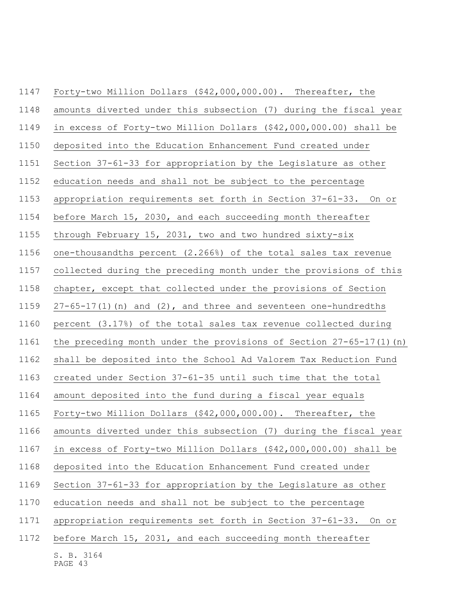| 1147 | Forty-two Million Dollars (\$42,000,000.00). Thereafter, the          |
|------|-----------------------------------------------------------------------|
| 1148 | amounts diverted under this subsection (7) during the fiscal year     |
| 1149 | in excess of Forty-two Million Dollars (\$42,000,000.00) shall be     |
| 1150 | deposited into the Education Enhancement Fund created under           |
| 1151 | Section 37-61-33 for appropriation by the Legislature as other        |
| 1152 | education needs and shall not be subject to the percentage            |
| 1153 | appropriation requirements set forth in Section 37-61-33. On or       |
| 1154 | before March 15, 2030, and each succeeding month thereafter           |
| 1155 | through February 15, 2031, two and two hundred sixty-six              |
| 1156 | one-thousandths percent (2.266%) of the total sales tax revenue       |
| 1157 | collected during the preceding month under the provisions of this     |
| 1158 | chapter, except that collected under the provisions of Section        |
| 1159 | $27-65-17(1)$ (n) and (2), and three and seventeen one-hundredths     |
| 1160 | percent (3.17%) of the total sales tax revenue collected during       |
| 1161 | the preceding month under the provisions of Section $27-65-17(1)$ (n) |
| 1162 | shall be deposited into the School Ad Valorem Tax Reduction Fund      |
| 1163 | created under Section 37-61-35 until such time that the total         |
| 1164 | amount deposited into the fund during a fiscal year equals            |
| 1165 | Forty-two Million Dollars (\$42,000,000.00). Thereafter, the          |
| 1166 | amounts diverted under this subsection (7) during the fiscal year     |
| 1167 | in excess of Forty-two Million Dollars (\$42,000,000.00) shall be     |
| 1168 | deposited into the Education Enhancement Fund created under           |
| 1169 | Section 37-61-33 for appropriation by the Legislature as other        |
| 1170 | education needs and shall not be subject to the percentage            |
| 1171 | appropriation requirements set forth in Section 37-61-33. On or       |
| 1172 | before March 15, 2031, and each succeeding month thereafter           |
|      |                                                                       |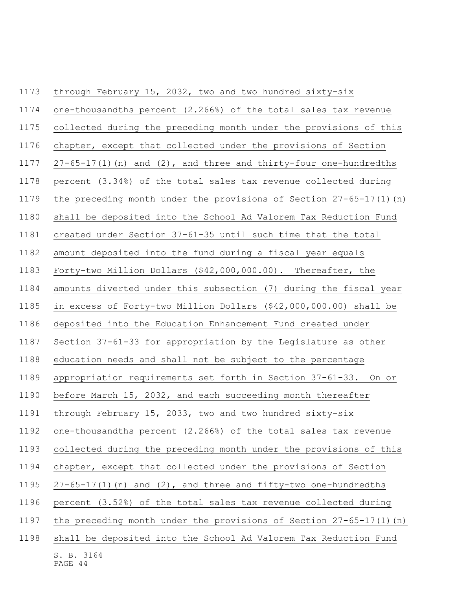| 1173 | through February 15, 2032, two and two hundred sixty-six               |
|------|------------------------------------------------------------------------|
| 1174 | one-thousandths percent (2.266%) of the total sales tax revenue        |
| 1175 | collected during the preceding month under the provisions of this      |
| 1176 | chapter, except that collected under the provisions of Section         |
| 1177 | $27-65-17(1)$ (n) and $(2)$ , and three and thirty-four one-hundredths |
| 1178 | percent (3.34%) of the total sales tax revenue collected during        |
| 1179 | the preceding month under the provisions of Section $27-65-17(1)$ (n)  |
| 1180 | shall be deposited into the School Ad Valorem Tax Reduction Fund       |
| 1181 | created under Section 37-61-35 until such time that the total          |
| 1182 | amount deposited into the fund during a fiscal year equals             |
| 1183 | Forty-two Million Dollars (\$42,000,000.00). Thereafter, the           |
| 1184 | amounts diverted under this subsection (7) during the fiscal year      |
| 1185 | in excess of Forty-two Million Dollars (\$42,000,000.00) shall be      |
| 1186 | deposited into the Education Enhancement Fund created under            |
| 1187 | Section 37-61-33 for appropriation by the Legislature as other         |
| 1188 | education needs and shall not be subject to the percentage             |
| 1189 | appropriation requirements set forth in Section 37-61-33. On or        |
| 1190 | before March 15, 2032, and each succeeding month thereafter            |
| 1191 | through February 15, 2033, two and two hundred sixty-six               |
| 1192 | one-thousandths percent (2.266%) of the total sales tax revenue        |
| 1193 | collected during the preceding month under the provisions of this      |
| 1194 | chapter, except that collected under the provisions of Section         |
| 1195 | $27-65-17(1)$ (n) and (2), and three and fifty-two one-hundredths      |
| 1196 | percent (3.52%) of the total sales tax revenue collected during        |
| 1197 | the preceding month under the provisions of Section 27-65-17(1) (n)    |
| 1198 | shall be deposited into the School Ad Valorem Tax Reduction Fund       |
|      | S. B. 3164                                                             |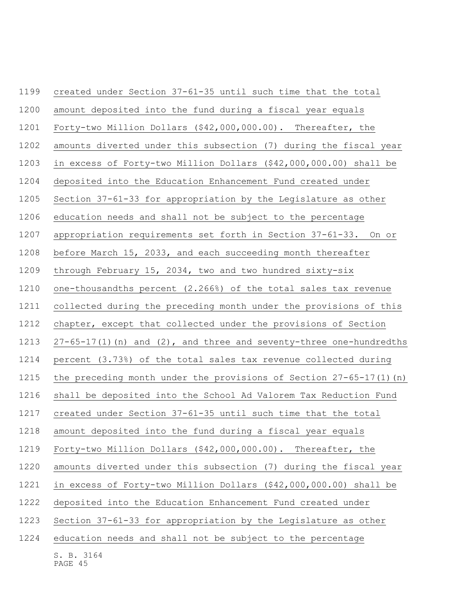| 1199 | created under Section 37-61-35 until such time that the total         |
|------|-----------------------------------------------------------------------|
| 1200 | amount deposited into the fund during a fiscal year equals            |
| 1201 | Forty-two Million Dollars (\$42,000,000.00). Thereafter, the          |
| 1202 | amounts diverted under this subsection (7) during the fiscal year     |
| 1203 | in excess of Forty-two Million Dollars (\$42,000,000.00) shall be     |
| 1204 | deposited into the Education Enhancement Fund created under           |
| 1205 | Section 37-61-33 for appropriation by the Legislature as other        |
| 1206 | education needs and shall not be subject to the percentage            |
| 1207 | appropriation requirements set forth in Section 37-61-33. On or       |
| 1208 | before March 15, 2033, and each succeeding month thereafter           |
| 1209 | through February 15, 2034, two and two hundred sixty-six              |
| 1210 | one-thousandths percent (2.266%) of the total sales tax revenue       |
| 1211 | collected during the preceding month under the provisions of this     |
| 1212 | chapter, except that collected under the provisions of Section        |
| 1213 | $27-65-17(1)$ (n) and (2), and three and seventy-three one-hundredths |
| 1214 | percent (3.73%) of the total sales tax revenue collected during       |
| 1215 | the preceding month under the provisions of Section $27-65-17(1)$ (n) |
| 1216 | shall be deposited into the School Ad Valorem Tax Reduction Fund      |
| 1217 | created under Section 37-61-35 until such time that the total         |
| 1218 | amount deposited into the fund during a fiscal year equals            |
| 1219 | Forty-two Million Dollars (\$42,000,000.00). Thereafter, the          |
| 1220 | amounts diverted under this subsection (7) during the fiscal year     |
| 1221 | in excess of Forty-two Million Dollars (\$42,000,000.00) shall be     |
| 1222 | deposited into the Education Enhancement Fund created under           |
| 1223 | Section 37-61-33 for appropriation by the Legislature as other        |
| 1224 | education needs and shall not be subject to the percentage            |
|      | S. B. 3164<br>PAGE 45                                                 |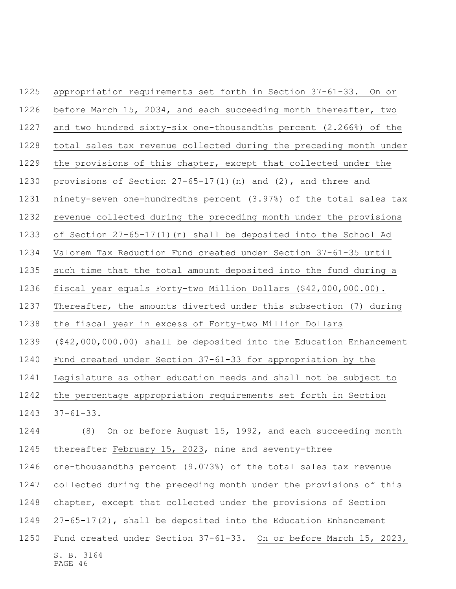S. B. 3164 appropriation requirements set forth in Section 37-61-33. On or before March 15, 2034, and each succeeding month thereafter, two and two hundred sixty-six one-thousandths percent (2.266%) of the total sales tax revenue collected during the preceding month under the provisions of this chapter, except that collected under the provisions of Section 27-65-17(1)(n) and (2), and three and ninety-seven one-hundredths percent (3.97%) of the total sales tax revenue collected during the preceding month under the provisions of Section 27-65-17(1)(n) shall be deposited into the School Ad Valorem Tax Reduction Fund created under Section 37-61-35 until such time that the total amount deposited into the fund during a fiscal year equals Forty-two Million Dollars (\$42,000,000.00). Thereafter, the amounts diverted under this subsection (7) during the fiscal year in excess of Forty-two Million Dollars (\$42,000,000.00) shall be deposited into the Education Enhancement Fund created under Section 37-61-33 for appropriation by the Legislature as other education needs and shall not be subject to the percentage appropriation requirements set forth in Section 37-61-33. (8) On or before August 15, 1992, and each succeeding month thereafter February 15, 2023, nine and seventy-three one-thousandths percent (9.073%) of the total sales tax revenue collected during the preceding month under the provisions of this chapter, except that collected under the provisions of Section 27-65-17(2), shall be deposited into the Education Enhancement Fund created under Section 37-61-33. On or before March 15, 2023,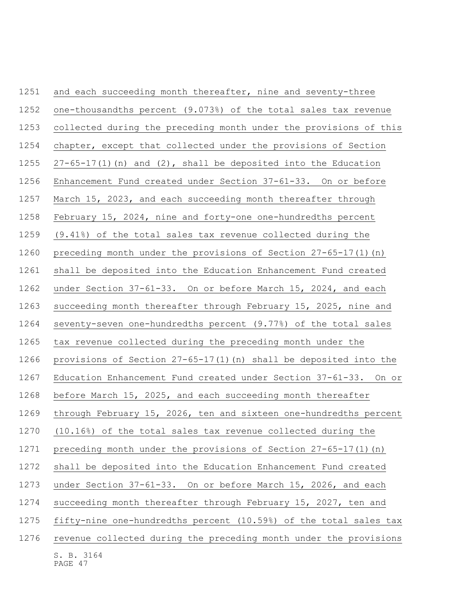| 1251 | and each succeeding month thereafter, nine and seventy-three        |
|------|---------------------------------------------------------------------|
| 1252 | one-thousandths percent (9.073%) of the total sales tax revenue     |
| 1253 | collected during the preceding month under the provisions of this   |
| 1254 | chapter, except that collected under the provisions of Section      |
| 1255 | $27-65-17(1)$ (n) and $(2)$ , shall be deposited into the Education |
| 1256 | Enhancement Fund created under Section 37-61-33. On or before       |
| 1257 | March 15, 2023, and each succeeding month thereafter through        |
| 1258 | February 15, 2024, nine and forty-one one-hundredths percent        |
| 1259 | (9.41%) of the total sales tax revenue collected during the         |
| 1260 | preceding month under the provisions of Section $27-65-17(1)$ (n)   |
| 1261 | shall be deposited into the Education Enhancement Fund created      |
| 1262 | under Section 37-61-33. On or before March 15, 2024, and each       |
| 1263 | succeeding month thereafter through February 15, 2025, nine and     |
| 1264 | seventy-seven one-hundredths percent (9.77%) of the total sales     |
| 1265 | tax revenue collected during the preceding month under the          |
| 1266 | provisions of Section 27-65-17(1) (n) shall be deposited into the   |
| 1267 | Education Enhancement Fund created under Section 37-61-33. On or    |
| 1268 | before March 15, 2025, and each succeeding month thereafter         |
| 1269 | through February 15, 2026, ten and sixteen one-hundredths percent   |
| 1270 | (10.16%) of the total sales tax revenue collected during the        |
| 1271 | preceding month under the provisions of Section 27-65-17(1)(n)      |
| 1272 | shall be deposited into the Education Enhancement Fund created      |
| 1273 | under Section 37-61-33. On or before March 15, 2026, and each       |
| 1274 | succeeding month thereafter through February 15, 2027, ten and      |
| 1275 | fifty-nine one-hundredths percent (10.59%) of the total sales tax   |
| 1276 | revenue collected during the preceding month under the provisions   |
|      | S. B. 3164<br>PAGE 47                                               |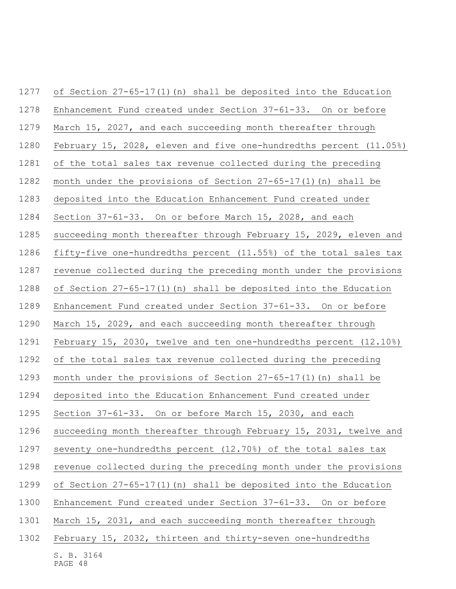| 1277 | of Section 27-65-17(1) (n) shall be deposited into the Education   |
|------|--------------------------------------------------------------------|
| 1278 | Enhancement Fund created under Section 37-61-33. On or before      |
| 1279 | March 15, 2027, and each succeeding month thereafter through       |
| 1280 | February 15, 2028, eleven and five one-hundredths percent (11.05%) |
| 1281 | of the total sales tax revenue collected during the preceding      |
| 1282 | month under the provisions of Section $27-65-17(1)$ (n) shall be   |
| 1283 | deposited into the Education Enhancement Fund created under        |
| 1284 | Section 37-61-33. On or before March 15, 2028, and each            |
| 1285 | succeeding month thereafter through February 15, 2029, eleven and  |
| 1286 | fifty-five one-hundredths percent (11.55%) of the total sales tax  |
| 1287 | revenue collected during the preceding month under the provisions  |
| 1288 | of Section 27-65-17(1) (n) shall be deposited into the Education   |
| 1289 | Enhancement Fund created under Section 37-61-33. On or before      |
| 1290 | March 15, 2029, and each succeeding month thereafter through       |
| 1291 | February 15, 2030, twelve and ten one-hundredths percent (12.10%)  |
| 1292 | of the total sales tax revenue collected during the preceding      |
| 1293 | month under the provisions of Section $27-65-17(1)$ (n) shall be   |
| 1294 | deposited into the Education Enhancement Fund created under        |
| 1295 | Section 37-61-33. On or before March 15, 2030, and each            |
| 1296 | succeeding month thereafter through February 15, 2031, twelve and  |
| 1297 | seventy one-hundredths percent (12.70%) of the total sales tax     |
| 1298 | revenue collected during the preceding month under the provisions  |
| 1299 | of Section 27-65-17(1) (n) shall be deposited into the Education   |
| 1300 | Enhancement Fund created under Section 37-61-33. On or before      |
| 1301 | March 15, 2031, and each succeeding month thereafter through       |
| 1302 | February 15, 2032, thirteen and thirty-seven one-hundredths        |
|      | S. B. 3164                                                         |

PAGE 48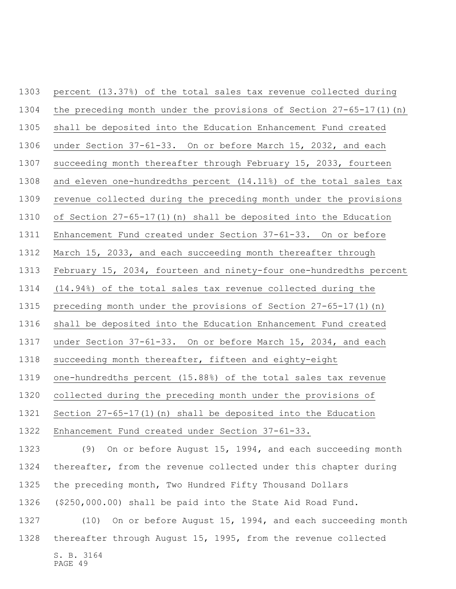| 1303 | percent (13.37%) of the total sales tax revenue collected during      |
|------|-----------------------------------------------------------------------|
| 1304 | the preceding month under the provisions of Section $27-65-17(1)$ (n) |
| 1305 | shall be deposited into the Education Enhancement Fund created        |
| 1306 | under Section 37-61-33. On or before March 15, 2032, and each         |
| 1307 | succeeding month thereafter through February 15, 2033, fourteen       |
| 1308 | and eleven one-hundredths percent (14.11%) of the total sales tax     |
| 1309 | revenue collected during the preceding month under the provisions     |
| 1310 | of Section 27-65-17(1) (n) shall be deposited into the Education      |
| 1311 | Enhancement Fund created under Section 37-61-33. On or before         |
| 1312 | March 15, 2033, and each succeeding month thereafter through          |
| 1313 | February 15, 2034, fourteen and ninety-four one-hundredths percent    |
| 1314 | (14.94%) of the total sales tax revenue collected during the          |
| 1315 | preceding month under the provisions of Section $27-65-17(1)$ (n)     |
| 1316 | shall be deposited into the Education Enhancement Fund created        |
| 1317 | under Section 37-61-33. On or before March 15, 2034, and each         |
| 1318 | succeeding month thereafter, fifteen and eighty-eight                 |
| 1319 | one-hundredths percent (15.88%) of the total sales tax revenue        |
| 1320 | collected during the preceding month under the provisions of          |
| 1321 | Section $27-65-17(1)$ (n) shall be deposited into the Education       |
| 1322 | Enhancement Fund created under Section 37-61-33.                      |
| 1323 | On or before August 15, 1994, and each succeeding month<br>(9)        |
| 1324 | thereafter, from the revenue collected under this chapter during      |
| 1325 | the preceding month, Two Hundred Fifty Thousand Dollars               |
| 1326 | (\$250,000.00) shall be paid into the State Aid Road Fund.            |
| 1327 | On or before August 15, 1994, and each succeeding month<br>(10)       |
| 1328 | thereafter through August 15, 1995, from the revenue collected        |
|      | S. B. 3164<br>PAGE 49                                                 |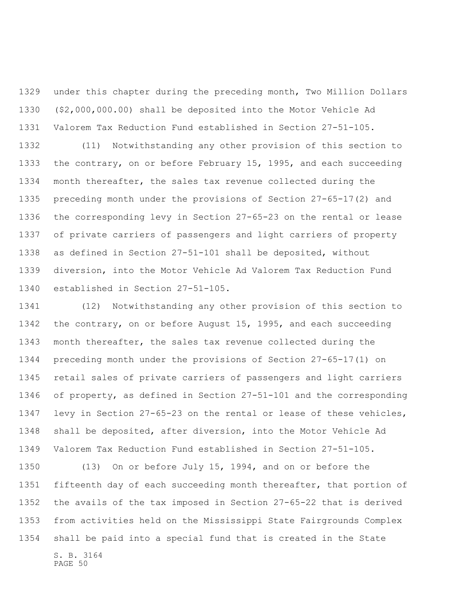under this chapter during the preceding month, Two Million Dollars (\$2,000,000.00) shall be deposited into the Motor Vehicle Ad Valorem Tax Reduction Fund established in Section 27-51-105.

 (11) Notwithstanding any other provision of this section to the contrary, on or before February 15, 1995, and each succeeding month thereafter, the sales tax revenue collected during the preceding month under the provisions of Section 27-65-17(2) and the corresponding levy in Section 27-65-23 on the rental or lease of private carriers of passengers and light carriers of property as defined in Section 27-51-101 shall be deposited, without diversion, into the Motor Vehicle Ad Valorem Tax Reduction Fund established in Section 27-51-105.

 (12) Notwithstanding any other provision of this section to the contrary, on or before August 15, 1995, and each succeeding month thereafter, the sales tax revenue collected during the preceding month under the provisions of Section 27-65-17(1) on retail sales of private carriers of passengers and light carriers of property, as defined in Section 27-51-101 and the corresponding levy in Section 27-65-23 on the rental or lease of these vehicles, shall be deposited, after diversion, into the Motor Vehicle Ad Valorem Tax Reduction Fund established in Section 27-51-105.

S. B. 3164 PAGE 50 (13) On or before July 15, 1994, and on or before the fifteenth day of each succeeding month thereafter, that portion of the avails of the tax imposed in Section 27-65-22 that is derived from activities held on the Mississippi State Fairgrounds Complex shall be paid into a special fund that is created in the State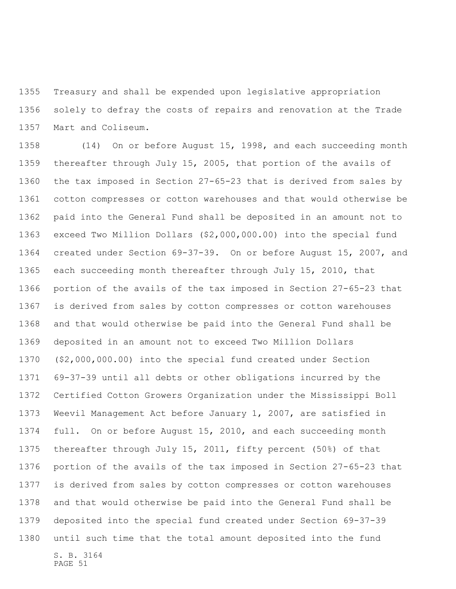Treasury and shall be expended upon legislative appropriation solely to defray the costs of repairs and renovation at the Trade Mart and Coliseum.

 (14) On or before August 15, 1998, and each succeeding month thereafter through July 15, 2005, that portion of the avails of the tax imposed in Section 27-65-23 that is derived from sales by cotton compresses or cotton warehouses and that would otherwise be paid into the General Fund shall be deposited in an amount not to exceed Two Million Dollars (\$2,000,000.00) into the special fund created under Section 69-37-39. On or before August 15, 2007, and each succeeding month thereafter through July 15, 2010, that portion of the avails of the tax imposed in Section 27-65-23 that is derived from sales by cotton compresses or cotton warehouses and that would otherwise be paid into the General Fund shall be deposited in an amount not to exceed Two Million Dollars (\$2,000,000.00) into the special fund created under Section 69-37-39 until all debts or other obligations incurred by the Certified Cotton Growers Organization under the Mississippi Boll Weevil Management Act before January 1, 2007, are satisfied in full. On or before August 15, 2010, and each succeeding month thereafter through July 15, 2011, fifty percent (50%) of that portion of the avails of the tax imposed in Section 27-65-23 that is derived from sales by cotton compresses or cotton warehouses and that would otherwise be paid into the General Fund shall be deposited into the special fund created under Section 69-37-39 until such time that the total amount deposited into the fund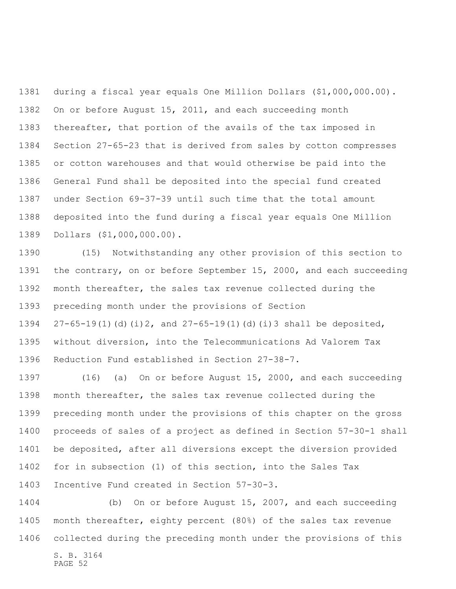during a fiscal year equals One Million Dollars (\$1,000,000.00). On or before August 15, 2011, and each succeeding month thereafter, that portion of the avails of the tax imposed in Section 27-65-23 that is derived from sales by cotton compresses or cotton warehouses and that would otherwise be paid into the General Fund shall be deposited into the special fund created under Section 69-37-39 until such time that the total amount deposited into the fund during a fiscal year equals One Million Dollars (\$1,000,000.00).

 (15) Notwithstanding any other provision of this section to the contrary, on or before September 15, 2000, and each succeeding month thereafter, the sales tax revenue collected during the preceding month under the provisions of Section 27-65-19(1)(d)(i)2, and 27-65-19(1)(d)(i)3 shall be deposited, without diversion, into the Telecommunications Ad Valorem Tax Reduction Fund established in Section 27-38-7.

 (16) (a) On or before August 15, 2000, and each succeeding month thereafter, the sales tax revenue collected during the preceding month under the provisions of this chapter on the gross proceeds of sales of a project as defined in Section 57-30-1 shall be deposited, after all diversions except the diversion provided for in subsection (1) of this section, into the Sales Tax Incentive Fund created in Section 57-30-3.

 (b) On or before August 15, 2007, and each succeeding month thereafter, eighty percent (80%) of the sales tax revenue collected during the preceding month under the provisions of this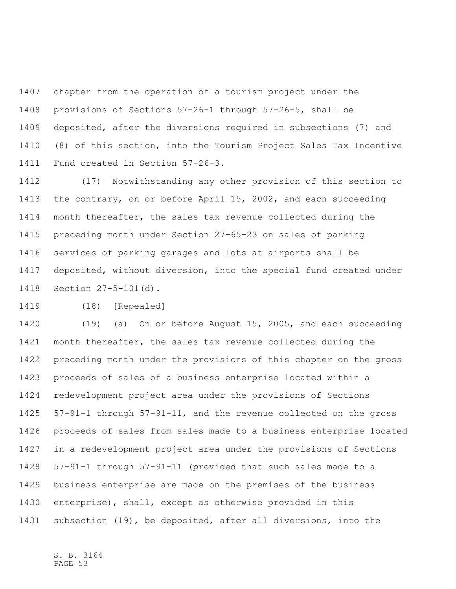chapter from the operation of a tourism project under the provisions of Sections 57-26-1 through 57-26-5, shall be deposited, after the diversions required in subsections (7) and (8) of this section, into the Tourism Project Sales Tax Incentive Fund created in Section 57-26-3.

 (17) Notwithstanding any other provision of this section to the contrary, on or before April 15, 2002, and each succeeding month thereafter, the sales tax revenue collected during the preceding month under Section 27-65-23 on sales of parking services of parking garages and lots at airports shall be deposited, without diversion, into the special fund created under Section 27-5-101(d).

(18) [Repealed]

 (19) (a) On or before August 15, 2005, and each succeeding month thereafter, the sales tax revenue collected during the preceding month under the provisions of this chapter on the gross proceeds of sales of a business enterprise located within a redevelopment project area under the provisions of Sections 57-91-1 through 57-91-11, and the revenue collected on the gross proceeds of sales from sales made to a business enterprise located in a redevelopment project area under the provisions of Sections 57-91-1 through 57-91-11 (provided that such sales made to a business enterprise are made on the premises of the business enterprise), shall, except as otherwise provided in this subsection (19), be deposited, after all diversions, into the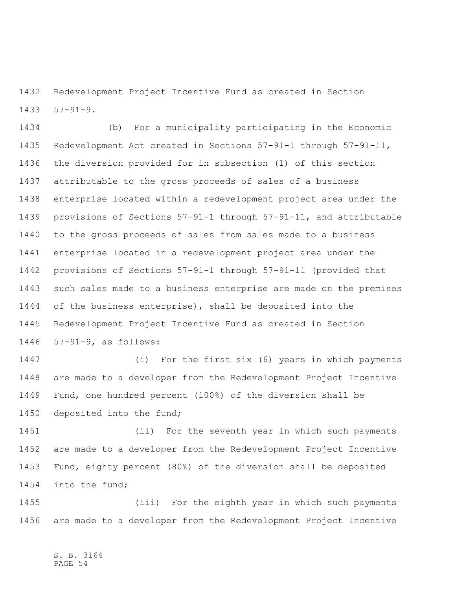Redevelopment Project Incentive Fund as created in Section 57-91-9.

 (b) For a municipality participating in the Economic Redevelopment Act created in Sections 57-91-1 through 57-91-11, the diversion provided for in subsection (1) of this section attributable to the gross proceeds of sales of a business enterprise located within a redevelopment project area under the provisions of Sections 57-91-1 through 57-91-11, and attributable to the gross proceeds of sales from sales made to a business enterprise located in a redevelopment project area under the provisions of Sections 57-91-1 through 57-91-11 (provided that such sales made to a business enterprise are made on the premises of the business enterprise), shall be deposited into the Redevelopment Project Incentive Fund as created in Section 57-91-9, as follows:

 (i) For the first six (6) years in which payments are made to a developer from the Redevelopment Project Incentive Fund, one hundred percent (100%) of the diversion shall be deposited into the fund;

 (ii) For the seventh year in which such payments are made to a developer from the Redevelopment Project Incentive Fund, eighty percent (80%) of the diversion shall be deposited into the fund;

 (iii) For the eighth year in which such payments are made to a developer from the Redevelopment Project Incentive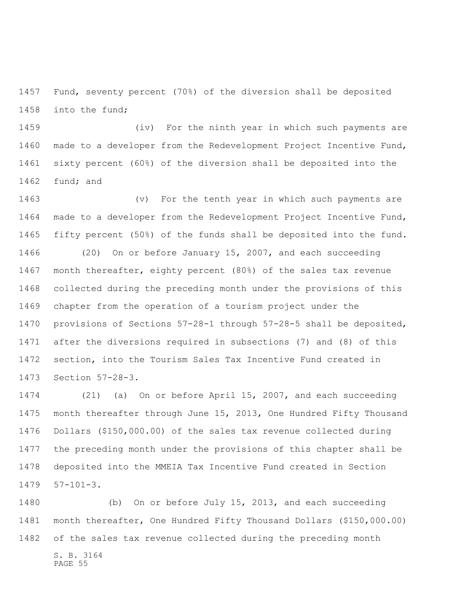Fund, seventy percent (70%) of the diversion shall be deposited into the fund;

 (iv) For the ninth year in which such payments are made to a developer from the Redevelopment Project Incentive Fund, sixty percent (60%) of the diversion shall be deposited into the fund; and

 (v) For the tenth year in which such payments are made to a developer from the Redevelopment Project Incentive Fund, fifty percent (50%) of the funds shall be deposited into the fund. (20) On or before January 15, 2007, and each succeeding month thereafter, eighty percent (80%) of the sales tax revenue collected during the preceding month under the provisions of this chapter from the operation of a tourism project under the provisions of Sections 57-28-1 through 57-28-5 shall be deposited, after the diversions required in subsections (7) and (8) of this section, into the Tourism Sales Tax Incentive Fund created in Section 57-28-3.

 (21) (a) On or before April 15, 2007, and each succeeding month thereafter through June 15, 2013, One Hundred Fifty Thousand Dollars (\$150,000.00) of the sales tax revenue collected during the preceding month under the provisions of this chapter shall be deposited into the MMEIA Tax Incentive Fund created in Section 57-101-3.

 (b) On or before July 15, 2013, and each succeeding month thereafter, One Hundred Fifty Thousand Dollars (\$150,000.00) of the sales tax revenue collected during the preceding month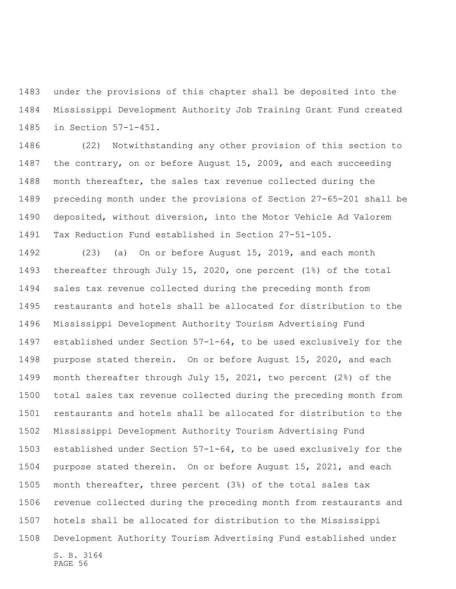under the provisions of this chapter shall be deposited into the Mississippi Development Authority Job Training Grant Fund created in Section 57-1-451.

 (22) Notwithstanding any other provision of this section to the contrary, on or before August 15, 2009, and each succeeding month thereafter, the sales tax revenue collected during the preceding month under the provisions of Section 27-65-201 shall be deposited, without diversion, into the Motor Vehicle Ad Valorem Tax Reduction Fund established in Section 27-51-105.

S. B. 3164 (23) (a) On or before August 15, 2019, and each month thereafter through July 15, 2020, one percent (1%) of the total sales tax revenue collected during the preceding month from restaurants and hotels shall be allocated for distribution to the Mississippi Development Authority Tourism Advertising Fund established under Section 57-1-64, to be used exclusively for the purpose stated therein. On or before August 15, 2020, and each month thereafter through July 15, 2021, two percent (2%) of the total sales tax revenue collected during the preceding month from restaurants and hotels shall be allocated for distribution to the Mississippi Development Authority Tourism Advertising Fund established under Section 57-1-64, to be used exclusively for the purpose stated therein. On or before August 15, 2021, and each month thereafter, three percent (3%) of the total sales tax revenue collected during the preceding month from restaurants and hotels shall be allocated for distribution to the Mississippi Development Authority Tourism Advertising Fund established under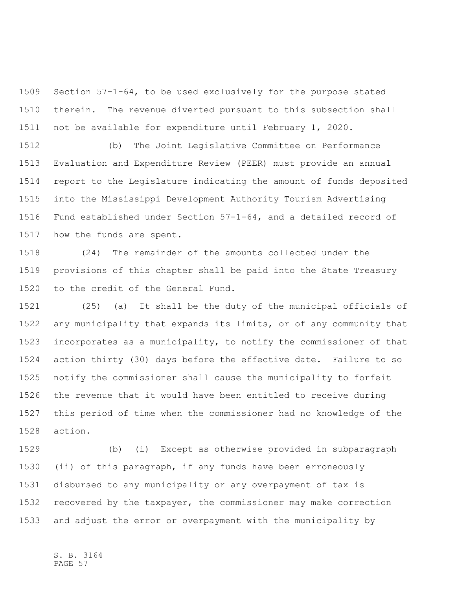Section 57-1-64, to be used exclusively for the purpose stated therein. The revenue diverted pursuant to this subsection shall not be available for expenditure until February 1, 2020.

 (b) The Joint Legislative Committee on Performance Evaluation and Expenditure Review (PEER) must provide an annual report to the Legislature indicating the amount of funds deposited into the Mississippi Development Authority Tourism Advertising Fund established under Section 57-1-64, and a detailed record of how the funds are spent.

 (24) The remainder of the amounts collected under the provisions of this chapter shall be paid into the State Treasury to the credit of the General Fund.

 (25) (a) It shall be the duty of the municipal officials of any municipality that expands its limits, or of any community that incorporates as a municipality, to notify the commissioner of that action thirty (30) days before the effective date. Failure to so notify the commissioner shall cause the municipality to forfeit the revenue that it would have been entitled to receive during this period of time when the commissioner had no knowledge of the action.

 (b) (i) Except as otherwise provided in subparagraph (ii) of this paragraph, if any funds have been erroneously disbursed to any municipality or any overpayment of tax is recovered by the taxpayer, the commissioner may make correction and adjust the error or overpayment with the municipality by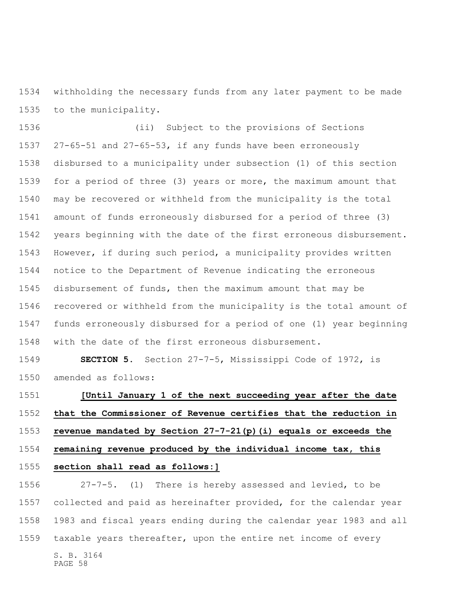withholding the necessary funds from any later payment to be made to the municipality.

 (ii) Subject to the provisions of Sections 27-65-51 and 27-65-53, if any funds have been erroneously disbursed to a municipality under subsection (1) of this section for a period of three (3) years or more, the maximum amount that may be recovered or withheld from the municipality is the total amount of funds erroneously disbursed for a period of three (3) years beginning with the date of the first erroneous disbursement. However, if during such period, a municipality provides written notice to the Department of Revenue indicating the erroneous disbursement of funds, then the maximum amount that may be recovered or withheld from the municipality is the total amount of funds erroneously disbursed for a period of one (1) year beginning with the date of the first erroneous disbursement.

 **SECTION 5.** Section 27-7-5, Mississippi Code of 1972, is amended as follows:

## **[Until January 1 of the next succeeding year after the date that the Commissioner of Revenue certifies that the reduction in revenue mandated by Section 27-7-21(p)(i) equals or exceeds the remaining revenue produced by the individual income tax, this section shall read as follows:]**

 27-7-5. (1) There is hereby assessed and levied, to be collected and paid as hereinafter provided, for the calendar year 1983 and fiscal years ending during the calendar year 1983 and all taxable years thereafter, upon the entire net income of every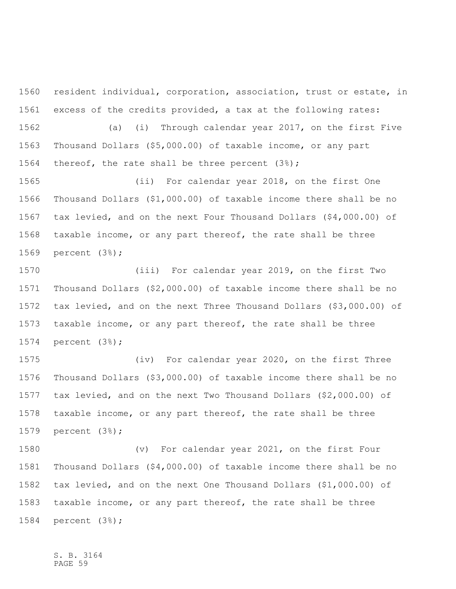resident individual, corporation, association, trust or estate, in excess of the credits provided, a tax at the following rates:

 (a) (i) Through calendar year 2017, on the first Five Thousand Dollars (\$5,000.00) of taxable income, or any part thereof, the rate shall be three percent (3%);

 (ii) For calendar year 2018, on the first One Thousand Dollars (\$1,000.00) of taxable income there shall be no tax levied, and on the next Four Thousand Dollars (\$4,000.00) of taxable income, or any part thereof, the rate shall be three percent (3%);

 (iii) For calendar year 2019, on the first Two Thousand Dollars (\$2,000.00) of taxable income there shall be no tax levied, and on the next Three Thousand Dollars (\$3,000.00) of taxable income, or any part thereof, the rate shall be three percent (3%);

 (iv) For calendar year 2020, on the first Three Thousand Dollars (\$3,000.00) of taxable income there shall be no tax levied, and on the next Two Thousand Dollars (\$2,000.00) of taxable income, or any part thereof, the rate shall be three percent (3%);

 (v) For calendar year 2021, on the first Four Thousand Dollars (\$4,000.00) of taxable income there shall be no tax levied, and on the next One Thousand Dollars (\$1,000.00) of taxable income, or any part thereof, the rate shall be three percent (3%);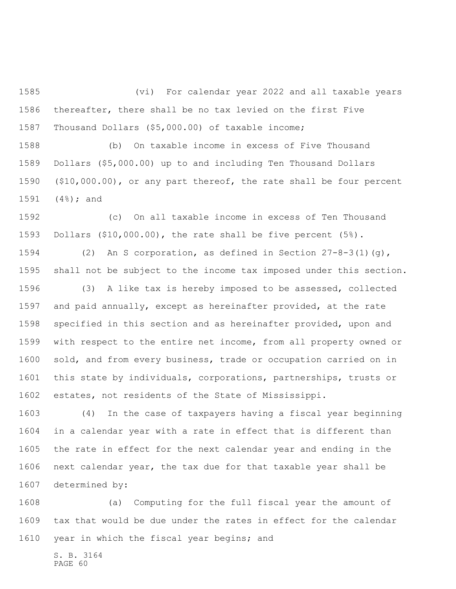(vi) For calendar year 2022 and all taxable years thereafter, there shall be no tax levied on the first Five Thousand Dollars (\$5,000.00) of taxable income;

 (b) On taxable income in excess of Five Thousand Dollars (\$5,000.00) up to and including Ten Thousand Dollars (\$10,000.00), or any part thereof, the rate shall be four percent (4%); and

 (c) On all taxable income in excess of Ten Thousand Dollars (\$10,000.00), the rate shall be five percent (5%).

 (2) An S corporation, as defined in Section 27-8-3(1)(g), shall not be subject to the income tax imposed under this section.

 (3) A like tax is hereby imposed to be assessed, collected and paid annually, except as hereinafter provided, at the rate specified in this section and as hereinafter provided, upon and with respect to the entire net income, from all property owned or sold, and from every business, trade or occupation carried on in this state by individuals, corporations, partnerships, trusts or estates, not residents of the State of Mississippi.

 (4) In the case of taxpayers having a fiscal year beginning in a calendar year with a rate in effect that is different than the rate in effect for the next calendar year and ending in the next calendar year, the tax due for that taxable year shall be determined by:

 (a) Computing for the full fiscal year the amount of tax that would be due under the rates in effect for the calendar year in which the fiscal year begins; and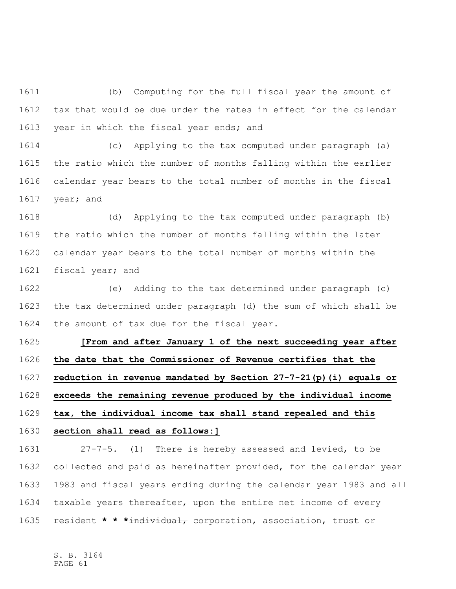(b) Computing for the full fiscal year the amount of tax that would be due under the rates in effect for the calendar 1613 year in which the fiscal year ends; and

 (c) Applying to the tax computed under paragraph (a) the ratio which the number of months falling within the earlier calendar year bears to the total number of months in the fiscal year; and

 (d) Applying to the tax computed under paragraph (b) the ratio which the number of months falling within the later calendar year bears to the total number of months within the fiscal year; and

 (e) Adding to the tax determined under paragraph (c) the tax determined under paragraph (d) the sum of which shall be the amount of tax due for the fiscal year.

 **[From and after January 1 of the next succeeding year after the date that the Commissioner of Revenue certifies that the reduction in revenue mandated by Section 27-7-21(p)(i) equals or exceeds the remaining revenue produced by the individual income tax, the individual income tax shall stand repealed and this** 

**section shall read as follows:]**

 27-7-5. (1) There is hereby assessed and levied, to be collected and paid as hereinafter provided, for the calendar year 1983 and fiscal years ending during the calendar year 1983 and all taxable years thereafter, upon the entire net income of every resident **\* \* \***individual, corporation, association, trust or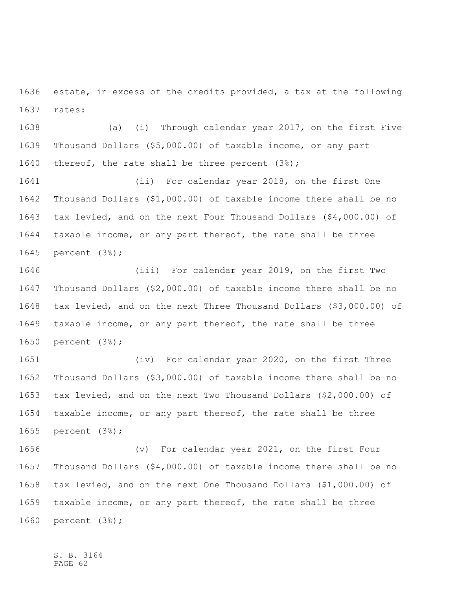estate, in excess of the credits provided, a tax at the following rates:

 (a) (i) Through calendar year 2017, on the first Five Thousand Dollars (\$5,000.00) of taxable income, or any part thereof, the rate shall be three percent (3%);

 (ii) For calendar year 2018, on the first One Thousand Dollars (\$1,000.00) of taxable income there shall be no tax levied, and on the next Four Thousand Dollars (\$4,000.00) of taxable income, or any part thereof, the rate shall be three percent (3%);

 (iii) For calendar year 2019, on the first Two Thousand Dollars (\$2,000.00) of taxable income there shall be no tax levied, and on the next Three Thousand Dollars (\$3,000.00) of taxable income, or any part thereof, the rate shall be three percent (3%);

 (iv) For calendar year 2020, on the first Three Thousand Dollars (\$3,000.00) of taxable income there shall be no tax levied, and on the next Two Thousand Dollars (\$2,000.00) of taxable income, or any part thereof, the rate shall be three percent (3%);

 (v) For calendar year 2021, on the first Four Thousand Dollars (\$4,000.00) of taxable income there shall be no tax levied, and on the next One Thousand Dollars (\$1,000.00) of taxable income, or any part thereof, the rate shall be three percent (3%);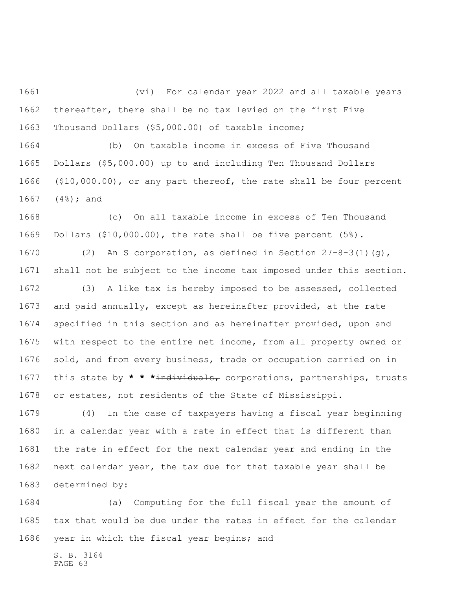(vi) For calendar year 2022 and all taxable years thereafter, there shall be no tax levied on the first Five Thousand Dollars (\$5,000.00) of taxable income;

 (b) On taxable income in excess of Five Thousand Dollars (\$5,000.00) up to and including Ten Thousand Dollars (\$10,000.00), or any part thereof, the rate shall be four percent (4%); and

 (c) On all taxable income in excess of Ten Thousand Dollars (\$10,000.00), the rate shall be five percent (5%).

 (2) An S corporation, as defined in Section 27-8-3(1)(g), shall not be subject to the income tax imposed under this section.

 (3) A like tax is hereby imposed to be assessed, collected and paid annually, except as hereinafter provided, at the rate specified in this section and as hereinafter provided, upon and with respect to the entire net income, from all property owned or sold, and from every business, trade or occupation carried on in this state by **\* \* \***individuals, corporations, partnerships, trusts or estates, not residents of the State of Mississippi.

 (4) In the case of taxpayers having a fiscal year beginning in a calendar year with a rate in effect that is different than the rate in effect for the next calendar year and ending in the next calendar year, the tax due for that taxable year shall be determined by:

 (a) Computing for the full fiscal year the amount of tax that would be due under the rates in effect for the calendar year in which the fiscal year begins; and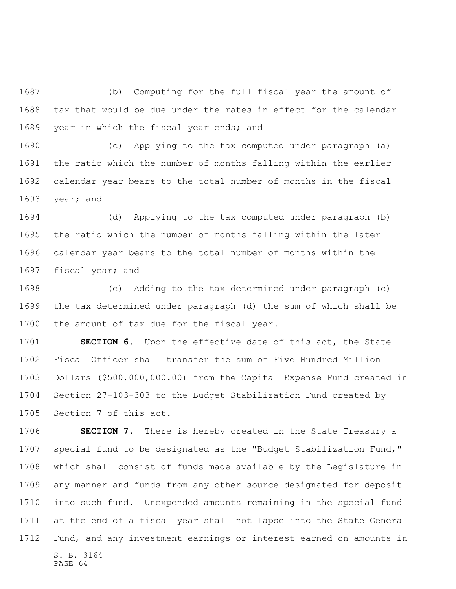(b) Computing for the full fiscal year the amount of tax that would be due under the rates in effect for the calendar 1689 year in which the fiscal year ends; and

 (c) Applying to the tax computed under paragraph (a) the ratio which the number of months falling within the earlier calendar year bears to the total number of months in the fiscal year; and

 (d) Applying to the tax computed under paragraph (b) the ratio which the number of months falling within the later calendar year bears to the total number of months within the fiscal year; and

 (e) Adding to the tax determined under paragraph (c) the tax determined under paragraph (d) the sum of which shall be the amount of tax due for the fiscal year.

 **SECTION 6.** Upon the effective date of this act, the State Fiscal Officer shall transfer the sum of Five Hundred Million Dollars (\$500,000,000.00) from the Capital Expense Fund created in Section 27-103-303 to the Budget Stabilization Fund created by Section 7 of this act.

S. B. 3164 **SECTION 7.** There is hereby created in the State Treasury a special fund to be designated as the "Budget Stabilization Fund," which shall consist of funds made available by the Legislature in any manner and funds from any other source designated for deposit into such fund. Unexpended amounts remaining in the special fund at the end of a fiscal year shall not lapse into the State General Fund, and any investment earnings or interest earned on amounts in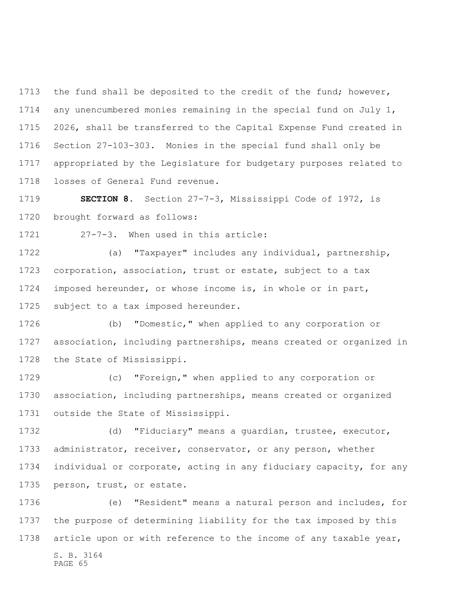1713 the fund shall be deposited to the credit of the fund; however, any unencumbered monies remaining in the special fund on July 1, 2026, shall be transferred to the Capital Expense Fund created in Section 27-103-303. Monies in the special fund shall only be appropriated by the Legislature for budgetary purposes related to losses of General Fund revenue.

 **SECTION 8.** Section 27-7-3, Mississippi Code of 1972, is brought forward as follows:

27-7-3. When used in this article:

 (a) "Taxpayer" includes any individual, partnership, corporation, association, trust or estate, subject to a tax imposed hereunder, or whose income is, in whole or in part, subject to a tax imposed hereunder.

 (b) "Domestic," when applied to any corporation or association, including partnerships, means created or organized in the State of Mississippi.

 (c) "Foreign," when applied to any corporation or association, including partnerships, means created or organized outside the State of Mississippi.

 (d) "Fiduciary" means a guardian, trustee, executor, administrator, receiver, conservator, or any person, whether individual or corporate, acting in any fiduciary capacity, for any person, trust, or estate.

S. B. 3164 PAGE 65 (e) "Resident" means a natural person and includes, for the purpose of determining liability for the tax imposed by this article upon or with reference to the income of any taxable year,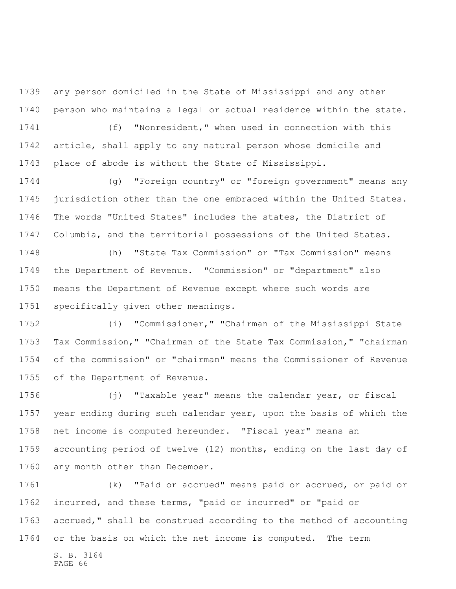any person domiciled in the State of Mississippi and any other person who maintains a legal or actual residence within the state.

 (f) "Nonresident," when used in connection with this article, shall apply to any natural person whose domicile and place of abode is without the State of Mississippi.

 (g) "Foreign country" or "foreign government" means any jurisdiction other than the one embraced within the United States. The words "United States" includes the states, the District of Columbia, and the territorial possessions of the United States.

 (h) "State Tax Commission" or "Tax Commission" means the Department of Revenue. "Commission" or "department" also means the Department of Revenue except where such words are specifically given other meanings.

 (i) "Commissioner," "Chairman of the Mississippi State Tax Commission," "Chairman of the State Tax Commission," "chairman of the commission" or "chairman" means the Commissioner of Revenue of the Department of Revenue.

 (j) "Taxable year" means the calendar year, or fiscal year ending during such calendar year, upon the basis of which the net income is computed hereunder. "Fiscal year" means an accounting period of twelve (12) months, ending on the last day of any month other than December.

 (k) "Paid or accrued" means paid or accrued, or paid or incurred, and these terms, "paid or incurred" or "paid or accrued," shall be construed according to the method of accounting or the basis on which the net income is computed. The term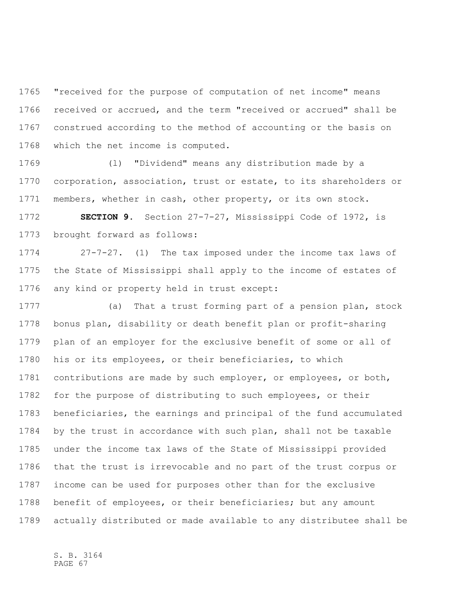"received for the purpose of computation of net income" means received or accrued, and the term "received or accrued" shall be construed according to the method of accounting or the basis on which the net income is computed.

 (l) "Dividend" means any distribution made by a corporation, association, trust or estate, to its shareholders or members, whether in cash, other property, or its own stock.

 **SECTION 9.** Section 27-7-27, Mississippi Code of 1972, is brought forward as follows:

 27-7-27. (1) The tax imposed under the income tax laws of the State of Mississippi shall apply to the income of estates of any kind or property held in trust except:

 (a) That a trust forming part of a pension plan, stock bonus plan, disability or death benefit plan or profit-sharing plan of an employer for the exclusive benefit of some or all of his or its employees, or their beneficiaries, to which contributions are made by such employer, or employees, or both, for the purpose of distributing to such employees, or their beneficiaries, the earnings and principal of the fund accumulated by the trust in accordance with such plan, shall not be taxable under the income tax laws of the State of Mississippi provided that the trust is irrevocable and no part of the trust corpus or income can be used for purposes other than for the exclusive benefit of employees, or their beneficiaries; but any amount actually distributed or made available to any distributee shall be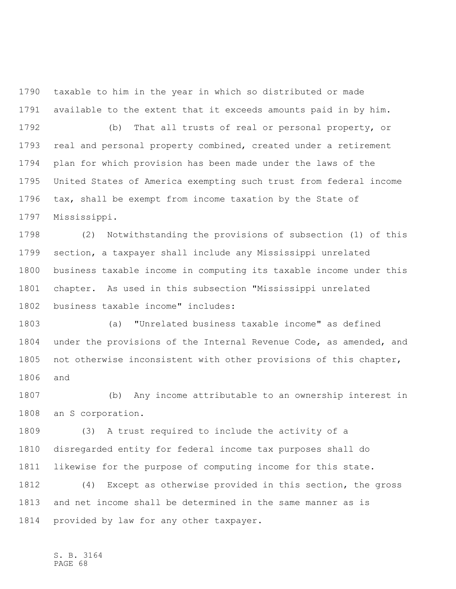taxable to him in the year in which so distributed or made available to the extent that it exceeds amounts paid in by him.

 (b) That all trusts of real or personal property, or real and personal property combined, created under a retirement plan for which provision has been made under the laws of the United States of America exempting such trust from federal income tax, shall be exempt from income taxation by the State of Mississippi.

 (2) Notwithstanding the provisions of subsection (1) of this section, a taxpayer shall include any Mississippi unrelated business taxable income in computing its taxable income under this chapter. As used in this subsection "Mississippi unrelated business taxable income" includes:

 (a) "Unrelated business taxable income" as defined under the provisions of the Internal Revenue Code, as amended, and not otherwise inconsistent with other provisions of this chapter, and

 (b) Any income attributable to an ownership interest in an S corporation.

 (3) A trust required to include the activity of a disregarded entity for federal income tax purposes shall do likewise for the purpose of computing income for this state.

 (4) Except as otherwise provided in this section, the gross and net income shall be determined in the same manner as is provided by law for any other taxpayer.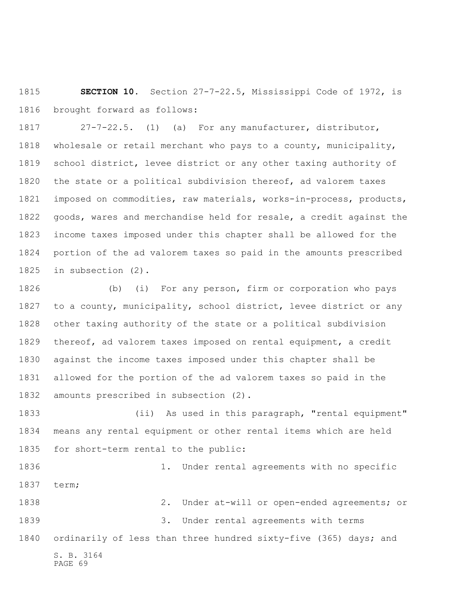**SECTION 10.** Section 27-7-22.5, Mississippi Code of 1972, is brought forward as follows:

 27-7-22.5. (1) (a) For any manufacturer, distributor, wholesale or retail merchant who pays to a county, municipality, school district, levee district or any other taxing authority of the state or a political subdivision thereof, ad valorem taxes imposed on commodities, raw materials, works-in-process, products, goods, wares and merchandise held for resale, a credit against the income taxes imposed under this chapter shall be allowed for the portion of the ad valorem taxes so paid in the amounts prescribed in subsection (2).

 (b) (i) For any person, firm or corporation who pays to a county, municipality, school district, levee district or any other taxing authority of the state or a political subdivision thereof, ad valorem taxes imposed on rental equipment, a credit against the income taxes imposed under this chapter shall be allowed for the portion of the ad valorem taxes so paid in the amounts prescribed in subsection (2).

 (ii) As used in this paragraph, "rental equipment" means any rental equipment or other rental items which are held for short-term rental to the public:

 1. Under rental agreements with no specific term;

S. B. 3164 PAGE 69 2. Under at-will or open-ended agreements; or 3. Under rental agreements with terms 1840 ordinarily of less than three hundred sixty-five (365) days; and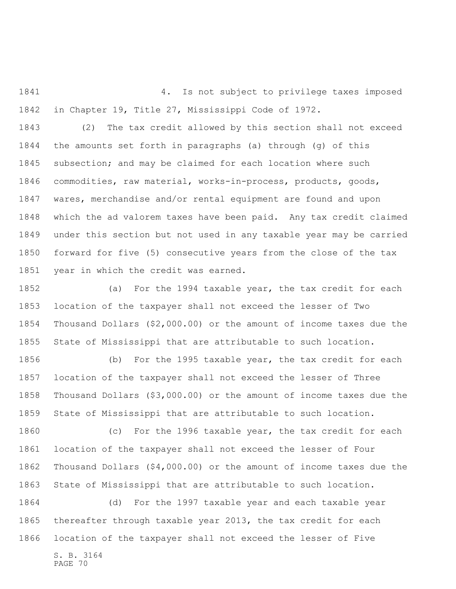4. Is not subject to privilege taxes imposed in Chapter 19, Title 27, Mississippi Code of 1972.

 (2) The tax credit allowed by this section shall not exceed the amounts set forth in paragraphs (a) through (g) of this subsection; and may be claimed for each location where such commodities, raw material, works-in-process, products, goods, wares, merchandise and/or rental equipment are found and upon which the ad valorem taxes have been paid. Any tax credit claimed under this section but not used in any taxable year may be carried forward for five (5) consecutive years from the close of the tax year in which the credit was earned.

 (a) For the 1994 taxable year, the tax credit for each location of the taxpayer shall not exceed the lesser of Two Thousand Dollars (\$2,000.00) or the amount of income taxes due the State of Mississippi that are attributable to such location.

 (b) For the 1995 taxable year, the tax credit for each location of the taxpayer shall not exceed the lesser of Three Thousand Dollars (\$3,000.00) or the amount of income taxes due the State of Mississippi that are attributable to such location.

 (c) For the 1996 taxable year, the tax credit for each location of the taxpayer shall not exceed the lesser of Four Thousand Dollars (\$4,000.00) or the amount of income taxes due the State of Mississippi that are attributable to such location.

 (d) For the 1997 taxable year and each taxable year thereafter through taxable year 2013, the tax credit for each location of the taxpayer shall not exceed the lesser of Five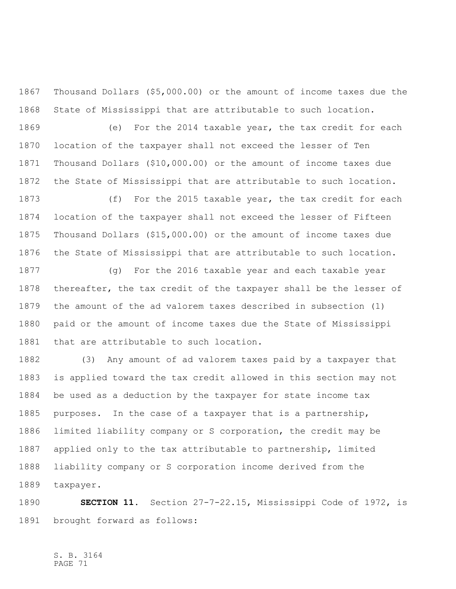Thousand Dollars (\$5,000.00) or the amount of income taxes due the State of Mississippi that are attributable to such location.

 (e) For the 2014 taxable year, the tax credit for each location of the taxpayer shall not exceed the lesser of Ten Thousand Dollars (\$10,000.00) or the amount of income taxes due the State of Mississippi that are attributable to such location.

 (f) For the 2015 taxable year, the tax credit for each location of the taxpayer shall not exceed the lesser of Fifteen Thousand Dollars (\$15,000.00) or the amount of income taxes due the State of Mississippi that are attributable to such location.

 (g) For the 2016 taxable year and each taxable year thereafter, the tax credit of the taxpayer shall be the lesser of the amount of the ad valorem taxes described in subsection (1) paid or the amount of income taxes due the State of Mississippi that are attributable to such location.

 (3) Any amount of ad valorem taxes paid by a taxpayer that is applied toward the tax credit allowed in this section may not be used as a deduction by the taxpayer for state income tax purposes. In the case of a taxpayer that is a partnership, limited liability company or S corporation, the credit may be applied only to the tax attributable to partnership, limited liability company or S corporation income derived from the taxpayer.

 **SECTION 11.** Section 27-7-22.15, Mississippi Code of 1972, is brought forward as follows: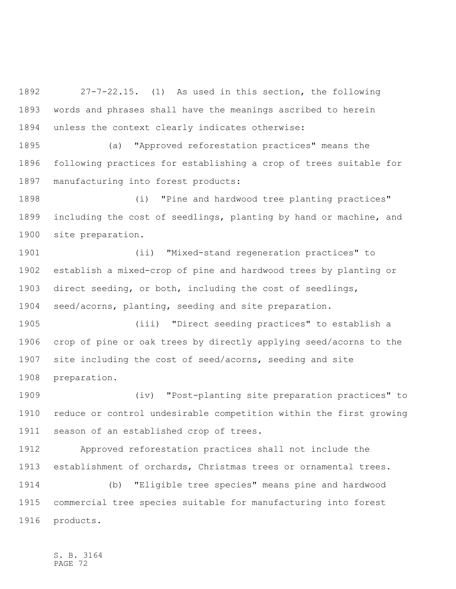27-7-22.15. (1) As used in this section, the following words and phrases shall have the meanings ascribed to herein unless the context clearly indicates otherwise:

 (a) "Approved reforestation practices" means the following practices for establishing a crop of trees suitable for manufacturing into forest products:

 (i) "Pine and hardwood tree planting practices" including the cost of seedlings, planting by hand or machine, and site preparation.

 (ii) "Mixed-stand regeneration practices" to establish a mixed-crop of pine and hardwood trees by planting or direct seeding, or both, including the cost of seedlings, seed/acorns, planting, seeding and site preparation.

 (iii) "Direct seeding practices" to establish a crop of pine or oak trees by directly applying seed/acorns to the site including the cost of seed/acorns, seeding and site preparation.

 (iv) "Post-planting site preparation practices" to reduce or control undesirable competition within the first growing season of an established crop of trees.

 Approved reforestation practices shall not include the establishment of orchards, Christmas trees or ornamental trees.

 (b) "Eligible tree species" means pine and hardwood commercial tree species suitable for manufacturing into forest products.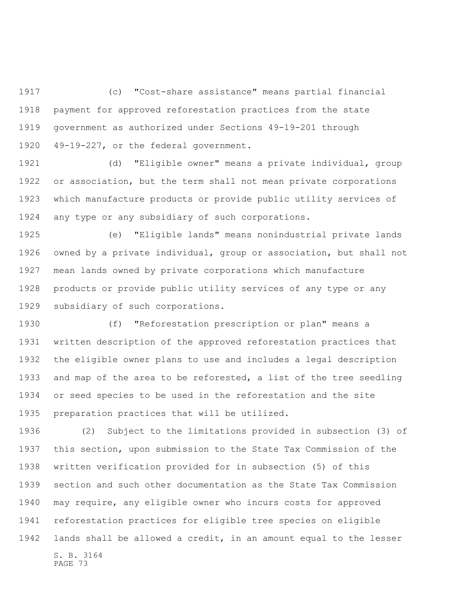(c) "Cost-share assistance" means partial financial payment for approved reforestation practices from the state government as authorized under Sections 49-19-201 through 49-19-227, or the federal government.

 (d) "Eligible owner" means a private individual, group or association, but the term shall not mean private corporations which manufacture products or provide public utility services of any type or any subsidiary of such corporations.

 (e) "Eligible lands" means nonindustrial private lands owned by a private individual, group or association, but shall not mean lands owned by private corporations which manufacture products or provide public utility services of any type or any subsidiary of such corporations.

 (f) "Reforestation prescription or plan" means a written description of the approved reforestation practices that the eligible owner plans to use and includes a legal description and map of the area to be reforested, a list of the tree seedling or seed species to be used in the reforestation and the site preparation practices that will be utilized.

S. B. 3164 PAGE 73 (2) Subject to the limitations provided in subsection (3) of this section, upon submission to the State Tax Commission of the written verification provided for in subsection (5) of this section and such other documentation as the State Tax Commission may require, any eligible owner who incurs costs for approved reforestation practices for eligible tree species on eligible lands shall be allowed a credit, in an amount equal to the lesser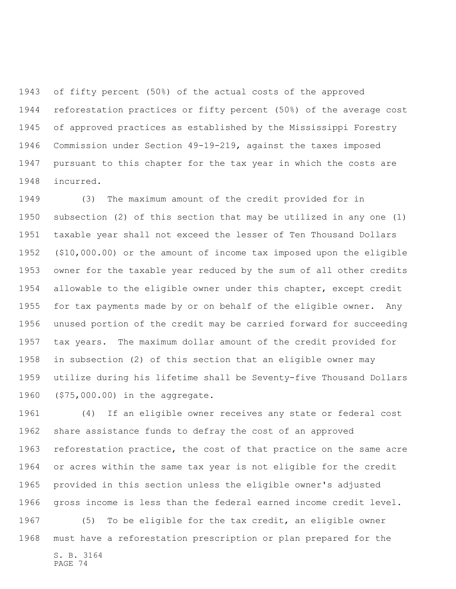of fifty percent (50%) of the actual costs of the approved reforestation practices or fifty percent (50%) of the average cost of approved practices as established by the Mississippi Forestry Commission under Section 49-19-219, against the taxes imposed pursuant to this chapter for the tax year in which the costs are incurred.

 (3) The maximum amount of the credit provided for in subsection (2) of this section that may be utilized in any one (1) taxable year shall not exceed the lesser of Ten Thousand Dollars (\$10,000.00) or the amount of income tax imposed upon the eligible owner for the taxable year reduced by the sum of all other credits allowable to the eligible owner under this chapter, except credit for tax payments made by or on behalf of the eligible owner. Any unused portion of the credit may be carried forward for succeeding tax years. The maximum dollar amount of the credit provided for in subsection (2) of this section that an eligible owner may utilize during his lifetime shall be Seventy-five Thousand Dollars (\$75,000.00) in the aggregate.

 (4) If an eligible owner receives any state or federal cost share assistance funds to defray the cost of an approved reforestation practice, the cost of that practice on the same acre or acres within the same tax year is not eligible for the credit provided in this section unless the eligible owner's adjusted gross income is less than the federal earned income credit level. (5) To be eligible for the tax credit, an eligible owner must have a reforestation prescription or plan prepared for the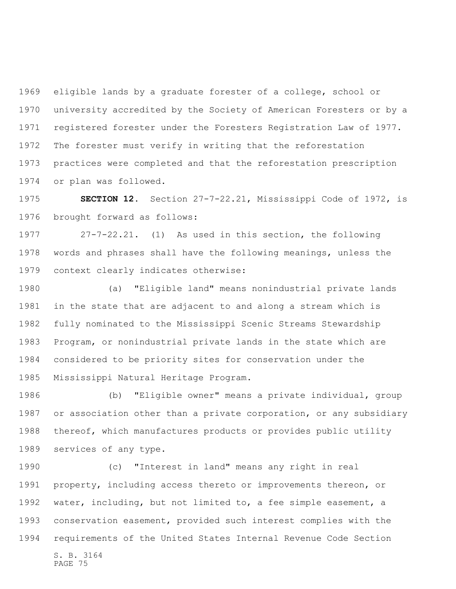eligible lands by a graduate forester of a college, school or university accredited by the Society of American Foresters or by a registered forester under the Foresters Registration Law of 1977. The forester must verify in writing that the reforestation practices were completed and that the reforestation prescription or plan was followed.

 **SECTION 12.** Section 27-7-22.21, Mississippi Code of 1972, is brought forward as follows:

 27-7-22.21. (1) As used in this section, the following words and phrases shall have the following meanings, unless the context clearly indicates otherwise:

 (a) "Eligible land" means nonindustrial private lands in the state that are adjacent to and along a stream which is fully nominated to the Mississippi Scenic Streams Stewardship Program, or nonindustrial private lands in the state which are considered to be priority sites for conservation under the Mississippi Natural Heritage Program.

 (b) "Eligible owner" means a private individual, group or association other than a private corporation, or any subsidiary thereof, which manufactures products or provides public utility services of any type.

S. B. 3164 (c) "Interest in land" means any right in real property, including access thereto or improvements thereon, or water, including, but not limited to, a fee simple easement, a conservation easement, provided such interest complies with the requirements of the United States Internal Revenue Code Section

PAGE 75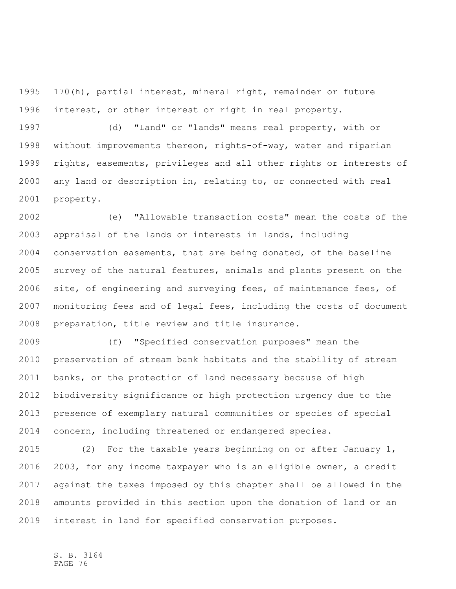170(h), partial interest, mineral right, remainder or future interest, or other interest or right in real property.

 (d) "Land" or "lands" means real property, with or without improvements thereon, rights-of-way, water and riparian rights, easements, privileges and all other rights or interests of any land or description in, relating to, or connected with real property.

 (e) "Allowable transaction costs" mean the costs of the appraisal of the lands or interests in lands, including conservation easements, that are being donated, of the baseline survey of the natural features, animals and plants present on the site, of engineering and surveying fees, of maintenance fees, of monitoring fees and of legal fees, including the costs of document preparation, title review and title insurance.

 (f) "Specified conservation purposes" mean the preservation of stream bank habitats and the stability of stream banks, or the protection of land necessary because of high biodiversity significance or high protection urgency due to the presence of exemplary natural communities or species of special concern, including threatened or endangered species.

 (2) For the taxable years beginning on or after January 1, 2003, for any income taxpayer who is an eligible owner, a credit against the taxes imposed by this chapter shall be allowed in the amounts provided in this section upon the donation of land or an interest in land for specified conservation purposes.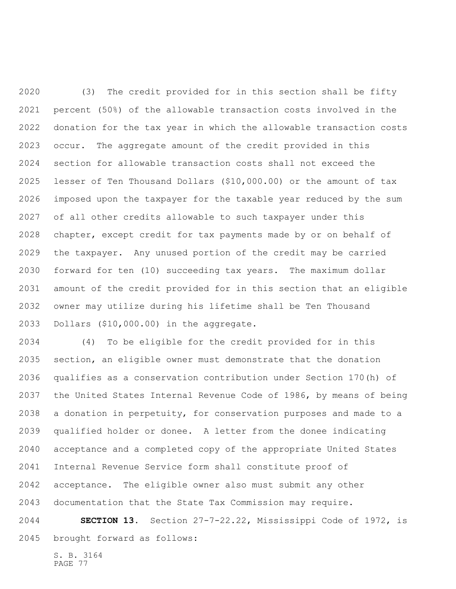(3) The credit provided for in this section shall be fifty percent (50%) of the allowable transaction costs involved in the donation for the tax year in which the allowable transaction costs occur. The aggregate amount of the credit provided in this section for allowable transaction costs shall not exceed the lesser of Ten Thousand Dollars (\$10,000.00) or the amount of tax imposed upon the taxpayer for the taxable year reduced by the sum of all other credits allowable to such taxpayer under this chapter, except credit for tax payments made by or on behalf of the taxpayer. Any unused portion of the credit may be carried forward for ten (10) succeeding tax years. The maximum dollar amount of the credit provided for in this section that an eligible owner may utilize during his lifetime shall be Ten Thousand Dollars (\$10,000.00) in the aggregate.

 (4) To be eligible for the credit provided for in this section, an eligible owner must demonstrate that the donation qualifies as a conservation contribution under Section 170(h) of the United States Internal Revenue Code of 1986, by means of being a donation in perpetuity, for conservation purposes and made to a qualified holder or donee. A letter from the donee indicating acceptance and a completed copy of the appropriate United States Internal Revenue Service form shall constitute proof of acceptance. The eligible owner also must submit any other documentation that the State Tax Commission may require.

 **SECTION 13.** Section 27-7-22.22, Mississippi Code of 1972, is brought forward as follows: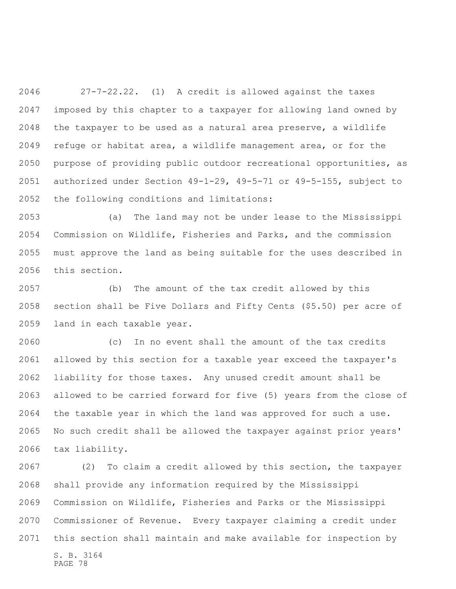27-7-22.22. (1) A credit is allowed against the taxes imposed by this chapter to a taxpayer for allowing land owned by the taxpayer to be used as a natural area preserve, a wildlife refuge or habitat area, a wildlife management area, or for the purpose of providing public outdoor recreational opportunities, as authorized under Section 49-1-29, 49-5-71 or 49-5-155, subject to the following conditions and limitations:

 (a) The land may not be under lease to the Mississippi Commission on Wildlife, Fisheries and Parks, and the commission must approve the land as being suitable for the uses described in this section.

 (b) The amount of the tax credit allowed by this section shall be Five Dollars and Fifty Cents (\$5.50) per acre of land in each taxable year.

 (c) In no event shall the amount of the tax credits allowed by this section for a taxable year exceed the taxpayer's liability for those taxes. Any unused credit amount shall be allowed to be carried forward for five (5) years from the close of the taxable year in which the land was approved for such a use. No such credit shall be allowed the taxpayer against prior years' tax liability.

S. B. 3164 PAGE 78 (2) To claim a credit allowed by this section, the taxpayer shall provide any information required by the Mississippi Commission on Wildlife, Fisheries and Parks or the Mississippi Commissioner of Revenue. Every taxpayer claiming a credit under this section shall maintain and make available for inspection by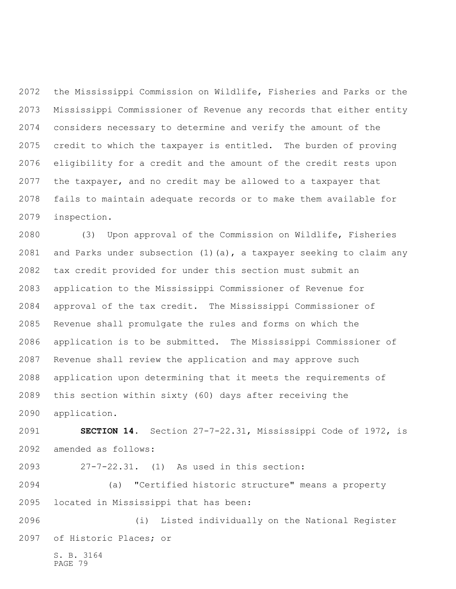the Mississippi Commission on Wildlife, Fisheries and Parks or the Mississippi Commissioner of Revenue any records that either entity considers necessary to determine and verify the amount of the credit to which the taxpayer is entitled. The burden of proving eligibility for a credit and the amount of the credit rests upon the taxpayer, and no credit may be allowed to a taxpayer that fails to maintain adequate records or to make them available for inspection.

 (3) Upon approval of the Commission on Wildlife, Fisheries and Parks under subsection (1)(a), a taxpayer seeking to claim any tax credit provided for under this section must submit an application to the Mississippi Commissioner of Revenue for approval of the tax credit. The Mississippi Commissioner of Revenue shall promulgate the rules and forms on which the application is to be submitted. The Mississippi Commissioner of Revenue shall review the application and may approve such application upon determining that it meets the requirements of this section within sixty (60) days after receiving the application.

 **SECTION 14.** Section 27-7-22.31, Mississippi Code of 1972, is amended as follows:

27-7-22.31. (1) As used in this section:

 (a) "Certified historic structure" means a property located in Mississippi that has been:

 (i) Listed individually on the National Register of Historic Places; or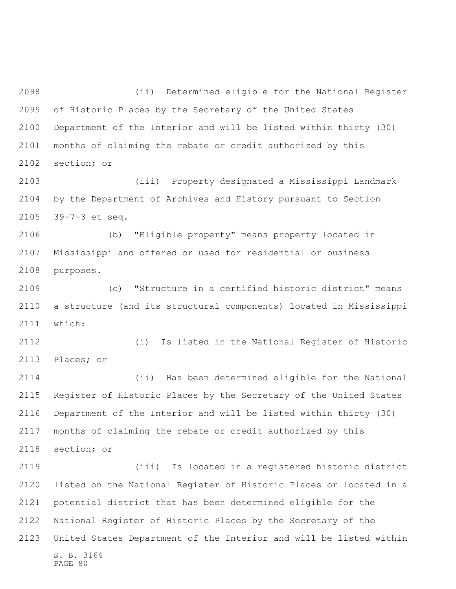(ii) Determined eligible for the National Register of Historic Places by the Secretary of the United States Department of the Interior and will be listed within thirty (30) months of claiming the rebate or credit authorized by this section; or

 (iii) Property designated a Mississippi Landmark by the Department of Archives and History pursuant to Section 39-7-3 et seq.

 (b) "Eligible property" means property located in Mississippi and offered or used for residential or business purposes.

 (c) "Structure in a certified historic district" means a structure (and its structural components) located in Mississippi which:

 (i) Is listed in the National Register of Historic Places; or

 (ii) Has been determined eligible for the National Register of Historic Places by the Secretary of the United States Department of the Interior and will be listed within thirty (30) months of claiming the rebate or credit authorized by this section; or

S. B. 3164 PAGE 80 (iii) Is located in a registered historic district listed on the National Register of Historic Places or located in a potential district that has been determined eligible for the National Register of Historic Places by the Secretary of the United States Department of the Interior and will be listed within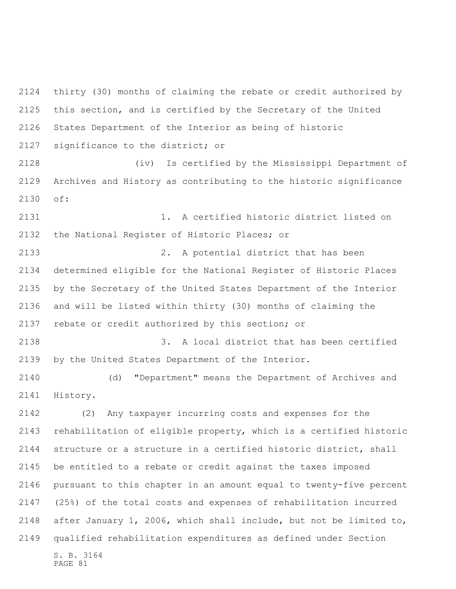thirty (30) months of claiming the rebate or credit authorized by this section, and is certified by the Secretary of the United States Department of the Interior as being of historic significance to the district; or

 (iv) Is certified by the Mississippi Department of Archives and History as contributing to the historic significance of:

 1. A certified historic district listed on the National Register of Historic Places; or

 2. A potential district that has been determined eligible for the National Register of Historic Places by the Secretary of the United States Department of the Interior and will be listed within thirty (30) months of claiming the rebate or credit authorized by this section; or

 3. A local district that has been certified by the United States Department of the Interior.

 (d) "Department" means the Department of Archives and History.

S. B. 3164 (2) Any taxpayer incurring costs and expenses for the rehabilitation of eligible property, which is a certified historic structure or a structure in a certified historic district, shall be entitled to a rebate or credit against the taxes imposed pursuant to this chapter in an amount equal to twenty-five percent (25%) of the total costs and expenses of rehabilitation incurred after January 1, 2006, which shall include, but not be limited to, qualified rehabilitation expenditures as defined under Section

PAGE 81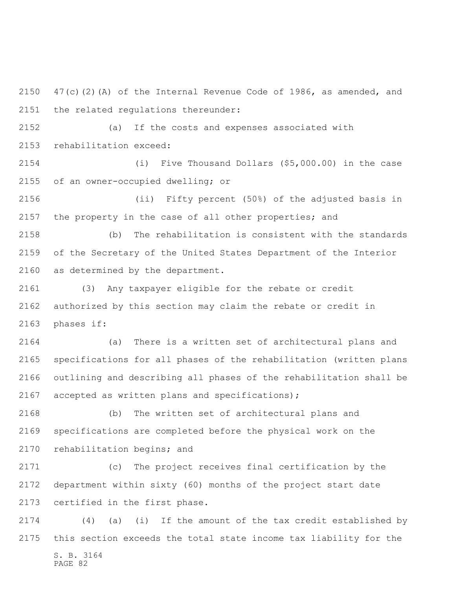2150  $47(c)(2)(A)$  of the Internal Revenue Code of 1986, as amended, and the related regulations thereunder:

 (a) If the costs and expenses associated with rehabilitation exceed:

 (i) Five Thousand Dollars (\$5,000.00) in the case of an owner-occupied dwelling; or

 (ii) Fifty percent (50%) of the adjusted basis in the property in the case of all other properties; and

 (b) The rehabilitation is consistent with the standards of the Secretary of the United States Department of the Interior as determined by the department.

 (3) Any taxpayer eligible for the rebate or credit authorized by this section may claim the rebate or credit in phases if:

 (a) There is a written set of architectural plans and specifications for all phases of the rehabilitation (written plans outlining and describing all phases of the rehabilitation shall be accepted as written plans and specifications);

 (b) The written set of architectural plans and specifications are completed before the physical work on the rehabilitation begins; and

 (c) The project receives final certification by the department within sixty (60) months of the project start date certified in the first phase.

S. B. 3164 (4) (a) (i) If the amount of the tax credit established by this section exceeds the total state income tax liability for the

PAGE 82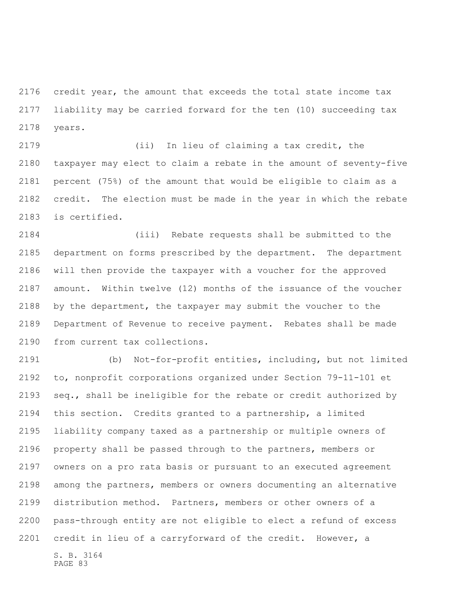credit year, the amount that exceeds the total state income tax liability may be carried forward for the ten (10) succeeding tax years.

 (ii) In lieu of claiming a tax credit, the taxpayer may elect to claim a rebate in the amount of seventy-five percent (75%) of the amount that would be eligible to claim as a credit. The election must be made in the year in which the rebate is certified.

 (iii) Rebate requests shall be submitted to the department on forms prescribed by the department. The department will then provide the taxpayer with a voucher for the approved amount. Within twelve (12) months of the issuance of the voucher by the department, the taxpayer may submit the voucher to the Department of Revenue to receive payment. Rebates shall be made from current tax collections.

S. B. 3164 PAGE 83 (b) Not-for-profit entities, including, but not limited to, nonprofit corporations organized under Section 79-11-101 et seq., shall be ineligible for the rebate or credit authorized by this section. Credits granted to a partnership, a limited liability company taxed as a partnership or multiple owners of property shall be passed through to the partners, members or owners on a pro rata basis or pursuant to an executed agreement among the partners, members or owners documenting an alternative distribution method. Partners, members or other owners of a pass-through entity are not eligible to elect a refund of excess credit in lieu of a carryforward of the credit. However, a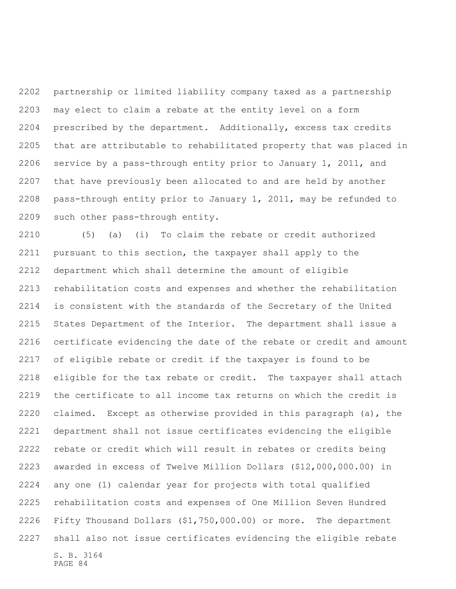partnership or limited liability company taxed as a partnership may elect to claim a rebate at the entity level on a form prescribed by the department. Additionally, excess tax credits that are attributable to rehabilitated property that was placed in service by a pass-through entity prior to January 1, 2011, and that have previously been allocated to and are held by another pass-through entity prior to January 1, 2011, may be refunded to such other pass-through entity.

S. B. 3164 (5) (a) (i) To claim the rebate or credit authorized pursuant to this section, the taxpayer shall apply to the department which shall determine the amount of eligible rehabilitation costs and expenses and whether the rehabilitation is consistent with the standards of the Secretary of the United States Department of the Interior. The department shall issue a certificate evidencing the date of the rebate or credit and amount of eligible rebate or credit if the taxpayer is found to be eligible for the tax rebate or credit. The taxpayer shall attach the certificate to all income tax returns on which the credit is claimed. Except as otherwise provided in this paragraph (a), the department shall not issue certificates evidencing the eligible rebate or credit which will result in rebates or credits being awarded in excess of Twelve Million Dollars (\$12,000,000.00) in any one (1) calendar year for projects with total qualified rehabilitation costs and expenses of One Million Seven Hundred Fifty Thousand Dollars (\$1,750,000.00) or more. The department shall also not issue certificates evidencing the eligible rebate

PAGE 84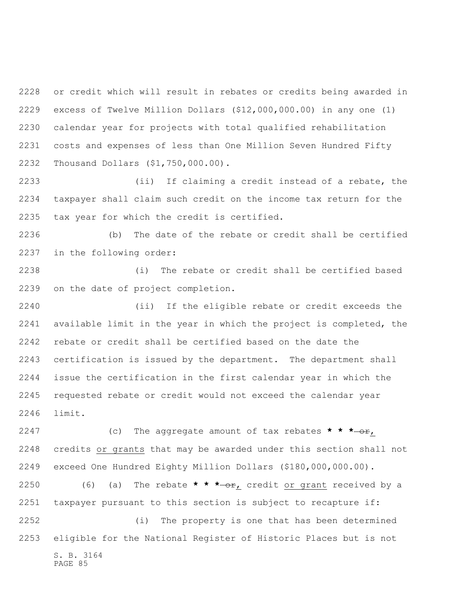or credit which will result in rebates or credits being awarded in excess of Twelve Million Dollars (\$12,000,000.00) in any one (1) calendar year for projects with total qualified rehabilitation costs and expenses of less than One Million Seven Hundred Fifty Thousand Dollars (\$1,750,000.00).

 (ii) If claiming a credit instead of a rebate, the taxpayer shall claim such credit on the income tax return for the tax year for which the credit is certified.

 (b) The date of the rebate or credit shall be certified in the following order:

 (i) The rebate or credit shall be certified based on the date of project completion.

 (ii) If the eligible rebate or credit exceeds the available limit in the year in which the project is completed, the rebate or credit shall be certified based on the date the certification is issued by the department. The department shall issue the certification in the first calendar year in which the requested rebate or credit would not exceed the calendar year limit.

 (c) The aggregate amount of tax rebates **\* \* \*** or, credits or grants that may be awarded under this section shall not exceed One Hundred Eighty Million Dollars (\$180,000,000.00).

2250 (6) (a) The rebate **\* \* \***-or, credit or grant received by a taxpayer pursuant to this section is subject to recapture if:

S. B. 3164 PAGE 85 (i) The property is one that has been determined eligible for the National Register of Historic Places but is not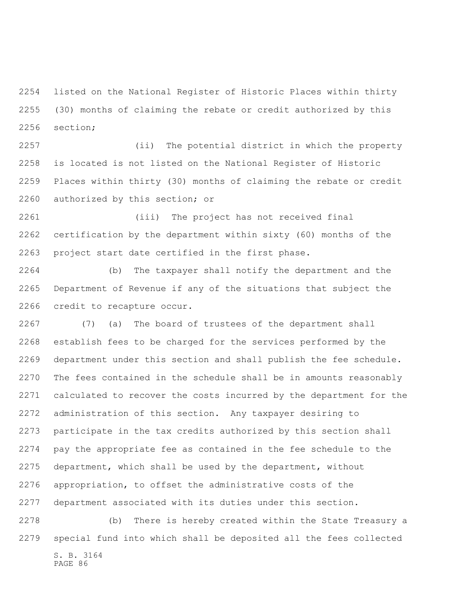listed on the National Register of Historic Places within thirty (30) months of claiming the rebate or credit authorized by this section;

 (ii) The potential district in which the property is located is not listed on the National Register of Historic Places within thirty (30) months of claiming the rebate or credit authorized by this section; or

 (iii) The project has not received final certification by the department within sixty (60) months of the project start date certified in the first phase.

 (b) The taxpayer shall notify the department and the Department of Revenue if any of the situations that subject the credit to recapture occur.

 (7) (a) The board of trustees of the department shall establish fees to be charged for the services performed by the department under this section and shall publish the fee schedule. The fees contained in the schedule shall be in amounts reasonably calculated to recover the costs incurred by the department for the administration of this section. Any taxpayer desiring to participate in the tax credits authorized by this section shall pay the appropriate fee as contained in the fee schedule to the department, which shall be used by the department, without appropriation, to offset the administrative costs of the department associated with its duties under this section.

S. B. 3164 PAGE 86 (b) There is hereby created within the State Treasury a special fund into which shall be deposited all the fees collected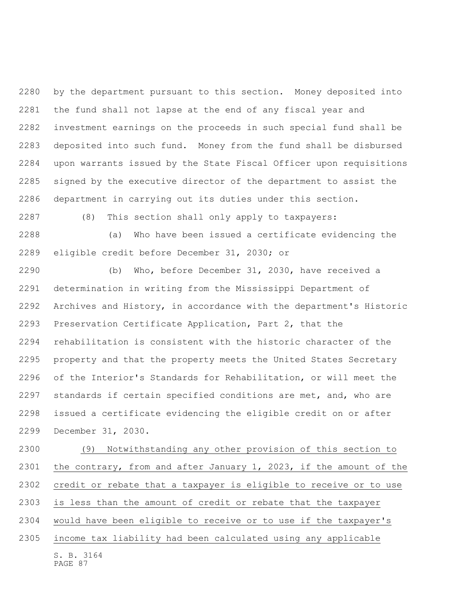by the department pursuant to this section. Money deposited into the fund shall not lapse at the end of any fiscal year and investment earnings on the proceeds in such special fund shall be deposited into such fund. Money from the fund shall be disbursed upon warrants issued by the State Fiscal Officer upon requisitions signed by the executive director of the department to assist the department in carrying out its duties under this section.

(8) This section shall only apply to taxpayers:

 (a) Who have been issued a certificate evidencing the eligible credit before December 31, 2030; or

 (b) Who, before December 31, 2030, have received a determination in writing from the Mississippi Department of Archives and History, in accordance with the department's Historic Preservation Certificate Application, Part 2, that the rehabilitation is consistent with the historic character of the property and that the property meets the United States Secretary of the Interior's Standards for Rehabilitation, or will meet the standards if certain specified conditions are met, and, who are issued a certificate evidencing the eligible credit on or after December 31, 2030.

S. B. 3164 PAGE 87 (9) Notwithstanding any other provision of this section to the contrary, from and after January 1, 2023, if the amount of the credit or rebate that a taxpayer is eligible to receive or to use is less than the amount of credit or rebate that the taxpayer would have been eligible to receive or to use if the taxpayer's income tax liability had been calculated using any applicable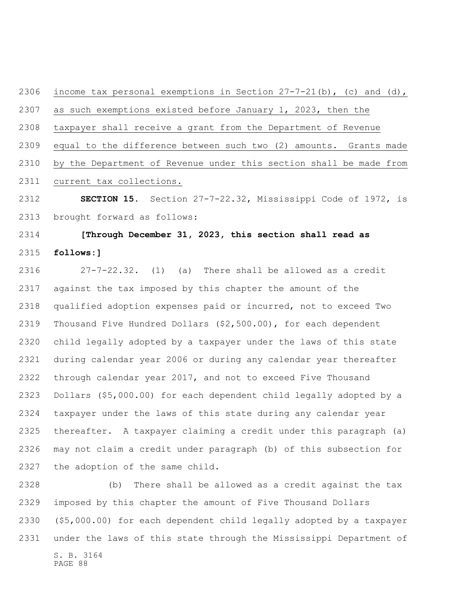as such exemptions existed before January 1, 2023, then the taxpayer shall receive a grant from the Department of Revenue equal to the difference between such two (2) amounts. Grants made by the Department of Revenue under this section shall be made from current tax collections. **SECTION 15.** Section 27-7-22.32, Mississippi Code of 1972, is

2306 income tax personal exemptions in Section  $27-7-21(b)$ , (c) and (d),

brought forward as follows:

## **[Through December 31, 2023, this section shall read as follows:]**

 27-7-22.32. (1) (a) There shall be allowed as a credit against the tax imposed by this chapter the amount of the qualified adoption expenses paid or incurred, not to exceed Two Thousand Five Hundred Dollars (\$2,500.00), for each dependent child legally adopted by a taxpayer under the laws of this state during calendar year 2006 or during any calendar year thereafter through calendar year 2017, and not to exceed Five Thousand Dollars (\$5,000.00) for each dependent child legally adopted by a taxpayer under the laws of this state during any calendar year thereafter. A taxpayer claiming a credit under this paragraph (a) may not claim a credit under paragraph (b) of this subsection for the adoption of the same child.

S. B. 3164 PAGE 88 (b) There shall be allowed as a credit against the tax imposed by this chapter the amount of Five Thousand Dollars (\$5,000.00) for each dependent child legally adopted by a taxpayer under the laws of this state through the Mississippi Department of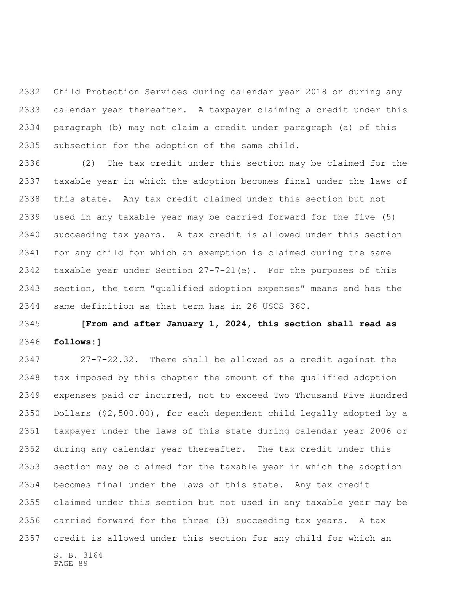Child Protection Services during calendar year 2018 or during any calendar year thereafter. A taxpayer claiming a credit under this paragraph (b) may not claim a credit under paragraph (a) of this subsection for the adoption of the same child.

 (2) The tax credit under this section may be claimed for the taxable year in which the adoption becomes final under the laws of this state. Any tax credit claimed under this section but not used in any taxable year may be carried forward for the five (5) succeeding tax years. A tax credit is allowed under this section for any child for which an exemption is claimed during the same taxable year under Section 27-7-21(e). For the purposes of this section, the term "qualified adoption expenses" means and has the same definition as that term has in 26 USCS 36C.

 **[From and after January 1, 2024, this section shall read as follows:]**

S. B. 3164 27-7-22.32. There shall be allowed as a credit against the tax imposed by this chapter the amount of the qualified adoption expenses paid or incurred, not to exceed Two Thousand Five Hundred Dollars (\$2,500.00), for each dependent child legally adopted by a taxpayer under the laws of this state during calendar year 2006 or during any calendar year thereafter. The tax credit under this section may be claimed for the taxable year in which the adoption becomes final under the laws of this state. Any tax credit claimed under this section but not used in any taxable year may be carried forward for the three (3) succeeding tax years. A tax credit is allowed under this section for any child for which an

PAGE 89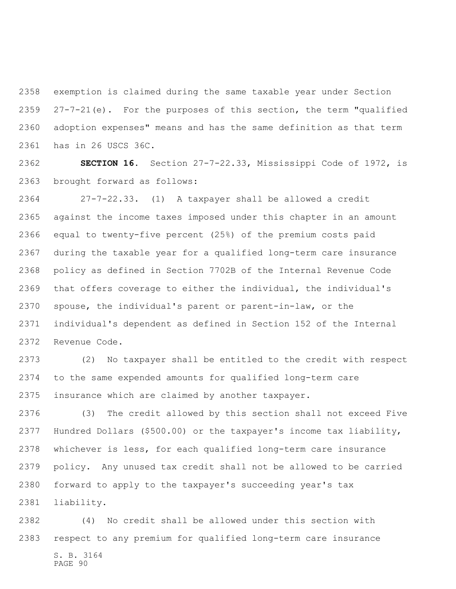exemption is claimed during the same taxable year under Section 27-7-21(e). For the purposes of this section, the term "qualified adoption expenses" means and has the same definition as that term has in 26 USCS 36C.

 **SECTION 16.** Section 27-7-22.33, Mississippi Code of 1972, is brought forward as follows:

 27-7-22.33. (1) A taxpayer shall be allowed a credit against the income taxes imposed under this chapter in an amount equal to twenty-five percent (25%) of the premium costs paid during the taxable year for a qualified long-term care insurance policy as defined in Section 7702B of the Internal Revenue Code that offers coverage to either the individual, the individual's spouse, the individual's parent or parent-in-law, or the individual's dependent as defined in Section 152 of the Internal Revenue Code.

 (2) No taxpayer shall be entitled to the credit with respect to the same expended amounts for qualified long-term care insurance which are claimed by another taxpayer.

 (3) The credit allowed by this section shall not exceed Five Hundred Dollars (\$500.00) or the taxpayer's income tax liability, whichever is less, for each qualified long-term care insurance policy. Any unused tax credit shall not be allowed to be carried forward to apply to the taxpayer's succeeding year's tax liability.

S. B. 3164 PAGE 90 (4) No credit shall be allowed under this section with respect to any premium for qualified long-term care insurance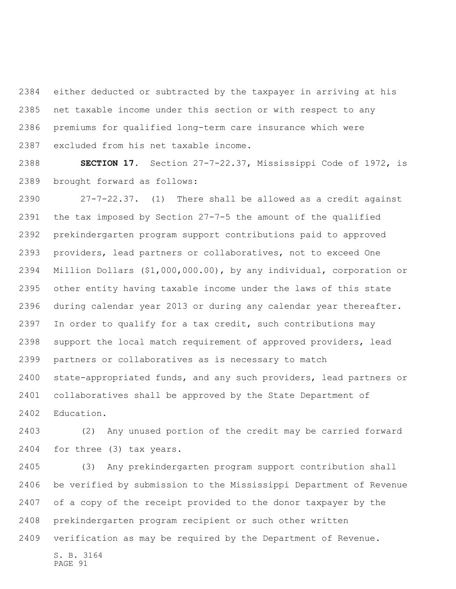either deducted or subtracted by the taxpayer in arriving at his net taxable income under this section or with respect to any premiums for qualified long-term care insurance which were excluded from his net taxable income.

 **SECTION 17.** Section 27-7-22.37, Mississippi Code of 1972, is brought forward as follows:

 27-7-22.37. (1) There shall be allowed as a credit against the tax imposed by Section 27-7-5 the amount of the qualified prekindergarten program support contributions paid to approved providers, lead partners or collaboratives, not to exceed One Million Dollars (\$1,000,000.00), by any individual, corporation or other entity having taxable income under the laws of this state during calendar year 2013 or during any calendar year thereafter. In order to qualify for a tax credit, such contributions may support the local match requirement of approved providers, lead partners or collaboratives as is necessary to match state-appropriated funds, and any such providers, lead partners or collaboratives shall be approved by the State Department of Education.

 (2) Any unused portion of the credit may be carried forward for three (3) tax years.

S. B. 3164 PAGE 91 (3) Any prekindergarten program support contribution shall be verified by submission to the Mississippi Department of Revenue of a copy of the receipt provided to the donor taxpayer by the prekindergarten program recipient or such other written verification as may be required by the Department of Revenue.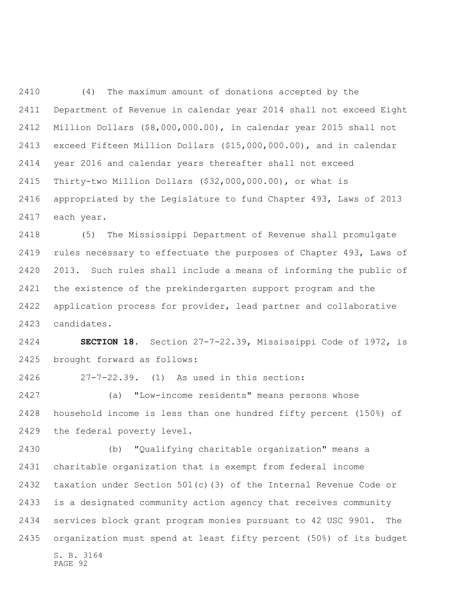(4) The maximum amount of donations accepted by the Department of Revenue in calendar year 2014 shall not exceed Eight Million Dollars (\$8,000,000.00), in calendar year 2015 shall not exceed Fifteen Million Dollars (\$15,000,000.00), and in calendar year 2016 and calendar years thereafter shall not exceed Thirty-two Million Dollars (\$32,000,000.00), or what is appropriated by the Legislature to fund Chapter 493, Laws of 2013 each year.

 (5) The Mississippi Department of Revenue shall promulgate rules necessary to effectuate the purposes of Chapter 493, Laws of 2013. Such rules shall include a means of informing the public of the existence of the prekindergarten support program and the application process for provider, lead partner and collaborative candidates.

 **SECTION 18.** Section 27-7-22.39, Mississippi Code of 1972, is brought forward as follows:

27-7-22.39. (1) As used in this section:

 (a) "Low-income residents" means persons whose household income is less than one hundred fifty percent (150%) of the federal poverty level.

S. B. 3164 PAGE 92 (b) "Qualifying charitable organization" means a charitable organization that is exempt from federal income taxation under Section 501(c)(3) of the Internal Revenue Code or is a designated community action agency that receives community services block grant program monies pursuant to 42 USC 9901. The organization must spend at least fifty percent (50%) of its budget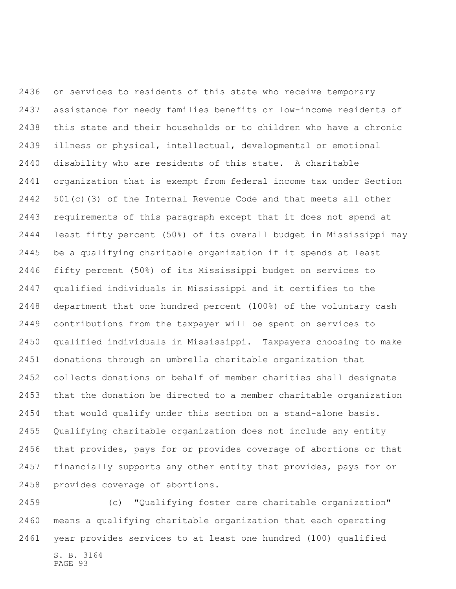on services to residents of this state who receive temporary assistance for needy families benefits or low-income residents of this state and their households or to children who have a chronic illness or physical, intellectual, developmental or emotional disability who are residents of this state. A charitable organization that is exempt from federal income tax under Section 501(c)(3) of the Internal Revenue Code and that meets all other requirements of this paragraph except that it does not spend at least fifty percent (50%) of its overall budget in Mississippi may be a qualifying charitable organization if it spends at least fifty percent (50%) of its Mississippi budget on services to qualified individuals in Mississippi and it certifies to the department that one hundred percent (100%) of the voluntary cash contributions from the taxpayer will be spent on services to qualified individuals in Mississippi. Taxpayers choosing to make donations through an umbrella charitable organization that collects donations on behalf of member charities shall designate that the donation be directed to a member charitable organization that would qualify under this section on a stand-alone basis. Qualifying charitable organization does not include any entity that provides, pays for or provides coverage of abortions or that financially supports any other entity that provides, pays for or provides coverage of abortions.

S. B. 3164 (c) "Qualifying foster care charitable organization" means a qualifying charitable organization that each operating year provides services to at least one hundred (100) qualified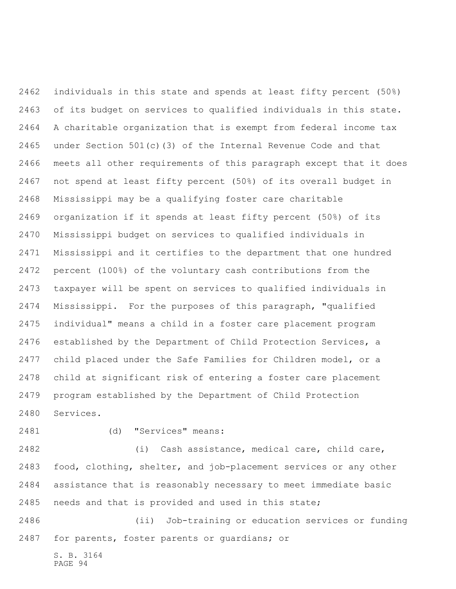individuals in this state and spends at least fifty percent (50%) of its budget on services to qualified individuals in this state. A charitable organization that is exempt from federal income tax under Section 501(c)(3) of the Internal Revenue Code and that meets all other requirements of this paragraph except that it does not spend at least fifty percent (50%) of its overall budget in Mississippi may be a qualifying foster care charitable organization if it spends at least fifty percent (50%) of its Mississippi budget on services to qualified individuals in Mississippi and it certifies to the department that one hundred percent (100%) of the voluntary cash contributions from the taxpayer will be spent on services to qualified individuals in Mississippi. For the purposes of this paragraph, "qualified individual" means a child in a foster care placement program established by the Department of Child Protection Services, a child placed under the Safe Families for Children model, or a child at significant risk of entering a foster care placement program established by the Department of Child Protection Services.

(d) "Services" means:

 (i) Cash assistance, medical care, child care, food, clothing, shelter, and job-placement services or any other assistance that is reasonably necessary to meet immediate basic needs and that is provided and used in this state;

 (ii) Job-training or education services or funding for parents, foster parents or guardians; or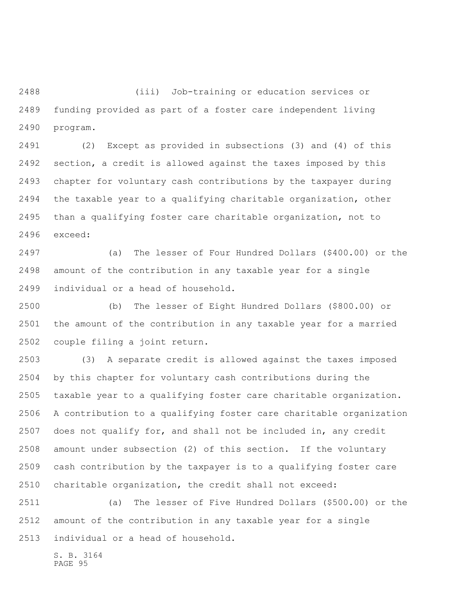(iii) Job-training or education services or funding provided as part of a foster care independent living program.

 (2) Except as provided in subsections (3) and (4) of this section, a credit is allowed against the taxes imposed by this chapter for voluntary cash contributions by the taxpayer during the taxable year to a qualifying charitable organization, other than a qualifying foster care charitable organization, not to exceed:

 (a) The lesser of Four Hundred Dollars (\$400.00) or the amount of the contribution in any taxable year for a single individual or a head of household.

 (b) The lesser of Eight Hundred Dollars (\$800.00) or the amount of the contribution in any taxable year for a married couple filing a joint return.

 (3) A separate credit is allowed against the taxes imposed by this chapter for voluntary cash contributions during the taxable year to a qualifying foster care charitable organization. A contribution to a qualifying foster care charitable organization does not qualify for, and shall not be included in, any credit amount under subsection (2) of this section. If the voluntary cash contribution by the taxpayer is to a qualifying foster care charitable organization, the credit shall not exceed:

 (a) The lesser of Five Hundred Dollars (\$500.00) or the amount of the contribution in any taxable year for a single individual or a head of household.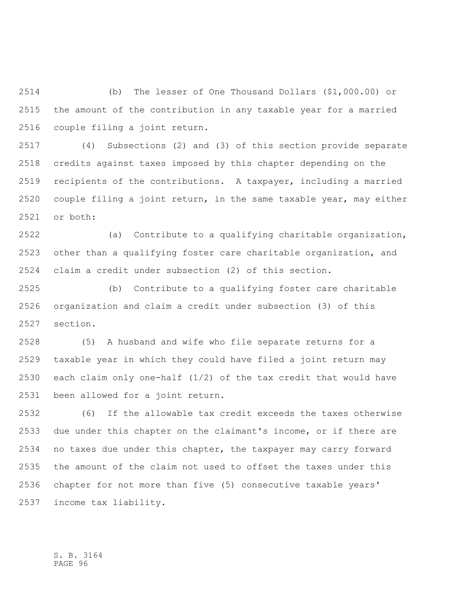(b) The lesser of One Thousand Dollars (\$1,000.00) or the amount of the contribution in any taxable year for a married couple filing a joint return.

 (4) Subsections (2) and (3) of this section provide separate credits against taxes imposed by this chapter depending on the recipients of the contributions. A taxpayer, including a married couple filing a joint return, in the same taxable year, may either or both:

 (a) Contribute to a qualifying charitable organization, other than a qualifying foster care charitable organization, and claim a credit under subsection (2) of this section.

 (b) Contribute to a qualifying foster care charitable organization and claim a credit under subsection (3) of this section.

 (5) A husband and wife who file separate returns for a taxable year in which they could have filed a joint return may each claim only one-half (1/2) of the tax credit that would have been allowed for a joint return.

 (6) If the allowable tax credit exceeds the taxes otherwise due under this chapter on the claimant's income, or if there are no taxes due under this chapter, the taxpayer may carry forward the amount of the claim not used to offset the taxes under this chapter for not more than five (5) consecutive taxable years' income tax liability.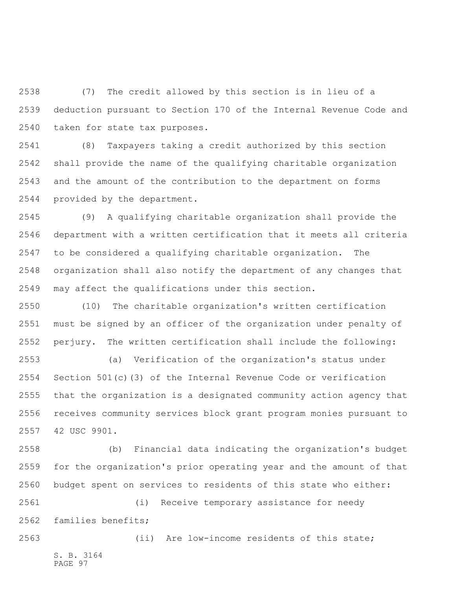(7) The credit allowed by this section is in lieu of a deduction pursuant to Section 170 of the Internal Revenue Code and taken for state tax purposes.

 (8) Taxpayers taking a credit authorized by this section shall provide the name of the qualifying charitable organization and the amount of the contribution to the department on forms provided by the department.

 (9) A qualifying charitable organization shall provide the department with a written certification that it meets all criteria to be considered a qualifying charitable organization. The organization shall also notify the department of any changes that may affect the qualifications under this section.

 (10) The charitable organization's written certification must be signed by an officer of the organization under penalty of perjury. The written certification shall include the following:

 (a) Verification of the organization's status under Section 501(c)(3) of the Internal Revenue Code or verification that the organization is a designated community action agency that receives community services block grant program monies pursuant to 42 USC 9901.

 (b) Financial data indicating the organization's budget for the organization's prior operating year and the amount of that budget spent on services to residents of this state who either:

 (i) Receive temporary assistance for needy families benefits;

S. B. 3164 PAGE 97 (ii) Are low-income residents of this state;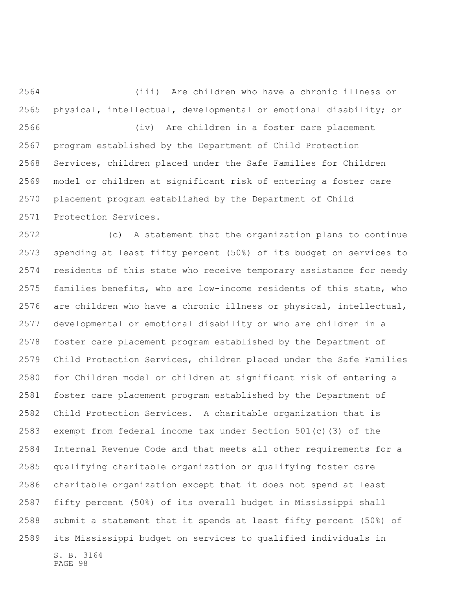(iii) Are children who have a chronic illness or physical, intellectual, developmental or emotional disability; or (iv) Are children in a foster care placement

 program established by the Department of Child Protection Services, children placed under the Safe Families for Children model or children at significant risk of entering a foster care placement program established by the Department of Child Protection Services.

 (c) A statement that the organization plans to continue spending at least fifty percent (50%) of its budget on services to residents of this state who receive temporary assistance for needy families benefits, who are low-income residents of this state, who are children who have a chronic illness or physical, intellectual, developmental or emotional disability or who are children in a foster care placement program established by the Department of Child Protection Services, children placed under the Safe Families for Children model or children at significant risk of entering a foster care placement program established by the Department of Child Protection Services. A charitable organization that is exempt from federal income tax under Section 501(c)(3) of the Internal Revenue Code and that meets all other requirements for a qualifying charitable organization or qualifying foster care charitable organization except that it does not spend at least fifty percent (50%) of its overall budget in Mississippi shall submit a statement that it spends at least fifty percent (50%) of its Mississippi budget on services to qualified individuals in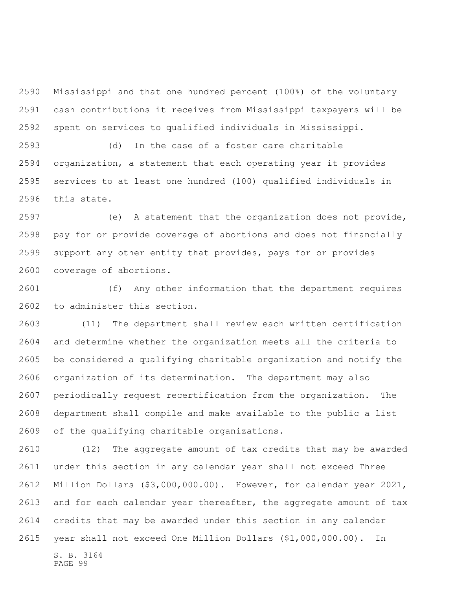Mississippi and that one hundred percent (100%) of the voluntary cash contributions it receives from Mississippi taxpayers will be spent on services to qualified individuals in Mississippi.

 (d) In the case of a foster care charitable organization, a statement that each operating year it provides services to at least one hundred (100) qualified individuals in this state.

 (e) A statement that the organization does not provide, pay for or provide coverage of abortions and does not financially support any other entity that provides, pays for or provides coverage of abortions.

 (f) Any other information that the department requires to administer this section.

 (11) The department shall review each written certification and determine whether the organization meets all the criteria to be considered a qualifying charitable organization and notify the organization of its determination. The department may also periodically request recertification from the organization. The department shall compile and make available to the public a list of the qualifying charitable organizations.

 (12) The aggregate amount of tax credits that may be awarded under this section in any calendar year shall not exceed Three Million Dollars (\$3,000,000.00). However, for calendar year 2021, and for each calendar year thereafter, the aggregate amount of tax credits that may be awarded under this section in any calendar year shall not exceed One Million Dollars (\$1,000,000.00). In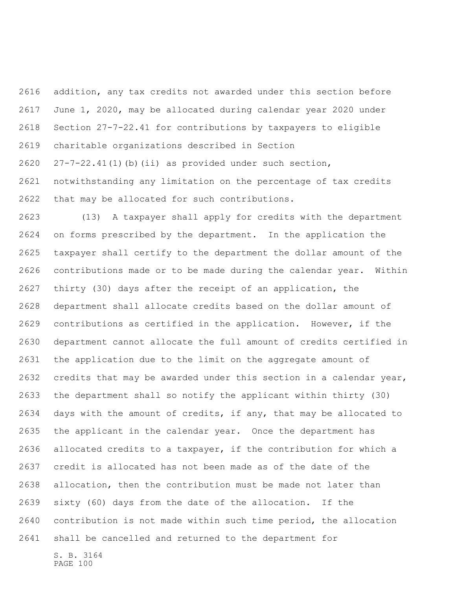addition, any tax credits not awarded under this section before June 1, 2020, may be allocated during calendar year 2020 under Section 27-7-22.41 for contributions by taxpayers to eligible charitable organizations described in Section 27-7-22.41(1)(b)(ii) as provided under such section, notwithstanding any limitation on the percentage of tax credits

that may be allocated for such contributions.

 (13) A taxpayer shall apply for credits with the department on forms prescribed by the department. In the application the taxpayer shall certify to the department the dollar amount of the contributions made or to be made during the calendar year. Within thirty (30) days after the receipt of an application, the department shall allocate credits based on the dollar amount of contributions as certified in the application. However, if the department cannot allocate the full amount of credits certified in the application due to the limit on the aggregate amount of credits that may be awarded under this section in a calendar year, the department shall so notify the applicant within thirty (30) days with the amount of credits, if any, that may be allocated to the applicant in the calendar year. Once the department has allocated credits to a taxpayer, if the contribution for which a credit is allocated has not been made as of the date of the allocation, then the contribution must be made not later than sixty (60) days from the date of the allocation. If the contribution is not made within such time period, the allocation shall be cancelled and returned to the department for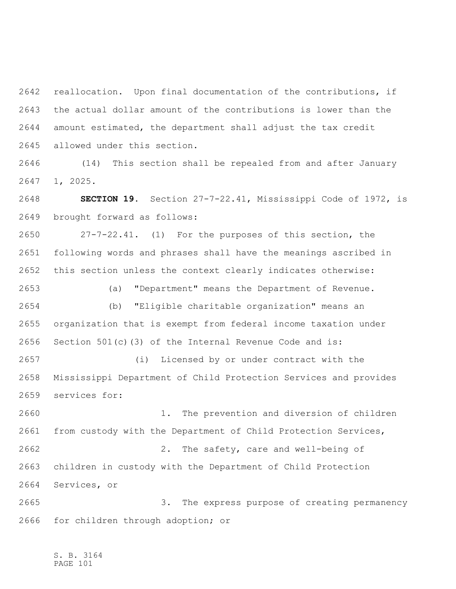reallocation. Upon final documentation of the contributions, if the actual dollar amount of the contributions is lower than the amount estimated, the department shall adjust the tax credit allowed under this section.

 (14) This section shall be repealed from and after January 1, 2025.

 **SECTION 19.** Section 27-7-22.41, Mississippi Code of 1972, is brought forward as follows:

 27-7-22.41. (1) For the purposes of this section, the following words and phrases shall have the meanings ascribed in this section unless the context clearly indicates otherwise:

 (a) "Department" means the Department of Revenue. (b) "Eligible charitable organization" means an organization that is exempt from federal income taxation under Section 501(c)(3) of the Internal Revenue Code and is:

 (i) Licensed by or under contract with the Mississippi Department of Child Protection Services and provides services for:

 1. The prevention and diversion of children from custody with the Department of Child Protection Services, 2. The safety, care and well-being of children in custody with the Department of Child Protection Services, or

 3. The express purpose of creating permanency for children through adoption; or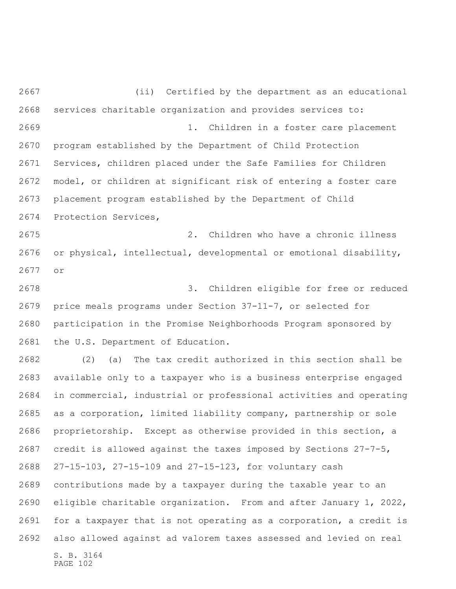(ii) Certified by the department as an educational services charitable organization and provides services to: 1. Children in a foster care placement program established by the Department of Child Protection Services, children placed under the Safe Families for Children model, or children at significant risk of entering a foster care placement program established by the Department of Child Protection Services,

 2. Children who have a chronic illness or physical, intellectual, developmental or emotional disability, or

 3. Children eligible for free or reduced price meals programs under Section 37-11-7, or selected for participation in the Promise Neighborhoods Program sponsored by the U.S. Department of Education.

S. B. 3164 (2) (a) The tax credit authorized in this section shall be available only to a taxpayer who is a business enterprise engaged in commercial, industrial or professional activities and operating as a corporation, limited liability company, partnership or sole proprietorship. Except as otherwise provided in this section, a credit is allowed against the taxes imposed by Sections 27-7-5, 27-15-103, 27-15-109 and 27-15-123, for voluntary cash contributions made by a taxpayer during the taxable year to an eligible charitable organization. From and after January 1, 2022, for a taxpayer that is not operating as a corporation, a credit is also allowed against ad valorem taxes assessed and levied on real

PAGE 102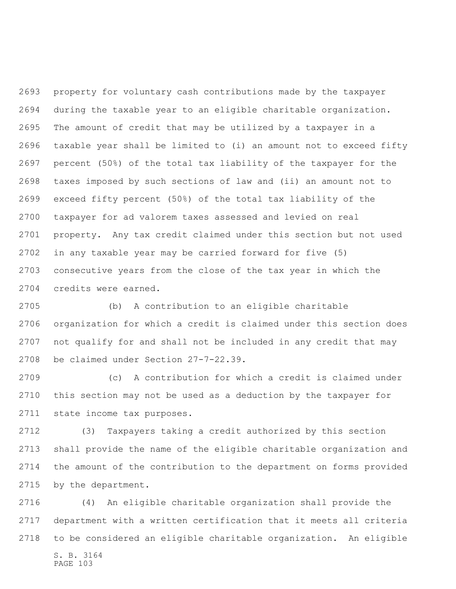property for voluntary cash contributions made by the taxpayer during the taxable year to an eligible charitable organization. The amount of credit that may be utilized by a taxpayer in a taxable year shall be limited to (i) an amount not to exceed fifty percent (50%) of the total tax liability of the taxpayer for the taxes imposed by such sections of law and (ii) an amount not to exceed fifty percent (50%) of the total tax liability of the taxpayer for ad valorem taxes assessed and levied on real property. Any tax credit claimed under this section but not used in any taxable year may be carried forward for five (5) consecutive years from the close of the tax year in which the credits were earned.

 (b) A contribution to an eligible charitable organization for which a credit is claimed under this section does not qualify for and shall not be included in any credit that may be claimed under Section 27-7-22.39.

 (c) A contribution for which a credit is claimed under this section may not be used as a deduction by the taxpayer for state income tax purposes.

 (3) Taxpayers taking a credit authorized by this section shall provide the name of the eligible charitable organization and the amount of the contribution to the department on forms provided by the department.

S. B. 3164 PAGE 103 (4) An eligible charitable organization shall provide the department with a written certification that it meets all criteria to be considered an eligible charitable organization. An eligible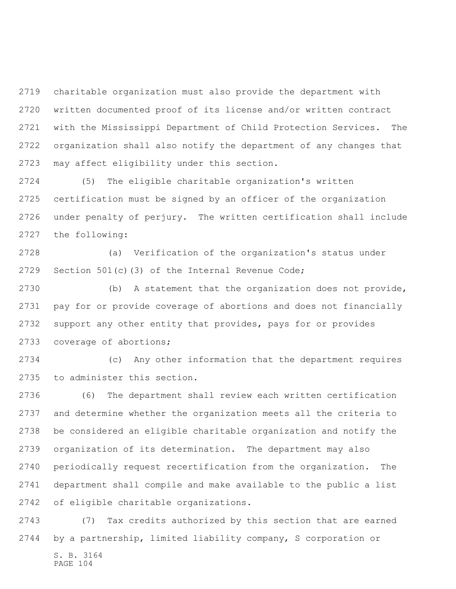charitable organization must also provide the department with written documented proof of its license and/or written contract with the Mississippi Department of Child Protection Services. The organization shall also notify the department of any changes that may affect eligibility under this section.

 (5) The eligible charitable organization's written certification must be signed by an officer of the organization under penalty of perjury. The written certification shall include the following:

 (a) Verification of the organization's status under Section 501(c)(3) of the Internal Revenue Code;

 (b) A statement that the organization does not provide, pay for or provide coverage of abortions and does not financially support any other entity that provides, pays for or provides coverage of abortions;

 (c) Any other information that the department requires to administer this section.

 (6) The department shall review each written certification and determine whether the organization meets all the criteria to be considered an eligible charitable organization and notify the organization of its determination. The department may also periodically request recertification from the organization. The department shall compile and make available to the public a list of eligible charitable organizations.

 (7) Tax credits authorized by this section that are earned by a partnership, limited liability company, S corporation or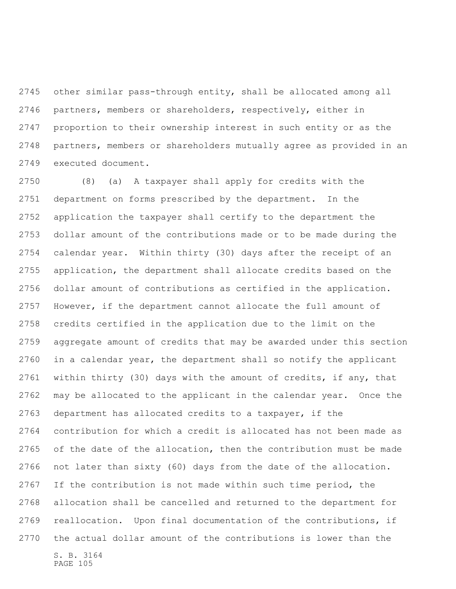other similar pass-through entity, shall be allocated among all partners, members or shareholders, respectively, either in proportion to their ownership interest in such entity or as the partners, members or shareholders mutually agree as provided in an executed document.

S. B. 3164 PAGE 105 (8) (a) A taxpayer shall apply for credits with the department on forms prescribed by the department. In the application the taxpayer shall certify to the department the dollar amount of the contributions made or to be made during the calendar year. Within thirty (30) days after the receipt of an application, the department shall allocate credits based on the dollar amount of contributions as certified in the application. However, if the department cannot allocate the full amount of credits certified in the application due to the limit on the aggregate amount of credits that may be awarded under this section in a calendar year, the department shall so notify the applicant within thirty (30) days with the amount of credits, if any, that may be allocated to the applicant in the calendar year. Once the department has allocated credits to a taxpayer, if the contribution for which a credit is allocated has not been made as of the date of the allocation, then the contribution must be made not later than sixty (60) days from the date of the allocation. If the contribution is not made within such time period, the allocation shall be cancelled and returned to the department for reallocation. Upon final documentation of the contributions, if the actual dollar amount of the contributions is lower than the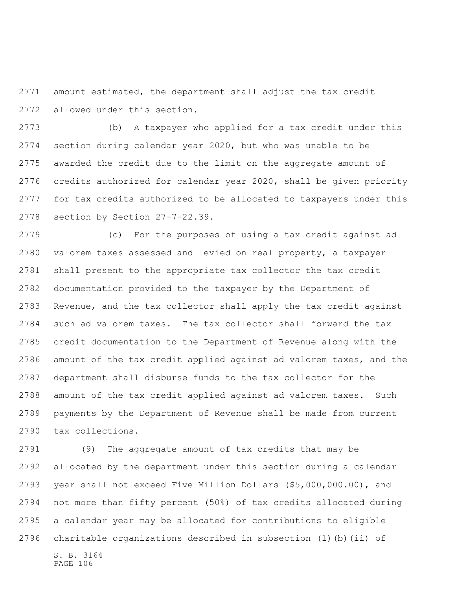amount estimated, the department shall adjust the tax credit allowed under this section.

 (b) A taxpayer who applied for a tax credit under this section during calendar year 2020, but who was unable to be awarded the credit due to the limit on the aggregate amount of credits authorized for calendar year 2020, shall be given priority for tax credits authorized to be allocated to taxpayers under this section by Section 27-7-22.39.

 (c) For the purposes of using a tax credit against ad valorem taxes assessed and levied on real property, a taxpayer shall present to the appropriate tax collector the tax credit documentation provided to the taxpayer by the Department of Revenue, and the tax collector shall apply the tax credit against such ad valorem taxes. The tax collector shall forward the tax credit documentation to the Department of Revenue along with the amount of the tax credit applied against ad valorem taxes, and the department shall disburse funds to the tax collector for the amount of the tax credit applied against ad valorem taxes. Such payments by the Department of Revenue shall be made from current tax collections.

 (9) The aggregate amount of tax credits that may be allocated by the department under this section during a calendar year shall not exceed Five Million Dollars (\$5,000,000.00), and not more than fifty percent (50%) of tax credits allocated during a calendar year may be allocated for contributions to eligible charitable organizations described in subsection (1)(b)(ii) of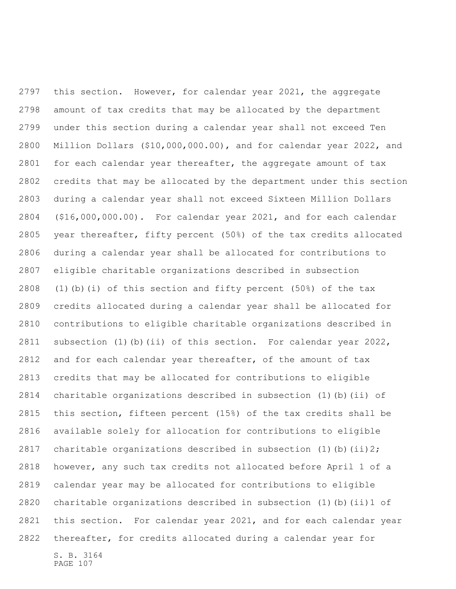S. B. 3164 this section. However, for calendar year 2021, the aggregate amount of tax credits that may be allocated by the department under this section during a calendar year shall not exceed Ten Million Dollars (\$10,000,000.00), and for calendar year 2022, and for each calendar year thereafter, the aggregate amount of tax credits that may be allocated by the department under this section during a calendar year shall not exceed Sixteen Million Dollars (\$16,000,000.00). For calendar year 2021, and for each calendar year thereafter, fifty percent (50%) of the tax credits allocated during a calendar year shall be allocated for contributions to eligible charitable organizations described in subsection 2808 (1)(b)(i) of this section and fifty percent  $(50\%)$  of the tax credits allocated during a calendar year shall be allocated for contributions to eligible charitable organizations described in subsection (1)(b)(ii) of this section. For calendar year 2022, and for each calendar year thereafter, of the amount of tax credits that may be allocated for contributions to eligible charitable organizations described in subsection (1)(b)(ii) of this section, fifteen percent (15%) of the tax credits shall be available solely for allocation for contributions to eligible 2817 charitable organizations described in subsection  $(1)$  (b)  $(ii)$  2; however, any such tax credits not allocated before April 1 of a calendar year may be allocated for contributions to eligible charitable organizations described in subsection (1)(b)(ii)1 of this section. For calendar year 2021, and for each calendar year thereafter, for credits allocated during a calendar year for

PAGE 107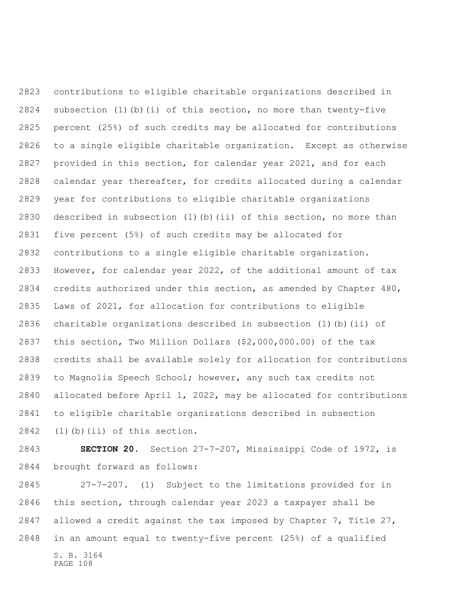contributions to eligible charitable organizations described in subsection (1)(b)(i) of this section, no more than twenty-five percent (25%) of such credits may be allocated for contributions to a single eligible charitable organization. Except as otherwise provided in this section, for calendar year 2021, and for each calendar year thereafter, for credits allocated during a calendar year for contributions to eligible charitable organizations described in subsection (1)(b)(ii) of this section, no more than five percent (5%) of such credits may be allocated for contributions to a single eligible charitable organization. However, for calendar year 2022, of the additional amount of tax credits authorized under this section, as amended by Chapter 480, Laws of 2021, for allocation for contributions to eligible charitable organizations described in subsection (1)(b)(ii) of this section, Two Million Dollars (\$2,000,000.00) of the tax credits shall be available solely for allocation for contributions to Magnolia Speech School; however, any such tax credits not allocated before April 1, 2022, may be allocated for contributions to eligible charitable organizations described in subsection (1)(b)(ii) of this section.

 **SECTION 20.** Section 27-7-207, Mississippi Code of 1972, is brought forward as follows:

 27-7-207. (1) Subject to the limitations provided for in this section, through calendar year 2023 a taxpayer shall be allowed a credit against the tax imposed by Chapter 7, Title 27, in an amount equal to twenty-five percent (25%) of a qualified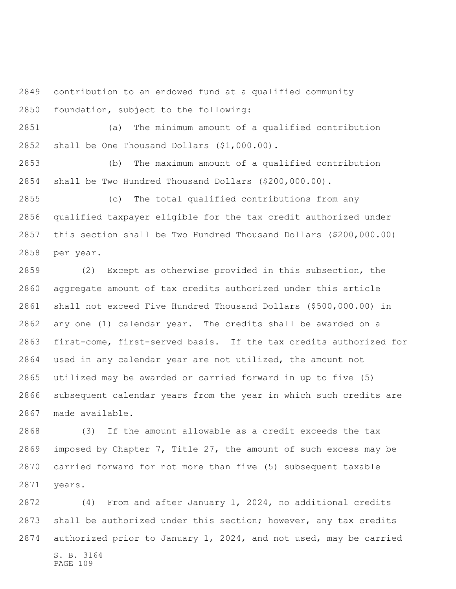contribution to an endowed fund at a qualified community foundation, subject to the following:

 (a) The minimum amount of a qualified contribution shall be One Thousand Dollars (\$1,000.00).

 (b) The maximum amount of a qualified contribution shall be Two Hundred Thousand Dollars (\$200,000.00).

 (c) The total qualified contributions from any qualified taxpayer eligible for the tax credit authorized under this section shall be Two Hundred Thousand Dollars (\$200,000.00) per year.

 (2) Except as otherwise provided in this subsection, the aggregate amount of tax credits authorized under this article shall not exceed Five Hundred Thousand Dollars (\$500,000.00) in any one (1) calendar year. The credits shall be awarded on a first-come, first-served basis. If the tax credits authorized for used in any calendar year are not utilized, the amount not utilized may be awarded or carried forward in up to five (5) subsequent calendar years from the year in which such credits are made available.

 (3) If the amount allowable as a credit exceeds the tax imposed by Chapter 7, Title 27, the amount of such excess may be carried forward for not more than five (5) subsequent taxable years.

S. B. 3164 PAGE 109 (4) From and after January 1, 2024, no additional credits shall be authorized under this section; however, any tax credits authorized prior to January 1, 2024, and not used, may be carried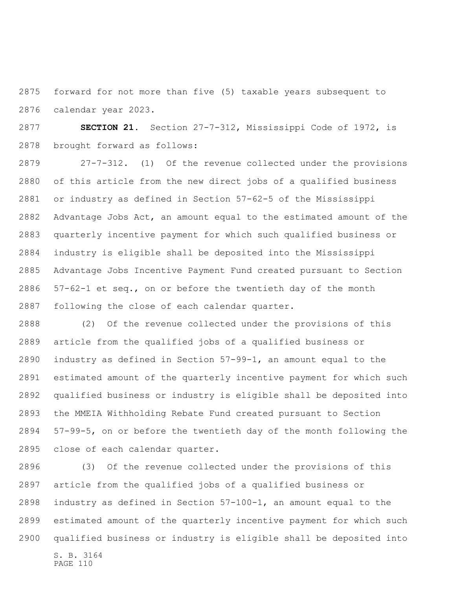forward for not more than five (5) taxable years subsequent to calendar year 2023.

 **SECTION 21.** Section 27-7-312, Mississippi Code of 1972, is brought forward as follows:

 27-7-312. (1) Of the revenue collected under the provisions of this article from the new direct jobs of a qualified business or industry as defined in Section 57-62-5 of the Mississippi Advantage Jobs Act, an amount equal to the estimated amount of the quarterly incentive payment for which such qualified business or industry is eligible shall be deposited into the Mississippi Advantage Jobs Incentive Payment Fund created pursuant to Section 57-62-1 et seq., on or before the twentieth day of the month following the close of each calendar quarter.

 (2) Of the revenue collected under the provisions of this article from the qualified jobs of a qualified business or industry as defined in Section 57-99-1, an amount equal to the estimated amount of the quarterly incentive payment for which such qualified business or industry is eligible shall be deposited into the MMEIA Withholding Rebate Fund created pursuant to Section 57-99-5, on or before the twentieth day of the month following the close of each calendar quarter.

S. B. 3164 PAGE 110 (3) Of the revenue collected under the provisions of this article from the qualified jobs of a qualified business or industry as defined in Section 57-100-1, an amount equal to the estimated amount of the quarterly incentive payment for which such qualified business or industry is eligible shall be deposited into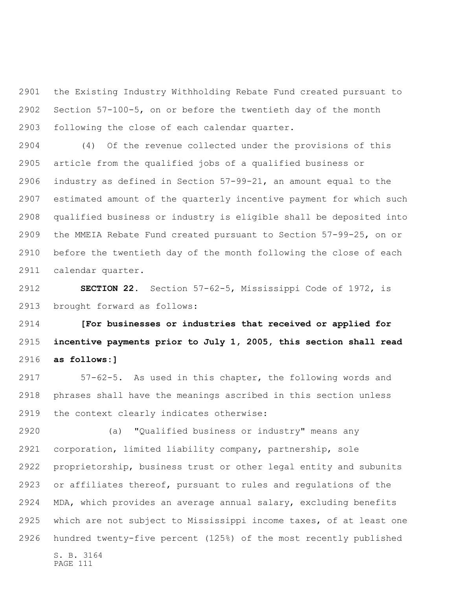the Existing Industry Withholding Rebate Fund created pursuant to Section 57-100-5, on or before the twentieth day of the month following the close of each calendar quarter.

 (4) Of the revenue collected under the provisions of this article from the qualified jobs of a qualified business or industry as defined in Section 57-99-21, an amount equal to the estimated amount of the quarterly incentive payment for which such qualified business or industry is eligible shall be deposited into the MMEIA Rebate Fund created pursuant to Section 57-99-25, on or before the twentieth day of the month following the close of each calendar quarter.

 **SECTION 22.** Section 57-62-5, Mississippi Code of 1972, is brought forward as follows:

 **[For businesses or industries that received or applied for incentive payments prior to July 1, 2005, this section shall read as follows:]**

 57-62-5. As used in this chapter, the following words and phrases shall have the meanings ascribed in this section unless the context clearly indicates otherwise:

S. B. 3164 PAGE 111 (a) "Qualified business or industry" means any corporation, limited liability company, partnership, sole proprietorship, business trust or other legal entity and subunits or affiliates thereof, pursuant to rules and regulations of the MDA, which provides an average annual salary, excluding benefits which are not subject to Mississippi income taxes, of at least one hundred twenty-five percent (125%) of the most recently published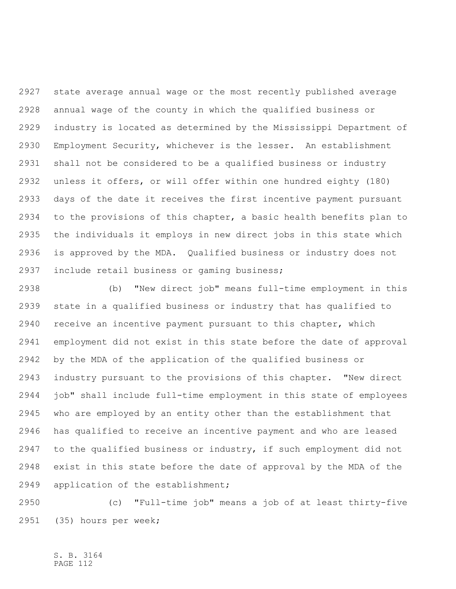state average annual wage or the most recently published average annual wage of the county in which the qualified business or industry is located as determined by the Mississippi Department of Employment Security, whichever is the lesser. An establishment shall not be considered to be a qualified business or industry unless it offers, or will offer within one hundred eighty (180) days of the date it receives the first incentive payment pursuant to the provisions of this chapter, a basic health benefits plan to the individuals it employs in new direct jobs in this state which is approved by the MDA. Qualified business or industry does not include retail business or gaming business;

 (b) "New direct job" means full-time employment in this state in a qualified business or industry that has qualified to receive an incentive payment pursuant to this chapter, which employment did not exist in this state before the date of approval by the MDA of the application of the qualified business or industry pursuant to the provisions of this chapter. "New direct job" shall include full-time employment in this state of employees who are employed by an entity other than the establishment that has qualified to receive an incentive payment and who are leased to the qualified business or industry, if such employment did not exist in this state before the date of approval by the MDA of the application of the establishment;

 (c) "Full-time job" means a job of at least thirty-five (35) hours per week;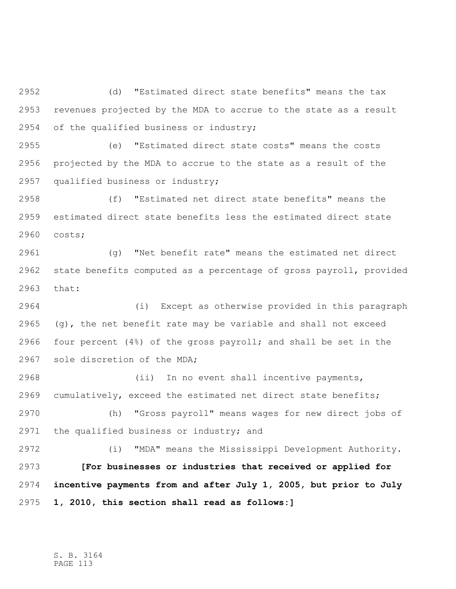(d) "Estimated direct state benefits" means the tax revenues projected by the MDA to accrue to the state as a result of the qualified business or industry;

 (e) "Estimated direct state costs" means the costs projected by the MDA to accrue to the state as a result of the qualified business or industry;

 (f) "Estimated net direct state benefits" means the estimated direct state benefits less the estimated direct state costs;

 (g) "Net benefit rate" means the estimated net direct state benefits computed as a percentage of gross payroll, provided that:

 (i) Except as otherwise provided in this paragraph  $(g)$ , the net benefit rate may be variable and shall not exceed four percent (4%) of the gross payroll; and shall be set in the sole discretion of the MDA;

 (ii) In no event shall incentive payments, cumulatively, exceed the estimated net direct state benefits;

 (h) "Gross payroll" means wages for new direct jobs of the qualified business or industry; and

 (i) "MDA" means the Mississippi Development Authority. **[For businesses or industries that received or applied for incentive payments from and after July 1, 2005, but prior to July 1, 2010, this section shall read as follows:]**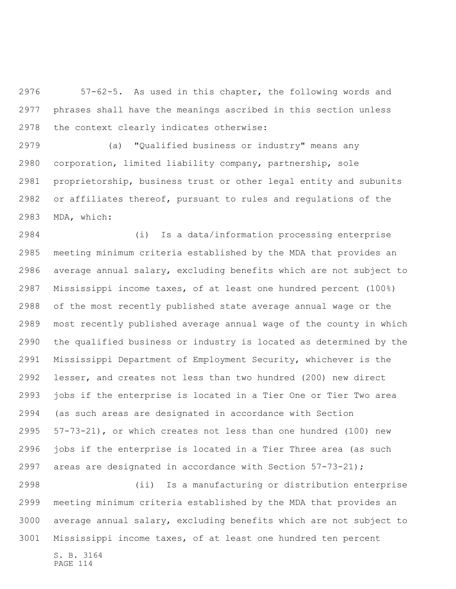57-62-5. As used in this chapter, the following words and phrases shall have the meanings ascribed in this section unless the context clearly indicates otherwise:

 (a) "Qualified business or industry" means any corporation, limited liability company, partnership, sole proprietorship, business trust or other legal entity and subunits or affiliates thereof, pursuant to rules and regulations of the MDA, which:

 (i) Is a data/information processing enterprise meeting minimum criteria established by the MDA that provides an average annual salary, excluding benefits which are not subject to Mississippi income taxes, of at least one hundred percent (100%) of the most recently published state average annual wage or the most recently published average annual wage of the county in which the qualified business or industry is located as determined by the Mississippi Department of Employment Security, whichever is the lesser, and creates not less than two hundred (200) new direct jobs if the enterprise is located in a Tier One or Tier Two area (as such areas are designated in accordance with Section 57-73-21), or which creates not less than one hundred (100) new jobs if the enterprise is located in a Tier Three area (as such areas are designated in accordance with Section 57-73-21);

S. B. 3164 (ii) Is a manufacturing or distribution enterprise meeting minimum criteria established by the MDA that provides an average annual salary, excluding benefits which are not subject to Mississippi income taxes, of at least one hundred ten percent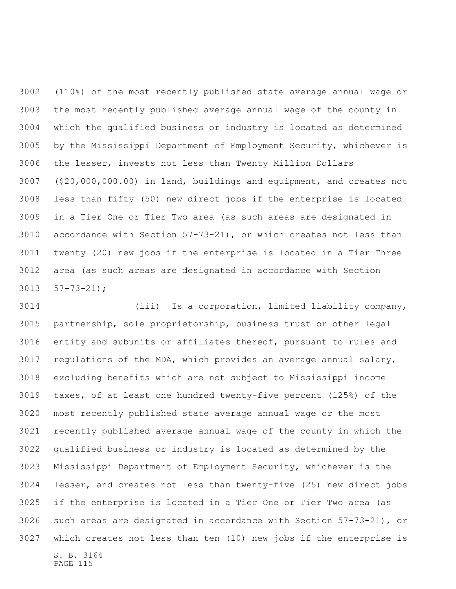(110%) of the most recently published state average annual wage or the most recently published average annual wage of the county in which the qualified business or industry is located as determined by the Mississippi Department of Employment Security, whichever is the lesser, invests not less than Twenty Million Dollars (\$20,000,000.00) in land, buildings and equipment, and creates not less than fifty (50) new direct jobs if the enterprise is located in a Tier One or Tier Two area (as such areas are designated in accordance with Section 57-73-21), or which creates not less than twenty (20) new jobs if the enterprise is located in a Tier Three area (as such areas are designated in accordance with Section 57-73-21);

S. B. 3164 (iii) Is a corporation, limited liability company, partnership, sole proprietorship, business trust or other legal entity and subunits or affiliates thereof, pursuant to rules and regulations of the MDA, which provides an average annual salary, excluding benefits which are not subject to Mississippi income taxes, of at least one hundred twenty-five percent (125%) of the most recently published state average annual wage or the most recently published average annual wage of the county in which the qualified business or industry is located as determined by the Mississippi Department of Employment Security, whichever is the lesser, and creates not less than twenty-five (25) new direct jobs if the enterprise is located in a Tier One or Tier Two area (as such areas are designated in accordance with Section 57-73-21), or which creates not less than ten (10) new jobs if the enterprise is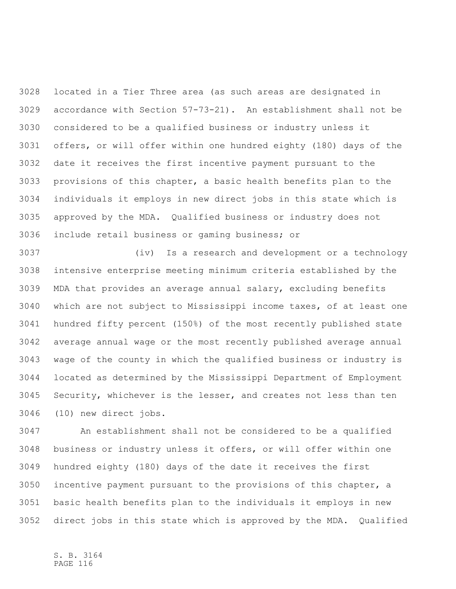located in a Tier Three area (as such areas are designated in accordance with Section 57-73-21). An establishment shall not be considered to be a qualified business or industry unless it offers, or will offer within one hundred eighty (180) days of the date it receives the first incentive payment pursuant to the provisions of this chapter, a basic health benefits plan to the individuals it employs in new direct jobs in this state which is approved by the MDA. Qualified business or industry does not include retail business or gaming business; or

 (iv) Is a research and development or a technology intensive enterprise meeting minimum criteria established by the MDA that provides an average annual salary, excluding benefits which are not subject to Mississippi income taxes, of at least one hundred fifty percent (150%) of the most recently published state average annual wage or the most recently published average annual wage of the county in which the qualified business or industry is located as determined by the Mississippi Department of Employment Security, whichever is the lesser, and creates not less than ten (10) new direct jobs.

 An establishment shall not be considered to be a qualified business or industry unless it offers, or will offer within one hundred eighty (180) days of the date it receives the first incentive payment pursuant to the provisions of this chapter, a basic health benefits plan to the individuals it employs in new direct jobs in this state which is approved by the MDA. Qualified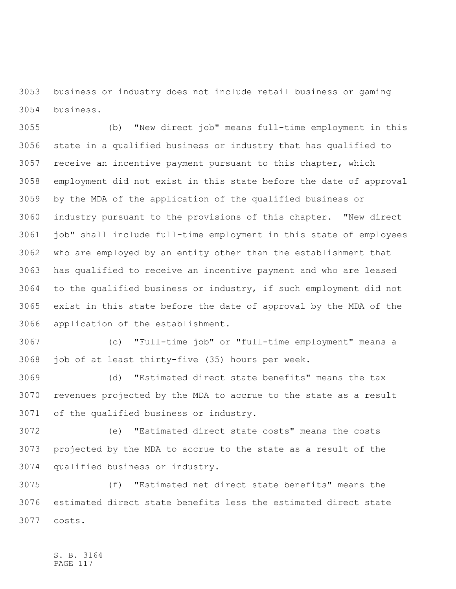business or industry does not include retail business or gaming business.

 (b) "New direct job" means full-time employment in this state in a qualified business or industry that has qualified to receive an incentive payment pursuant to this chapter, which employment did not exist in this state before the date of approval by the MDA of the application of the qualified business or industry pursuant to the provisions of this chapter. "New direct job" shall include full-time employment in this state of employees who are employed by an entity other than the establishment that has qualified to receive an incentive payment and who are leased to the qualified business or industry, if such employment did not exist in this state before the date of approval by the MDA of the application of the establishment.

 (c) "Full-time job" or "full-time employment" means a job of at least thirty-five (35) hours per week.

 (d) "Estimated direct state benefits" means the tax revenues projected by the MDA to accrue to the state as a result of the qualified business or industry.

 (e) "Estimated direct state costs" means the costs projected by the MDA to accrue to the state as a result of the qualified business or industry.

 (f) "Estimated net direct state benefits" means the estimated direct state benefits less the estimated direct state costs.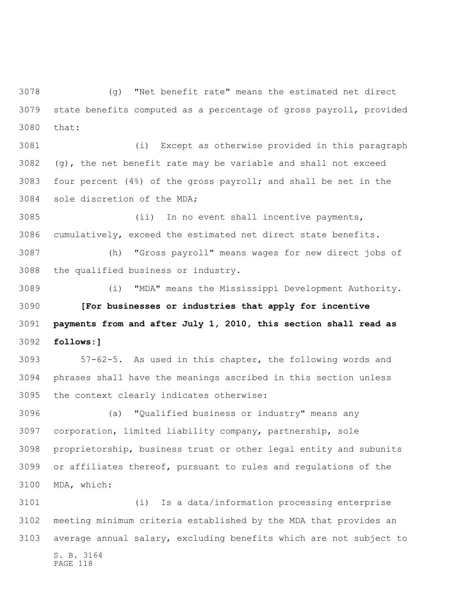(g) "Net benefit rate" means the estimated net direct state benefits computed as a percentage of gross payroll, provided that:

 (i) Except as otherwise provided in this paragraph (g), the net benefit rate may be variable and shall not exceed four percent (4%) of the gross payroll; and shall be set in the sole discretion of the MDA;

 (ii) In no event shall incentive payments, cumulatively, exceed the estimated net direct state benefits.

 (h) "Gross payroll" means wages for new direct jobs of the qualified business or industry.

 (i) "MDA" means the Mississippi Development Authority. **[For businesses or industries that apply for incentive payments from and after July 1, 2010, this section shall read as follows:]**

 57-62-5. As used in this chapter, the following words and phrases shall have the meanings ascribed in this section unless the context clearly indicates otherwise:

 (a) "Qualified business or industry" means any corporation, limited liability company, partnership, sole proprietorship, business trust or other legal entity and subunits or affiliates thereof, pursuant to rules and regulations of the MDA, which:

S. B. 3164 PAGE 118 (i) Is a data/information processing enterprise meeting minimum criteria established by the MDA that provides an average annual salary, excluding benefits which are not subject to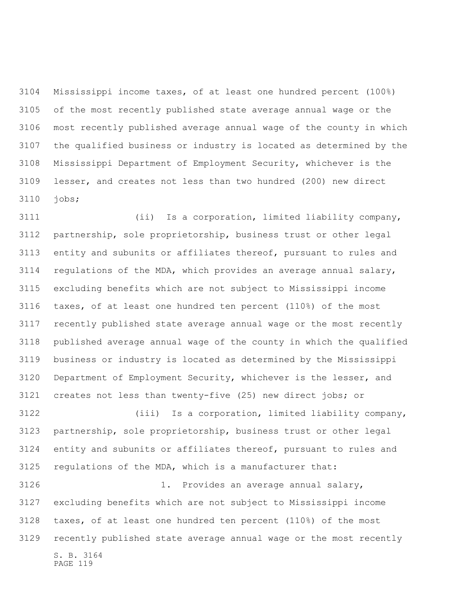Mississippi income taxes, of at least one hundred percent (100%) of the most recently published state average annual wage or the most recently published average annual wage of the county in which the qualified business or industry is located as determined by the Mississippi Department of Employment Security, whichever is the lesser, and creates not less than two hundred (200) new direct jobs;

 (ii) Is a corporation, limited liability company, partnership, sole proprietorship, business trust or other legal entity and subunits or affiliates thereof, pursuant to rules and regulations of the MDA, which provides an average annual salary, excluding benefits which are not subject to Mississippi income taxes, of at least one hundred ten percent (110%) of the most recently published state average annual wage or the most recently published average annual wage of the county in which the qualified business or industry is located as determined by the Mississippi Department of Employment Security, whichever is the lesser, and creates not less than twenty-five (25) new direct jobs; or (iii) Is a corporation, limited liability company,

 partnership, sole proprietorship, business trust or other legal entity and subunits or affiliates thereof, pursuant to rules and regulations of the MDA, which is a manufacturer that: 1. Provides an average annual salary, excluding benefits which are not subject to Mississippi income taxes, of at least one hundred ten percent (110%) of the most recently published state average annual wage or the most recently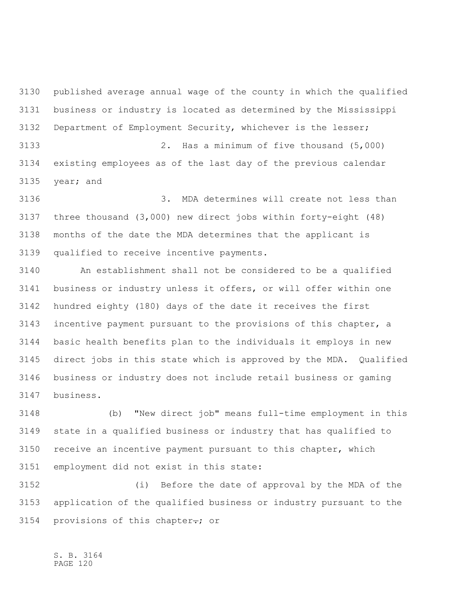published average annual wage of the county in which the qualified business or industry is located as determined by the Mississippi Department of Employment Security, whichever is the lesser; 2. Has a minimum of five thousand (5,000) existing employees as of the last day of the previous calendar year; and

 3. MDA determines will create not less than three thousand (3,000) new direct jobs within forty-eight (48) months of the date the MDA determines that the applicant is qualified to receive incentive payments.

 An establishment shall not be considered to be a qualified business or industry unless it offers, or will offer within one hundred eighty (180) days of the date it receives the first incentive payment pursuant to the provisions of this chapter, a basic health benefits plan to the individuals it employs in new direct jobs in this state which is approved by the MDA. Qualified business or industry does not include retail business or gaming business.

 (b) "New direct job" means full-time employment in this state in a qualified business or industry that has qualified to receive an incentive payment pursuant to this chapter, which employment did not exist in this state:

 (i) Before the date of approval by the MDA of the application of the qualified business or industry pursuant to the provisions of this chapter**.**; or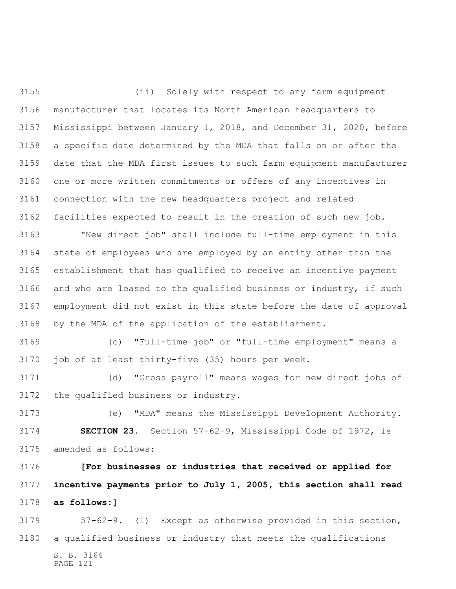(ii) Solely with respect to any farm equipment manufacturer that locates its North American headquarters to Mississippi between January 1, 2018, and December 31, 2020, before a specific date determined by the MDA that falls on or after the date that the MDA first issues to such farm equipment manufacturer one or more written commitments or offers of any incentives in connection with the new headquarters project and related facilities expected to result in the creation of such new job. "New direct job" shall include full-time employment in this state of employees who are employed by an entity other than the establishment that has qualified to receive an incentive payment

 and who are leased to the qualified business or industry, if such employment did not exist in this state before the date of approval by the MDA of the application of the establishment.

 (c) "Full-time job" or "full-time employment" means a job of at least thirty-five (35) hours per week.

 (d) "Gross payroll" means wages for new direct jobs of the qualified business or industry.

 (e) "MDA" means the Mississippi Development Authority. **SECTION 23.** Section 57-62-9, Mississippi Code of 1972, is amended as follows:

 **[For businesses or industries that received or applied for incentive payments prior to July 1, 2005, this section shall read as follows:]**

S. B. 3164 PAGE 121 57-62-9. (1) Except as otherwise provided in this section, a qualified business or industry that meets the qualifications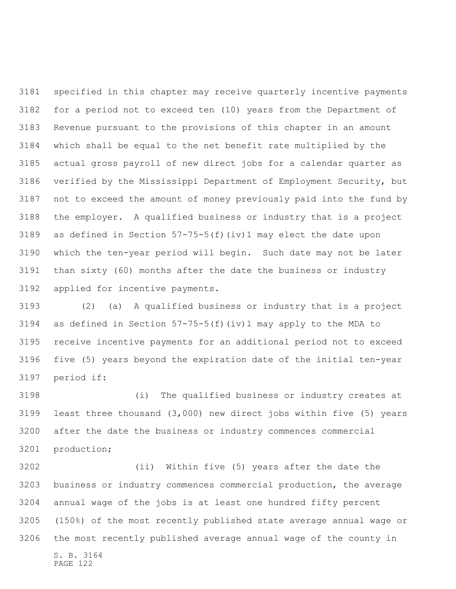specified in this chapter may receive quarterly incentive payments for a period not to exceed ten (10) years from the Department of Revenue pursuant to the provisions of this chapter in an amount which shall be equal to the net benefit rate multiplied by the actual gross payroll of new direct jobs for a calendar quarter as verified by the Mississippi Department of Employment Security, but not to exceed the amount of money previously paid into the fund by the employer. A qualified business or industry that is a project 3189 as defined in Section  $57-75-5(f)(iv)1$  may elect the date upon which the ten-year period will begin. Such date may not be later than sixty (60) months after the date the business or industry applied for incentive payments.

 (2) (a) A qualified business or industry that is a project 3194 as defined in Section  $57-75-5(f)(iv)1$  may apply to the MDA to receive incentive payments for an additional period not to exceed five (5) years beyond the expiration date of the initial ten-year period if:

 (i) The qualified business or industry creates at least three thousand (3,000) new direct jobs within five (5) years after the date the business or industry commences commercial production;

S. B. 3164 PAGE 122 (ii) Within five (5) years after the date the business or industry commences commercial production, the average annual wage of the jobs is at least one hundred fifty percent (150%) of the most recently published state average annual wage or the most recently published average annual wage of the county in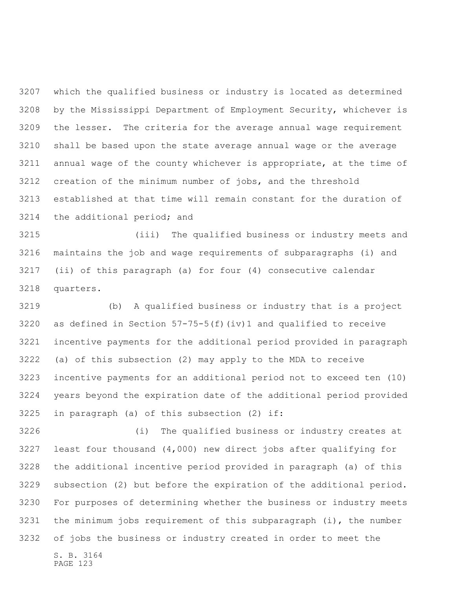which the qualified business or industry is located as determined by the Mississippi Department of Employment Security, whichever is the lesser. The criteria for the average annual wage requirement shall be based upon the state average annual wage or the average annual wage of the county whichever is appropriate, at the time of creation of the minimum number of jobs, and the threshold established at that time will remain constant for the duration of the additional period; and

 (iii) The qualified business or industry meets and maintains the job and wage requirements of subparagraphs (i) and (ii) of this paragraph (a) for four (4) consecutive calendar quarters.

 (b) A qualified business or industry that is a project 3220 as defined in Section  $57-75-5(f)(iv)1$  and qualified to receive incentive payments for the additional period provided in paragraph (a) of this subsection (2) may apply to the MDA to receive incentive payments for an additional period not to exceed ten (10) years beyond the expiration date of the additional period provided in paragraph (a) of this subsection (2) if:

 (i) The qualified business or industry creates at least four thousand (4,000) new direct jobs after qualifying for the additional incentive period provided in paragraph (a) of this subsection (2) but before the expiration of the additional period. For purposes of determining whether the business or industry meets the minimum jobs requirement of this subparagraph (i), the number of jobs the business or industry created in order to meet the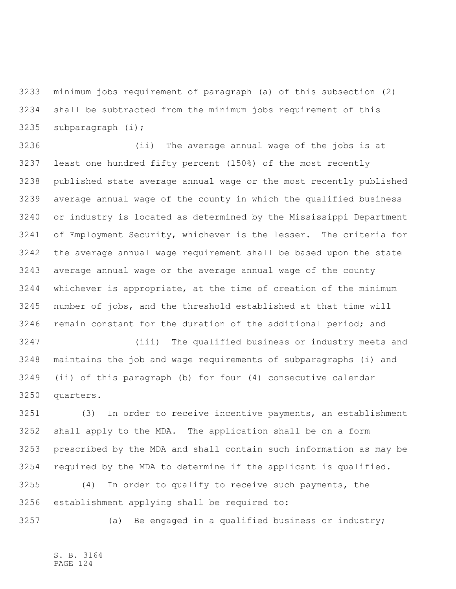minimum jobs requirement of paragraph (a) of this subsection (2) shall be subtracted from the minimum jobs requirement of this subparagraph (i);

 (ii) The average annual wage of the jobs is at least one hundred fifty percent (150%) of the most recently published state average annual wage or the most recently published average annual wage of the county in which the qualified business or industry is located as determined by the Mississippi Department of Employment Security, whichever is the lesser. The criteria for the average annual wage requirement shall be based upon the state average annual wage or the average annual wage of the county whichever is appropriate, at the time of creation of the minimum number of jobs, and the threshold established at that time will 3246 remain constant for the duration of the additional period; and

 (iii) The qualified business or industry meets and maintains the job and wage requirements of subparagraphs (i) and (ii) of this paragraph (b) for four (4) consecutive calendar quarters.

 (3) In order to receive incentive payments, an establishment shall apply to the MDA. The application shall be on a form prescribed by the MDA and shall contain such information as may be required by the MDA to determine if the applicant is qualified.

 (4) In order to qualify to receive such payments, the establishment applying shall be required to:

3257 (a) Be engaged in a qualified business or industry;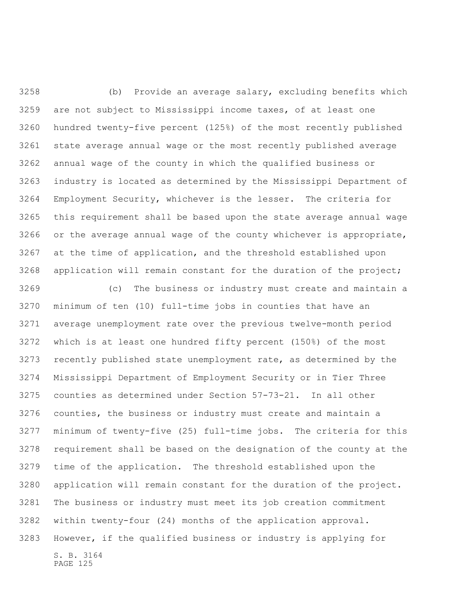(b) Provide an average salary, excluding benefits which are not subject to Mississippi income taxes, of at least one hundred twenty-five percent (125%) of the most recently published state average annual wage or the most recently published average annual wage of the county in which the qualified business or industry is located as determined by the Mississippi Department of Employment Security, whichever is the lesser. The criteria for this requirement shall be based upon the state average annual wage or the average annual wage of the county whichever is appropriate, at the time of application, and the threshold established upon application will remain constant for the duration of the project;

S. B. 3164 PAGE 125 (c) The business or industry must create and maintain a minimum of ten (10) full-time jobs in counties that have an average unemployment rate over the previous twelve-month period which is at least one hundred fifty percent (150%) of the most recently published state unemployment rate, as determined by the Mississippi Department of Employment Security or in Tier Three counties as determined under Section 57-73-21. In all other counties, the business or industry must create and maintain a minimum of twenty-five (25) full-time jobs. The criteria for this requirement shall be based on the designation of the county at the time of the application. The threshold established upon the application will remain constant for the duration of the project. The business or industry must meet its job creation commitment within twenty-four (24) months of the application approval. However, if the qualified business or industry is applying for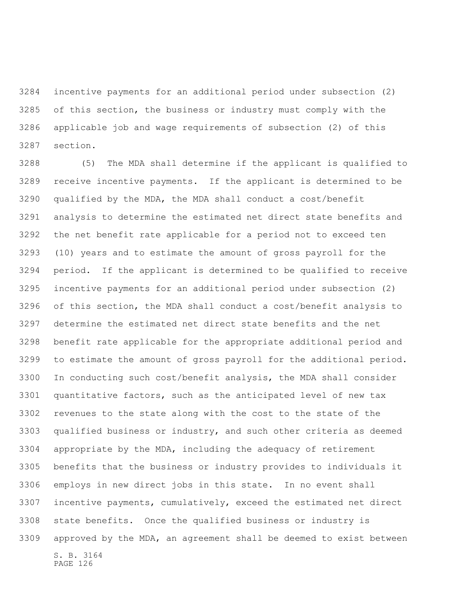incentive payments for an additional period under subsection (2) of this section, the business or industry must comply with the applicable job and wage requirements of subsection (2) of this section.

S. B. 3164 (5) The MDA shall determine if the applicant is qualified to receive incentive payments. If the applicant is determined to be qualified by the MDA, the MDA shall conduct a cost/benefit analysis to determine the estimated net direct state benefits and the net benefit rate applicable for a period not to exceed ten (10) years and to estimate the amount of gross payroll for the period. If the applicant is determined to be qualified to receive incentive payments for an additional period under subsection (2) of this section, the MDA shall conduct a cost/benefit analysis to determine the estimated net direct state benefits and the net benefit rate applicable for the appropriate additional period and to estimate the amount of gross payroll for the additional period. In conducting such cost/benefit analysis, the MDA shall consider quantitative factors, such as the anticipated level of new tax revenues to the state along with the cost to the state of the qualified business or industry, and such other criteria as deemed appropriate by the MDA, including the adequacy of retirement benefits that the business or industry provides to individuals it employs in new direct jobs in this state. In no event shall incentive payments, cumulatively, exceed the estimated net direct state benefits. Once the qualified business or industry is approved by the MDA, an agreement shall be deemed to exist between

```
PAGE 126
```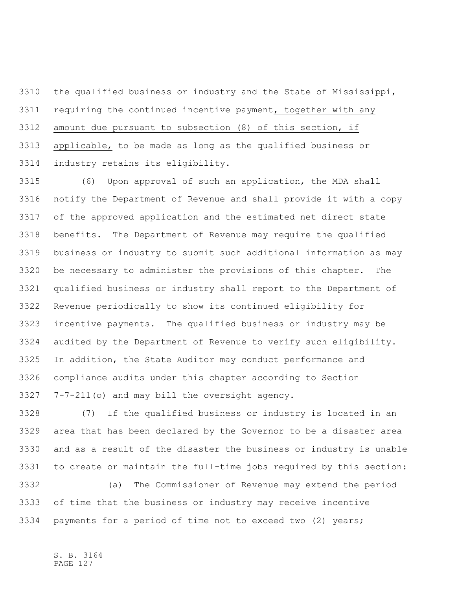the qualified business or industry and the State of Mississippi, requiring the continued incentive payment, together with any amount due pursuant to subsection (8) of this section, if applicable, to be made as long as the qualified business or industry retains its eligibility.

 (6) Upon approval of such an application, the MDA shall notify the Department of Revenue and shall provide it with a copy of the approved application and the estimated net direct state benefits. The Department of Revenue may require the qualified business or industry to submit such additional information as may be necessary to administer the provisions of this chapter. The qualified business or industry shall report to the Department of Revenue periodically to show its continued eligibility for incentive payments. The qualified business or industry may be audited by the Department of Revenue to verify such eligibility. In addition, the State Auditor may conduct performance and compliance audits under this chapter according to Section 7-7-211(o) and may bill the oversight agency.

 (7) If the qualified business or industry is located in an area that has been declared by the Governor to be a disaster area and as a result of the disaster the business or industry is unable to create or maintain the full-time jobs required by this section:

 (a) The Commissioner of Revenue may extend the period of time that the business or industry may receive incentive payments for a period of time not to exceed two (2) years;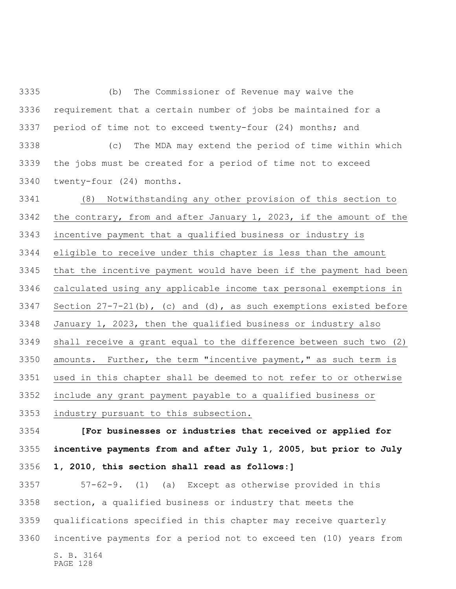(b) The Commissioner of Revenue may waive the requirement that a certain number of jobs be maintained for a period of time not to exceed twenty-four (24) months; and (c) The MDA may extend the period of time within which the jobs must be created for a period of time not to exceed twenty-four (24) months. (8) Notwithstanding any other provision of this section to the contrary, from and after January 1, 2023, if the amount of the incentive payment that a qualified business or industry is eligible to receive under this chapter is less than the amount that the incentive payment would have been if the payment had been calculated using any applicable income tax personal exemptions in Section 27-7-21(b), (c) and (d), as such exemptions existed before January 1, 2023, then the qualified business or industry also

shall receive a grant equal to the difference between such two (2)

amounts. Further, the term "incentive payment," as such term is

used in this chapter shall be deemed to not refer to or otherwise

include any grant payment payable to a qualified business or

industry pursuant to this subsection.

 **[For businesses or industries that received or applied for incentive payments from and after July 1, 2005, but prior to July 1, 2010, this section shall read as follows:]**

S. B. 3164 PAGE 128 57-62-9. (1) (a) Except as otherwise provided in this section, a qualified business or industry that meets the qualifications specified in this chapter may receive quarterly incentive payments for a period not to exceed ten (10) years from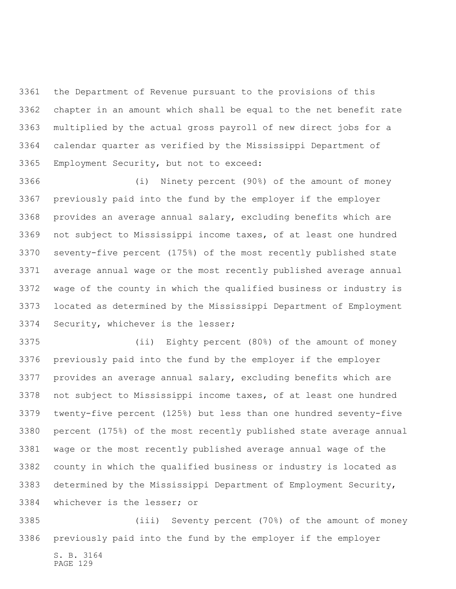the Department of Revenue pursuant to the provisions of this chapter in an amount which shall be equal to the net benefit rate multiplied by the actual gross payroll of new direct jobs for a calendar quarter as verified by the Mississippi Department of Employment Security, but not to exceed:

 (i) Ninety percent (90%) of the amount of money previously paid into the fund by the employer if the employer provides an average annual salary, excluding benefits which are not subject to Mississippi income taxes, of at least one hundred seventy-five percent (175%) of the most recently published state average annual wage or the most recently published average annual wage of the county in which the qualified business or industry is located as determined by the Mississippi Department of Employment Security, whichever is the lesser;

 (ii) Eighty percent (80%) of the amount of money previously paid into the fund by the employer if the employer provides an average annual salary, excluding benefits which are not subject to Mississippi income taxes, of at least one hundred twenty-five percent (125%) but less than one hundred seventy-five percent (175%) of the most recently published state average annual wage or the most recently published average annual wage of the county in which the qualified business or industry is located as determined by the Mississippi Department of Employment Security, whichever is the lesser; or

 (iii) Seventy percent (70%) of the amount of money previously paid into the fund by the employer if the employer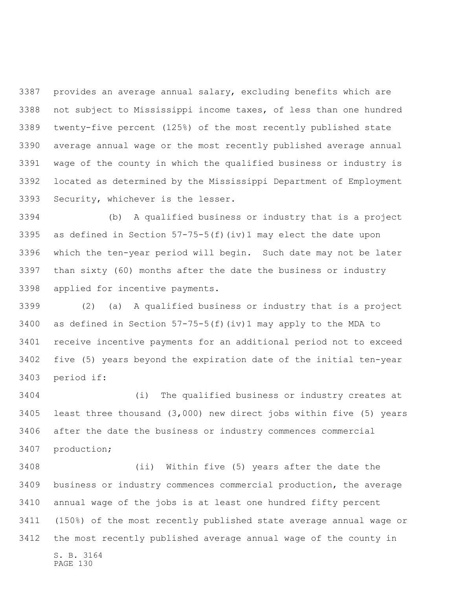provides an average annual salary, excluding benefits which are not subject to Mississippi income taxes, of less than one hundred twenty-five percent (125%) of the most recently published state average annual wage or the most recently published average annual wage of the county in which the qualified business or industry is located as determined by the Mississippi Department of Employment Security, whichever is the lesser.

 (b) A qualified business or industry that is a project as defined in Section 57-75-5(f)(iv)1 may elect the date upon which the ten-year period will begin. Such date may not be later than sixty (60) months after the date the business or industry applied for incentive payments.

 (2) (a) A qualified business or industry that is a project 3400 as defined in Section  $57-75-5(f)(iv)1$  may apply to the MDA to receive incentive payments for an additional period not to exceed five (5) years beyond the expiration date of the initial ten-year period if:

 (i) The qualified business or industry creates at least three thousand (3,000) new direct jobs within five (5) years after the date the business or industry commences commercial production;

S. B. 3164 PAGE 130 (ii) Within five (5) years after the date the business or industry commences commercial production, the average annual wage of the jobs is at least one hundred fifty percent (150%) of the most recently published state average annual wage or the most recently published average annual wage of the county in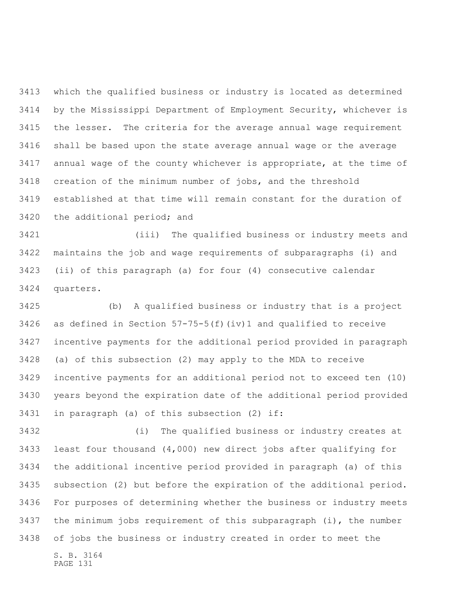which the qualified business or industry is located as determined by the Mississippi Department of Employment Security, whichever is the lesser. The criteria for the average annual wage requirement shall be based upon the state average annual wage or the average annual wage of the county whichever is appropriate, at the time of creation of the minimum number of jobs, and the threshold established at that time will remain constant for the duration of the additional period; and

 (iii) The qualified business or industry meets and maintains the job and wage requirements of subparagraphs (i) and (ii) of this paragraph (a) for four (4) consecutive calendar quarters.

 (b) A qualified business or industry that is a project 3426 as defined in Section  $57-75-5(f)(iv)1$  and qualified to receive incentive payments for the additional period provided in paragraph (a) of this subsection (2) may apply to the MDA to receive incentive payments for an additional period not to exceed ten (10) years beyond the expiration date of the additional period provided in paragraph (a) of this subsection (2) if:

 (i) The qualified business or industry creates at least four thousand (4,000) new direct jobs after qualifying for the additional incentive period provided in paragraph (a) of this subsection (2) but before the expiration of the additional period. For purposes of determining whether the business or industry meets the minimum jobs requirement of this subparagraph (i), the number of jobs the business or industry created in order to meet the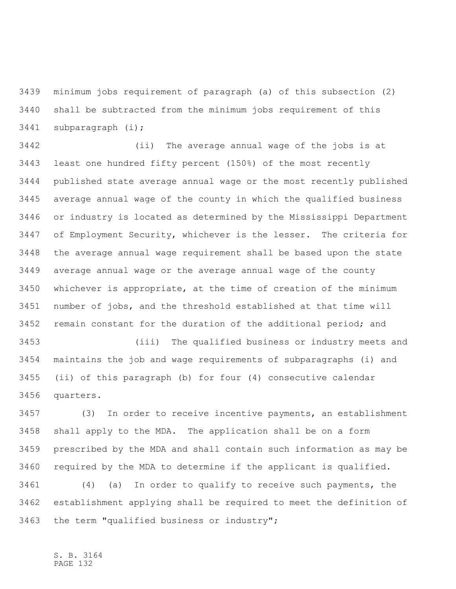minimum jobs requirement of paragraph (a) of this subsection (2) shall be subtracted from the minimum jobs requirement of this subparagraph (i);

 (ii) The average annual wage of the jobs is at least one hundred fifty percent (150%) of the most recently published state average annual wage or the most recently published average annual wage of the county in which the qualified business or industry is located as determined by the Mississippi Department of Employment Security, whichever is the lesser. The criteria for the average annual wage requirement shall be based upon the state average annual wage or the average annual wage of the county whichever is appropriate, at the time of creation of the minimum number of jobs, and the threshold established at that time will remain constant for the duration of the additional period; and

 (iii) The qualified business or industry meets and maintains the job and wage requirements of subparagraphs (i) and (ii) of this paragraph (b) for four (4) consecutive calendar quarters.

 (3) In order to receive incentive payments, an establishment shall apply to the MDA. The application shall be on a form prescribed by the MDA and shall contain such information as may be required by the MDA to determine if the applicant is qualified.

 (4) (a) In order to qualify to receive such payments, the establishment applying shall be required to meet the definition of the term "qualified business or industry";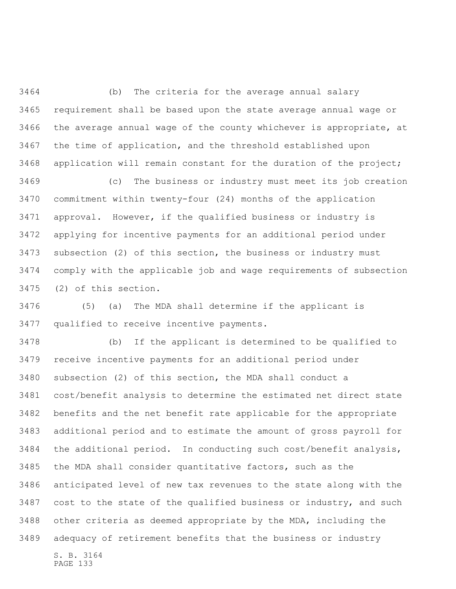(b) The criteria for the average annual salary requirement shall be based upon the state average annual wage or the average annual wage of the county whichever is appropriate, at the time of application, and the threshold established upon application will remain constant for the duration of the project;

 (c) The business or industry must meet its job creation commitment within twenty-four (24) months of the application approval. However, if the qualified business or industry is applying for incentive payments for an additional period under subsection (2) of this section, the business or industry must comply with the applicable job and wage requirements of subsection (2) of this section.

 (5) (a) The MDA shall determine if the applicant is qualified to receive incentive payments.

S. B. 3164 (b) If the applicant is determined to be qualified to receive incentive payments for an additional period under subsection (2) of this section, the MDA shall conduct a cost/benefit analysis to determine the estimated net direct state benefits and the net benefit rate applicable for the appropriate additional period and to estimate the amount of gross payroll for the additional period. In conducting such cost/benefit analysis, the MDA shall consider quantitative factors, such as the anticipated level of new tax revenues to the state along with the 3487 cost to the state of the qualified business or industry, and such other criteria as deemed appropriate by the MDA, including the adequacy of retirement benefits that the business or industry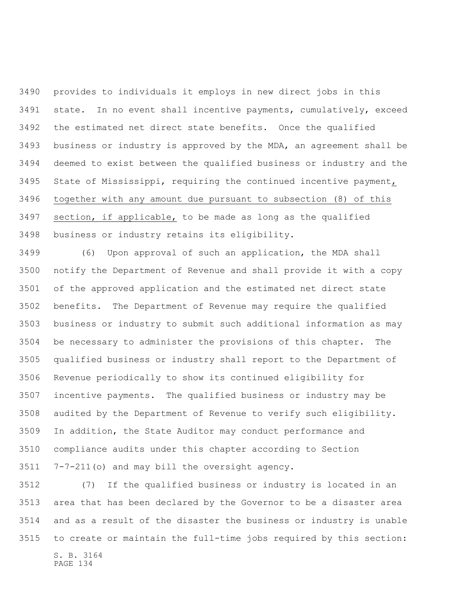provides to individuals it employs in new direct jobs in this state. In no event shall incentive payments, cumulatively, exceed the estimated net direct state benefits. Once the qualified business or industry is approved by the MDA, an agreement shall be deemed to exist between the qualified business or industry and the State of Mississippi, requiring the continued incentive payment, together with any amount due pursuant to subsection (8) of this section, if applicable, to be made as long as the qualified business or industry retains its eligibility.

 (6) Upon approval of such an application, the MDA shall notify the Department of Revenue and shall provide it with a copy of the approved application and the estimated net direct state benefits. The Department of Revenue may require the qualified business or industry to submit such additional information as may be necessary to administer the provisions of this chapter. The qualified business or industry shall report to the Department of Revenue periodically to show its continued eligibility for incentive payments. The qualified business or industry may be audited by the Department of Revenue to verify such eligibility. In addition, the State Auditor may conduct performance and compliance audits under this chapter according to Section 7-7-211(o) and may bill the oversight agency.

S. B. 3164 (7) If the qualified business or industry is located in an area that has been declared by the Governor to be a disaster area and as a result of the disaster the business or industry is unable to create or maintain the full-time jobs required by this section: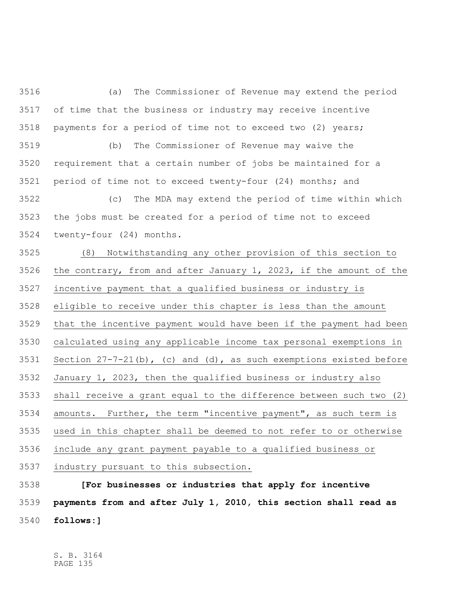(a) The Commissioner of Revenue may extend the period of time that the business or industry may receive incentive payments for a period of time not to exceed two (2) years; (b) The Commissioner of Revenue may waive the requirement that a certain number of jobs be maintained for a period of time not to exceed twenty-four (24) months; and (c) The MDA may extend the period of time within which the jobs must be created for a period of time not to exceed twenty-four (24) months. (8) Notwithstanding any other provision of this section to the contrary, from and after January 1, 2023, if the amount of the incentive payment that a qualified business or industry is eligible to receive under this chapter is less than the amount that the incentive payment would have been if the payment had been calculated using any applicable income tax personal exemptions in Section 27-7-21(b), (c) and (d), as such exemptions existed before January 1, 2023, then the qualified business or industry also shall receive a grant equal to the difference between such two (2) amounts. Further, the term "incentive payment", as such term is used in this chapter shall be deemed to not refer to or otherwise include any grant payment payable to a qualified business or industry pursuant to this subsection.

 **[For businesses or industries that apply for incentive payments from and after July 1, 2010, this section shall read as follows:]**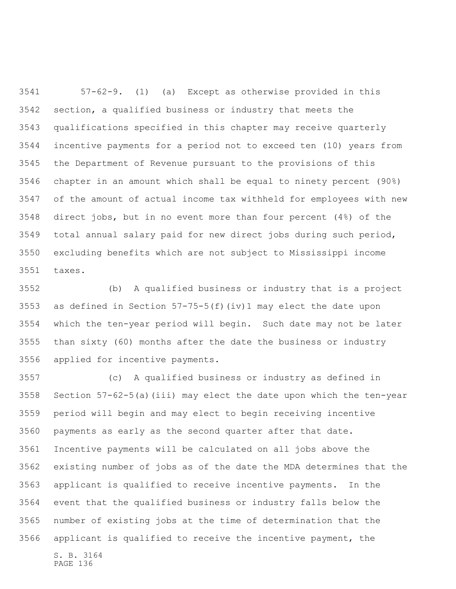57-62-9. (1) (a) Except as otherwise provided in this section, a qualified business or industry that meets the qualifications specified in this chapter may receive quarterly incentive payments for a period not to exceed ten (10) years from the Department of Revenue pursuant to the provisions of this chapter in an amount which shall be equal to ninety percent (90%) of the amount of actual income tax withheld for employees with new direct jobs, but in no event more than four percent (4%) of the total annual salary paid for new direct jobs during such period, excluding benefits which are not subject to Mississippi income taxes.

 (b) A qualified business or industry that is a project as defined in Section 57-75-5(f)(iv)1 may elect the date upon which the ten-year period will begin. Such date may not be later than sixty (60) months after the date the business or industry applied for incentive payments.

 (c) A qualified business or industry as defined in Section 57-62-5(a)(iii) may elect the date upon which the ten-year period will begin and may elect to begin receiving incentive payments as early as the second quarter after that date. Incentive payments will be calculated on all jobs above the existing number of jobs as of the date the MDA determines that the applicant is qualified to receive incentive payments. In the event that the qualified business or industry falls below the number of existing jobs at the time of determination that the applicant is qualified to receive the incentive payment, the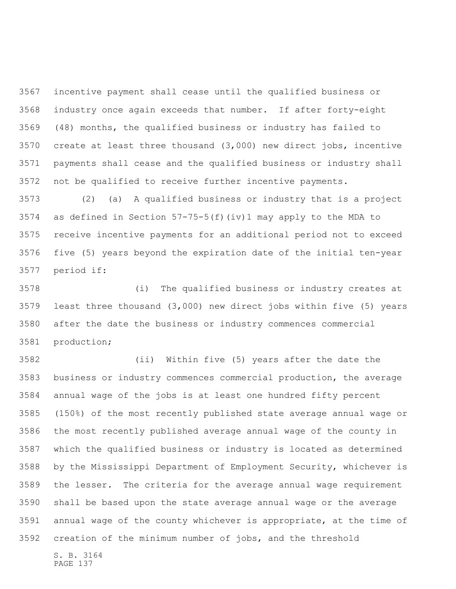incentive payment shall cease until the qualified business or industry once again exceeds that number. If after forty-eight (48) months, the qualified business or industry has failed to create at least three thousand (3,000) new direct jobs, incentive payments shall cease and the qualified business or industry shall not be qualified to receive further incentive payments.

 (2) (a) A qualified business or industry that is a project as defined in Section 57-75-5(f)(iv)1 may apply to the MDA to receive incentive payments for an additional period not to exceed five (5) years beyond the expiration date of the initial ten-year period if:

 (i) The qualified business or industry creates at least three thousand (3,000) new direct jobs within five (5) years after the date the business or industry commences commercial production;

 (ii) Within five (5) years after the date the business or industry commences commercial production, the average annual wage of the jobs is at least one hundred fifty percent (150%) of the most recently published state average annual wage or the most recently published average annual wage of the county in which the qualified business or industry is located as determined by the Mississippi Department of Employment Security, whichever is the lesser. The criteria for the average annual wage requirement shall be based upon the state average annual wage or the average annual wage of the county whichever is appropriate, at the time of creation of the minimum number of jobs, and the threshold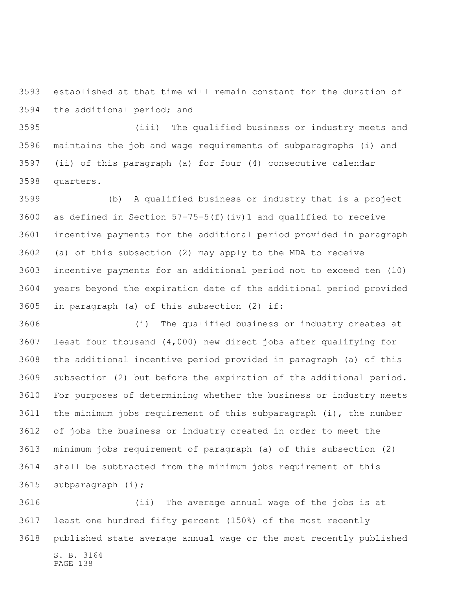established at that time will remain constant for the duration of the additional period; and

 (iii) The qualified business or industry meets and maintains the job and wage requirements of subparagraphs (i) and (ii) of this paragraph (a) for four (4) consecutive calendar quarters.

 (b) A qualified business or industry that is a project as defined in Section 57-75-5(f)(iv)1 and qualified to receive incentive payments for the additional period provided in paragraph (a) of this subsection (2) may apply to the MDA to receive incentive payments for an additional period not to exceed ten (10) years beyond the expiration date of the additional period provided in paragraph (a) of this subsection (2) if:

 (i) The qualified business or industry creates at least four thousand (4,000) new direct jobs after qualifying for the additional incentive period provided in paragraph (a) of this subsection (2) but before the expiration of the additional period. For purposes of determining whether the business or industry meets the minimum jobs requirement of this subparagraph (i), the number of jobs the business or industry created in order to meet the minimum jobs requirement of paragraph (a) of this subsection (2) shall be subtracted from the minimum jobs requirement of this subparagraph (i);

S. B. 3164 (ii) The average annual wage of the jobs is at least one hundred fifty percent (150%) of the most recently published state average annual wage or the most recently published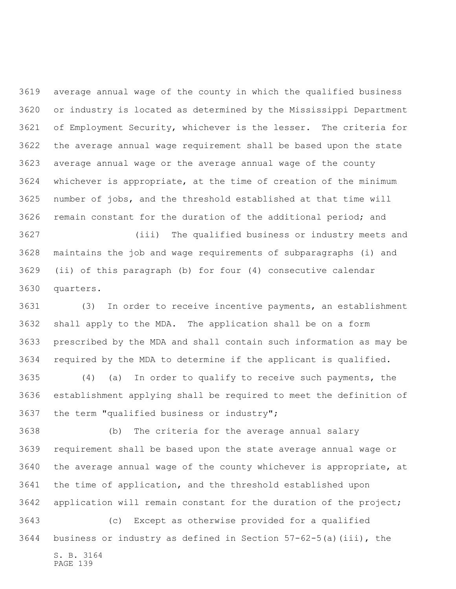average annual wage of the county in which the qualified business or industry is located as determined by the Mississippi Department of Employment Security, whichever is the lesser. The criteria for the average annual wage requirement shall be based upon the state average annual wage or the average annual wage of the county whichever is appropriate, at the time of creation of the minimum number of jobs, and the threshold established at that time will remain constant for the duration of the additional period; and

 (iii) The qualified business or industry meets and maintains the job and wage requirements of subparagraphs (i) and (ii) of this paragraph (b) for four (4) consecutive calendar quarters.

 (3) In order to receive incentive payments, an establishment shall apply to the MDA. The application shall be on a form prescribed by the MDA and shall contain such information as may be required by the MDA to determine if the applicant is qualified.

 (4) (a) In order to qualify to receive such payments, the establishment applying shall be required to meet the definition of the term "qualified business or industry";

 (b) The criteria for the average annual salary requirement shall be based upon the state average annual wage or the average annual wage of the county whichever is appropriate, at the time of application, and the threshold established upon application will remain constant for the duration of the project; (c) Except as otherwise provided for a qualified

S. B. 3164 PAGE 139 business or industry as defined in Section 57-62-5(a)(iii), the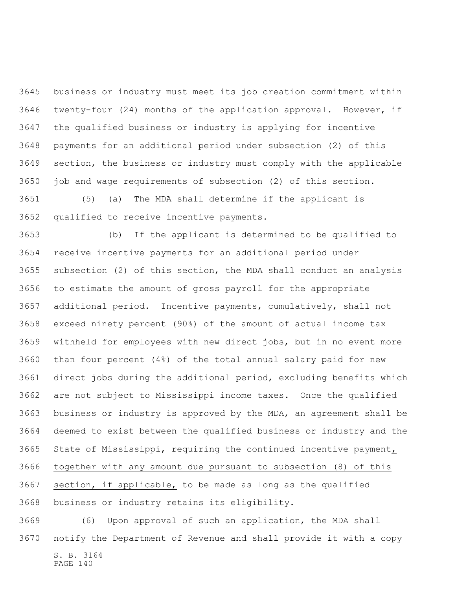business or industry must meet its job creation commitment within twenty-four (24) months of the application approval. However, if the qualified business or industry is applying for incentive payments for an additional period under subsection (2) of this section, the business or industry must comply with the applicable job and wage requirements of subsection (2) of this section.

 (5) (a) The MDA shall determine if the applicant is qualified to receive incentive payments.

 (b) If the applicant is determined to be qualified to receive incentive payments for an additional period under subsection (2) of this section, the MDA shall conduct an analysis to estimate the amount of gross payroll for the appropriate additional period. Incentive payments, cumulatively, shall not exceed ninety percent (90%) of the amount of actual income tax withheld for employees with new direct jobs, but in no event more than four percent (4%) of the total annual salary paid for new direct jobs during the additional period, excluding benefits which are not subject to Mississippi income taxes. Once the qualified business or industry is approved by the MDA, an agreement shall be deemed to exist between the qualified business or industry and the State of Mississippi, requiring the continued incentive payment, together with any amount due pursuant to subsection (8) of this section, if applicable, to be made as long as the qualified business or industry retains its eligibility.

S. B. 3164 PAGE 140 (6) Upon approval of such an application, the MDA shall notify the Department of Revenue and shall provide it with a copy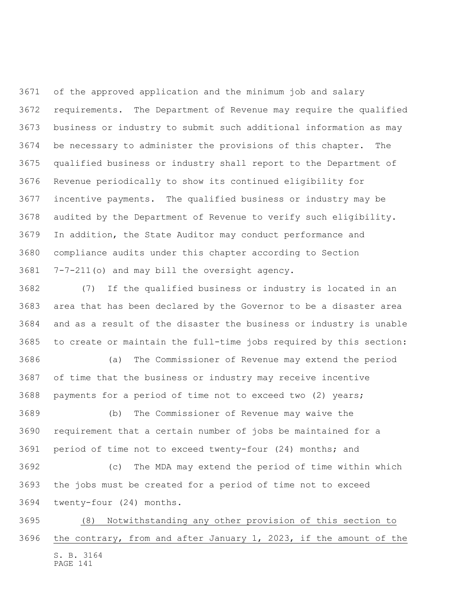of the approved application and the minimum job and salary requirements. The Department of Revenue may require the qualified business or industry to submit such additional information as may be necessary to administer the provisions of this chapter. The qualified business or industry shall report to the Department of Revenue periodically to show its continued eligibility for incentive payments. The qualified business or industry may be audited by the Department of Revenue to verify such eligibility. In addition, the State Auditor may conduct performance and compliance audits under this chapter according to Section 7-7-211(o) and may bill the oversight agency.

 (7) If the qualified business or industry is located in an area that has been declared by the Governor to be a disaster area and as a result of the disaster the business or industry is unable to create or maintain the full-time jobs required by this section:

 (a) The Commissioner of Revenue may extend the period of time that the business or industry may receive incentive payments for a period of time not to exceed two (2) years;

 (b) The Commissioner of Revenue may waive the requirement that a certain number of jobs be maintained for a period of time not to exceed twenty-four (24) months; and

 (c) The MDA may extend the period of time within which the jobs must be created for a period of time not to exceed twenty-four (24) months.

S. B. 3164 PAGE 141 (8) Notwithstanding any other provision of this section to the contrary, from and after January 1, 2023, if the amount of the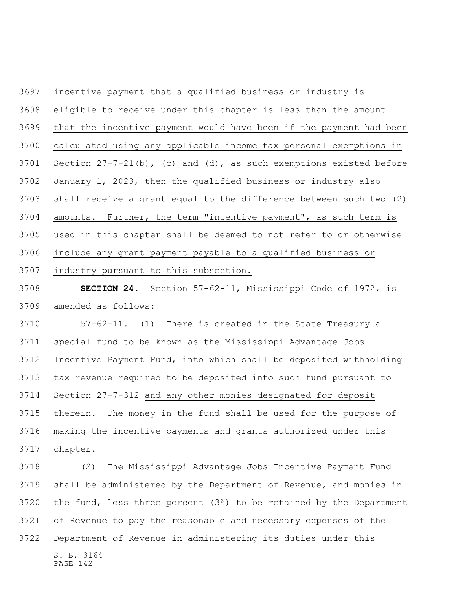incentive payment that a qualified business or industry is eligible to receive under this chapter is less than the amount that the incentive payment would have been if the payment had been calculated using any applicable income tax personal exemptions in Section 27-7-21(b), (c) and (d), as such exemptions existed before January 1, 2023, then the qualified business or industry also shall receive a grant equal to the difference between such two (2) amounts. Further, the term "incentive payment", as such term is used in this chapter shall be deemed to not refer to or otherwise include any grant payment payable to a qualified business or industry pursuant to this subsection.

 **SECTION 24.** Section 57-62-11, Mississippi Code of 1972, is amended as follows:

 57-62-11. (1) There is created in the State Treasury a special fund to be known as the Mississippi Advantage Jobs Incentive Payment Fund, into which shall be deposited withholding tax revenue required to be deposited into such fund pursuant to Section 27-7-312 and any other monies designated for deposit therein. The money in the fund shall be used for the purpose of making the incentive payments and grants authorized under this chapter.

S. B. 3164 (2) The Mississippi Advantage Jobs Incentive Payment Fund shall be administered by the Department of Revenue, and monies in the fund, less three percent (3%) to be retained by the Department of Revenue to pay the reasonable and necessary expenses of the Department of Revenue in administering its duties under this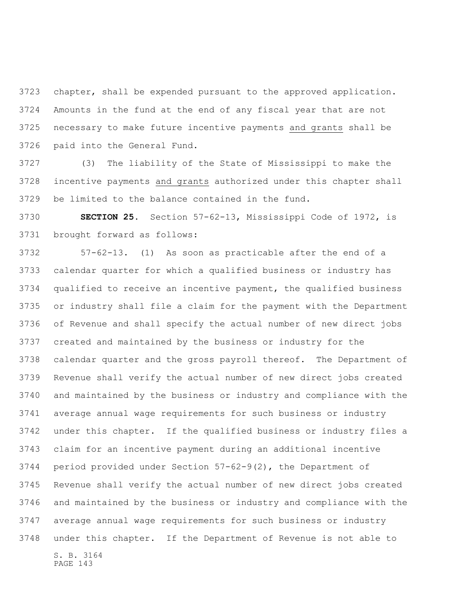chapter, shall be expended pursuant to the approved application. Amounts in the fund at the end of any fiscal year that are not necessary to make future incentive payments and grants shall be paid into the General Fund.

 (3) The liability of the State of Mississippi to make the incentive payments and grants authorized under this chapter shall be limited to the balance contained in the fund.

 **SECTION 25.** Section 57-62-13, Mississippi Code of 1972, is brought forward as follows:

S. B. 3164 57-62-13. (1) As soon as practicable after the end of a calendar quarter for which a qualified business or industry has qualified to receive an incentive payment, the qualified business or industry shall file a claim for the payment with the Department of Revenue and shall specify the actual number of new direct jobs created and maintained by the business or industry for the calendar quarter and the gross payroll thereof. The Department of Revenue shall verify the actual number of new direct jobs created and maintained by the business or industry and compliance with the average annual wage requirements for such business or industry under this chapter. If the qualified business or industry files a claim for an incentive payment during an additional incentive period provided under Section 57-62-9(2), the Department of Revenue shall verify the actual number of new direct jobs created and maintained by the business or industry and compliance with the average annual wage requirements for such business or industry under this chapter. If the Department of Revenue is not able to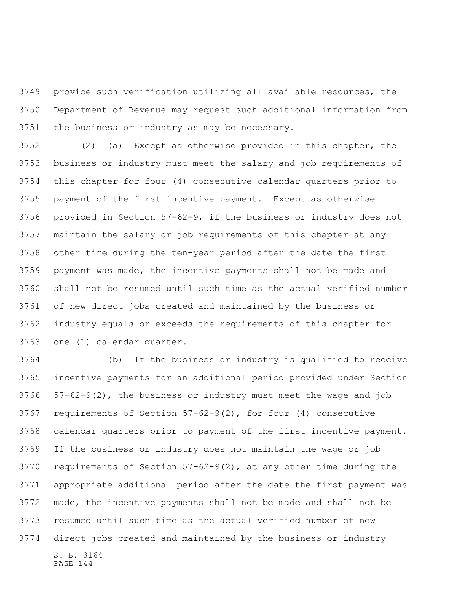provide such verification utilizing all available resources, the Department of Revenue may request such additional information from the business or industry as may be necessary.

 (2) (a) Except as otherwise provided in this chapter, the business or industry must meet the salary and job requirements of this chapter for four (4) consecutive calendar quarters prior to payment of the first incentive payment. Except as otherwise provided in Section 57-62-9, if the business or industry does not maintain the salary or job requirements of this chapter at any other time during the ten-year period after the date the first payment was made, the incentive payments shall not be made and shall not be resumed until such time as the actual verified number of new direct jobs created and maintained by the business or industry equals or exceeds the requirements of this chapter for one (1) calendar quarter.

S. B. 3164 (b) If the business or industry is qualified to receive incentive payments for an additional period provided under Section 57-62-9(2), the business or industry must meet the wage and job requirements of Section 57-62-9(2), for four (4) consecutive calendar quarters prior to payment of the first incentive payment. If the business or industry does not maintain the wage or job requirements of Section 57-62-9(2), at any other time during the appropriate additional period after the date the first payment was made, the incentive payments shall not be made and shall not be resumed until such time as the actual verified number of new direct jobs created and maintained by the business or industry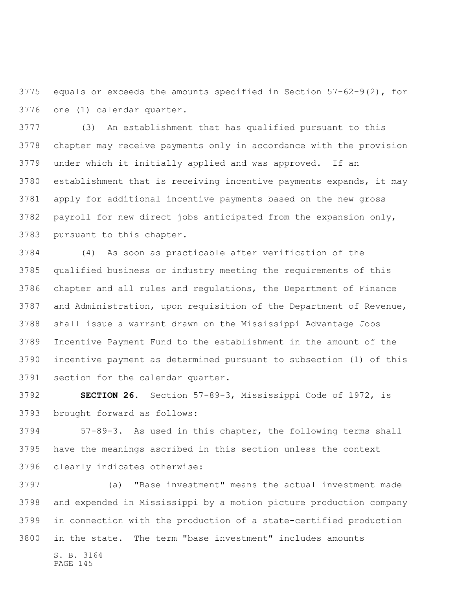equals or exceeds the amounts specified in Section 57-62-9(2), for one (1) calendar quarter.

 (3) An establishment that has qualified pursuant to this chapter may receive payments only in accordance with the provision under which it initially applied and was approved. If an establishment that is receiving incentive payments expands, it may apply for additional incentive payments based on the new gross payroll for new direct jobs anticipated from the expansion only, pursuant to this chapter.

 (4) As soon as practicable after verification of the qualified business or industry meeting the requirements of this chapter and all rules and regulations, the Department of Finance and Administration, upon requisition of the Department of Revenue, shall issue a warrant drawn on the Mississippi Advantage Jobs Incentive Payment Fund to the establishment in the amount of the incentive payment as determined pursuant to subsection (1) of this section for the calendar quarter.

 **SECTION 26.** Section 57-89-3, Mississippi Code of 1972, is brought forward as follows:

 57-89-3. As used in this chapter, the following terms shall have the meanings ascribed in this section unless the context clearly indicates otherwise:

S. B. 3164 (a) "Base investment" means the actual investment made and expended in Mississippi by a motion picture production company in connection with the production of a state-certified production in the state. The term "base investment" includes amounts

PAGE 145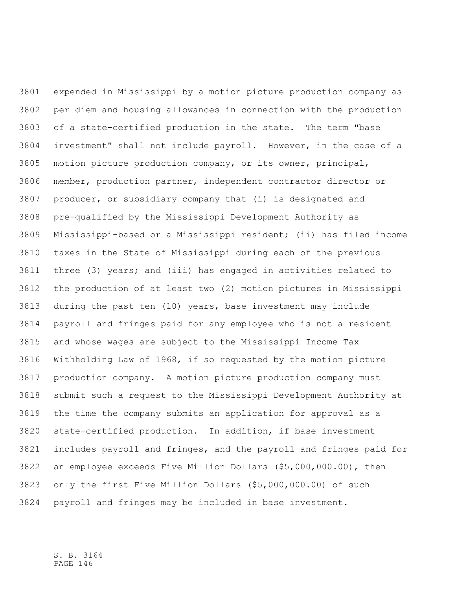expended in Mississippi by a motion picture production company as per diem and housing allowances in connection with the production of a state-certified production in the state. The term "base investment" shall not include payroll. However, in the case of a motion picture production company, or its owner, principal, member, production partner, independent contractor director or producer, or subsidiary company that (i) is designated and pre-qualified by the Mississippi Development Authority as Mississippi-based or a Mississippi resident; (ii) has filed income taxes in the State of Mississippi during each of the previous three (3) years; and (iii) has engaged in activities related to the production of at least two (2) motion pictures in Mississippi during the past ten (10) years, base investment may include payroll and fringes paid for any employee who is not a resident and whose wages are subject to the Mississippi Income Tax Withholding Law of 1968, if so requested by the motion picture production company. A motion picture production company must submit such a request to the Mississippi Development Authority at the time the company submits an application for approval as a state-certified production. In addition, if base investment includes payroll and fringes, and the payroll and fringes paid for an employee exceeds Five Million Dollars (\$5,000,000.00), then only the first Five Million Dollars (\$5,000,000.00) of such payroll and fringes may be included in base investment.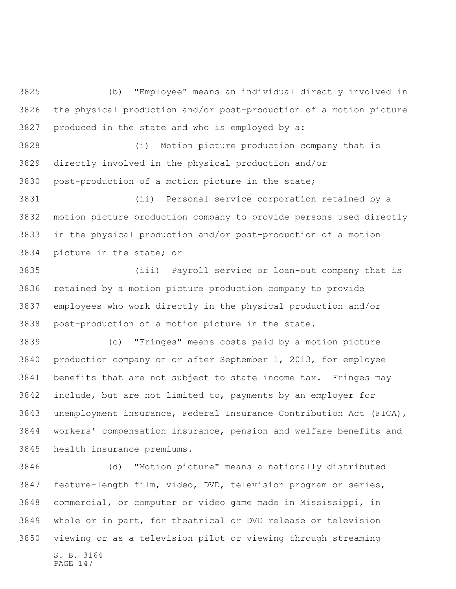(b) "Employee" means an individual directly involved in the physical production and/or post-production of a motion picture produced in the state and who is employed by a:

 (i) Motion picture production company that is directly involved in the physical production and/or post-production of a motion picture in the state;

 (ii) Personal service corporation retained by a motion picture production company to provide persons used directly in the physical production and/or post-production of a motion picture in the state; or

 (iii) Payroll service or loan-out company that is retained by a motion picture production company to provide employees who work directly in the physical production and/or post-production of a motion picture in the state.

 (c) "Fringes" means costs paid by a motion picture production company on or after September 1, 2013, for employee benefits that are not subject to state income tax. Fringes may include, but are not limited to, payments by an employer for unemployment insurance, Federal Insurance Contribution Act (FICA), workers' compensation insurance, pension and welfare benefits and health insurance premiums.

S. B. 3164 PAGE 147 (d) "Motion picture" means a nationally distributed feature-length film, video, DVD, television program or series, commercial, or computer or video game made in Mississippi, in whole or in part, for theatrical or DVD release or television viewing or as a television pilot or viewing through streaming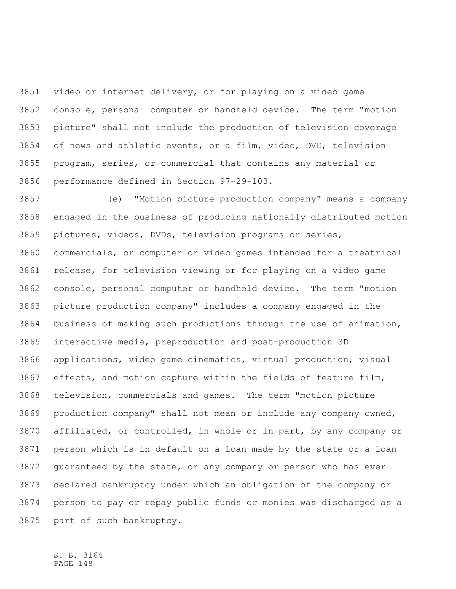video or internet delivery, or for playing on a video game console, personal computer or handheld device. The term "motion picture" shall not include the production of television coverage of news and athletic events, or a film, video, DVD, television program, series, or commercial that contains any material or performance defined in Section 97-29-103.

 (e) "Motion picture production company" means a company engaged in the business of producing nationally distributed motion pictures, videos, DVDs, television programs or series, commercials, or computer or video games intended for a theatrical release, for television viewing or for playing on a video game console, personal computer or handheld device. The term "motion picture production company" includes a company engaged in the business of making such productions through the use of animation, interactive media, preproduction and post-production 3D applications, video game cinematics, virtual production, visual effects, and motion capture within the fields of feature film, television, commercials and games. The term "motion picture production company" shall not mean or include any company owned, affiliated, or controlled, in whole or in part, by any company or person which is in default on a loan made by the state or a loan guaranteed by the state, or any company or person who has ever declared bankruptcy under which an obligation of the company or person to pay or repay public funds or monies was discharged as a part of such bankruptcy.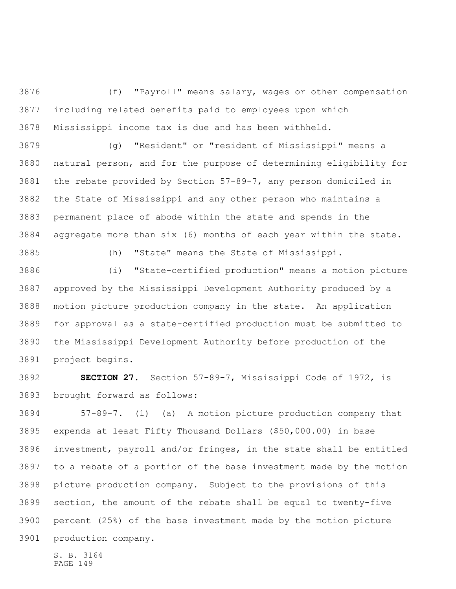(f) "Payroll" means salary, wages or other compensation including related benefits paid to employees upon which Mississippi income tax is due and has been withheld.

 (g) "Resident" or "resident of Mississippi" means a natural person, and for the purpose of determining eligibility for the rebate provided by Section 57-89-7, any person domiciled in the State of Mississippi and any other person who maintains a permanent place of abode within the state and spends in the aggregate more than six (6) months of each year within the state.

(h) "State" means the State of Mississippi.

 (i) "State-certified production" means a motion picture approved by the Mississippi Development Authority produced by a motion picture production company in the state. An application for approval as a state-certified production must be submitted to the Mississippi Development Authority before production of the project begins.

 **SECTION 27.** Section 57-89-7, Mississippi Code of 1972, is brought forward as follows:

 57-89-7. (1) (a) A motion picture production company that expends at least Fifty Thousand Dollars (\$50,000.00) in base investment, payroll and/or fringes, in the state shall be entitled to a rebate of a portion of the base investment made by the motion picture production company. Subject to the provisions of this section, the amount of the rebate shall be equal to twenty-five percent (25%) of the base investment made by the motion picture production company.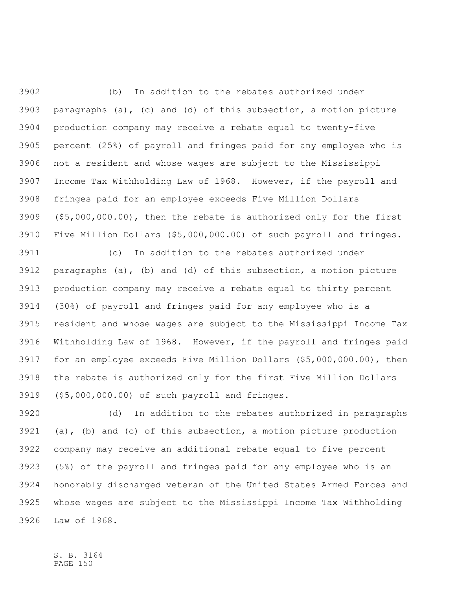(b) In addition to the rebates authorized under paragraphs (a), (c) and (d) of this subsection, a motion picture production company may receive a rebate equal to twenty-five percent (25%) of payroll and fringes paid for any employee who is not a resident and whose wages are subject to the Mississippi Income Tax Withholding Law of 1968. However, if the payroll and fringes paid for an employee exceeds Five Million Dollars (\$5,000,000.00), then the rebate is authorized only for the first Five Million Dollars (\$5,000,000.00) of such payroll and fringes.

 (c) In addition to the rebates authorized under paragraphs (a), (b) and (d) of this subsection, a motion picture production company may receive a rebate equal to thirty percent (30%) of payroll and fringes paid for any employee who is a resident and whose wages are subject to the Mississippi Income Tax Withholding Law of 1968. However, if the payroll and fringes paid for an employee exceeds Five Million Dollars (\$5,000,000.00), then the rebate is authorized only for the first Five Million Dollars (\$5,000,000.00) of such payroll and fringes.

 (d) In addition to the rebates authorized in paragraphs (a), (b) and (c) of this subsection, a motion picture production company may receive an additional rebate equal to five percent (5%) of the payroll and fringes paid for any employee who is an honorably discharged veteran of the United States Armed Forces and whose wages are subject to the Mississippi Income Tax Withholding Law of 1968.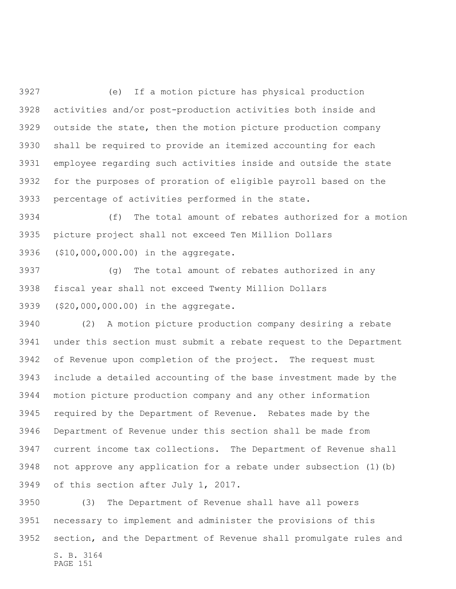(e) If a motion picture has physical production activities and/or post-production activities both inside and outside the state, then the motion picture production company shall be required to provide an itemized accounting for each employee regarding such activities inside and outside the state for the purposes of proration of eligible payroll based on the percentage of activities performed in the state.

 (f) The total amount of rebates authorized for a motion picture project shall not exceed Ten Million Dollars (\$10,000,000.00) in the aggregate.

 (g) The total amount of rebates authorized in any fiscal year shall not exceed Twenty Million Dollars (\$20,000,000.00) in the aggregate.

 (2) A motion picture production company desiring a rebate under this section must submit a rebate request to the Department of Revenue upon completion of the project. The request must include a detailed accounting of the base investment made by the motion picture production company and any other information required by the Department of Revenue. Rebates made by the Department of Revenue under this section shall be made from current income tax collections. The Department of Revenue shall not approve any application for a rebate under subsection (1)(b) of this section after July 1, 2017.

S. B. 3164 (3) The Department of Revenue shall have all powers necessary to implement and administer the provisions of this section, and the Department of Revenue shall promulgate rules and

PAGE 151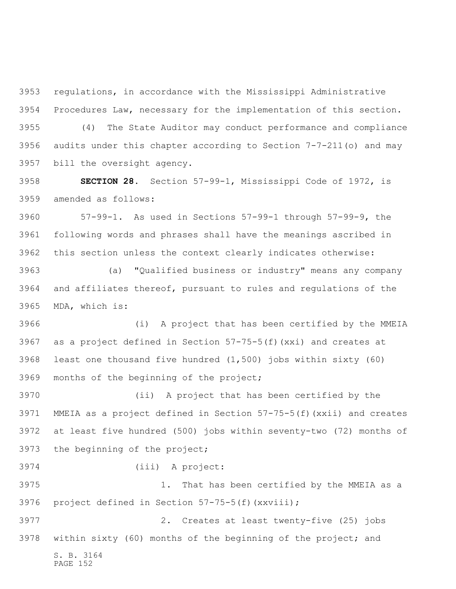regulations, in accordance with the Mississippi Administrative Procedures Law, necessary for the implementation of this section. (4) The State Auditor may conduct performance and compliance audits under this chapter according to Section 7-7-211(o) and may bill the oversight agency.

 **SECTION 28.** Section 57-99-1, Mississippi Code of 1972, is amended as follows:

 57-99-1. As used in Sections 57-99-1 through 57-99-9, the following words and phrases shall have the meanings ascribed in this section unless the context clearly indicates otherwise:

 (a) "Qualified business or industry" means any company and affiliates thereof, pursuant to rules and regulations of the MDA, which is:

 (i) A project that has been certified by the MMEIA as a project defined in Section 57-75-5(f)(xxi) and creates at least one thousand five hundred (1,500) jobs within sixty (60) months of the beginning of the project;

 (ii) A project that has been certified by the MMEIA as a project defined in Section 57-75-5(f)(xxii) and creates at least five hundred (500) jobs within seventy-two (72) months of the beginning of the project;

(iii) A project:

 1. That has been certified by the MMEIA as a project defined in Section 57-75-5(f)(xxviii);

S. B. 3164 PAGE 152 2. Creates at least twenty-five (25) jobs within sixty (60) months of the beginning of the project; and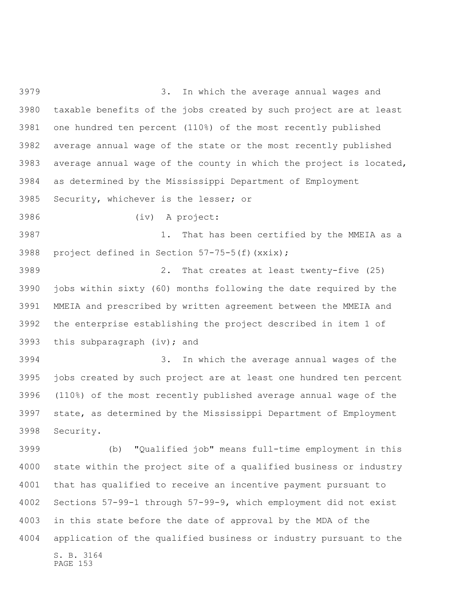3. In which the average annual wages and taxable benefits of the jobs created by such project are at least one hundred ten percent (110%) of the most recently published average annual wage of the state or the most recently published average annual wage of the county in which the project is located, as determined by the Mississippi Department of Employment Security, whichever is the lesser; or (iv) A project: 1. That has been certified by the MMEIA as a project defined in Section 57-75-5(f)(xxix); 2. That creates at least twenty-five (25) jobs within sixty (60) months following the date required by the MMEIA and prescribed by written agreement between the MMEIA and the enterprise establishing the project described in item 1 of this subparagraph (iv); and 3. In which the average annual wages of the jobs created by such project are at least one hundred ten percent (110%) of the most recently published average annual wage of the state, as determined by the Mississippi Department of Employment Security. (b) "Qualified job" means full-time employment in this state within the project site of a qualified business or industry that has qualified to receive an incentive payment pursuant to Sections 57-99-1 through 57-99-9, which employment did not exist

 in this state before the date of approval by the MDA of the application of the qualified business or industry pursuant to the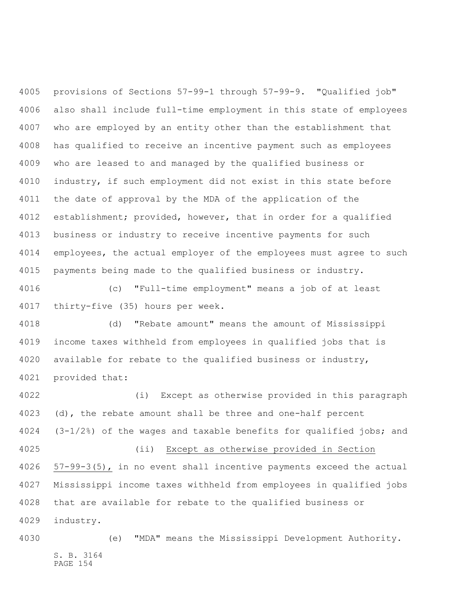provisions of Sections 57-99-1 through 57-99-9. "Qualified job" also shall include full-time employment in this state of employees who are employed by an entity other than the establishment that has qualified to receive an incentive payment such as employees who are leased to and managed by the qualified business or industry, if such employment did not exist in this state before the date of approval by the MDA of the application of the establishment; provided, however, that in order for a qualified business or industry to receive incentive payments for such employees, the actual employer of the employees must agree to such payments being made to the qualified business or industry.

 (c) "Full-time employment" means a job of at least thirty-five (35) hours per week.

 (d) "Rebate amount" means the amount of Mississippi income taxes withheld from employees in qualified jobs that is available for rebate to the qualified business or industry, provided that:

 (i) Except as otherwise provided in this paragraph 4023 (d), the rebate amount shall be three and one-half percent (3-1/2%) of the wages and taxable benefits for qualified jobs; and (ii) Except as otherwise provided in Section 57-99-3(5), in no event shall incentive payments exceed the actual Mississippi income taxes withheld from employees in qualified jobs that are available for rebate to the qualified business or industry.

S. B. 3164 PAGE 154 (e) "MDA" means the Mississippi Development Authority.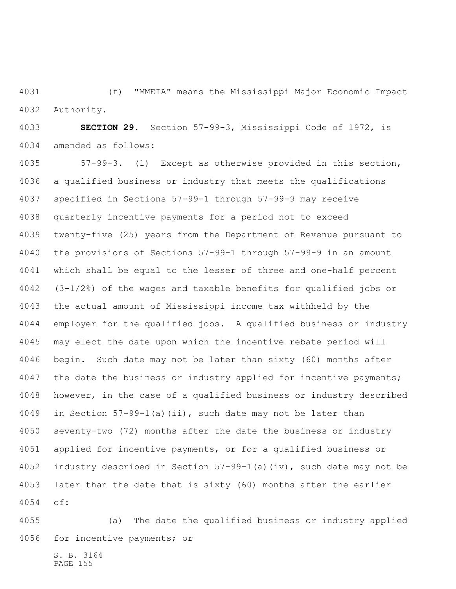(f) "MMEIA" means the Mississippi Major Economic Impact Authority.

 **SECTION 29.** Section 57-99-3, Mississippi Code of 1972, is amended as follows:

 57-99-3. (1) Except as otherwise provided in this section, a qualified business or industry that meets the qualifications specified in Sections 57-99-1 through 57-99-9 may receive quarterly incentive payments for a period not to exceed twenty-five (25) years from the Department of Revenue pursuant to the provisions of Sections 57-99-1 through 57-99-9 in an amount which shall be equal to the lesser of three and one-half percent (3-1/2%) of the wages and taxable benefits for qualified jobs or the actual amount of Mississippi income tax withheld by the employer for the qualified jobs. A qualified business or industry may elect the date upon which the incentive rebate period will begin. Such date may not be later than sixty (60) months after 4047 the date the business or industry applied for incentive payments; however, in the case of a qualified business or industry described in Section 57-99-1(a)(ii), such date may not be later than seventy-two (72) months after the date the business or industry applied for incentive payments, or for a qualified business or industry described in Section 57-99-1(a)(iv), such date may not be later than the date that is sixty (60) months after the earlier of:

 (a) The date the qualified business or industry applied for incentive payments; or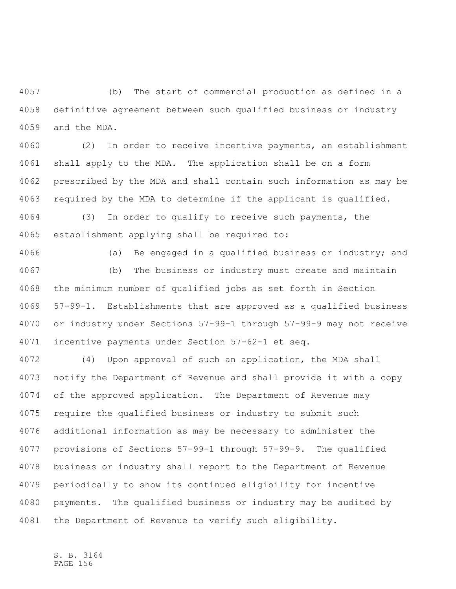(b) The start of commercial production as defined in a definitive agreement between such qualified business or industry and the MDA.

 (2) In order to receive incentive payments, an establishment shall apply to the MDA. The application shall be on a form prescribed by the MDA and shall contain such information as may be required by the MDA to determine if the applicant is qualified.

 (3) In order to qualify to receive such payments, the establishment applying shall be required to:

4066 (a) Be engaged in a qualified business or industry; and (b) The business or industry must create and maintain

 the minimum number of qualified jobs as set forth in Section 57-99-1. Establishments that are approved as a qualified business or industry under Sections 57-99-1 through 57-99-9 may not receive incentive payments under Section 57-62-1 et seq.

 (4) Upon approval of such an application, the MDA shall notify the Department of Revenue and shall provide it with a copy of the approved application. The Department of Revenue may require the qualified business or industry to submit such additional information as may be necessary to administer the provisions of Sections 57-99-1 through 57-99-9. The qualified business or industry shall report to the Department of Revenue periodically to show its continued eligibility for incentive payments. The qualified business or industry may be audited by the Department of Revenue to verify such eligibility.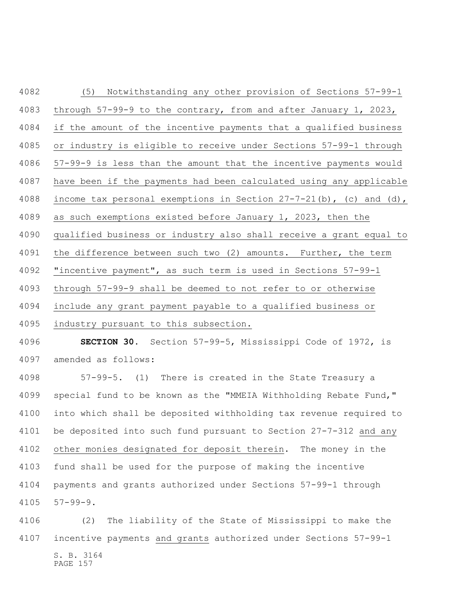(5) Notwithstanding any other provision of Sections 57-99-1 through 57-99-9 to the contrary, from and after January 1, 2023, if the amount of the incentive payments that a qualified business or industry is eligible to receive under Sections 57-99-1 through 57-99-9 is less than the amount that the incentive payments would have been if the payments had been calculated using any applicable 4088 income tax personal exemptions in Section  $27-7-21$  (b), (c) and (d), as such exemptions existed before January 1, 2023, then the qualified business or industry also shall receive a grant equal to the difference between such two (2) amounts. Further, the term "incentive payment", as such term is used in Sections 57-99-1 through 57-99-9 shall be deemed to not refer to or otherwise include any grant payment payable to a qualified business or industry pursuant to this subsection.

 **SECTION 30.** Section 57-99-5, Mississippi Code of 1972, is amended as follows:

 57-99-5. (1) There is created in the State Treasury a special fund to be known as the "MMEIA Withholding Rebate Fund," into which shall be deposited withholding tax revenue required to be deposited into such fund pursuant to Section 27-7-312 and any other monies designated for deposit therein. The money in the fund shall be used for the purpose of making the incentive payments and grants authorized under Sections 57-99-1 through 57-99-9.

S. B. 3164 PAGE 157 (2) The liability of the State of Mississippi to make the incentive payments and grants authorized under Sections 57-99-1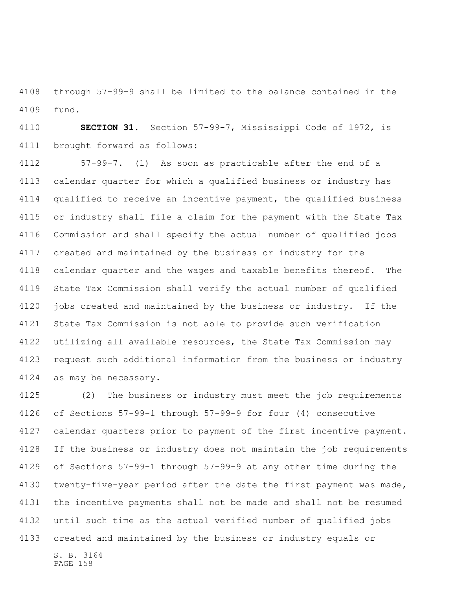through 57-99-9 shall be limited to the balance contained in the fund.

 **SECTION 31.** Section 57-99-7, Mississippi Code of 1972, is brought forward as follows:

 57-99-7. (1) As soon as practicable after the end of a calendar quarter for which a qualified business or industry has qualified to receive an incentive payment, the qualified business or industry shall file a claim for the payment with the State Tax Commission and shall specify the actual number of qualified jobs created and maintained by the business or industry for the 4118 calendar quarter and the wages and taxable benefits thereof. The State Tax Commission shall verify the actual number of qualified jobs created and maintained by the business or industry. If the State Tax Commission is not able to provide such verification utilizing all available resources, the State Tax Commission may request such additional information from the business or industry as may be necessary.

 (2) The business or industry must meet the job requirements of Sections 57-99-1 through 57-99-9 for four (4) consecutive calendar quarters prior to payment of the first incentive payment. If the business or industry does not maintain the job requirements of Sections 57-99-1 through 57-99-9 at any other time during the twenty-five-year period after the date the first payment was made, the incentive payments shall not be made and shall not be resumed until such time as the actual verified number of qualified jobs created and maintained by the business or industry equals or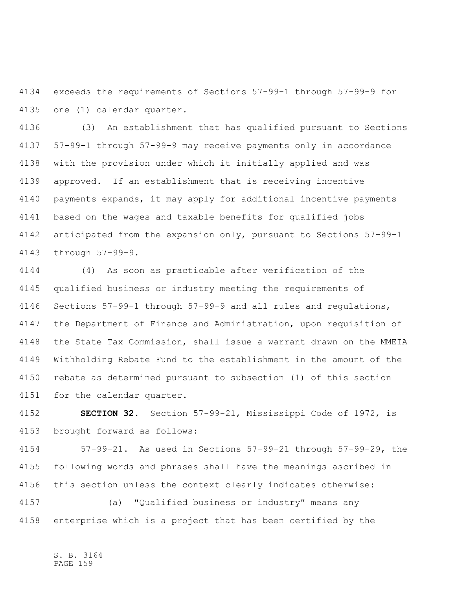exceeds the requirements of Sections 57-99-1 through 57-99-9 for one (1) calendar quarter.

 (3) An establishment that has qualified pursuant to Sections 57-99-1 through 57-99-9 may receive payments only in accordance with the provision under which it initially applied and was approved. If an establishment that is receiving incentive payments expands, it may apply for additional incentive payments based on the wages and taxable benefits for qualified jobs anticipated from the expansion only, pursuant to Sections 57-99-1 through 57-99-9.

 (4) As soon as practicable after verification of the qualified business or industry meeting the requirements of Sections 57-99-1 through 57-99-9 and all rules and regulations, the Department of Finance and Administration, upon requisition of the State Tax Commission, shall issue a warrant drawn on the MMEIA Withholding Rebate Fund to the establishment in the amount of the rebate as determined pursuant to subsection (1) of this section for the calendar quarter.

 **SECTION 32.** Section 57-99-21, Mississippi Code of 1972, is brought forward as follows:

 57-99-21. As used in Sections 57-99-21 through 57-99-29, the following words and phrases shall have the meanings ascribed in this section unless the context clearly indicates otherwise:

 (a) "Qualified business or industry" means any enterprise which is a project that has been certified by the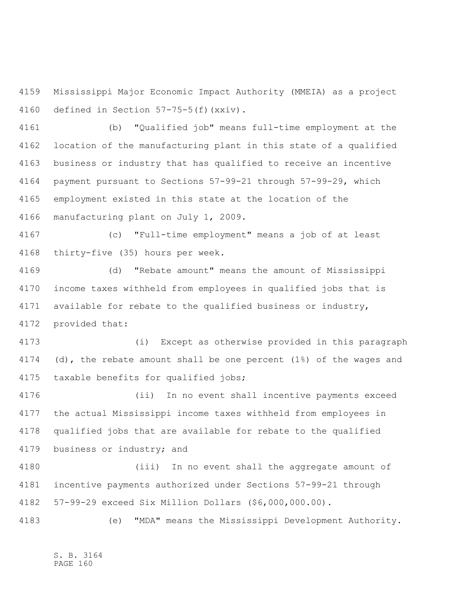Mississippi Major Economic Impact Authority (MMEIA) as a project defined in Section 57-75-5(f)(xxiv).

 (b) "Qualified job" means full-time employment at the location of the manufacturing plant in this state of a qualified business or industry that has qualified to receive an incentive payment pursuant to Sections 57-99-21 through 57-99-29, which employment existed in this state at the location of the manufacturing plant on July 1, 2009.

 (c) "Full-time employment" means a job of at least thirty-five (35) hours per week.

 (d) "Rebate amount" means the amount of Mississippi income taxes withheld from employees in qualified jobs that is available for rebate to the qualified business or industry, provided that:

 (i) Except as otherwise provided in this paragraph (d), the rebate amount shall be one percent (1%) of the wages and taxable benefits for qualified jobs;

 (ii) In no event shall incentive payments exceed the actual Mississippi income taxes withheld from employees in qualified jobs that are available for rebate to the qualified business or industry; and

 (iii) In no event shall the aggregate amount of incentive payments authorized under Sections 57-99-21 through 57-99-29 exceed Six Million Dollars (\$6,000,000.00).

(e) "MDA" means the Mississippi Development Authority.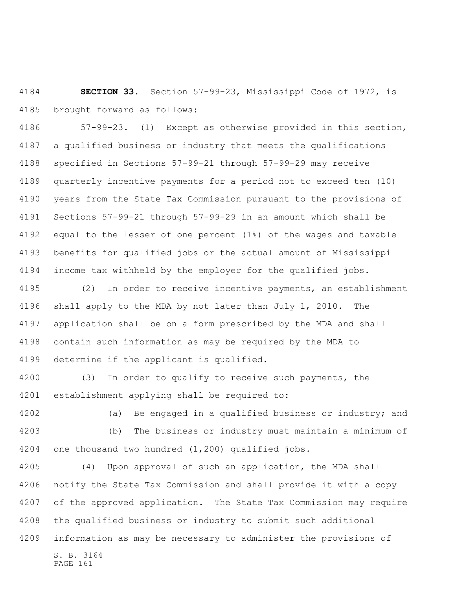**SECTION 33.** Section 57-99-23, Mississippi Code of 1972, is brought forward as follows:

 57-99-23. (1) Except as otherwise provided in this section, a qualified business or industry that meets the qualifications specified in Sections 57-99-21 through 57-99-29 may receive quarterly incentive payments for a period not to exceed ten (10) years from the State Tax Commission pursuant to the provisions of Sections 57-99-21 through 57-99-29 in an amount which shall be equal to the lesser of one percent (1%) of the wages and taxable benefits for qualified jobs or the actual amount of Mississippi income tax withheld by the employer for the qualified jobs.

 (2) In order to receive incentive payments, an establishment shall apply to the MDA by not later than July 1, 2010. The application shall be on a form prescribed by the MDA and shall contain such information as may be required by the MDA to determine if the applicant is qualified.

 (3) In order to qualify to receive such payments, the establishment applying shall be required to:

 (a) Be engaged in a qualified business or industry; and (b) The business or industry must maintain a minimum of one thousand two hundred (1,200) qualified jobs.

 (4) Upon approval of such an application, the MDA shall notify the State Tax Commission and shall provide it with a copy of the approved application. The State Tax Commission may require the qualified business or industry to submit such additional information as may be necessary to administer the provisions of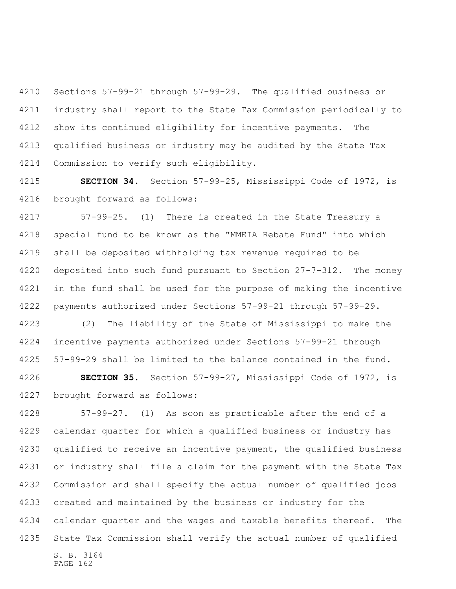Sections 57-99-21 through 57-99-29. The qualified business or industry shall report to the State Tax Commission periodically to show its continued eligibility for incentive payments. The qualified business or industry may be audited by the State Tax Commission to verify such eligibility.

 **SECTION 34.** Section 57-99-25, Mississippi Code of 1972, is brought forward as follows:

 57-99-25. (1) There is created in the State Treasury a special fund to be known as the "MMEIA Rebate Fund" into which shall be deposited withholding tax revenue required to be deposited into such fund pursuant to Section 27-7-312. The money in the fund shall be used for the purpose of making the incentive payments authorized under Sections 57-99-21 through 57-99-29.

 (2) The liability of the State of Mississippi to make the incentive payments authorized under Sections 57-99-21 through 57-99-29 shall be limited to the balance contained in the fund.

 **SECTION 35.** Section 57-99-27, Mississippi Code of 1972, is brought forward as follows:

S. B. 3164 57-99-27. (1) As soon as practicable after the end of a calendar quarter for which a qualified business or industry has qualified to receive an incentive payment, the qualified business or industry shall file a claim for the payment with the State Tax Commission and shall specify the actual number of qualified jobs created and maintained by the business or industry for the 4234 calendar quarter and the wages and taxable benefits thereof. The State Tax Commission shall verify the actual number of qualified

PAGE 162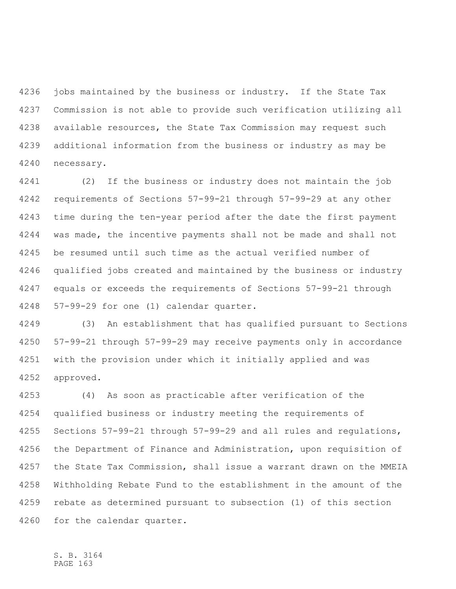jobs maintained by the business or industry. If the State Tax Commission is not able to provide such verification utilizing all available resources, the State Tax Commission may request such additional information from the business or industry as may be necessary.

 (2) If the business or industry does not maintain the job requirements of Sections 57-99-21 through 57-99-29 at any other time during the ten-year period after the date the first payment was made, the incentive payments shall not be made and shall not be resumed until such time as the actual verified number of qualified jobs created and maintained by the business or industry equals or exceeds the requirements of Sections 57-99-21 through 57-99-29 for one (1) calendar quarter.

 (3) An establishment that has qualified pursuant to Sections 57-99-21 through 57-99-29 may receive payments only in accordance with the provision under which it initially applied and was approved.

 (4) As soon as practicable after verification of the qualified business or industry meeting the requirements of Sections 57-99-21 through 57-99-29 and all rules and regulations, the Department of Finance and Administration, upon requisition of the State Tax Commission, shall issue a warrant drawn on the MMEIA Withholding Rebate Fund to the establishment in the amount of the rebate as determined pursuant to subsection (1) of this section for the calendar quarter.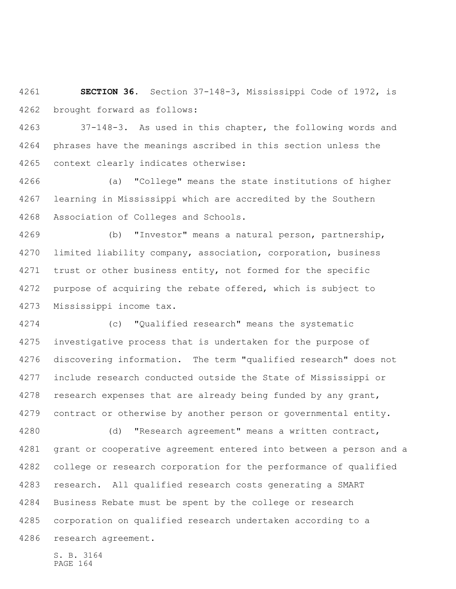**SECTION 36.** Section 37-148-3, Mississippi Code of 1972, is brought forward as follows:

 37-148-3. As used in this chapter, the following words and phrases have the meanings ascribed in this section unless the context clearly indicates otherwise:

 (a) "College" means the state institutions of higher learning in Mississippi which are accredited by the Southern Association of Colleges and Schools.

 (b) "Investor" means a natural person, partnership, limited liability company, association, corporation, business trust or other business entity, not formed for the specific purpose of acquiring the rebate offered, which is subject to Mississippi income tax.

 (c) "Qualified research" means the systematic investigative process that is undertaken for the purpose of discovering information. The term "qualified research" does not include research conducted outside the State of Mississippi or 4278 research expenses that are already being funded by any grant, contract or otherwise by another person or governmental entity.

 (d) "Research agreement" means a written contract, grant or cooperative agreement entered into between a person and a college or research corporation for the performance of qualified research. All qualified research costs generating a SMART Business Rebate must be spent by the college or research corporation on qualified research undertaken according to a research agreement.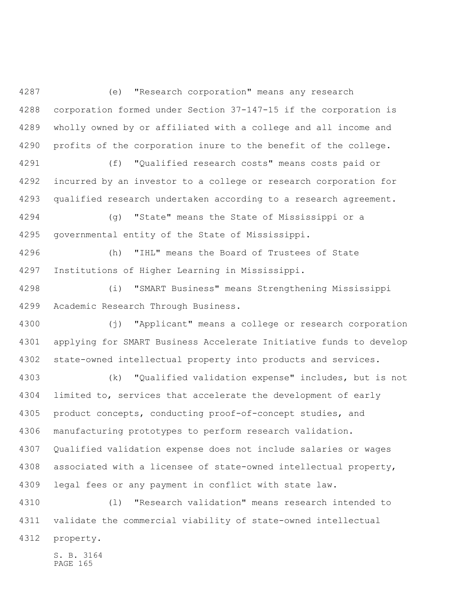(e) "Research corporation" means any research corporation formed under Section 37-147-15 if the corporation is wholly owned by or affiliated with a college and all income and 4290 profits of the corporation inure to the benefit of the college.

 (f) "Qualified research costs" means costs paid or incurred by an investor to a college or research corporation for qualified research undertaken according to a research agreement.

 (g) "State" means the State of Mississippi or a governmental entity of the State of Mississippi.

 (h) "IHL" means the Board of Trustees of State Institutions of Higher Learning in Mississippi.

 (i) "SMART Business" means Strengthening Mississippi Academic Research Through Business.

 (j) "Applicant" means a college or research corporation applying for SMART Business Accelerate Initiative funds to develop state-owned intellectual property into products and services.

 (k) "Qualified validation expense" includes, but is not limited to, services that accelerate the development of early product concepts, conducting proof-of-concept studies, and manufacturing prototypes to perform research validation. Qualified validation expense does not include salaries or wages associated with a licensee of state-owned intellectual property, legal fees or any payment in conflict with state law.

 (l) "Research validation" means research intended to validate the commercial viability of state-owned intellectual property.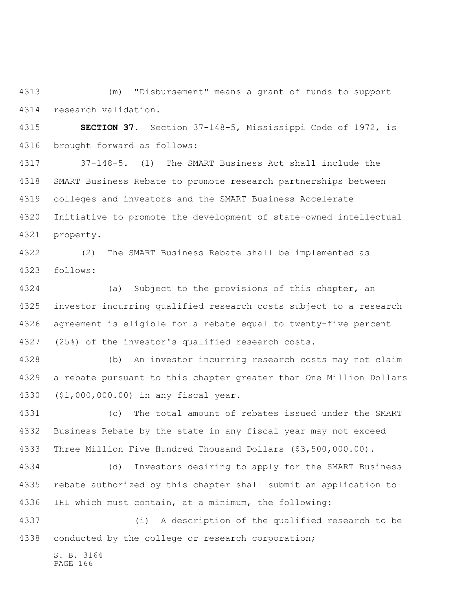(m) "Disbursement" means a grant of funds to support research validation.

 **SECTION 37.** Section 37-148-5, Mississippi Code of 1972, is brought forward as follows:

 37-148-5. (1) The SMART Business Act shall include the SMART Business Rebate to promote research partnerships between colleges and investors and the SMART Business Accelerate Initiative to promote the development of state-owned intellectual property.

 (2) The SMART Business Rebate shall be implemented as follows:

 (a) Subject to the provisions of this chapter, an investor incurring qualified research costs subject to a research agreement is eligible for a rebate equal to twenty-five percent (25%) of the investor's qualified research costs.

 (b) An investor incurring research costs may not claim a rebate pursuant to this chapter greater than One Million Dollars (\$1,000,000.00) in any fiscal year.

 (c) The total amount of rebates issued under the SMART Business Rebate by the state in any fiscal year may not exceed Three Million Five Hundred Thousand Dollars (\$3,500,000.00).

 (d) Investors desiring to apply for the SMART Business rebate authorized by this chapter shall submit an application to IHL which must contain, at a minimum, the following:

 (i) A description of the qualified research to be conducted by the college or research corporation;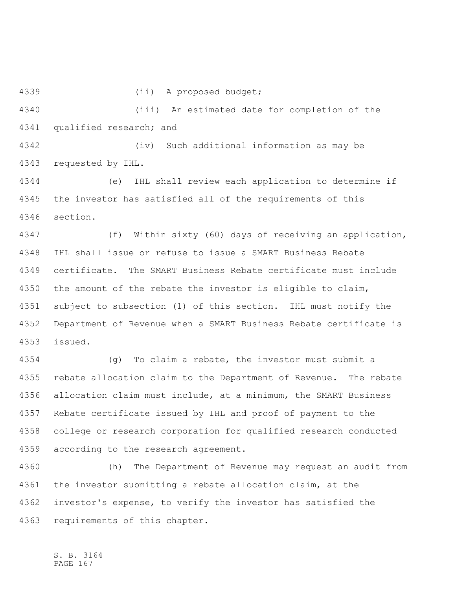(ii) A proposed budget; (iii) An estimated date for completion of the qualified research; and (iv) Such additional information as may be requested by IHL. (e) IHL shall review each application to determine if the investor has satisfied all of the requirements of this section. (f) Within sixty (60) days of receiving an application, IHL shall issue or refuse to issue a SMART Business Rebate certificate. The SMART Business Rebate certificate must include the amount of the rebate the investor is eligible to claim, subject to subsection (1) of this section. IHL must notify the Department of Revenue when a SMART Business Rebate certificate is issued. (g) To claim a rebate, the investor must submit a rebate allocation claim to the Department of Revenue. The rebate allocation claim must include, at a minimum, the SMART Business Rebate certificate issued by IHL and proof of payment to the college or research corporation for qualified research conducted

 according to the research agreement. (h) The Department of Revenue may request an audit from the investor submitting a rebate allocation claim, at the investor's expense, to verify the investor has satisfied the

requirements of this chapter.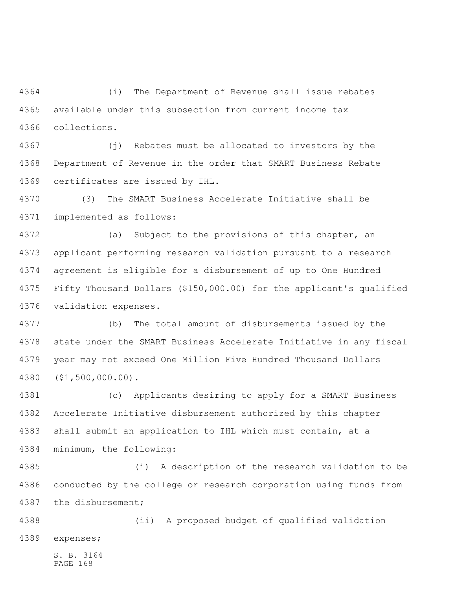(i) The Department of Revenue shall issue rebates available under this subsection from current income tax collections.

 (j) Rebates must be allocated to investors by the Department of Revenue in the order that SMART Business Rebate certificates are issued by IHL.

 (3) The SMART Business Accelerate Initiative shall be implemented as follows:

 (a) Subject to the provisions of this chapter, an applicant performing research validation pursuant to a research agreement is eligible for a disbursement of up to One Hundred Fifty Thousand Dollars (\$150,000.00) for the applicant's qualified validation expenses.

 (b) The total amount of disbursements issued by the state under the SMART Business Accelerate Initiative in any fiscal year may not exceed One Million Five Hundred Thousand Dollars (\$1,500,000.00).

 (c) Applicants desiring to apply for a SMART Business Accelerate Initiative disbursement authorized by this chapter shall submit an application to IHL which must contain, at a minimum, the following:

 (i) A description of the research validation to be conducted by the college or research corporation using funds from the disbursement;

 (ii) A proposed budget of qualified validation expenses;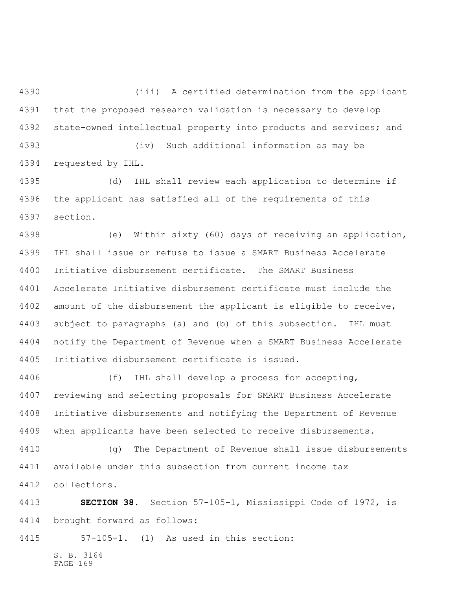(iii) A certified determination from the applicant that the proposed research validation is necessary to develop state-owned intellectual property into products and services; and

 (iv) Such additional information as may be requested by IHL.

 (d) IHL shall review each application to determine if the applicant has satisfied all of the requirements of this section.

 (e) Within sixty (60) days of receiving an application, IHL shall issue or refuse to issue a SMART Business Accelerate Initiative disbursement certificate. The SMART Business Accelerate Initiative disbursement certificate must include the amount of the disbursement the applicant is eligible to receive, subject to paragraphs (a) and (b) of this subsection. IHL must notify the Department of Revenue when a SMART Business Accelerate Initiative disbursement certificate is issued.

 (f) IHL shall develop a process for accepting, reviewing and selecting proposals for SMART Business Accelerate Initiative disbursements and notifying the Department of Revenue when applicants have been selected to receive disbursements.

 (g) The Department of Revenue shall issue disbursements available under this subsection from current income tax collections.

 **SECTION 38.** Section 57-105-1, Mississippi Code of 1972, is brought forward as follows:

57-105-1. (1) As used in this section: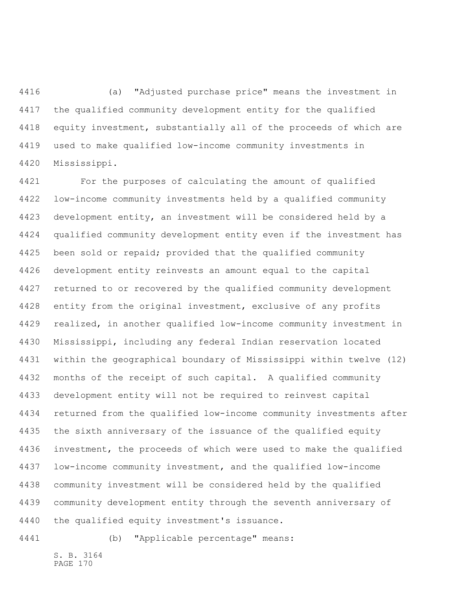(a) "Adjusted purchase price" means the investment in the qualified community development entity for the qualified equity investment, substantially all of the proceeds of which are used to make qualified low-income community investments in Mississippi.

 For the purposes of calculating the amount of qualified low-income community investments held by a qualified community development entity, an investment will be considered held by a qualified community development entity even if the investment has been sold or repaid; provided that the qualified community development entity reinvests an amount equal to the capital returned to or recovered by the qualified community development entity from the original investment, exclusive of any profits realized, in another qualified low-income community investment in Mississippi, including any federal Indian reservation located within the geographical boundary of Mississippi within twelve (12) months of the receipt of such capital. A qualified community development entity will not be required to reinvest capital returned from the qualified low-income community investments after the sixth anniversary of the issuance of the qualified equity investment, the proceeds of which were used to make the qualified low-income community investment, and the qualified low-income community investment will be considered held by the qualified community development entity through the seventh anniversary of the qualified equity investment's issuance.

(b) "Applicable percentage" means: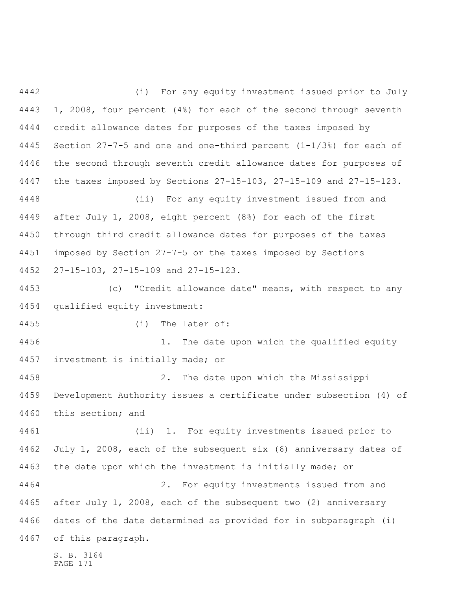S. B. 3164 (i) For any equity investment issued prior to July 1, 2008, four percent (4%) for each of the second through seventh credit allowance dates for purposes of the taxes imposed by Section 27-7-5 and one and one-third percent (1-1/3%) for each of the second through seventh credit allowance dates for purposes of the taxes imposed by Sections 27-15-103, 27-15-109 and 27-15-123. (ii) For any equity investment issued from and after July 1, 2008, eight percent (8%) for each of the first through third credit allowance dates for purposes of the taxes imposed by Section 27-7-5 or the taxes imposed by Sections 27-15-103, 27-15-109 and 27-15-123. (c) "Credit allowance date" means, with respect to any qualified equity investment: (i) The later of: 1. The date upon which the qualified equity investment is initially made; or 2. The date upon which the Mississippi Development Authority issues a certificate under subsection (4) of this section; and (ii) 1. For equity investments issued prior to July 1, 2008, each of the subsequent six (6) anniversary dates of 4463 the date upon which the investment is initially made; or 2. For equity investments issued from and after July 1, 2008, each of the subsequent two (2) anniversary dates of the date determined as provided for in subparagraph (i) of this paragraph.

PAGE 171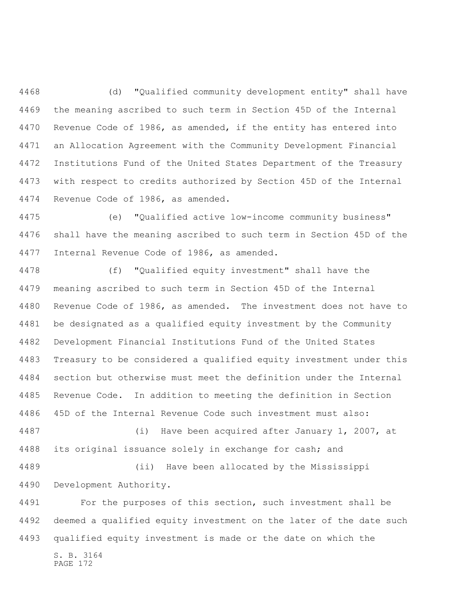(d) "Qualified community development entity" shall have the meaning ascribed to such term in Section 45D of the Internal Revenue Code of 1986, as amended, if the entity has entered into an Allocation Agreement with the Community Development Financial Institutions Fund of the United States Department of the Treasury with respect to credits authorized by Section 45D of the Internal Revenue Code of 1986, as amended.

 (e) "Qualified active low-income community business" shall have the meaning ascribed to such term in Section 45D of the Internal Revenue Code of 1986, as amended.

 (f) "Qualified equity investment" shall have the meaning ascribed to such term in Section 45D of the Internal Revenue Code of 1986, as amended. The investment does not have to be designated as a qualified equity investment by the Community Development Financial Institutions Fund of the United States Treasury to be considered a qualified equity investment under this section but otherwise must meet the definition under the Internal Revenue Code. In addition to meeting the definition in Section 45D of the Internal Revenue Code such investment must also: (i) Have been acquired after January 1, 2007, at 4488 its original issuance solely in exchange for cash; and (ii) Have been allocated by the Mississippi

Development Authority.

S. B. 3164 PAGE 172 For the purposes of this section, such investment shall be deemed a qualified equity investment on the later of the date such qualified equity investment is made or the date on which the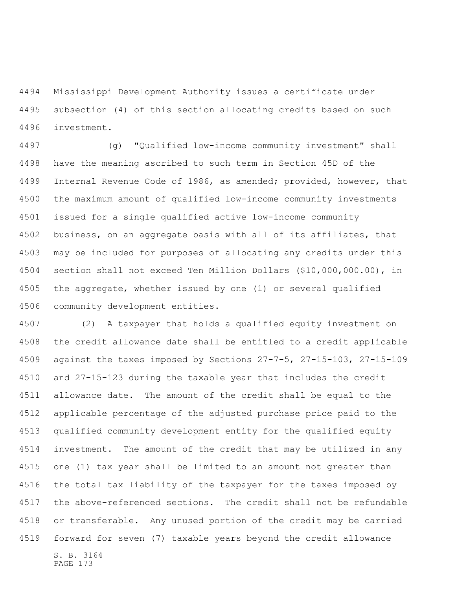Mississippi Development Authority issues a certificate under subsection (4) of this section allocating credits based on such investment.

 (g) "Qualified low-income community investment" shall have the meaning ascribed to such term in Section 45D of the Internal Revenue Code of 1986, as amended; provided, however, that the maximum amount of qualified low-income community investments issued for a single qualified active low-income community business, on an aggregate basis with all of its affiliates, that may be included for purposes of allocating any credits under this section shall not exceed Ten Million Dollars (\$10,000,000.00), in the aggregate, whether issued by one (1) or several qualified community development entities.

S. B. 3164 PAGE 173 (2) A taxpayer that holds a qualified equity investment on the credit allowance date shall be entitled to a credit applicable against the taxes imposed by Sections 27-7-5, 27-15-103, 27-15-109 and 27-15-123 during the taxable year that includes the credit allowance date. The amount of the credit shall be equal to the applicable percentage of the adjusted purchase price paid to the qualified community development entity for the qualified equity investment. The amount of the credit that may be utilized in any one (1) tax year shall be limited to an amount not greater than the total tax liability of the taxpayer for the taxes imposed by the above-referenced sections. The credit shall not be refundable or transferable. Any unused portion of the credit may be carried forward for seven (7) taxable years beyond the credit allowance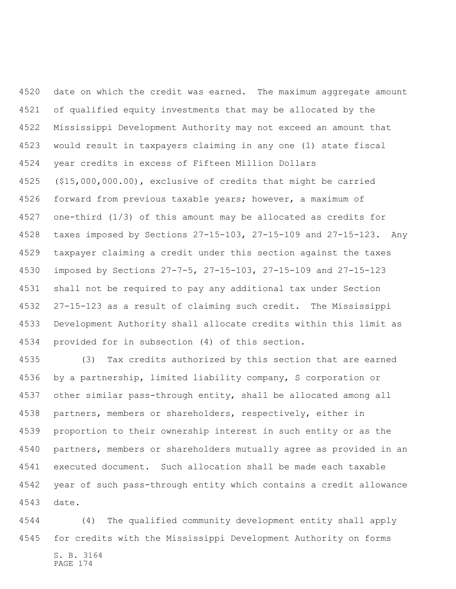date on which the credit was earned. The maximum aggregate amount of qualified equity investments that may be allocated by the Mississippi Development Authority may not exceed an amount that would result in taxpayers claiming in any one (1) state fiscal year credits in excess of Fifteen Million Dollars (\$15,000,000.00), exclusive of credits that might be carried forward from previous taxable years; however, a maximum of one-third (1/3) of this amount may be allocated as credits for taxes imposed by Sections 27-15-103, 27-15-109 and 27-15-123. Any taxpayer claiming a credit under this section against the taxes imposed by Sections 27-7-5, 27-15-103, 27-15-109 and 27-15-123 shall not be required to pay any additional tax under Section 27-15-123 as a result of claiming such credit. The Mississippi Development Authority shall allocate credits within this limit as provided for in subsection (4) of this section.

 (3) Tax credits authorized by this section that are earned by a partnership, limited liability company, S corporation or other similar pass-through entity, shall be allocated among all partners, members or shareholders, respectively, either in proportion to their ownership interest in such entity or as the partners, members or shareholders mutually agree as provided in an executed document. Such allocation shall be made each taxable year of such pass-through entity which contains a credit allowance date.

S. B. 3164 PAGE 174 (4) The qualified community development entity shall apply for credits with the Mississippi Development Authority on forms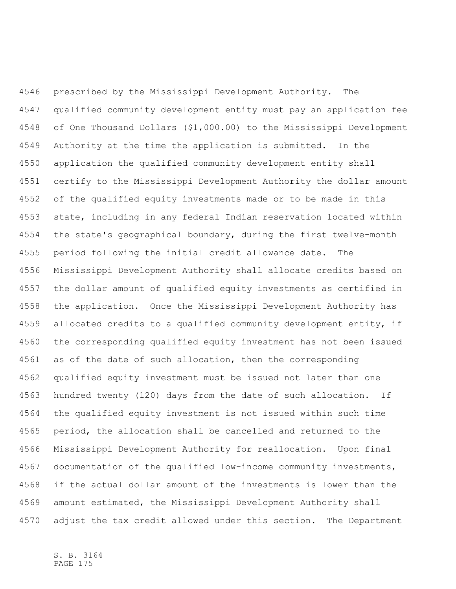prescribed by the Mississippi Development Authority. The qualified community development entity must pay an application fee of One Thousand Dollars (\$1,000.00) to the Mississippi Development Authority at the time the application is submitted. In the application the qualified community development entity shall certify to the Mississippi Development Authority the dollar amount of the qualified equity investments made or to be made in this state, including in any federal Indian reservation located within the state's geographical boundary, during the first twelve-month period following the initial credit allowance date. The Mississippi Development Authority shall allocate credits based on the dollar amount of qualified equity investments as certified in the application. Once the Mississippi Development Authority has allocated credits to a qualified community development entity, if the corresponding qualified equity investment has not been issued as of the date of such allocation, then the corresponding qualified equity investment must be issued not later than one hundred twenty (120) days from the date of such allocation. If the qualified equity investment is not issued within such time period, the allocation shall be cancelled and returned to the Mississippi Development Authority for reallocation. Upon final documentation of the qualified low-income community investments, if the actual dollar amount of the investments is lower than the amount estimated, the Mississippi Development Authority shall adjust the tax credit allowed under this section. The Department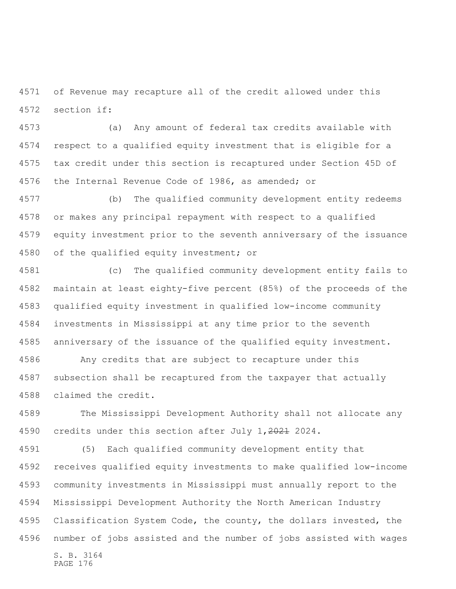of Revenue may recapture all of the credit allowed under this section if:

 (a) Any amount of federal tax credits available with respect to a qualified equity investment that is eligible for a tax credit under this section is recaptured under Section 45D of the Internal Revenue Code of 1986, as amended; or

 (b) The qualified community development entity redeems or makes any principal repayment with respect to a qualified equity investment prior to the seventh anniversary of the issuance 4580 of the qualified equity investment; or

 (c) The qualified community development entity fails to maintain at least eighty-five percent (85%) of the proceeds of the qualified equity investment in qualified low-income community investments in Mississippi at any time prior to the seventh anniversary of the issuance of the qualified equity investment.

 Any credits that are subject to recapture under this subsection shall be recaptured from the taxpayer that actually claimed the credit.

 The Mississippi Development Authority shall not allocate any 4590 credits under this section after July 1, 2021 2024.

S. B. 3164 PAGE 176 (5) Each qualified community development entity that receives qualified equity investments to make qualified low-income community investments in Mississippi must annually report to the Mississippi Development Authority the North American Industry Classification System Code, the county, the dollars invested, the number of jobs assisted and the number of jobs assisted with wages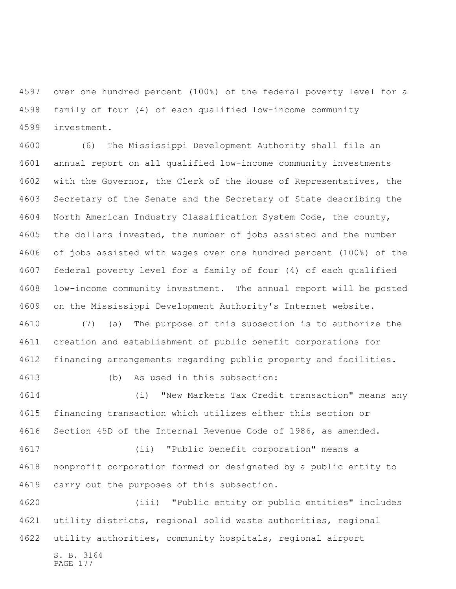over one hundred percent (100%) of the federal poverty level for a family of four (4) of each qualified low-income community investment.

 (6) The Mississippi Development Authority shall file an annual report on all qualified low-income community investments with the Governor, the Clerk of the House of Representatives, the Secretary of the Senate and the Secretary of State describing the North American Industry Classification System Code, the county, the dollars invested, the number of jobs assisted and the number of jobs assisted with wages over one hundred percent (100%) of the federal poverty level for a family of four (4) of each qualified low-income community investment. The annual report will be posted on the Mississippi Development Authority's Internet website.

 (7) (a) The purpose of this subsection is to authorize the creation and establishment of public benefit corporations for financing arrangements regarding public property and facilities.

(b) As used in this subsection:

 (i) "New Markets Tax Credit transaction" means any financing transaction which utilizes either this section or Section 45D of the Internal Revenue Code of 1986, as amended.

 (ii) "Public benefit corporation" means a nonprofit corporation formed or designated by a public entity to carry out the purposes of this subsection.

 (iii) "Public entity or public entities" includes utility districts, regional solid waste authorities, regional utility authorities, community hospitals, regional airport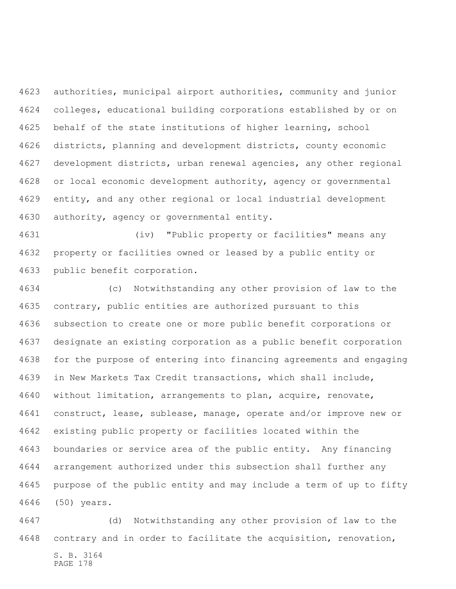authorities, municipal airport authorities, community and junior colleges, educational building corporations established by or on behalf of the state institutions of higher learning, school districts, planning and development districts, county economic development districts, urban renewal agencies, any other regional or local economic development authority, agency or governmental entity, and any other regional or local industrial development authority, agency or governmental entity.

 (iv) "Public property or facilities" means any property or facilities owned or leased by a public entity or public benefit corporation.

 (c) Notwithstanding any other provision of law to the contrary, public entities are authorized pursuant to this subsection to create one or more public benefit corporations or designate an existing corporation as a public benefit corporation for the purpose of entering into financing agreements and engaging in New Markets Tax Credit transactions, which shall include, without limitation, arrangements to plan, acquire, renovate, construct, lease, sublease, manage, operate and/or improve new or existing public property or facilities located within the boundaries or service area of the public entity. Any financing arrangement authorized under this subsection shall further any purpose of the public entity and may include a term of up to fifty (50) years.

S. B. 3164 (d) Notwithstanding any other provision of law to the contrary and in order to facilitate the acquisition, renovation,

PAGE 178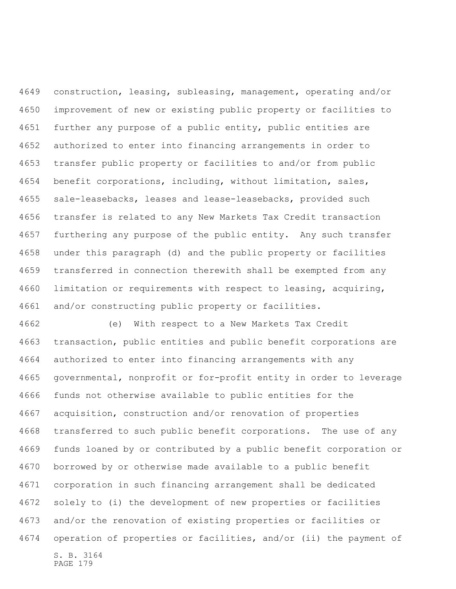construction, leasing, subleasing, management, operating and/or improvement of new or existing public property or facilities to further any purpose of a public entity, public entities are authorized to enter into financing arrangements in order to transfer public property or facilities to and/or from public benefit corporations, including, without limitation, sales, sale-leasebacks, leases and lease-leasebacks, provided such transfer is related to any New Markets Tax Credit transaction furthering any purpose of the public entity. Any such transfer under this paragraph (d) and the public property or facilities transferred in connection therewith shall be exempted from any limitation or requirements with respect to leasing, acquiring, and/or constructing public property or facilities.

S. B. 3164 PAGE 179 (e) With respect to a New Markets Tax Credit transaction, public entities and public benefit corporations are authorized to enter into financing arrangements with any governmental, nonprofit or for-profit entity in order to leverage funds not otherwise available to public entities for the acquisition, construction and/or renovation of properties transferred to such public benefit corporations. The use of any funds loaned by or contributed by a public benefit corporation or borrowed by or otherwise made available to a public benefit corporation in such financing arrangement shall be dedicated solely to (i) the development of new properties or facilities and/or the renovation of existing properties or facilities or operation of properties or facilities, and/or (ii) the payment of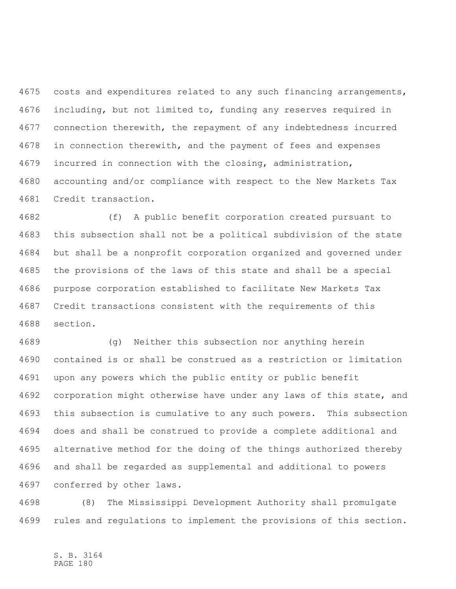costs and expenditures related to any such financing arrangements, including, but not limited to, funding any reserves required in connection therewith, the repayment of any indebtedness incurred in connection therewith, and the payment of fees and expenses incurred in connection with the closing, administration, accounting and/or compliance with respect to the New Markets Tax Credit transaction.

 (f) A public benefit corporation created pursuant to this subsection shall not be a political subdivision of the state but shall be a nonprofit corporation organized and governed under the provisions of the laws of this state and shall be a special purpose corporation established to facilitate New Markets Tax Credit transactions consistent with the requirements of this section.

 (g) Neither this subsection nor anything herein contained is or shall be construed as a restriction or limitation upon any powers which the public entity or public benefit corporation might otherwise have under any laws of this state, and this subsection is cumulative to any such powers. This subsection does and shall be construed to provide a complete additional and alternative method for the doing of the things authorized thereby and shall be regarded as supplemental and additional to powers conferred by other laws.

 (8) The Mississippi Development Authority shall promulgate rules and regulations to implement the provisions of this section.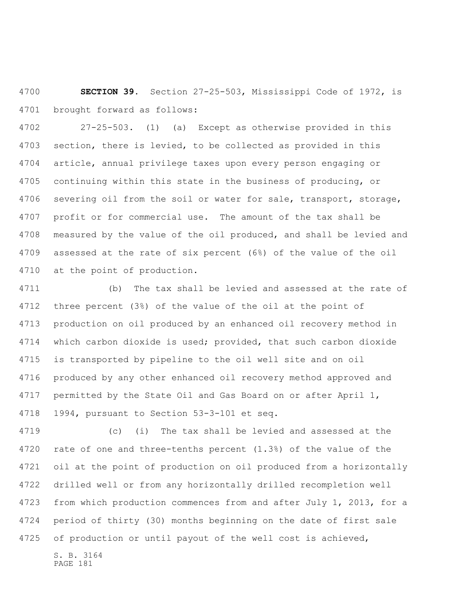**SECTION 39.** Section 27-25-503, Mississippi Code of 1972, is brought forward as follows:

 27-25-503. (1) (a) Except as otherwise provided in this section, there is levied, to be collected as provided in this article, annual privilege taxes upon every person engaging or continuing within this state in the business of producing, or severing oil from the soil or water for sale, transport, storage, profit or for commercial use. The amount of the tax shall be measured by the value of the oil produced, and shall be levied and assessed at the rate of six percent (6%) of the value of the oil at the point of production.

 (b) The tax shall be levied and assessed at the rate of three percent (3%) of the value of the oil at the point of production on oil produced by an enhanced oil recovery method in which carbon dioxide is used; provided, that such carbon dioxide is transported by pipeline to the oil well site and on oil produced by any other enhanced oil recovery method approved and permitted by the State Oil and Gas Board on or after April 1, 1994, pursuant to Section 53-3-101 et seq.

 (c) (i) The tax shall be levied and assessed at the rate of one and three-tenths percent (1.3%) of the value of the oil at the point of production on oil produced from a horizontally drilled well or from any horizontally drilled recompletion well from which production commences from and after July 1, 2013, for a period of thirty (30) months beginning on the date of first sale of production or until payout of the well cost is achieved,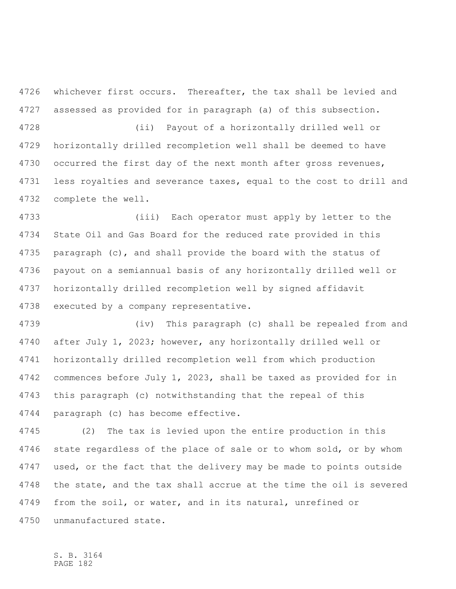whichever first occurs. Thereafter, the tax shall be levied and assessed as provided for in paragraph (a) of this subsection.

 (ii) Payout of a horizontally drilled well or horizontally drilled recompletion well shall be deemed to have 4730 occurred the first day of the next month after gross revenues, less royalties and severance taxes, equal to the cost to drill and complete the well.

 (iii) Each operator must apply by letter to the State Oil and Gas Board for the reduced rate provided in this paragraph (c), and shall provide the board with the status of payout on a semiannual basis of any horizontally drilled well or horizontally drilled recompletion well by signed affidavit executed by a company representative.

 (iv) This paragraph (c) shall be repealed from and after July 1, 2023; however, any horizontally drilled well or horizontally drilled recompletion well from which production commences before July 1, 2023, shall be taxed as provided for in this paragraph (c) notwithstanding that the repeal of this paragraph (c) has become effective.

 (2) The tax is levied upon the entire production in this state regardless of the place of sale or to whom sold, or by whom used, or the fact that the delivery may be made to points outside the state, and the tax shall accrue at the time the oil is severed from the soil, or water, and in its natural, unrefined or unmanufactured state.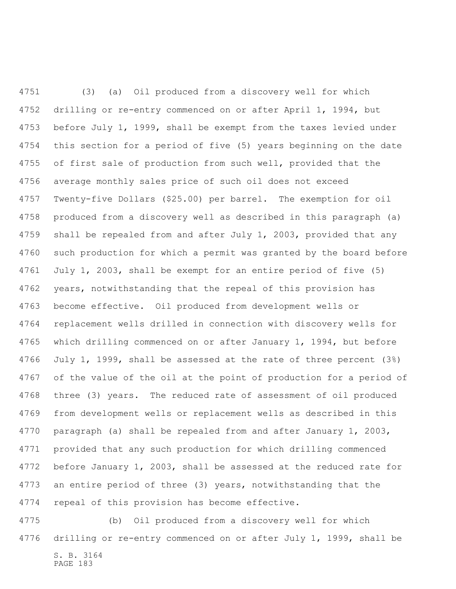(3) (a) Oil produced from a discovery well for which drilling or re-entry commenced on or after April 1, 1994, but before July 1, 1999, shall be exempt from the taxes levied under this section for a period of five (5) years beginning on the date of first sale of production from such well, provided that the average monthly sales price of such oil does not exceed Twenty-five Dollars (\$25.00) per barrel. The exemption for oil produced from a discovery well as described in this paragraph (a) shall be repealed from and after July 1, 2003, provided that any such production for which a permit was granted by the board before July 1, 2003, shall be exempt for an entire period of five (5) years, notwithstanding that the repeal of this provision has become effective. Oil produced from development wells or replacement wells drilled in connection with discovery wells for which drilling commenced on or after January 1, 1994, but before July 1, 1999, shall be assessed at the rate of three percent (3%) of the value of the oil at the point of production for a period of three (3) years. The reduced rate of assessment of oil produced from development wells or replacement wells as described in this paragraph (a) shall be repealed from and after January 1, 2003, provided that any such production for which drilling commenced before January 1, 2003, shall be assessed at the reduced rate for an entire period of three (3) years, notwithstanding that the repeal of this provision has become effective.

S. B. 3164 PAGE 183 (b) Oil produced from a discovery well for which drilling or re-entry commenced on or after July 1, 1999, shall be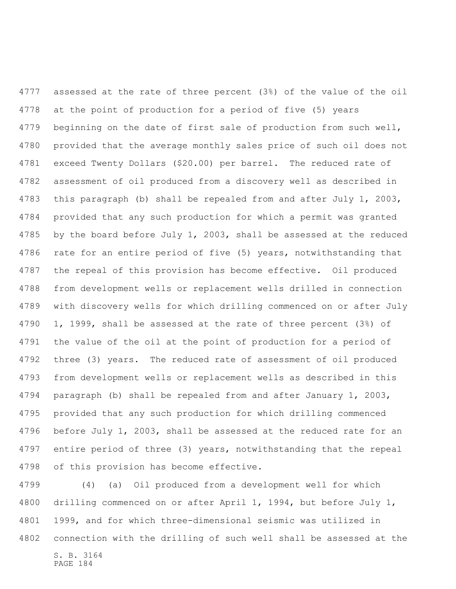assessed at the rate of three percent (3%) of the value of the oil at the point of production for a period of five (5) years beginning on the date of first sale of production from such well, provided that the average monthly sales price of such oil does not exceed Twenty Dollars (\$20.00) per barrel. The reduced rate of assessment of oil produced from a discovery well as described in this paragraph (b) shall be repealed from and after July 1, 2003, provided that any such production for which a permit was granted by the board before July 1, 2003, shall be assessed at the reduced rate for an entire period of five (5) years, notwithstanding that the repeal of this provision has become effective. Oil produced from development wells or replacement wells drilled in connection with discovery wells for which drilling commenced on or after July 1, 1999, shall be assessed at the rate of three percent (3%) of the value of the oil at the point of production for a period of three (3) years. The reduced rate of assessment of oil produced from development wells or replacement wells as described in this paragraph (b) shall be repealed from and after January 1, 2003, provided that any such production for which drilling commenced before July 1, 2003, shall be assessed at the reduced rate for an entire period of three (3) years, notwithstanding that the repeal of this provision has become effective.

S. B. 3164 (4) (a) Oil produced from a development well for which drilling commenced on or after April 1, 1994, but before July 1, 1999, and for which three-dimensional seismic was utilized in connection with the drilling of such well shall be assessed at the

PAGE 184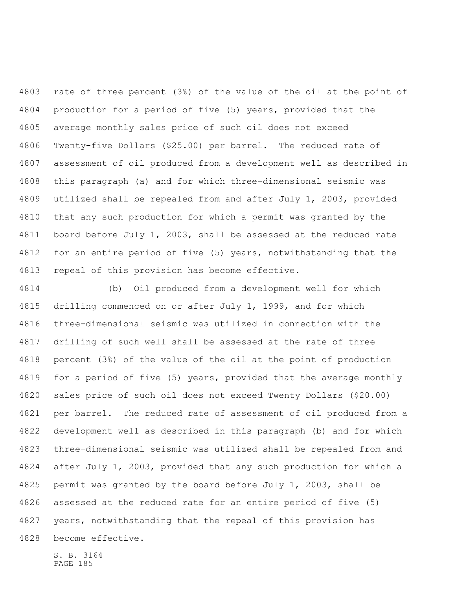rate of three percent (3%) of the value of the oil at the point of production for a period of five (5) years, provided that the average monthly sales price of such oil does not exceed Twenty-five Dollars (\$25.00) per barrel. The reduced rate of assessment of oil produced from a development well as described in this paragraph (a) and for which three-dimensional seismic was utilized shall be repealed from and after July 1, 2003, provided that any such production for which a permit was granted by the 4811 board before July 1, 2003, shall be assessed at the reduced rate for an entire period of five (5) years, notwithstanding that the repeal of this provision has become effective.

 (b) Oil produced from a development well for which drilling commenced on or after July 1, 1999, and for which three-dimensional seismic was utilized in connection with the drilling of such well shall be assessed at the rate of three percent (3%) of the value of the oil at the point of production for a period of five (5) years, provided that the average monthly sales price of such oil does not exceed Twenty Dollars (\$20.00) per barrel. The reduced rate of assessment of oil produced from a development well as described in this paragraph (b) and for which three-dimensional seismic was utilized shall be repealed from and after July 1, 2003, provided that any such production for which a permit was granted by the board before July 1, 2003, shall be assessed at the reduced rate for an entire period of five (5) years, notwithstanding that the repeal of this provision has become effective.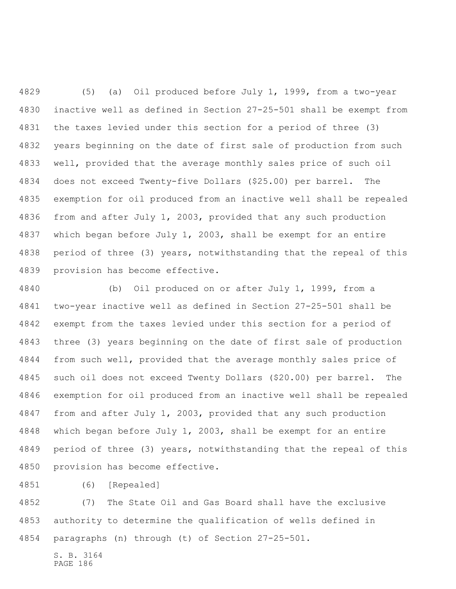(5) (a) Oil produced before July 1, 1999, from a two-year inactive well as defined in Section 27-25-501 shall be exempt from the taxes levied under this section for a period of three (3) years beginning on the date of first sale of production from such well, provided that the average monthly sales price of such oil does not exceed Twenty-five Dollars (\$25.00) per barrel. The exemption for oil produced from an inactive well shall be repealed from and after July 1, 2003, provided that any such production which began before July 1, 2003, shall be exempt for an entire period of three (3) years, notwithstanding that the repeal of this provision has become effective.

 (b) Oil produced on or after July 1, 1999, from a two-year inactive well as defined in Section 27-25-501 shall be exempt from the taxes levied under this section for a period of three (3) years beginning on the date of first sale of production from such well, provided that the average monthly sales price of such oil does not exceed Twenty Dollars (\$20.00) per barrel. The exemption for oil produced from an inactive well shall be repealed from and after July 1, 2003, provided that any such production which began before July 1, 2003, shall be exempt for an entire period of three (3) years, notwithstanding that the repeal of this provision has become effective.

(6) [Repealed]

 (7) The State Oil and Gas Board shall have the exclusive authority to determine the qualification of wells defined in paragraphs (n) through (t) of Section 27-25-501.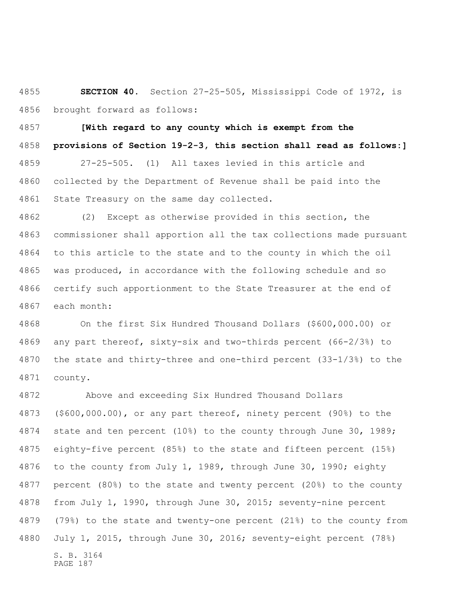**SECTION 40.** Section 27-25-505, Mississippi Code of 1972, is brought forward as follows:

 **[With regard to any county which is exempt from the provisions of Section 19-2-3, this section shall read as follows:]** 27-25-505. (1) All taxes levied in this article and collected by the Department of Revenue shall be paid into the State Treasury on the same day collected.

 (2) Except as otherwise provided in this section, the commissioner shall apportion all the tax collections made pursuant to this article to the state and to the county in which the oil was produced, in accordance with the following schedule and so certify such apportionment to the State Treasurer at the end of each month:

 On the first Six Hundred Thousand Dollars (\$600,000.00) or any part thereof, sixty-six and two-thirds percent (66-2/3%) to the state and thirty-three and one-third percent (33-1/3%) to the county.

S. B. 3164 PAGE 187 Above and exceeding Six Hundred Thousand Dollars (\$600,000.00), or any part thereof, ninety percent (90%) to the state and ten percent (10%) to the county through June 30, 1989; eighty-five percent (85%) to the state and fifteen percent (15%) to the county from July 1, 1989, through June 30, 1990; eighty percent (80%) to the state and twenty percent (20%) to the county from July 1, 1990, through June 30, 2015; seventy-nine percent (79%) to the state and twenty-one percent (21%) to the county from July 1, 2015, through June 30, 2016; seventy-eight percent (78%)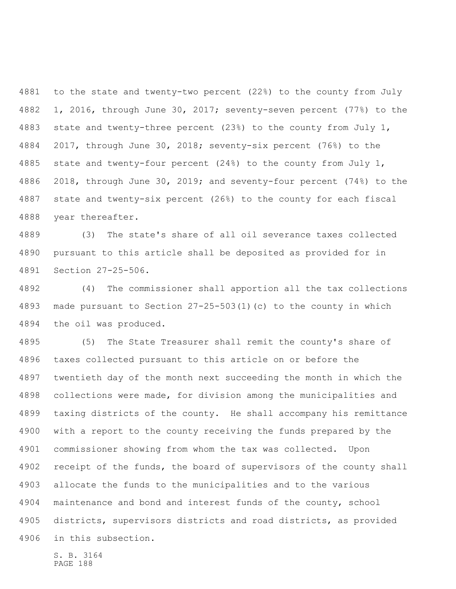to the state and twenty-two percent (22%) to the county from July 1, 2016, through June 30, 2017; seventy-seven percent (77%) to the state and twenty-three percent (23%) to the county from July 1, 2017, through June 30, 2018; seventy-six percent (76%) to the state and twenty-four percent (24%) to the county from July 1, 2018, through June 30, 2019; and seventy-four percent (74%) to the state and twenty-six percent (26%) to the county for each fiscal year thereafter.

 (3) The state's share of all oil severance taxes collected pursuant to this article shall be deposited as provided for in Section 27-25-506.

 (4) The commissioner shall apportion all the tax collections made pursuant to Section 27-25-503(1)(c) to the county in which the oil was produced.

 (5) The State Treasurer shall remit the county's share of taxes collected pursuant to this article on or before the twentieth day of the month next succeeding the month in which the collections were made, for division among the municipalities and taxing districts of the county. He shall accompany his remittance with a report to the county receiving the funds prepared by the commissioner showing from whom the tax was collected. Upon 4902 receipt of the funds, the board of supervisors of the county shall allocate the funds to the municipalities and to the various maintenance and bond and interest funds of the county, school districts, supervisors districts and road districts, as provided in this subsection.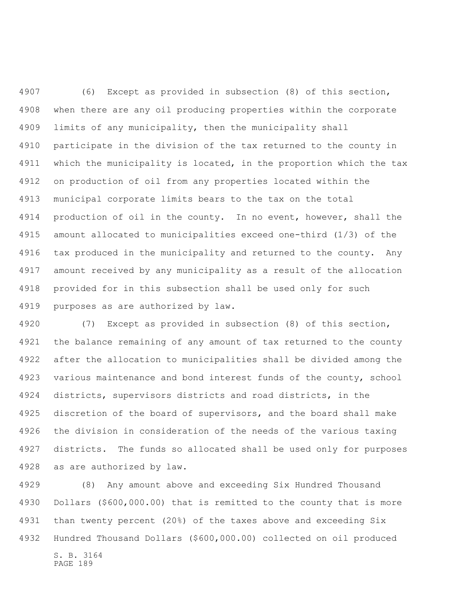(6) Except as provided in subsection (8) of this section, when there are any oil producing properties within the corporate limits of any municipality, then the municipality shall participate in the division of the tax returned to the county in which the municipality is located, in the proportion which the tax on production of oil from any properties located within the municipal corporate limits bears to the tax on the total 4914 production of oil in the county. In no event, however, shall the amount allocated to municipalities exceed one-third (1/3) of the 4916 tax produced in the municipality and returned to the county. Any amount received by any municipality as a result of the allocation provided for in this subsection shall be used only for such purposes as are authorized by law.

 (7) Except as provided in subsection (8) of this section, the balance remaining of any amount of tax returned to the county after the allocation to municipalities shall be divided among the various maintenance and bond interest funds of the county, school districts, supervisors districts and road districts, in the discretion of the board of supervisors, and the board shall make the division in consideration of the needs of the various taxing districts. The funds so allocated shall be used only for purposes as are authorized by law.

 (8) Any amount above and exceeding Six Hundred Thousand Dollars (\$600,000.00) that is remitted to the county that is more than twenty percent (20%) of the taxes above and exceeding Six Hundred Thousand Dollars (\$600,000.00) collected on oil produced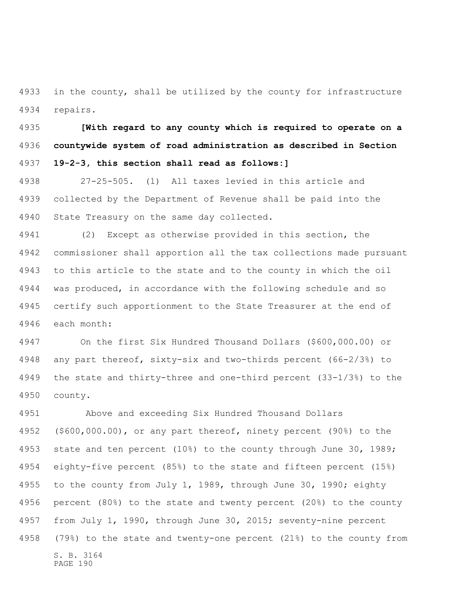in the county, shall be utilized by the county for infrastructure repairs.

 **[With regard to any county which is required to operate on a countywide system of road administration as described in Section 19-2-3, this section shall read as follows:]**

 27-25-505. (1) All taxes levied in this article and collected by the Department of Revenue shall be paid into the State Treasury on the same day collected.

 (2) Except as otherwise provided in this section, the commissioner shall apportion all the tax collections made pursuant to this article to the state and to the county in which the oil was produced, in accordance with the following schedule and so certify such apportionment to the State Treasurer at the end of each month:

 On the first Six Hundred Thousand Dollars (\$600,000.00) or any part thereof, sixty-six and two-thirds percent (66-2/3%) to the state and thirty-three and one-third percent (33-1/3%) to the county.

S. B. 3164 PAGE 190 Above and exceeding Six Hundred Thousand Dollars (\$600,000.00), or any part thereof, ninety percent (90%) to the state and ten percent (10%) to the county through June 30, 1989; eighty-five percent (85%) to the state and fifteen percent (15%) to the county from July 1, 1989, through June 30, 1990; eighty percent (80%) to the state and twenty percent (20%) to the county from July 1, 1990, through June 30, 2015; seventy-nine percent (79%) to the state and twenty-one percent (21%) to the county from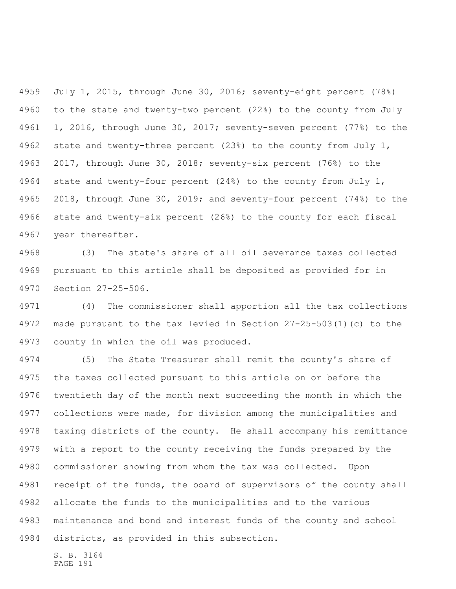July 1, 2015, through June 30, 2016; seventy-eight percent (78%) to the state and twenty-two percent (22%) to the county from July 1, 2016, through June 30, 2017; seventy-seven percent (77%) to the state and twenty-three percent (23%) to the county from July 1, 2017, through June 30, 2018; seventy-six percent (76%) to the state and twenty-four percent (24%) to the county from July 1, 2018, through June 30, 2019; and seventy-four percent (74%) to the state and twenty-six percent (26%) to the county for each fiscal year thereafter.

 (3) The state's share of all oil severance taxes collected pursuant to this article shall be deposited as provided for in Section 27-25-506.

 (4) The commissioner shall apportion all the tax collections made pursuant to the tax levied in Section 27-25-503(1)(c) to the county in which the oil was produced.

 (5) The State Treasurer shall remit the county's share of the taxes collected pursuant to this article on or before the twentieth day of the month next succeeding the month in which the collections were made, for division among the municipalities and taxing districts of the county. He shall accompany his remittance with a report to the county receiving the funds prepared by the commissioner showing from whom the tax was collected. Upon 4981 receipt of the funds, the board of supervisors of the county shall allocate the funds to the municipalities and to the various maintenance and bond and interest funds of the county and school districts, as provided in this subsection.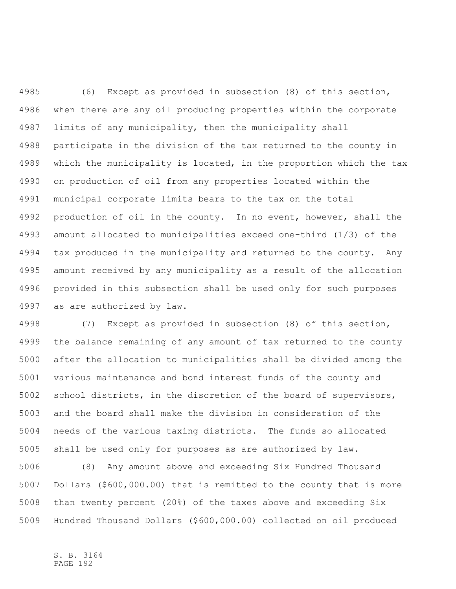(6) Except as provided in subsection (8) of this section, when there are any oil producing properties within the corporate limits of any municipality, then the municipality shall participate in the division of the tax returned to the county in which the municipality is located, in the proportion which the tax on production of oil from any properties located within the municipal corporate limits bears to the tax on the total 4992 production of oil in the county. In no event, however, shall the amount allocated to municipalities exceed one-third (1/3) of the tax produced in the municipality and returned to the county. Any amount received by any municipality as a result of the allocation provided in this subsection shall be used only for such purposes as are authorized by law.

 (7) Except as provided in subsection (8) of this section, the balance remaining of any amount of tax returned to the county after the allocation to municipalities shall be divided among the various maintenance and bond interest funds of the county and school districts, in the discretion of the board of supervisors, and the board shall make the division in consideration of the needs of the various taxing districts. The funds so allocated shall be used only for purposes as are authorized by law.

 (8) Any amount above and exceeding Six Hundred Thousand Dollars (\$600,000.00) that is remitted to the county that is more than twenty percent (20%) of the taxes above and exceeding Six Hundred Thousand Dollars (\$600,000.00) collected on oil produced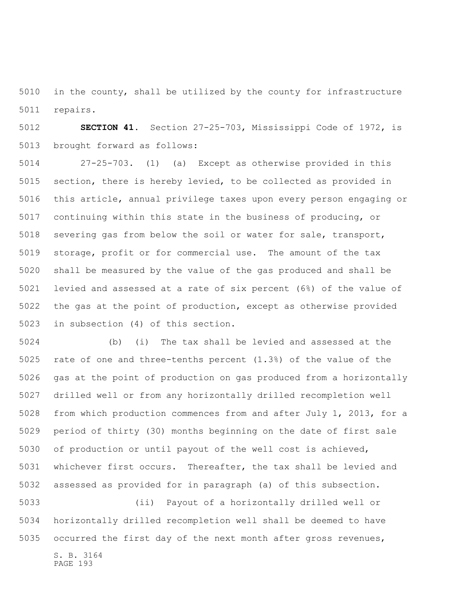in the county, shall be utilized by the county for infrastructure repairs.

 **SECTION 41.** Section 27-25-703, Mississippi Code of 1972, is brought forward as follows:

 27-25-703. (1) (a) Except as otherwise provided in this section, there is hereby levied, to be collected as provided in this article, annual privilege taxes upon every person engaging or continuing within this state in the business of producing, or severing gas from below the soil or water for sale, transport, storage, profit or for commercial use. The amount of the tax shall be measured by the value of the gas produced and shall be levied and assessed at a rate of six percent (6%) of the value of the gas at the point of production, except as otherwise provided in subsection (4) of this section.

 (b) (i) The tax shall be levied and assessed at the rate of one and three-tenths percent (1.3%) of the value of the gas at the point of production on gas produced from a horizontally drilled well or from any horizontally drilled recompletion well from which production commences from and after July 1, 2013, for a period of thirty (30) months beginning on the date of first sale of production or until payout of the well cost is achieved, whichever first occurs. Thereafter, the tax shall be levied and assessed as provided for in paragraph (a) of this subsection.

 (ii) Payout of a horizontally drilled well or horizontally drilled recompletion well shall be deemed to have occurred the first day of the next month after gross revenues,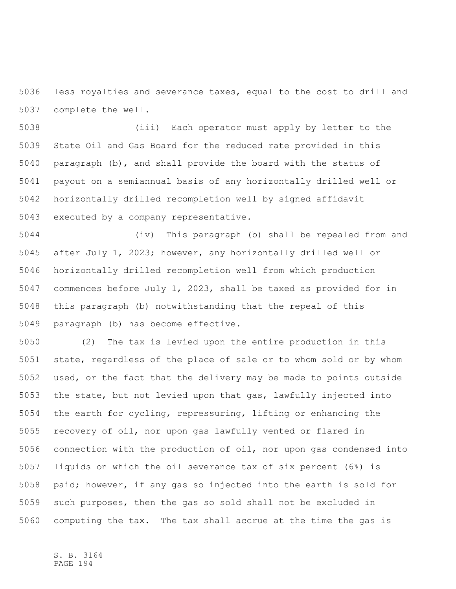less royalties and severance taxes, equal to the cost to drill and complete the well.

 (iii) Each operator must apply by letter to the State Oil and Gas Board for the reduced rate provided in this paragraph (b), and shall provide the board with the status of payout on a semiannual basis of any horizontally drilled well or horizontally drilled recompletion well by signed affidavit executed by a company representative.

 (iv) This paragraph (b) shall be repealed from and after July 1, 2023; however, any horizontally drilled well or horizontally drilled recompletion well from which production commences before July 1, 2023, shall be taxed as provided for in this paragraph (b) notwithstanding that the repeal of this paragraph (b) has become effective.

 (2) The tax is levied upon the entire production in this state, regardless of the place of sale or to whom sold or by whom used, or the fact that the delivery may be made to points outside the state, but not levied upon that gas, lawfully injected into the earth for cycling, repressuring, lifting or enhancing the recovery of oil, nor upon gas lawfully vented or flared in connection with the production of oil, nor upon gas condensed into liquids on which the oil severance tax of six percent (6%) is paid; however, if any gas so injected into the earth is sold for such purposes, then the gas so sold shall not be excluded in computing the tax. The tax shall accrue at the time the gas is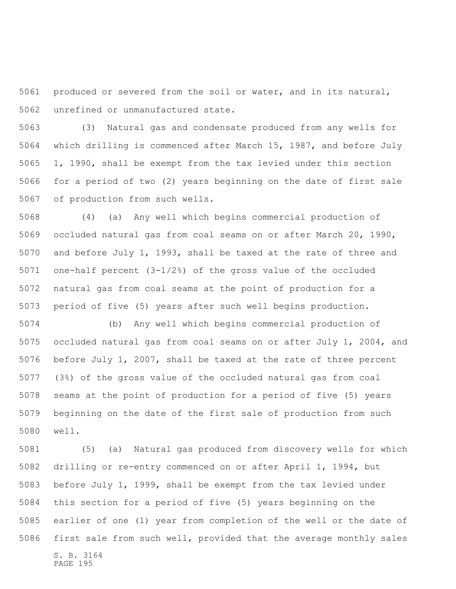produced or severed from the soil or water, and in its natural, unrefined or unmanufactured state.

 (3) Natural gas and condensate produced from any wells for which drilling is commenced after March 15, 1987, and before July 1, 1990, shall be exempt from the tax levied under this section for a period of two (2) years beginning on the date of first sale of production from such wells.

 (4) (a) Any well which begins commercial production of occluded natural gas from coal seams on or after March 20, 1990, and before July 1, 1993, shall be taxed at the rate of three and one-half percent (3-1/2%) of the gross value of the occluded natural gas from coal seams at the point of production for a period of five (5) years after such well begins production.

 (b) Any well which begins commercial production of occluded natural gas from coal seams on or after July 1, 2004, and before July 1, 2007, shall be taxed at the rate of three percent (3%) of the gross value of the occluded natural gas from coal seams at the point of production for a period of five (5) years beginning on the date of the first sale of production from such well.

S. B. 3164 PAGE 195 (5) (a) Natural gas produced from discovery wells for which drilling or re-entry commenced on or after April 1, 1994, but before July 1, 1999, shall be exempt from the tax levied under this section for a period of five (5) years beginning on the earlier of one (1) year from completion of the well or the date of first sale from such well, provided that the average monthly sales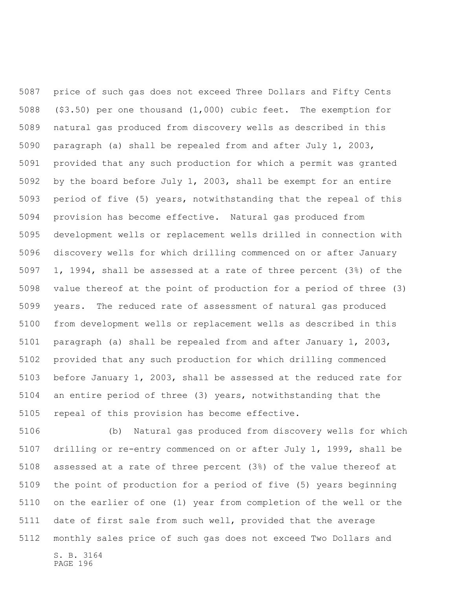price of such gas does not exceed Three Dollars and Fifty Cents (\$3.50) per one thousand (1,000) cubic feet. The exemption for natural gas produced from discovery wells as described in this paragraph (a) shall be repealed from and after July 1, 2003, provided that any such production for which a permit was granted by the board before July 1, 2003, shall be exempt for an entire period of five (5) years, notwithstanding that the repeal of this provision has become effective. Natural gas produced from development wells or replacement wells drilled in connection with discovery wells for which drilling commenced on or after January 1, 1994, shall be assessed at a rate of three percent (3%) of the value thereof at the point of production for a period of three (3) years. The reduced rate of assessment of natural gas produced from development wells or replacement wells as described in this paragraph (a) shall be repealed from and after January 1, 2003, provided that any such production for which drilling commenced before January 1, 2003, shall be assessed at the reduced rate for an entire period of three (3) years, notwithstanding that the repeal of this provision has become effective.

S. B. 3164 PAGE 196 (b) Natural gas produced from discovery wells for which drilling or re-entry commenced on or after July 1, 1999, shall be assessed at a rate of three percent (3%) of the value thereof at the point of production for a period of five (5) years beginning on the earlier of one (1) year from completion of the well or the date of first sale from such well, provided that the average monthly sales price of such gas does not exceed Two Dollars and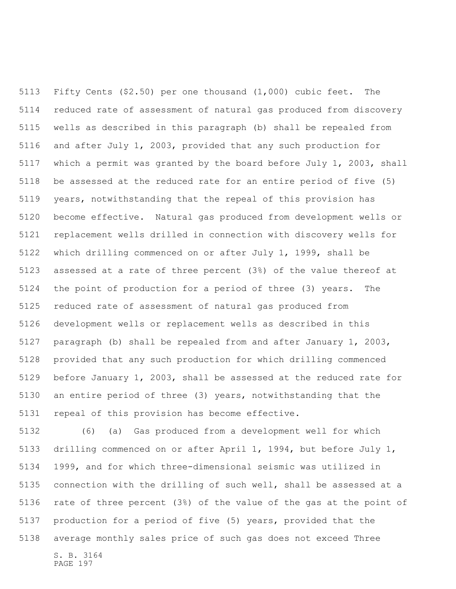Fifty Cents (\$2.50) per one thousand (1,000) cubic feet. The reduced rate of assessment of natural gas produced from discovery wells as described in this paragraph (b) shall be repealed from and after July 1, 2003, provided that any such production for which a permit was granted by the board before July 1, 2003, shall be assessed at the reduced rate for an entire period of five (5) years, notwithstanding that the repeal of this provision has become effective. Natural gas produced from development wells or replacement wells drilled in connection with discovery wells for which drilling commenced on or after July 1, 1999, shall be assessed at a rate of three percent (3%) of the value thereof at the point of production for a period of three (3) years. The reduced rate of assessment of natural gas produced from development wells or replacement wells as described in this paragraph (b) shall be repealed from and after January 1, 2003, provided that any such production for which drilling commenced before January 1, 2003, shall be assessed at the reduced rate for an entire period of three (3) years, notwithstanding that the repeal of this provision has become effective.

S. B. 3164 (6) (a) Gas produced from a development well for which drilling commenced on or after April 1, 1994, but before July 1, 1999, and for which three-dimensional seismic was utilized in connection with the drilling of such well, shall be assessed at a rate of three percent (3%) of the value of the gas at the point of production for a period of five (5) years, provided that the average monthly sales price of such gas does not exceed Three

PAGE 197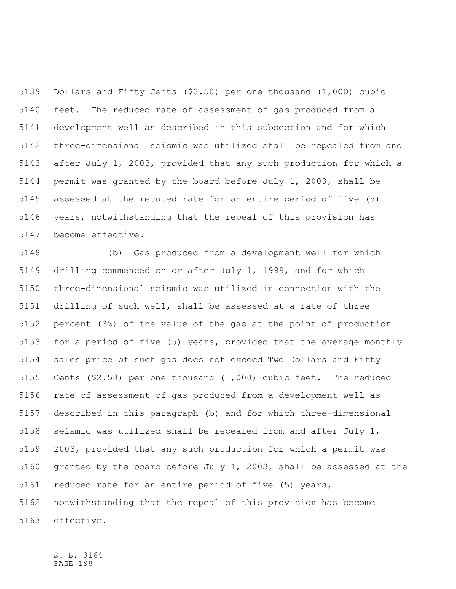Dollars and Fifty Cents (\$3.50) per one thousand (1,000) cubic feet. The reduced rate of assessment of gas produced from a development well as described in this subsection and for which three-dimensional seismic was utilized shall be repealed from and after July 1, 2003, provided that any such production for which a permit was granted by the board before July 1, 2003, shall be assessed at the reduced rate for an entire period of five (5) years, notwithstanding that the repeal of this provision has become effective.

 (b) Gas produced from a development well for which drilling commenced on or after July 1, 1999, and for which three-dimensional seismic was utilized in connection with the drilling of such well, shall be assessed at a rate of three percent (3%) of the value of the gas at the point of production for a period of five (5) years, provided that the average monthly sales price of such gas does not exceed Two Dollars and Fifty Cents (\$2.50) per one thousand (1,000) cubic feet. The reduced rate of assessment of gas produced from a development well as described in this paragraph (b) and for which three-dimensional seismic was utilized shall be repealed from and after July 1, 2003, provided that any such production for which a permit was granted by the board before July 1, 2003, shall be assessed at the reduced rate for an entire period of five (5) years, notwithstanding that the repeal of this provision has become effective.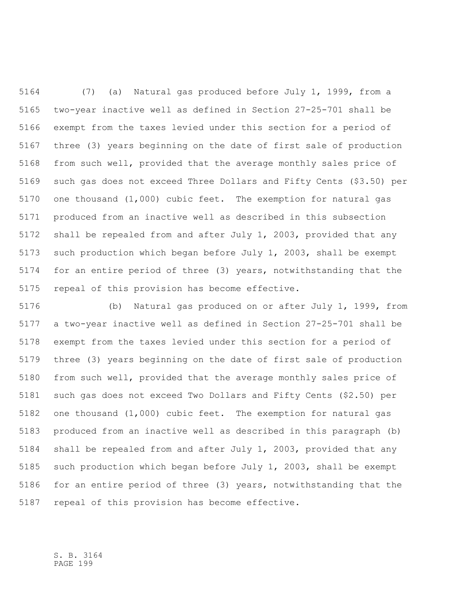(7) (a) Natural gas produced before July 1, 1999, from a two-year inactive well as defined in Section 27-25-701 shall be exempt from the taxes levied under this section for a period of three (3) years beginning on the date of first sale of production from such well, provided that the average monthly sales price of such gas does not exceed Three Dollars and Fifty Cents (\$3.50) per one thousand (1,000) cubic feet. The exemption for natural gas produced from an inactive well as described in this subsection shall be repealed from and after July 1, 2003, provided that any such production which began before July 1, 2003, shall be exempt for an entire period of three (3) years, notwithstanding that the repeal of this provision has become effective.

 (b) Natural gas produced on or after July 1, 1999, from a two-year inactive well as defined in Section 27-25-701 shall be exempt from the taxes levied under this section for a period of three (3) years beginning on the date of first sale of production from such well, provided that the average monthly sales price of such gas does not exceed Two Dollars and Fifty Cents (\$2.50) per one thousand (1,000) cubic feet. The exemption for natural gas produced from an inactive well as described in this paragraph (b) shall be repealed from and after July 1, 2003, provided that any such production which began before July 1, 2003, shall be exempt for an entire period of three (3) years, notwithstanding that the repeal of this provision has become effective.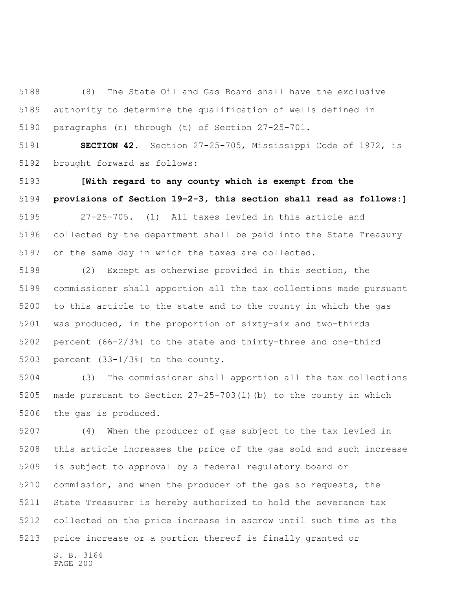(8) The State Oil and Gas Board shall have the exclusive authority to determine the qualification of wells defined in paragraphs (n) through (t) of Section 27-25-701.

 **SECTION 42.** Section 27-25-705, Mississippi Code of 1972, is brought forward as follows:

 **[With regard to any county which is exempt from the provisions of Section 19-2-3, this section shall read as follows:]**

 27-25-705. (1) All taxes levied in this article and collected by the department shall be paid into the State Treasury on the same day in which the taxes are collected.

 (2) Except as otherwise provided in this section, the commissioner shall apportion all the tax collections made pursuant to this article to the state and to the county in which the gas was produced, in the proportion of sixty-six and two-thirds percent (66-2/3%) to the state and thirty-three and one-third percent (33-1/3%) to the county.

 (3) The commissioner shall apportion all the tax collections made pursuant to Section 27-25-703(1)(b) to the county in which the gas is produced.

 (4) When the producer of gas subject to the tax levied in this article increases the price of the gas sold and such increase is subject to approval by a federal regulatory board or commission, and when the producer of the gas so requests, the State Treasurer is hereby authorized to hold the severance tax collected on the price increase in escrow until such time as the price increase or a portion thereof is finally granted or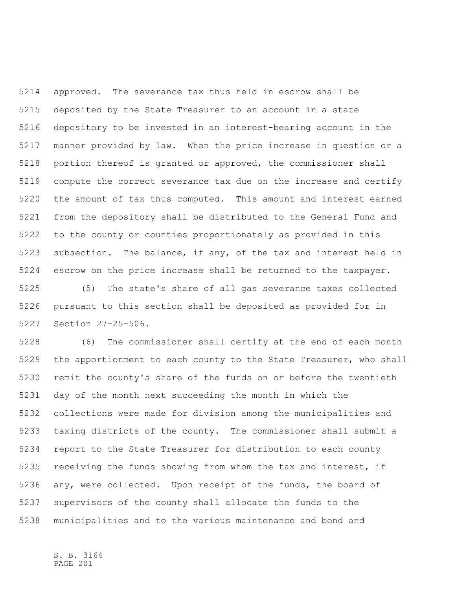approved. The severance tax thus held in escrow shall be deposited by the State Treasurer to an account in a state depository to be invested in an interest-bearing account in the manner provided by law. When the price increase in question or a portion thereof is granted or approved, the commissioner shall compute the correct severance tax due on the increase and certify the amount of tax thus computed. This amount and interest earned from the depository shall be distributed to the General Fund and to the county or counties proportionately as provided in this subsection. The balance, if any, of the tax and interest held in escrow on the price increase shall be returned to the taxpayer.

 (5) The state's share of all gas severance taxes collected pursuant to this section shall be deposited as provided for in Section 27-25-506.

 (6) The commissioner shall certify at the end of each month the apportionment to each county to the State Treasurer, who shall remit the county's share of the funds on or before the twentieth day of the month next succeeding the month in which the collections were made for division among the municipalities and taxing districts of the county. The commissioner shall submit a report to the State Treasurer for distribution to each county receiving the funds showing from whom the tax and interest, if any, were collected. Upon receipt of the funds, the board of supervisors of the county shall allocate the funds to the municipalities and to the various maintenance and bond and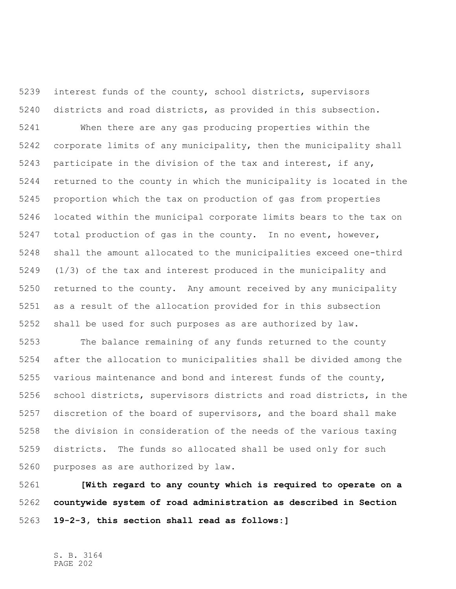interest funds of the county, school districts, supervisors districts and road districts, as provided in this subsection. When there are any gas producing properties within the corporate limits of any municipality, then the municipality shall participate in the division of the tax and interest, if any, returned to the county in which the municipality is located in the proportion which the tax on production of gas from properties located within the municipal corporate limits bears to the tax on total production of gas in the county. In no event, however, shall the amount allocated to the municipalities exceed one-third (1/3) of the tax and interest produced in the municipality and returned to the county. Any amount received by any municipality as a result of the allocation provided for in this subsection shall be used for such purposes as are authorized by law.

 The balance remaining of any funds returned to the county after the allocation to municipalities shall be divided among the various maintenance and bond and interest funds of the county, school districts, supervisors districts and road districts, in the discretion of the board of supervisors, and the board shall make the division in consideration of the needs of the various taxing districts. The funds so allocated shall be used only for such purposes as are authorized by law.

 **[With regard to any county which is required to operate on a countywide system of road administration as described in Section 19-2-3, this section shall read as follows:]**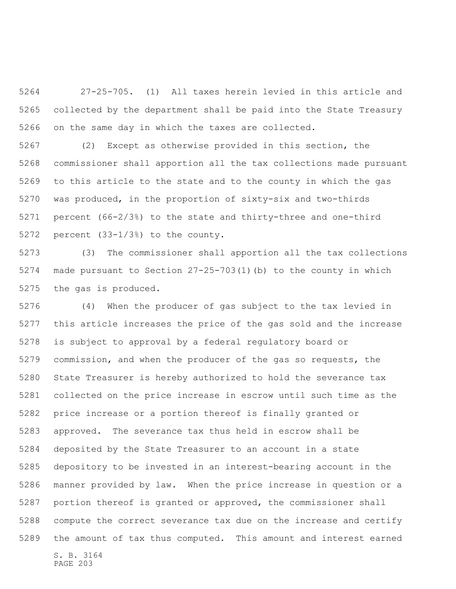27-25-705. (1) All taxes herein levied in this article and collected by the department shall be paid into the State Treasury on the same day in which the taxes are collected.

 (2) Except as otherwise provided in this section, the commissioner shall apportion all the tax collections made pursuant to this article to the state and to the county in which the gas was produced, in the proportion of sixty-six and two-thirds percent (66-2/3%) to the state and thirty-three and one-third percent (33-1/3%) to the county.

 (3) The commissioner shall apportion all the tax collections made pursuant to Section 27-25-703(1)(b) to the county in which the gas is produced.

S. B. 3164 PAGE 203 (4) When the producer of gas subject to the tax levied in this article increases the price of the gas sold and the increase is subject to approval by a federal regulatory board or commission, and when the producer of the gas so requests, the State Treasurer is hereby authorized to hold the severance tax collected on the price increase in escrow until such time as the price increase or a portion thereof is finally granted or approved. The severance tax thus held in escrow shall be deposited by the State Treasurer to an account in a state depository to be invested in an interest-bearing account in the manner provided by law. When the price increase in question or a portion thereof is granted or approved, the commissioner shall compute the correct severance tax due on the increase and certify the amount of tax thus computed. This amount and interest earned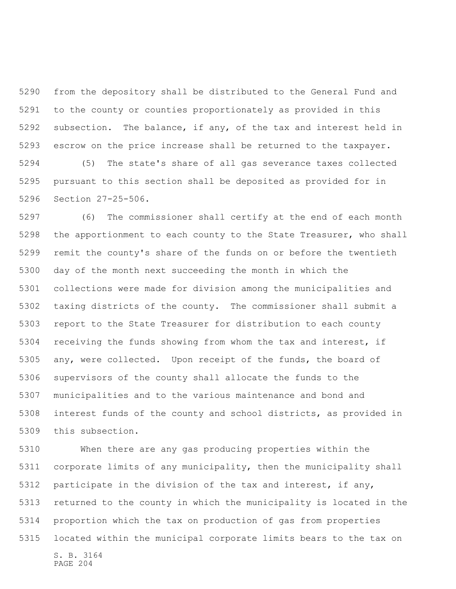from the depository shall be distributed to the General Fund and to the county or counties proportionately as provided in this subsection. The balance, if any, of the tax and interest held in escrow on the price increase shall be returned to the taxpayer. (5) The state's share of all gas severance taxes collected pursuant to this section shall be deposited as provided for in Section 27-25-506.

 (6) The commissioner shall certify at the end of each month the apportionment to each county to the State Treasurer, who shall remit the county's share of the funds on or before the twentieth day of the month next succeeding the month in which the collections were made for division among the municipalities and taxing districts of the county. The commissioner shall submit a report to the State Treasurer for distribution to each county receiving the funds showing from whom the tax and interest, if any, were collected. Upon receipt of the funds, the board of supervisors of the county shall allocate the funds to the municipalities and to the various maintenance and bond and interest funds of the county and school districts, as provided in this subsection.

S. B. 3164 PAGE 204 When there are any gas producing properties within the corporate limits of any municipality, then the municipality shall participate in the division of the tax and interest, if any, returned to the county in which the municipality is located in the proportion which the tax on production of gas from properties located within the municipal corporate limits bears to the tax on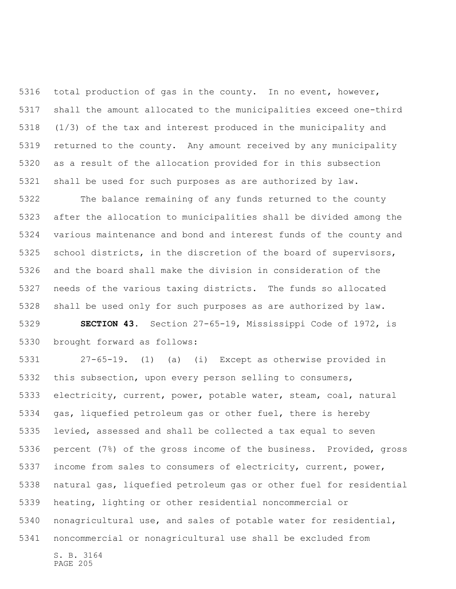total production of gas in the county. In no event, however, shall the amount allocated to the municipalities exceed one-third (1/3) of the tax and interest produced in the municipality and returned to the county. Any amount received by any municipality as a result of the allocation provided for in this subsection shall be used for such purposes as are authorized by law.

 The balance remaining of any funds returned to the county after the allocation to municipalities shall be divided among the various maintenance and bond and interest funds of the county and school districts, in the discretion of the board of supervisors, and the board shall make the division in consideration of the needs of the various taxing districts. The funds so allocated shall be used only for such purposes as are authorized by law.

 **SECTION 43.** Section 27-65-19, Mississippi Code of 1972, is brought forward as follows:

S. B. 3164 27-65-19. (1) (a) (i) Except as otherwise provided in this subsection, upon every person selling to consumers, electricity, current, power, potable water, steam, coal, natural gas, liquefied petroleum gas or other fuel, there is hereby levied, assessed and shall be collected a tax equal to seven percent (7%) of the gross income of the business. Provided, gross income from sales to consumers of electricity, current, power, natural gas, liquefied petroleum gas or other fuel for residential heating, lighting or other residential noncommercial or nonagricultural use, and sales of potable water for residential, noncommercial or nonagricultural use shall be excluded from

PAGE 205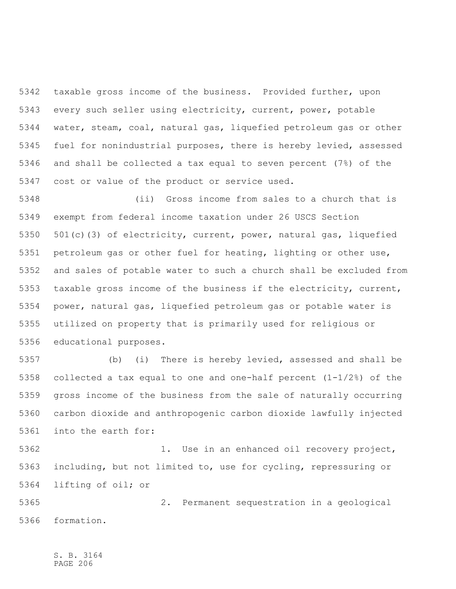taxable gross income of the business. Provided further, upon every such seller using electricity, current, power, potable water, steam, coal, natural gas, liquefied petroleum gas or other fuel for nonindustrial purposes, there is hereby levied, assessed and shall be collected a tax equal to seven percent (7%) of the cost or value of the product or service used.

 (ii) Gross income from sales to a church that is exempt from federal income taxation under 26 USCS Section 501(c)(3) of electricity, current, power, natural gas, liquefied petroleum gas or other fuel for heating, lighting or other use, and sales of potable water to such a church shall be excluded from taxable gross income of the business if the electricity, current, power, natural gas, liquefied petroleum gas or potable water is utilized on property that is primarily used for religious or educational purposes.

 (b) (i) There is hereby levied, assessed and shall be collected a tax equal to one and one-half percent (1-1/2%) of the gross income of the business from the sale of naturally occurring carbon dioxide and anthropogenic carbon dioxide lawfully injected into the earth for:

 1. Use in an enhanced oil recovery project, including, but not limited to, use for cycling, repressuring or lifting of oil; or

 2. Permanent sequestration in a geological formation.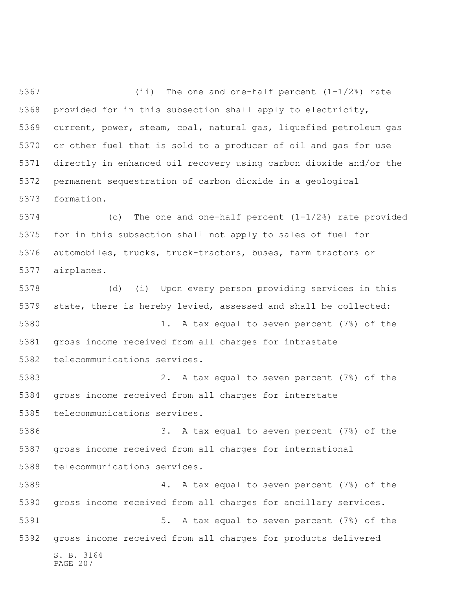(ii) The one and one-half percent (1-1/2%) rate provided for in this subsection shall apply to electricity, current, power, steam, coal, natural gas, liquefied petroleum gas or other fuel that is sold to a producer of oil and gas for use directly in enhanced oil recovery using carbon dioxide and/or the permanent sequestration of carbon dioxide in a geological formation.

 (c) The one and one-half percent (1-1/2%) rate provided for in this subsection shall not apply to sales of fuel for automobiles, trucks, truck-tractors, buses, farm tractors or airplanes.

S. B. 3164 PAGE 207 (d) (i) Upon every person providing services in this state, there is hereby levied, assessed and shall be collected: 1. A tax equal to seven percent (7%) of the gross income received from all charges for intrastate telecommunications services. 2. A tax equal to seven percent (7%) of the gross income received from all charges for interstate telecommunications services. 3. A tax equal to seven percent (7%) of the gross income received from all charges for international telecommunications services. 4. A tax equal to seven percent (7%) of the gross income received from all charges for ancillary services. 5. A tax equal to seven percent (7%) of the gross income received from all charges for products delivered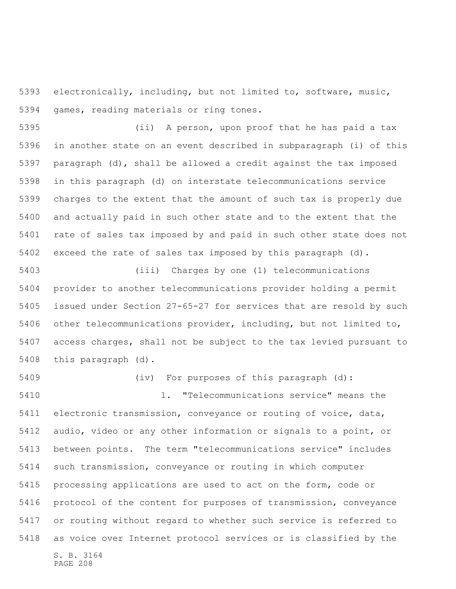electronically, including, but not limited to, software, music, games, reading materials or ring tones.

 (ii) A person, upon proof that he has paid a tax in another state on an event described in subparagraph (i) of this paragraph (d), shall be allowed a credit against the tax imposed in this paragraph (d) on interstate telecommunications service charges to the extent that the amount of such tax is properly due and actually paid in such other state and to the extent that the rate of sales tax imposed by and paid in such other state does not exceed the rate of sales tax imposed by this paragraph (d).

 (iii) Charges by one (1) telecommunications provider to another telecommunications provider holding a permit issued under Section 27-65-27 for services that are resold by such other telecommunications provider, including, but not limited to, access charges, shall not be subject to the tax levied pursuant to this paragraph (d).

S. B. 3164 PAGE 208 (iv) For purposes of this paragraph (d): 1. "Telecommunications service" means the electronic transmission, conveyance or routing of voice, data, audio, video or any other information or signals to a point, or between points. The term "telecommunications service" includes such transmission, conveyance or routing in which computer processing applications are used to act on the form, code or protocol of the content for purposes of transmission, conveyance or routing without regard to whether such service is referred to as voice over Internet protocol services or is classified by the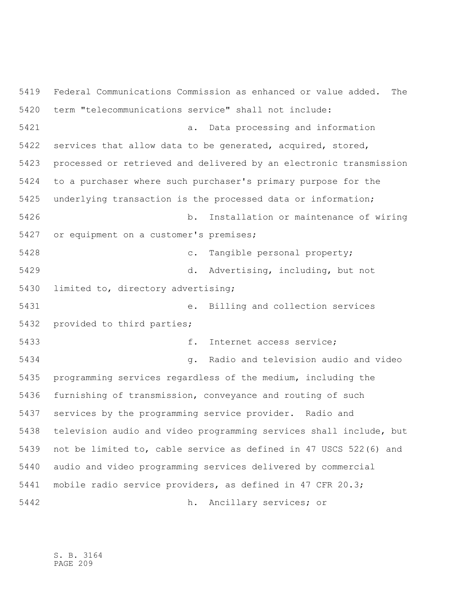Federal Communications Commission as enhanced or value added. The term "telecommunications service" shall not include: a. Data processing and information services that allow data to be generated, acquired, stored, processed or retrieved and delivered by an electronic transmission to a purchaser where such purchaser's primary purpose for the underlying transaction is the processed data or information; b. Installation or maintenance of wiring or equipment on a customer's premises; c. Tangible personal property; d. Advertising, including, but not limited to, directory advertising; e. Billing and collection services provided to third parties; f. Internet access service; g. Radio and television audio and video programming services regardless of the medium, including the furnishing of transmission, conveyance and routing of such services by the programming service provider. Radio and television audio and video programming services shall include, but not be limited to, cable service as defined in 47 USCS 522(6) and audio and video programming services delivered by commercial mobile radio service providers, as defined in 47 CFR 20.3; h. Ancillary services; or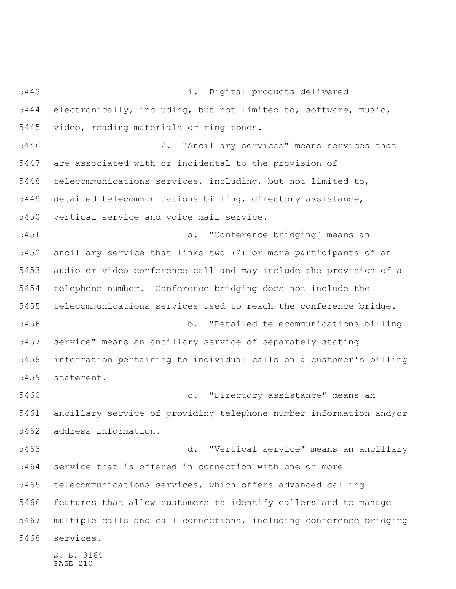S. B. 3164 i. Digital products delivered electronically, including, but not limited to, software, music, video, reading materials or ring tones. 2. "Ancillary services" means services that are associated with or incidental to the provision of telecommunications services, including, but not limited to, detailed telecommunications billing, directory assistance, vertical service and voice mail service. a. "Conference bridging" means an ancillary service that links two (2) or more participants of an audio or video conference call and may include the provision of a telephone number. Conference bridging does not include the telecommunications services used to reach the conference bridge. b. "Detailed telecommunications billing service" means an ancillary service of separately stating information pertaining to individual calls on a customer's billing statement. c. "Directory assistance" means an ancillary service of providing telephone number information and/or address information. d. "Vertical service" means an ancillary service that is offered in connection with one or more telecommunications services, which offers advanced calling features that allow customers to identify callers and to manage multiple calls and call connections, including conference bridging services.

PAGE 210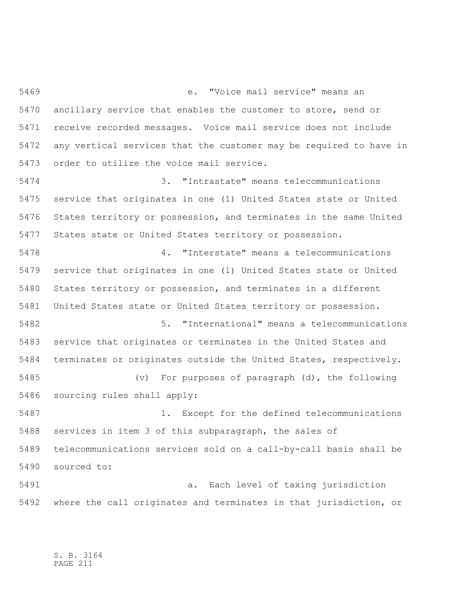e. "Voice mail service" means an ancillary service that enables the customer to store, send or receive recorded messages. Voice mail service does not include any vertical services that the customer may be required to have in order to utilize the voice mail service.

 3. "Intrastate" means telecommunications service that originates in one (1) United States state or United States territory or possession, and terminates in the same United States state or United States territory or possession.

 4. "Interstate" means a telecommunications service that originates in one (1) United States state or United States territory or possession, and terminates in a different United States state or United States territory or possession. 5. "International" means a telecommunications service that originates or terminates in the United States and terminates or originates outside the United States, respectively. (v) For purposes of paragraph (d), the following sourcing rules shall apply: 1. Except for the defined telecommunications

 services in item 3 of this subparagraph, the sales of telecommunications services sold on a call-by-call basis shall be sourced to:

 a. Each level of taxing jurisdiction where the call originates and terminates in that jurisdiction, or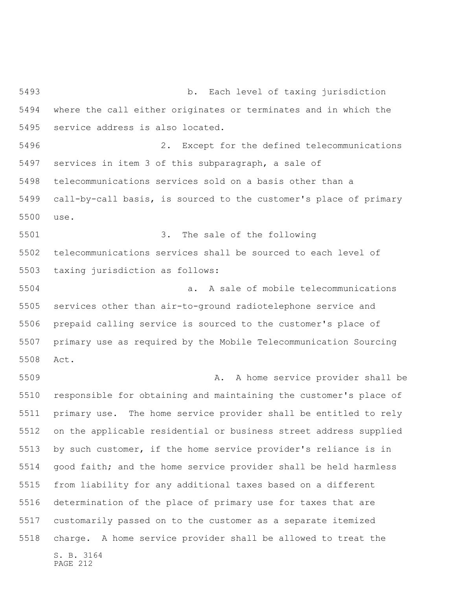S. B. 3164 PAGE 212 b. Each level of taxing jurisdiction where the call either originates or terminates and in which the service address is also located. 2. Except for the defined telecommunications services in item 3 of this subparagraph, a sale of telecommunications services sold on a basis other than a call-by-call basis, is sourced to the customer's place of primary use. 3. The sale of the following telecommunications services shall be sourced to each level of taxing jurisdiction as follows: a. A sale of mobile telecommunications services other than air-to-ground radiotelephone service and prepaid calling service is sourced to the customer's place of primary use as required by the Mobile Telecommunication Sourcing Act. A. A home service provider shall be responsible for obtaining and maintaining the customer's place of primary use. The home service provider shall be entitled to rely on the applicable residential or business street address supplied by such customer, if the home service provider's reliance is in good faith; and the home service provider shall be held harmless from liability for any additional taxes based on a different determination of the place of primary use for taxes that are customarily passed on to the customer as a separate itemized charge. A home service provider shall be allowed to treat the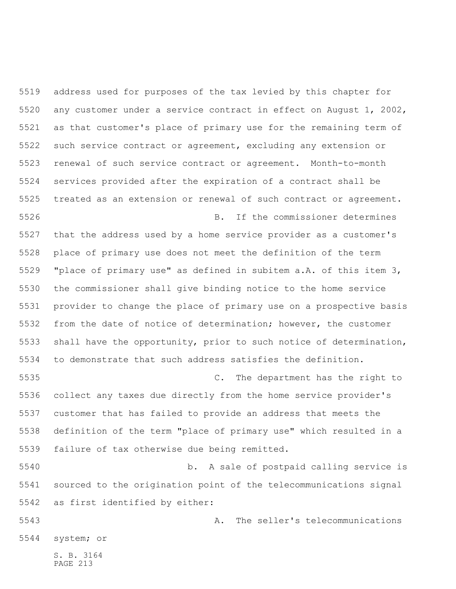S. B. 3164 PAGE 213 address used for purposes of the tax levied by this chapter for any customer under a service contract in effect on August 1, 2002, as that customer's place of primary use for the remaining term of such service contract or agreement, excluding any extension or renewal of such service contract or agreement. Month-to-month services provided after the expiration of a contract shall be treated as an extension or renewal of such contract or agreement. B. If the commissioner determines that the address used by a home service provider as a customer's place of primary use does not meet the definition of the term "place of primary use" as defined in subitem a.A. of this item 3, the commissioner shall give binding notice to the home service provider to change the place of primary use on a prospective basis from the date of notice of determination; however, the customer shall have the opportunity, prior to such notice of determination, to demonstrate that such address satisfies the definition. C. The department has the right to collect any taxes due directly from the home service provider's customer that has failed to provide an address that meets the definition of the term "place of primary use" which resulted in a failure of tax otherwise due being remitted. b. A sale of postpaid calling service is sourced to the origination point of the telecommunications signal as first identified by either: A. The seller's telecommunications system; or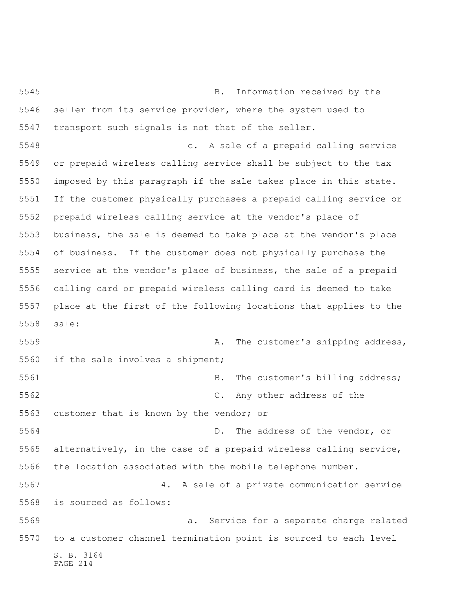S. B. 3164 PAGE 214 B. Information received by the seller from its service provider, where the system used to transport such signals is not that of the seller. c. A sale of a prepaid calling service or prepaid wireless calling service shall be subject to the tax imposed by this paragraph if the sale takes place in this state. If the customer physically purchases a prepaid calling service or prepaid wireless calling service at the vendor's place of business, the sale is deemed to take place at the vendor's place of business. If the customer does not physically purchase the service at the vendor's place of business, the sale of a prepaid calling card or prepaid wireless calling card is deemed to take place at the first of the following locations that applies to the sale: A. The customer's shipping address, if the sale involves a shipment; 5561 B. The customer's billing address; C. Any other address of the customer that is known by the vendor; or D. The address of the vendor, or alternatively, in the case of a prepaid wireless calling service, the location associated with the mobile telephone number. 4. A sale of a private communication service is sourced as follows: a. Service for a separate charge related to a customer channel termination point is sourced to each level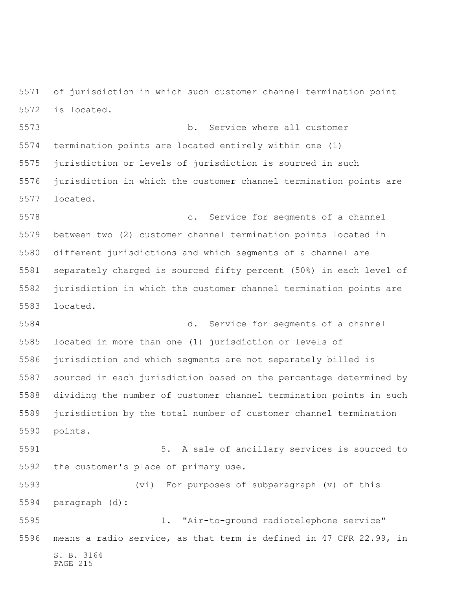of jurisdiction in which such customer channel termination point is located.

 b. Service where all customer termination points are located entirely within one (1) jurisdiction or levels of jurisdiction is sourced in such jurisdiction in which the customer channel termination points are located.

 c. Service for segments of a channel between two (2) customer channel termination points located in different jurisdictions and which segments of a channel are separately charged is sourced fifty percent (50%) in each level of jurisdiction in which the customer channel termination points are located.

 d. Service for segments of a channel located in more than one (1) jurisdiction or levels of jurisdiction and which segments are not separately billed is sourced in each jurisdiction based on the percentage determined by dividing the number of customer channel termination points in such jurisdiction by the total number of customer channel termination points.

 5. A sale of ancillary services is sourced to the customer's place of primary use.

 (vi) For purposes of subparagraph (v) of this paragraph (d):

S. B. 3164 PAGE 215 1. "Air-to-ground radiotelephone service" means a radio service, as that term is defined in 47 CFR 22.99, in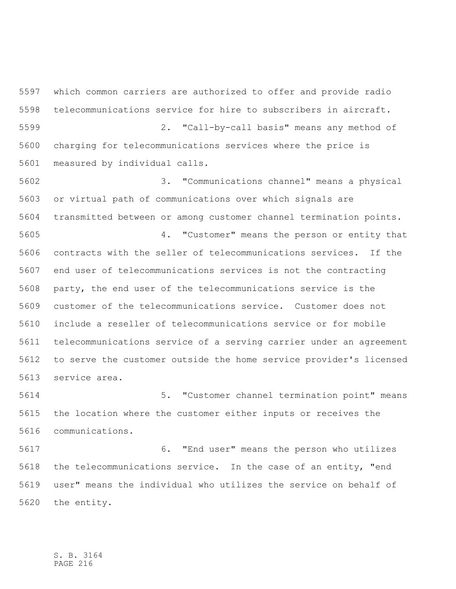which common carriers are authorized to offer and provide radio telecommunications service for hire to subscribers in aircraft. 2. "Call-by-call basis" means any method of charging for telecommunications services where the price is measured by individual calls.

 3. "Communications channel" means a physical or virtual path of communications over which signals are transmitted between or among customer channel termination points. 4. "Customer" means the person or entity that contracts with the seller of telecommunications services. If the end user of telecommunications services is not the contracting party, the end user of the telecommunications service is the customer of the telecommunications service. Customer does not include a reseller of telecommunications service or for mobile telecommunications service of a serving carrier under an agreement to serve the customer outside the home service provider's licensed service area.

 5. "Customer channel termination point" means the location where the customer either inputs or receives the communications.

 6. "End user" means the person who utilizes the telecommunications service. In the case of an entity, "end user" means the individual who utilizes the service on behalf of the entity.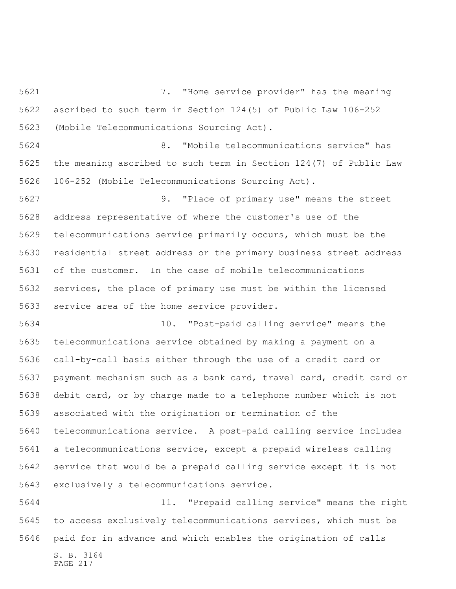7. "Home service provider" has the meaning ascribed to such term in Section 124(5) of Public Law 106-252 (Mobile Telecommunications Sourcing Act).

 8. "Mobile telecommunications service" has the meaning ascribed to such term in Section 124(7) of Public Law 106-252 (Mobile Telecommunications Sourcing Act).

 9. "Place of primary use" means the street address representative of where the customer's use of the telecommunications service primarily occurs, which must be the residential street address or the primary business street address of the customer. In the case of mobile telecommunications services, the place of primary use must be within the licensed service area of the home service provider.

 10. "Post-paid calling service" means the telecommunications service obtained by making a payment on a call-by-call basis either through the use of a credit card or payment mechanism such as a bank card, travel card, credit card or debit card, or by charge made to a telephone number which is not associated with the origination or termination of the telecommunications service. A post-paid calling service includes a telecommunications service, except a prepaid wireless calling service that would be a prepaid calling service except it is not exclusively a telecommunications service.

 11. "Prepaid calling service" means the right to access exclusively telecommunications services, which must be paid for in advance and which enables the origination of calls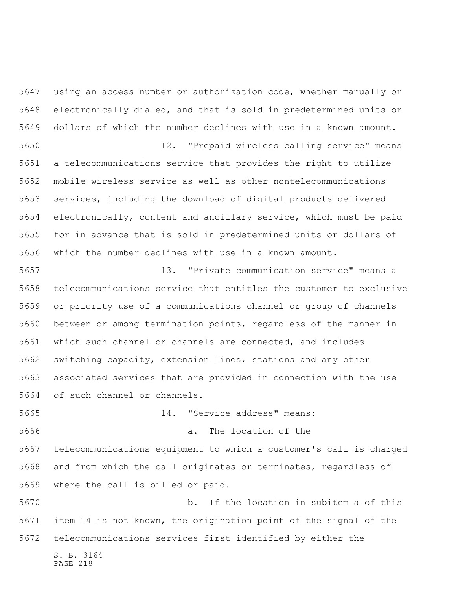using an access number or authorization code, whether manually or electronically dialed, and that is sold in predetermined units or dollars of which the number declines with use in a known amount. 12. "Prepaid wireless calling service" means a telecommunications service that provides the right to utilize

 mobile wireless service as well as other nontelecommunications services, including the download of digital products delivered electronically, content and ancillary service, which must be paid for in advance that is sold in predetermined units or dollars of which the number declines with use in a known amount.

 13. "Private communication service" means a telecommunications service that entitles the customer to exclusive or priority use of a communications channel or group of channels between or among termination points, regardless of the manner in which such channel or channels are connected, and includes switching capacity, extension lines, stations and any other associated services that are provided in connection with the use of such channel or channels.

 a. The location of the telecommunications equipment to which a customer's call is charged and from which the call originates or terminates, regardless of where the call is billed or paid.

14. "Service address" means:

 b. If the location in subitem a of this item 14 is not known, the origination point of the signal of the telecommunications services first identified by either the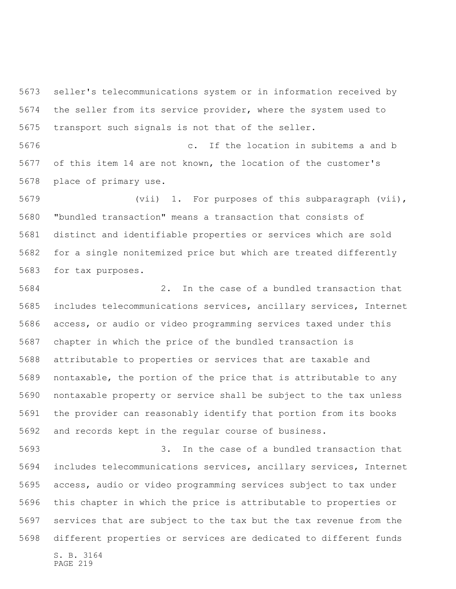seller's telecommunications system or in information received by the seller from its service provider, where the system used to transport such signals is not that of the seller.

 c. If the location in subitems a and b of this item 14 are not known, the location of the customer's place of primary use.

 (vii) 1. For purposes of this subparagraph (vii), "bundled transaction" means a transaction that consists of distinct and identifiable properties or services which are sold for a single nonitemized price but which are treated differently for tax purposes.

 2. In the case of a bundled transaction that includes telecommunications services, ancillary services, Internet access, or audio or video programming services taxed under this chapter in which the price of the bundled transaction is attributable to properties or services that are taxable and nontaxable, the portion of the price that is attributable to any nontaxable property or service shall be subject to the tax unless the provider can reasonably identify that portion from its books and records kept in the regular course of business.

S. B. 3164 3. In the case of a bundled transaction that includes telecommunications services, ancillary services, Internet access, audio or video programming services subject to tax under this chapter in which the price is attributable to properties or services that are subject to the tax but the tax revenue from the different properties or services are dedicated to different funds

```
PAGE 219
```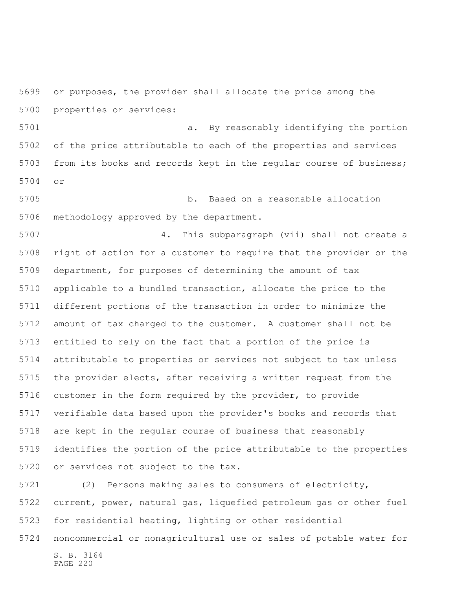or purposes, the provider shall allocate the price among the properties or services:

 a. By reasonably identifying the portion of the price attributable to each of the properties and services from its books and records kept in the regular course of business; or

 b. Based on a reasonable allocation methodology approved by the department.

 4. This subparagraph (vii) shall not create a right of action for a customer to require that the provider or the department, for purposes of determining the amount of tax applicable to a bundled transaction, allocate the price to the different portions of the transaction in order to minimize the amount of tax charged to the customer. A customer shall not be entitled to rely on the fact that a portion of the price is attributable to properties or services not subject to tax unless the provider elects, after receiving a written request from the customer in the form required by the provider, to provide verifiable data based upon the provider's books and records that are kept in the regular course of business that reasonably identifies the portion of the price attributable to the properties or services not subject to the tax.

 (2) Persons making sales to consumers of electricity, current, power, natural gas, liquefied petroleum gas or other fuel for residential heating, lighting or other residential

noncommercial or nonagricultural use or sales of potable water for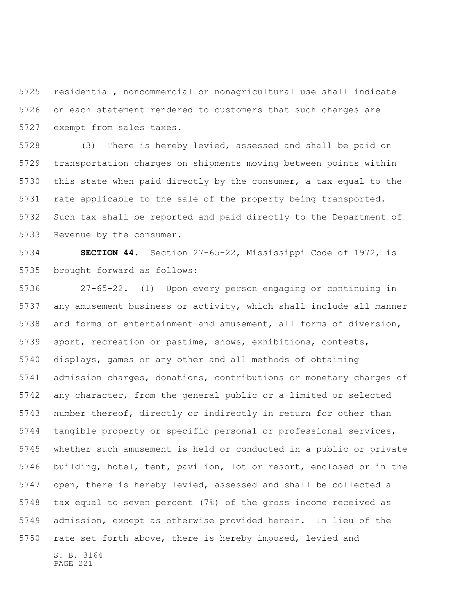residential, noncommercial or nonagricultural use shall indicate on each statement rendered to customers that such charges are exempt from sales taxes.

 (3) There is hereby levied, assessed and shall be paid on transportation charges on shipments moving between points within this state when paid directly by the consumer, a tax equal to the rate applicable to the sale of the property being transported. Such tax shall be reported and paid directly to the Department of Revenue by the consumer.

 **SECTION 44.** Section 27-65-22, Mississippi Code of 1972, is brought forward as follows:

 27-65-22. (1) Upon every person engaging or continuing in any amusement business or activity, which shall include all manner and forms of entertainment and amusement, all forms of diversion, sport, recreation or pastime, shows, exhibitions, contests, displays, games or any other and all methods of obtaining admission charges, donations, contributions or monetary charges of any character, from the general public or a limited or selected number thereof, directly or indirectly in return for other than tangible property or specific personal or professional services, whether such amusement is held or conducted in a public or private building, hotel, tent, pavilion, lot or resort, enclosed or in the open, there is hereby levied, assessed and shall be collected a tax equal to seven percent (7%) of the gross income received as admission, except as otherwise provided herein. In lieu of the rate set forth above, there is hereby imposed, levied and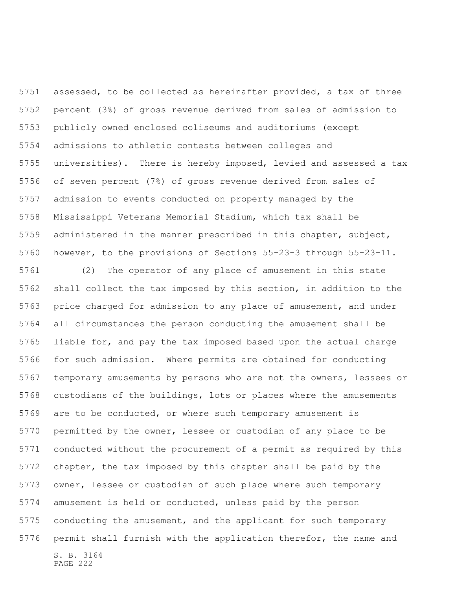assessed, to be collected as hereinafter provided, a tax of three percent (3%) of gross revenue derived from sales of admission to publicly owned enclosed coliseums and auditoriums (except admissions to athletic contests between colleges and universities). There is hereby imposed, levied and assessed a tax of seven percent (7%) of gross revenue derived from sales of admission to events conducted on property managed by the Mississippi Veterans Memorial Stadium, which tax shall be administered in the manner prescribed in this chapter, subject, however, to the provisions of Sections 55-23-3 through 55-23-11.

S. B. 3164 PAGE 222 (2) The operator of any place of amusement in this state shall collect the tax imposed by this section, in addition to the price charged for admission to any place of amusement, and under all circumstances the person conducting the amusement shall be liable for, and pay the tax imposed based upon the actual charge for such admission. Where permits are obtained for conducting temporary amusements by persons who are not the owners, lessees or custodians of the buildings, lots or places where the amusements are to be conducted, or where such temporary amusement is permitted by the owner, lessee or custodian of any place to be conducted without the procurement of a permit as required by this chapter, the tax imposed by this chapter shall be paid by the owner, lessee or custodian of such place where such temporary amusement is held or conducted, unless paid by the person conducting the amusement, and the applicant for such temporary permit shall furnish with the application therefor, the name and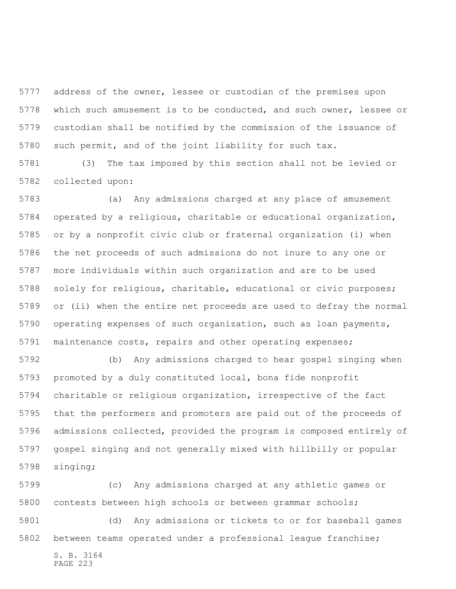address of the owner, lessee or custodian of the premises upon which such amusement is to be conducted, and such owner, lessee or custodian shall be notified by the commission of the issuance of such permit, and of the joint liability for such tax.

 (3) The tax imposed by this section shall not be levied or collected upon:

 (a) Any admissions charged at any place of amusement operated by a religious, charitable or educational organization, or by a nonprofit civic club or fraternal organization (i) when the net proceeds of such admissions do not inure to any one or more individuals within such organization and are to be used solely for religious, charitable, educational or civic purposes; or (ii) when the entire net proceeds are used to defray the normal operating expenses of such organization, such as loan payments, maintenance costs, repairs and other operating expenses;

 (b) Any admissions charged to hear gospel singing when promoted by a duly constituted local, bona fide nonprofit charitable or religious organization, irrespective of the fact that the performers and promoters are paid out of the proceeds of admissions collected, provided the program is composed entirely of gospel singing and not generally mixed with hillbilly or popular singing;

 (c) Any admissions charged at any athletic games or contests between high schools or between grammar schools;

 (d) Any admissions or tickets to or for baseball games between teams operated under a professional league franchise;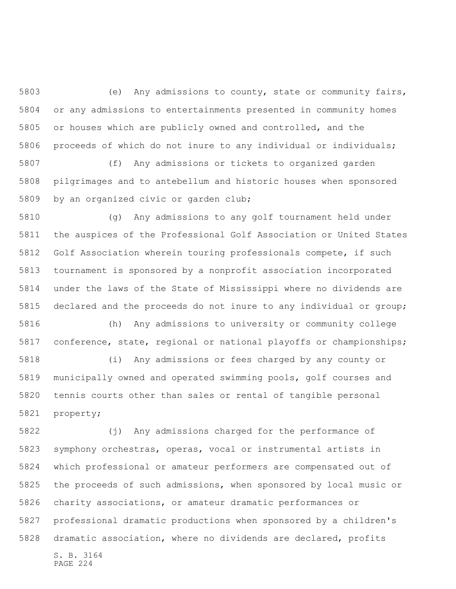(e) Any admissions to county, state or community fairs, or any admissions to entertainments presented in community homes or houses which are publicly owned and controlled, and the proceeds of which do not inure to any individual or individuals;

 (f) Any admissions or tickets to organized garden pilgrimages and to antebellum and historic houses when sponsored by an organized civic or garden club;

 (g) Any admissions to any golf tournament held under the auspices of the Professional Golf Association or United States Golf Association wherein touring professionals compete, if such tournament is sponsored by a nonprofit association incorporated under the laws of the State of Mississippi where no dividends are declared and the proceeds do not inure to any individual or group;

 (h) Any admissions to university or community college conference, state, regional or national playoffs or championships;

 (i) Any admissions or fees charged by any county or municipally owned and operated swimming pools, golf courses and tennis courts other than sales or rental of tangible personal property;

S. B. 3164 PAGE 224 (j) Any admissions charged for the performance of symphony orchestras, operas, vocal or instrumental artists in which professional or amateur performers are compensated out of the proceeds of such admissions, when sponsored by local music or charity associations, or amateur dramatic performances or professional dramatic productions when sponsored by a children's dramatic association, where no dividends are declared, profits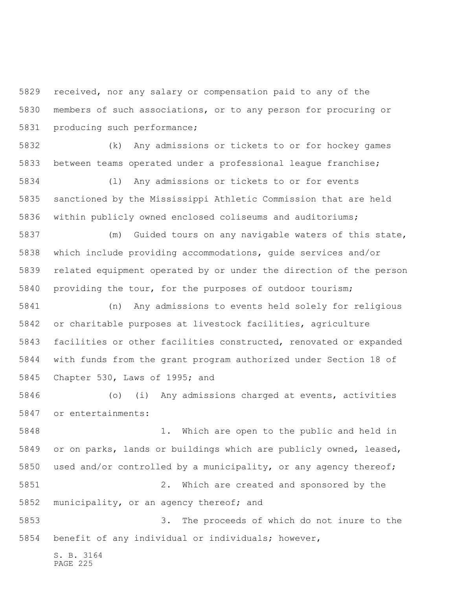received, nor any salary or compensation paid to any of the members of such associations, or to any person for procuring or producing such performance;

 (k) Any admissions or tickets to or for hockey games between teams operated under a professional league franchise;

 (l) Any admissions or tickets to or for events sanctioned by the Mississippi Athletic Commission that are held within publicly owned enclosed coliseums and auditoriums;

 (m) Guided tours on any navigable waters of this state, which include providing accommodations, guide services and/or related equipment operated by or under the direction of the person providing the tour, for the purposes of outdoor tourism;

 (n) Any admissions to events held solely for religious or charitable purposes at livestock facilities, agriculture facilities or other facilities constructed, renovated or expanded with funds from the grant program authorized under Section 18 of Chapter 530, Laws of 1995; and

 (o) (i) Any admissions charged at events, activities or entertainments:

 1. Which are open to the public and held in or on parks, lands or buildings which are publicly owned, leased, used and/or controlled by a municipality, or any agency thereof; 2. Which are created and sponsored by the municipality, or an agency thereof; and 3. The proceeds of which do not inure to the

benefit of any individual or individuals; however,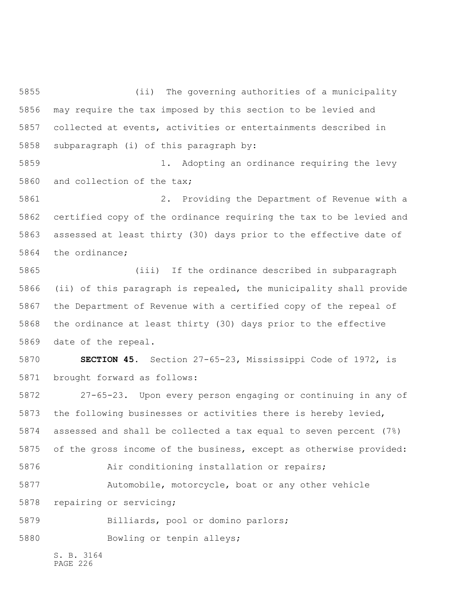(ii) The governing authorities of a municipality may require the tax imposed by this section to be levied and collected at events, activities or entertainments described in subparagraph (i) of this paragraph by:

 1. Adopting an ordinance requiring the levy and collection of the tax;

 2. Providing the Department of Revenue with a certified copy of the ordinance requiring the tax to be levied and assessed at least thirty (30) days prior to the effective date of the ordinance;

 (iii) If the ordinance described in subparagraph (ii) of this paragraph is repealed, the municipality shall provide the Department of Revenue with a certified copy of the repeal of the ordinance at least thirty (30) days prior to the effective date of the repeal.

 **SECTION 45.** Section 27-65-23, Mississippi Code of 1972, is brought forward as follows:

 27-65-23. Upon every person engaging or continuing in any of the following businesses or activities there is hereby levied, assessed and shall be collected a tax equal to seven percent (7%) of the gross income of the business, except as otherwise provided:

**Air conditioning installation or repairs;** 

Automobile, motorcycle, boat or any other vehicle

repairing or servicing;

Billiards, pool or domino parlors;

5880 Bowling or tenpin alleys;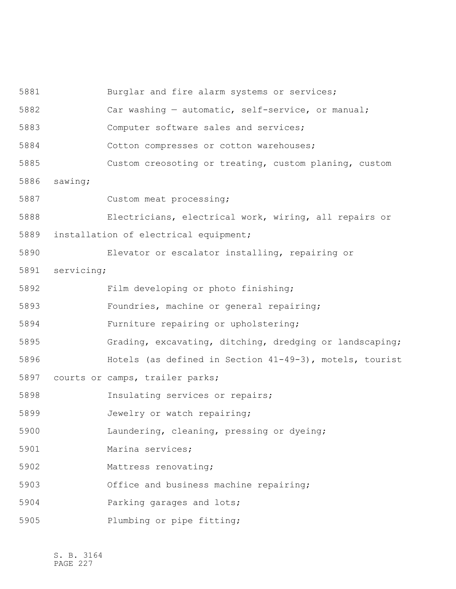Burglar and fire alarm systems or services; Car washing — automatic, self-service, or manual; Computer software sales and services; Cotton compresses or cotton warehouses; Custom creosoting or treating, custom planing, custom sawing; Custom meat processing; Electricians, electrical work, wiring, all repairs or installation of electrical equipment; Elevator or escalator installing, repairing or servicing; Film developing or photo finishing; Foundries, machine or general repairing; Furniture repairing or upholstering; Grading, excavating, ditching, dredging or landscaping; Hotels (as defined in Section 41-49-3), motels, tourist courts or camps, trailer parks; Insulating services or repairs; Jewelry or watch repairing; Laundering, cleaning, pressing or dyeing; Marina services; Mattress renovating; Office and business machine repairing; Parking garages and lots; Plumbing or pipe fitting;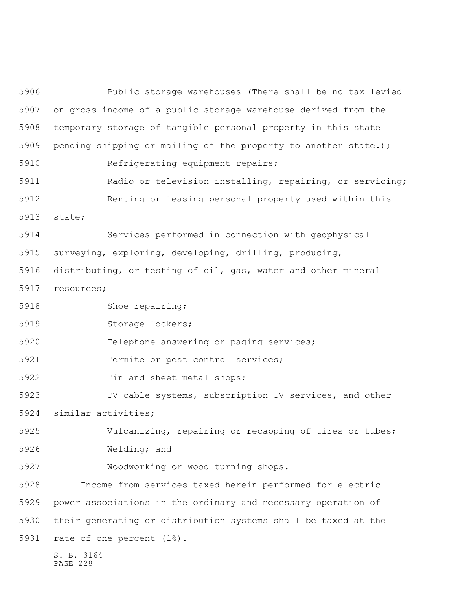S. B. 3164 Public storage warehouses (There shall be no tax levied on gross income of a public storage warehouse derived from the temporary storage of tangible personal property in this state 5909 pending shipping or mailing of the property to another state.); Refrigerating equipment repairs; Radio or television installing, repairing, or servicing; Renting or leasing personal property used within this state; Services performed in connection with geophysical surveying, exploring, developing, drilling, producing, distributing, or testing of oil, gas, water and other mineral resources; 5918 Shoe repairing; 5919 Storage lockers; Telephone answering or paging services; Termite or pest control services; 5922 Tin and sheet metal shops; TV cable systems, subscription TV services, and other similar activities; Vulcanizing, repairing or recapping of tires or tubes; Welding; and Woodworking or wood turning shops. Income from services taxed herein performed for electric power associations in the ordinary and necessary operation of their generating or distribution systems shall be taxed at the rate of one percent (1%).

PAGE 228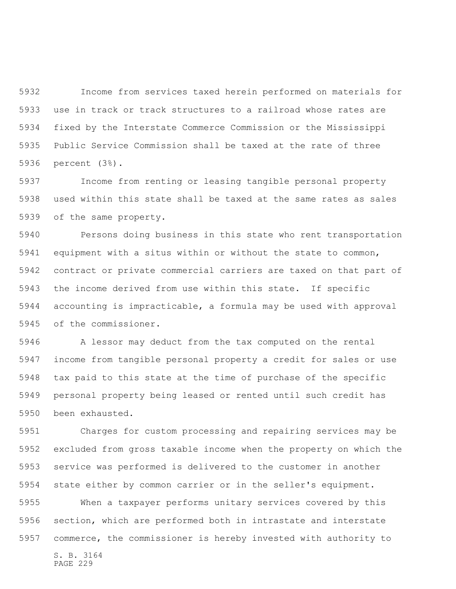Income from services taxed herein performed on materials for use in track or track structures to a railroad whose rates are fixed by the Interstate Commerce Commission or the Mississippi Public Service Commission shall be taxed at the rate of three percent (3%).

 Income from renting or leasing tangible personal property used within this state shall be taxed at the same rates as sales of the same property.

 Persons doing business in this state who rent transportation equipment with a situs within or without the state to common, contract or private commercial carriers are taxed on that part of the income derived from use within this state. If specific accounting is impracticable, a formula may be used with approval of the commissioner.

 A lessor may deduct from the tax computed on the rental income from tangible personal property a credit for sales or use tax paid to this state at the time of purchase of the specific personal property being leased or rented until such credit has been exhausted.

 Charges for custom processing and repairing services may be excluded from gross taxable income when the property on which the service was performed is delivered to the customer in another state either by common carrier or in the seller's equipment.

 When a taxpayer performs unitary services covered by this section, which are performed both in intrastate and interstate commerce, the commissioner is hereby invested with authority to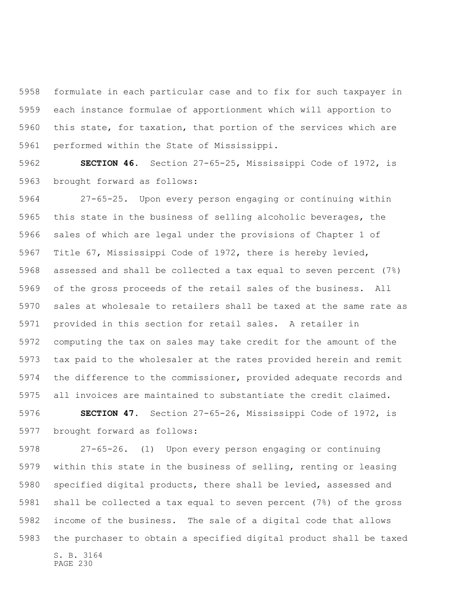formulate in each particular case and to fix for such taxpayer in each instance formulae of apportionment which will apportion to this state, for taxation, that portion of the services which are performed within the State of Mississippi.

 **SECTION 46.** Section 27-65-25, Mississippi Code of 1972, is brought forward as follows:

 27-65-25. Upon every person engaging or continuing within this state in the business of selling alcoholic beverages, the sales of which are legal under the provisions of Chapter 1 of Title 67, Mississippi Code of 1972, there is hereby levied, assessed and shall be collected a tax equal to seven percent (7%) of the gross proceeds of the retail sales of the business. All sales at wholesale to retailers shall be taxed at the same rate as provided in this section for retail sales. A retailer in computing the tax on sales may take credit for the amount of the tax paid to the wholesaler at the rates provided herein and remit the difference to the commissioner, provided adequate records and all invoices are maintained to substantiate the credit claimed.

 **SECTION 47.** Section 27-65-26, Mississippi Code of 1972, is brought forward as follows:

S. B. 3164 27-65-26. (1) Upon every person engaging or continuing within this state in the business of selling, renting or leasing specified digital products, there shall be levied, assessed and shall be collected a tax equal to seven percent (7%) of the gross income of the business. The sale of a digital code that allows the purchaser to obtain a specified digital product shall be taxed

PAGE 230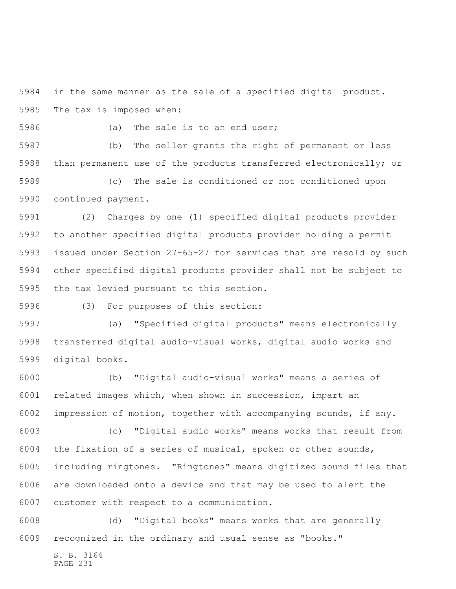in the same manner as the sale of a specified digital product. The tax is imposed when:

5986 (a) The sale is to an end user;

 (b) The seller grants the right of permanent or less than permanent use of the products transferred electronically; or

 (c) The sale is conditioned or not conditioned upon continued payment.

 (2) Charges by one (1) specified digital products provider to another specified digital products provider holding a permit issued under Section 27-65-27 for services that are resold by such other specified digital products provider shall not be subject to the tax levied pursuant to this section.

(3) For purposes of this section:

 (a) "Specified digital products" means electronically transferred digital audio-visual works, digital audio works and digital books.

 (b) "Digital audio-visual works" means a series of related images which, when shown in succession, impart an impression of motion, together with accompanying sounds, if any.

 (c) "Digital audio works" means works that result from the fixation of a series of musical, spoken or other sounds, including ringtones. "Ringtones" means digitized sound files that are downloaded onto a device and that may be used to alert the customer with respect to a communication.

 (d) "Digital books" means works that are generally recognized in the ordinary and usual sense as "books."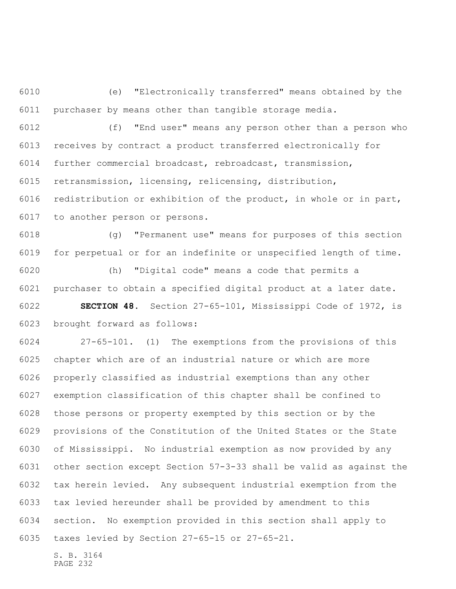(e) "Electronically transferred" means obtained by the purchaser by means other than tangible storage media.

 (f) "End user" means any person other than a person who receives by contract a product transferred electronically for further commercial broadcast, rebroadcast, transmission, retransmission, licensing, relicensing, distribution, redistribution or exhibition of the product, in whole or in part, to another person or persons.

 (g) "Permanent use" means for purposes of this section for perpetual or for an indefinite or unspecified length of time.

 (h) "Digital code" means a code that permits a purchaser to obtain a specified digital product at a later date. **SECTION 48.** Section 27-65-101, Mississippi Code of 1972, is

brought forward as follows:

 27-65-101. (1) The exemptions from the provisions of this chapter which are of an industrial nature or which are more properly classified as industrial exemptions than any other exemption classification of this chapter shall be confined to those persons or property exempted by this section or by the provisions of the Constitution of the United States or the State of Mississippi. No industrial exemption as now provided by any other section except Section 57-3-33 shall be valid as against the tax herein levied. Any subsequent industrial exemption from the tax levied hereunder shall be provided by amendment to this section. No exemption provided in this section shall apply to taxes levied by Section 27-65-15 or 27-65-21.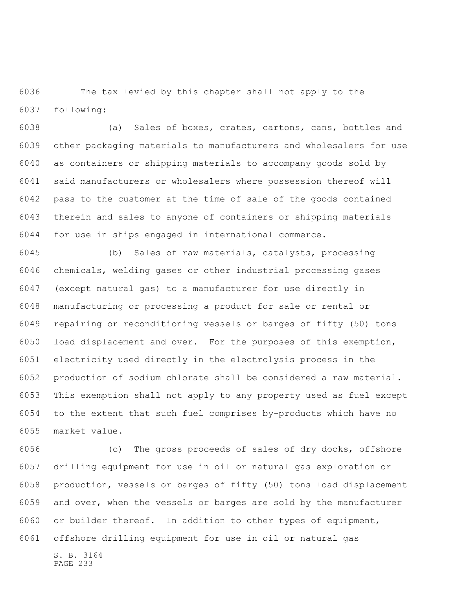The tax levied by this chapter shall not apply to the following:

 (a) Sales of boxes, crates, cartons, cans, bottles and other packaging materials to manufacturers and wholesalers for use as containers or shipping materials to accompany goods sold by said manufacturers or wholesalers where possession thereof will pass to the customer at the time of sale of the goods contained therein and sales to anyone of containers or shipping materials for use in ships engaged in international commerce.

 (b) Sales of raw materials, catalysts, processing chemicals, welding gases or other industrial processing gases (except natural gas) to a manufacturer for use directly in manufacturing or processing a product for sale or rental or repairing or reconditioning vessels or barges of fifty (50) tons load displacement and over. For the purposes of this exemption, electricity used directly in the electrolysis process in the production of sodium chlorate shall be considered a raw material. This exemption shall not apply to any property used as fuel except to the extent that such fuel comprises by-products which have no market value.

 (c) The gross proceeds of sales of dry docks, offshore drilling equipment for use in oil or natural gas exploration or production, vessels or barges of fifty (50) tons load displacement and over, when the vessels or barges are sold by the manufacturer or builder thereof. In addition to other types of equipment, offshore drilling equipment for use in oil or natural gas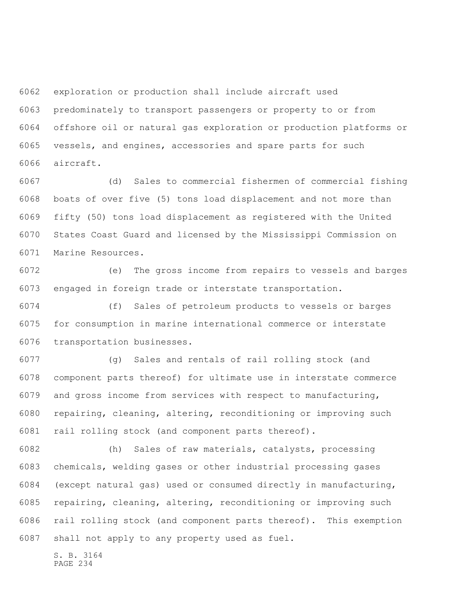exploration or production shall include aircraft used predominately to transport passengers or property to or from offshore oil or natural gas exploration or production platforms or vessels, and engines, accessories and spare parts for such aircraft.

 (d) Sales to commercial fishermen of commercial fishing boats of over five (5) tons load displacement and not more than fifty (50) tons load displacement as registered with the United States Coast Guard and licensed by the Mississippi Commission on Marine Resources.

 (e) The gross income from repairs to vessels and barges engaged in foreign trade or interstate transportation.

 (f) Sales of petroleum products to vessels or barges for consumption in marine international commerce or interstate transportation businesses.

 (g) Sales and rentals of rail rolling stock (and component parts thereof) for ultimate use in interstate commerce and gross income from services with respect to manufacturing, repairing, cleaning, altering, reconditioning or improving such rail rolling stock (and component parts thereof).

 (h) Sales of raw materials, catalysts, processing chemicals, welding gases or other industrial processing gases (except natural gas) used or consumed directly in manufacturing, repairing, cleaning, altering, reconditioning or improving such rail rolling stock (and component parts thereof). This exemption shall not apply to any property used as fuel.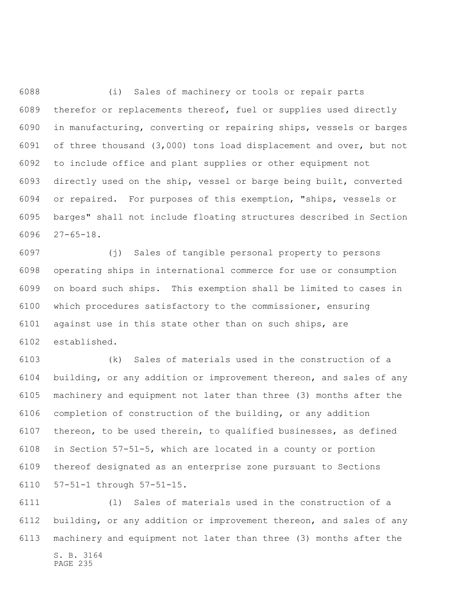(i) Sales of machinery or tools or repair parts therefor or replacements thereof, fuel or supplies used directly in manufacturing, converting or repairing ships, vessels or barges of three thousand (3,000) tons load displacement and over, but not to include office and plant supplies or other equipment not directly used on the ship, vessel or barge being built, converted or repaired. For purposes of this exemption, "ships, vessels or barges" shall not include floating structures described in Section 27-65-18.

 (j) Sales of tangible personal property to persons operating ships in international commerce for use or consumption on board such ships. This exemption shall be limited to cases in which procedures satisfactory to the commissioner, ensuring against use in this state other than on such ships, are established.

 (k) Sales of materials used in the construction of a building, or any addition or improvement thereon, and sales of any machinery and equipment not later than three (3) months after the completion of construction of the building, or any addition thereon, to be used therein, to qualified businesses, as defined in Section 57-51-5, which are located in a county or portion thereof designated as an enterprise zone pursuant to Sections 57-51-1 through 57-51-15.

S. B. 3164 (l) Sales of materials used in the construction of a building, or any addition or improvement thereon, and sales of any machinery and equipment not later than three (3) months after the

PAGE 235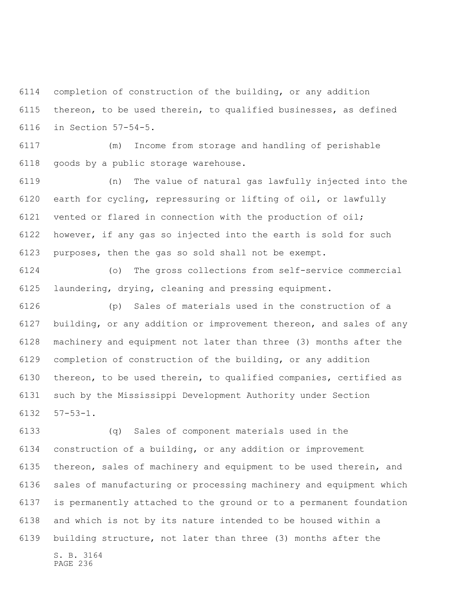completion of construction of the building, or any addition thereon, to be used therein, to qualified businesses, as defined in Section 57-54-5.

 (m) Income from storage and handling of perishable goods by a public storage warehouse.

 (n) The value of natural gas lawfully injected into the earth for cycling, repressuring or lifting of oil, or lawfully vented or flared in connection with the production of oil; however, if any gas so injected into the earth is sold for such purposes, then the gas so sold shall not be exempt.

 (o) The gross collections from self-service commercial laundering, drying, cleaning and pressing equipment.

 (p) Sales of materials used in the construction of a building, or any addition or improvement thereon, and sales of any machinery and equipment not later than three (3) months after the completion of construction of the building, or any addition thereon, to be used therein, to qualified companies, certified as such by the Mississippi Development Authority under Section 57-53-1.

S. B. 3164 (q) Sales of component materials used in the construction of a building, or any addition or improvement thereon, sales of machinery and equipment to be used therein, and sales of manufacturing or processing machinery and equipment which is permanently attached to the ground or to a permanent foundation and which is not by its nature intended to be housed within a building structure, not later than three (3) months after the

```
PAGE 236
```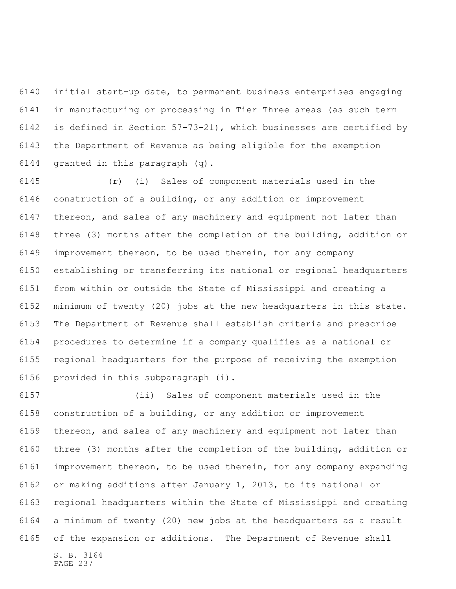initial start-up date, to permanent business enterprises engaging in manufacturing or processing in Tier Three areas (as such term is defined in Section 57-73-21), which businesses are certified by the Department of Revenue as being eligible for the exemption granted in this paragraph (q).

 (r) (i) Sales of component materials used in the construction of a building, or any addition or improvement thereon, and sales of any machinery and equipment not later than three (3) months after the completion of the building, addition or improvement thereon, to be used therein, for any company establishing or transferring its national or regional headquarters from within or outside the State of Mississippi and creating a minimum of twenty (20) jobs at the new headquarters in this state. The Department of Revenue shall establish criteria and prescribe procedures to determine if a company qualifies as a national or regional headquarters for the purpose of receiving the exemption provided in this subparagraph (i).

S. B. 3164 (ii) Sales of component materials used in the construction of a building, or any addition or improvement thereon, and sales of any machinery and equipment not later than three (3) months after the completion of the building, addition or improvement thereon, to be used therein, for any company expanding or making additions after January 1, 2013, to its national or regional headquarters within the State of Mississippi and creating a minimum of twenty (20) new jobs at the headquarters as a result of the expansion or additions. The Department of Revenue shall

PAGE 237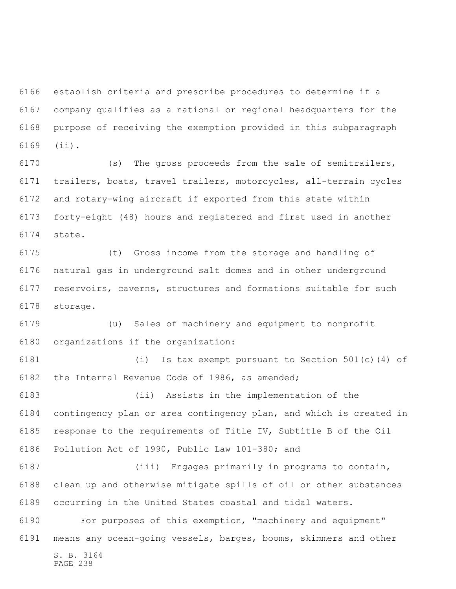establish criteria and prescribe procedures to determine if a company qualifies as a national or regional headquarters for the purpose of receiving the exemption provided in this subparagraph (ii).

 (s) The gross proceeds from the sale of semitrailers, trailers, boats, travel trailers, motorcycles, all-terrain cycles and rotary-wing aircraft if exported from this state within forty-eight (48) hours and registered and first used in another state.

 (t) Gross income from the storage and handling of natural gas in underground salt domes and in other underground reservoirs, caverns, structures and formations suitable for such storage.

 (u) Sales of machinery and equipment to nonprofit organizations if the organization:

 (i) Is tax exempt pursuant to Section 501(c)(4) of the Internal Revenue Code of 1986, as amended;

 (ii) Assists in the implementation of the contingency plan or area contingency plan, and which is created in response to the requirements of Title IV, Subtitle B of the Oil Pollution Act of 1990, Public Law 101-380; and

 (iii) Engages primarily in programs to contain, clean up and otherwise mitigate spills of oil or other substances occurring in the United States coastal and tidal waters.

S. B. 3164 For purposes of this exemption, "machinery and equipment" means any ocean-going vessels, barges, booms, skimmers and other

PAGE 238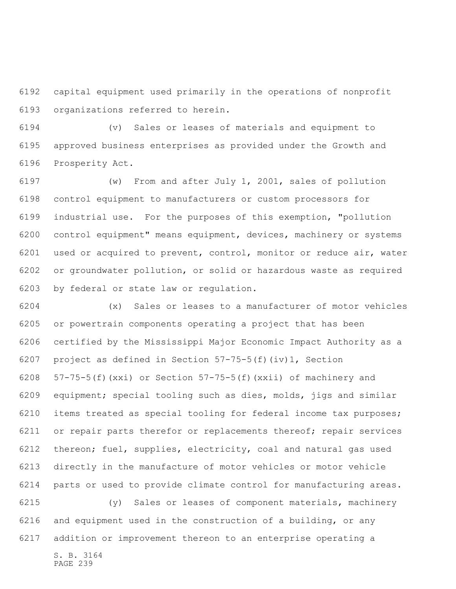capital equipment used primarily in the operations of nonprofit organizations referred to herein.

 (v) Sales or leases of materials and equipment to approved business enterprises as provided under the Growth and Prosperity Act.

 (w) From and after July 1, 2001, sales of pollution control equipment to manufacturers or custom processors for industrial use. For the purposes of this exemption, "pollution control equipment" means equipment, devices, machinery or systems used or acquired to prevent, control, monitor or reduce air, water or groundwater pollution, or solid or hazardous waste as required by federal or state law or regulation.

 (x) Sales or leases to a manufacturer of motor vehicles or powertrain components operating a project that has been certified by the Mississippi Major Economic Impact Authority as a project as defined in Section 57-75-5(f)(iv)1, Section 6208 57-75-5(f)(xxi) or Section  $57-75-5(f)(xxi)$  of machinery and equipment; special tooling such as dies, molds, jigs and similar items treated as special tooling for federal income tax purposes; or repair parts therefor or replacements thereof; repair services thereon; fuel, supplies, electricity, coal and natural gas used directly in the manufacture of motor vehicles or motor vehicle parts or used to provide climate control for manufacturing areas. (y) Sales or leases of component materials, machinery

 and equipment used in the construction of a building, or any addition or improvement thereon to an enterprise operating a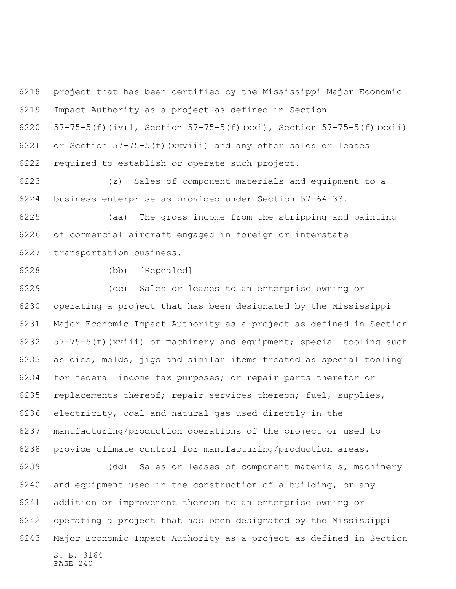project that has been certified by the Mississippi Major Economic Impact Authority as a project as defined in Section 57-75-5(f)(iv)1, Section 57-75-5(f)(xxi), Section 57-75-5(f)(xxii) or Section 57-75-5(f)(xxviii) and any other sales or leases required to establish or operate such project.

 (z) Sales of component materials and equipment to a business enterprise as provided under Section 57-64-33.

 (aa) The gross income from the stripping and painting of commercial aircraft engaged in foreign or interstate transportation business.

(bb) [Repealed]

 (cc) Sales or leases to an enterprise owning or operating a project that has been designated by the Mississippi Major Economic Impact Authority as a project as defined in Section 57-75-5(f)(xviii) of machinery and equipment; special tooling such as dies, molds, jigs and similar items treated as special tooling for federal income tax purposes; or repair parts therefor or replacements thereof; repair services thereon; fuel, supplies, electricity, coal and natural gas used directly in the manufacturing/production operations of the project or used to provide climate control for manufacturing/production areas.

S. B. 3164 PAGE 240 (dd) Sales or leases of component materials, machinery and equipment used in the construction of a building, or any addition or improvement thereon to an enterprise owning or operating a project that has been designated by the Mississippi Major Economic Impact Authority as a project as defined in Section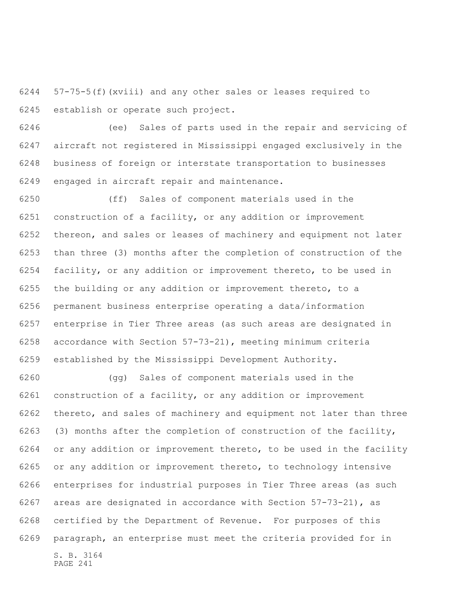57-75-5(f)(xviii) and any other sales or leases required to establish or operate such project.

 (ee) Sales of parts used in the repair and servicing of aircraft not registered in Mississippi engaged exclusively in the business of foreign or interstate transportation to businesses engaged in aircraft repair and maintenance.

 (ff) Sales of component materials used in the construction of a facility, or any addition or improvement thereon, and sales or leases of machinery and equipment not later than three (3) months after the completion of construction of the facility, or any addition or improvement thereto, to be used in the building or any addition or improvement thereto, to a permanent business enterprise operating a data/information enterprise in Tier Three areas (as such areas are designated in accordance with Section 57-73-21), meeting minimum criteria established by the Mississippi Development Authority.

S. B. 3164 PAGE 241 (gg) Sales of component materials used in the construction of a facility, or any addition or improvement thereto, and sales of machinery and equipment not later than three (3) months after the completion of construction of the facility, or any addition or improvement thereto, to be used in the facility or any addition or improvement thereto, to technology intensive enterprises for industrial purposes in Tier Three areas (as such areas are designated in accordance with Section 57-73-21), as certified by the Department of Revenue. For purposes of this paragraph, an enterprise must meet the criteria provided for in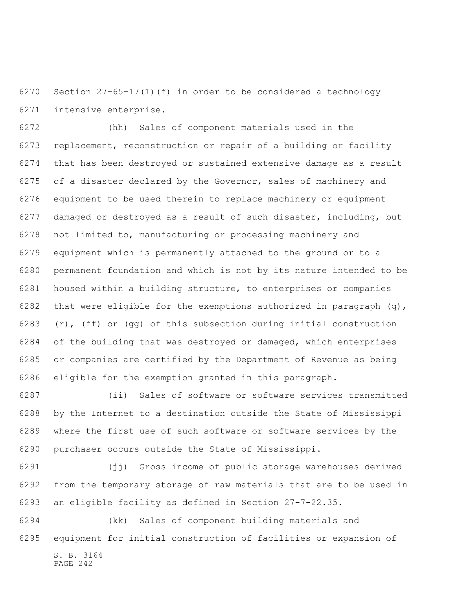Section 27-65-17(1)(f) in order to be considered a technology intensive enterprise.

 (hh) Sales of component materials used in the replacement, reconstruction or repair of a building or facility that has been destroyed or sustained extensive damage as a result of a disaster declared by the Governor, sales of machinery and equipment to be used therein to replace machinery or equipment damaged or destroyed as a result of such disaster, including, but not limited to, manufacturing or processing machinery and equipment which is permanently attached to the ground or to a permanent foundation and which is not by its nature intended to be housed within a building structure, to enterprises or companies 6282 that were eligible for the exemptions authorized in paragraph  $(q)$ , 6283 (r), (ff) or (qq) of this subsection during initial construction of the building that was destroyed or damaged, which enterprises or companies are certified by the Department of Revenue as being eligible for the exemption granted in this paragraph.

 (ii) Sales of software or software services transmitted by the Internet to a destination outside the State of Mississippi where the first use of such software or software services by the purchaser occurs outside the State of Mississippi.

 (jj) Gross income of public storage warehouses derived from the temporary storage of raw materials that are to be used in an eligible facility as defined in Section 27-7-22.35.

S. B. 3164 (kk) Sales of component building materials and equipment for initial construction of facilities or expansion of

```
PAGE 242
```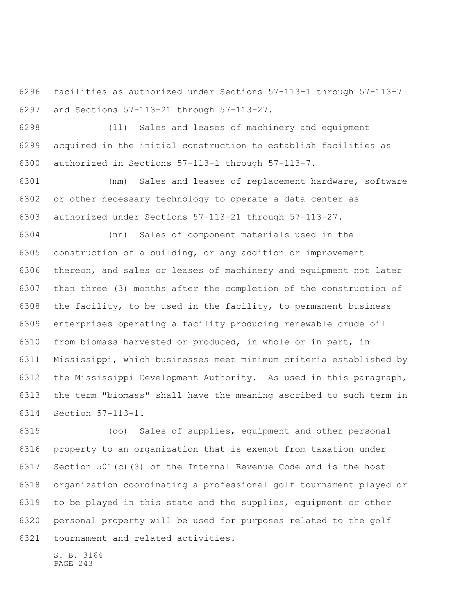facilities as authorized under Sections 57-113-1 through 57-113-7 and Sections 57-113-21 through 57-113-27.

 (ll) Sales and leases of machinery and equipment acquired in the initial construction to establish facilities as authorized in Sections 57-113-1 through 57-113-7.

 (mm) Sales and leases of replacement hardware, software or other necessary technology to operate a data center as authorized under Sections 57-113-21 through 57-113-27.

 (nn) Sales of component materials used in the construction of a building, or any addition or improvement thereon, and sales or leases of machinery and equipment not later than three (3) months after the completion of the construction of the facility, to be used in the facility, to permanent business enterprises operating a facility producing renewable crude oil from biomass harvested or produced, in whole or in part, in Mississippi, which businesses meet minimum criteria established by the Mississippi Development Authority. As used in this paragraph, the term "biomass" shall have the meaning ascribed to such term in Section 57-113-1.

 (oo) Sales of supplies, equipment and other personal property to an organization that is exempt from taxation under Section 501(c)(3) of the Internal Revenue Code and is the host organization coordinating a professional golf tournament played or to be played in this state and the supplies, equipment or other personal property will be used for purposes related to the golf tournament and related activities.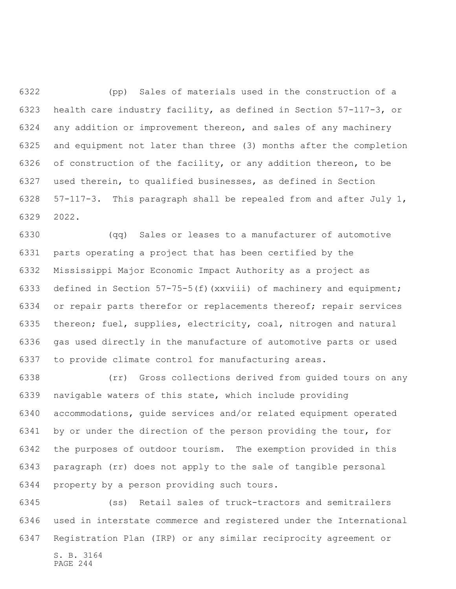(pp) Sales of materials used in the construction of a health care industry facility, as defined in Section 57-117-3, or any addition or improvement thereon, and sales of any machinery and equipment not later than three (3) months after the completion of construction of the facility, or any addition thereon, to be used therein, to qualified businesses, as defined in Section 57-117-3. This paragraph shall be repealed from and after July 1, 2022.

 (qq) Sales or leases to a manufacturer of automotive parts operating a project that has been certified by the Mississippi Major Economic Impact Authority as a project as defined in Section 57-75-5(f)(xxviii) of machinery and equipment; or repair parts therefor or replacements thereof; repair services thereon; fuel, supplies, electricity, coal, nitrogen and natural gas used directly in the manufacture of automotive parts or used to provide climate control for manufacturing areas.

 (rr) Gross collections derived from guided tours on any navigable waters of this state, which include providing accommodations, guide services and/or related equipment operated by or under the direction of the person providing the tour, for the purposes of outdoor tourism. The exemption provided in this paragraph (rr) does not apply to the sale of tangible personal property by a person providing such tours.

 (ss) Retail sales of truck-tractors and semitrailers used in interstate commerce and registered under the International Registration Plan (IRP) or any similar reciprocity agreement or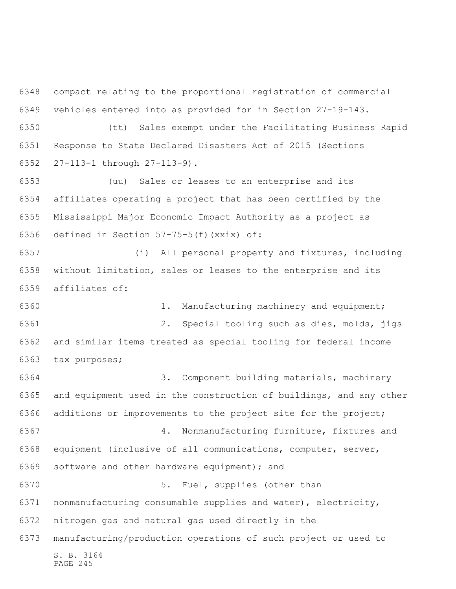compact relating to the proportional registration of commercial vehicles entered into as provided for in Section 27-19-143.

 (tt) Sales exempt under the Facilitating Business Rapid Response to State Declared Disasters Act of 2015 (Sections 27-113-1 through 27-113-9).

 (uu) Sales or leases to an enterprise and its affiliates operating a project that has been certified by the Mississippi Major Economic Impact Authority as a project as defined in Section 57-75-5(f)(xxix) of:

 (i) All personal property and fixtures, including without limitation, sales or leases to the enterprise and its affiliates of:

 1. Manufacturing machinery and equipment; 2. Special tooling such as dies, molds, jigs and similar items treated as special tooling for federal income tax purposes;

S. B. 3164 PAGE 245 3. Component building materials, machinery and equipment used in the construction of buildings, and any other additions or improvements to the project site for the project; 4. Nonmanufacturing furniture, fixtures and equipment (inclusive of all communications, computer, server, software and other hardware equipment); and 5. Fuel, supplies (other than nonmanufacturing consumable supplies and water), electricity, nitrogen gas and natural gas used directly in the manufacturing/production operations of such project or used to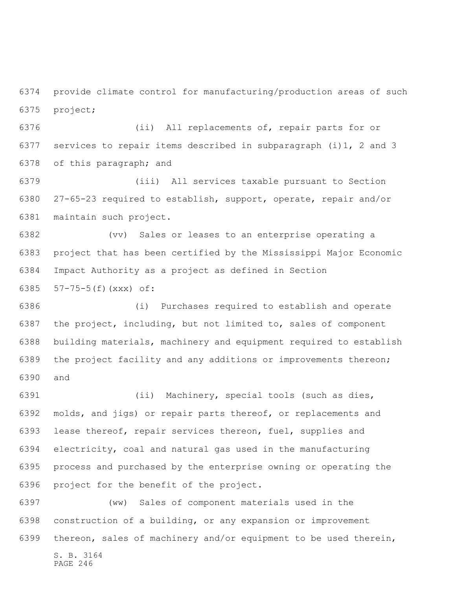provide climate control for manufacturing/production areas of such project;

 (ii) All replacements of, repair parts for or services to repair items described in subparagraph (i)1, 2 and 3 of this paragraph; and

 (iii) All services taxable pursuant to Section 27-65-23 required to establish, support, operate, repair and/or maintain such project.

 (vv) Sales or leases to an enterprise operating a project that has been certified by the Mississippi Major Economic Impact Authority as a project as defined in Section 57-75-5(f)(xxx) of:

 (i) Purchases required to establish and operate the project, including, but not limited to, sales of component building materials, machinery and equipment required to establish the project facility and any additions or improvements thereon; and

 (ii) Machinery, special tools (such as dies, molds, and jigs) or repair parts thereof, or replacements and lease thereof, repair services thereon, fuel, supplies and electricity, coal and natural gas used in the manufacturing process and purchased by the enterprise owning or operating the project for the benefit of the project.

 (ww) Sales of component materials used in the construction of a building, or any expansion or improvement thereon, sales of machinery and/or equipment to be used therein,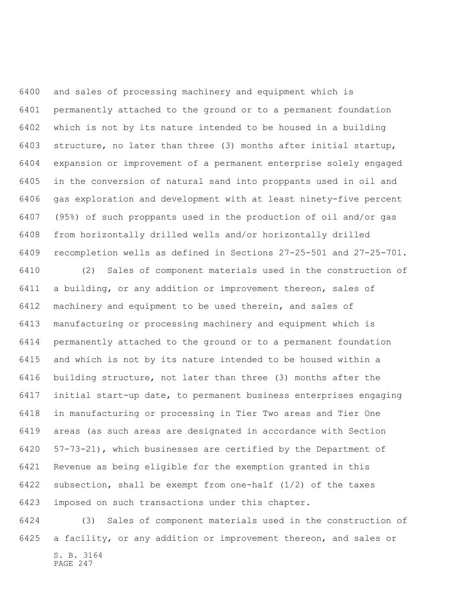and sales of processing machinery and equipment which is permanently attached to the ground or to a permanent foundation which is not by its nature intended to be housed in a building structure, no later than three (3) months after initial startup, expansion or improvement of a permanent enterprise solely engaged in the conversion of natural sand into proppants used in oil and gas exploration and development with at least ninety-five percent (95%) of such proppants used in the production of oil and/or gas from horizontally drilled wells and/or horizontally drilled recompletion wells as defined in Sections 27-25-501 and 27-25-701.

 (2) Sales of component materials used in the construction of a building, or any addition or improvement thereon, sales of machinery and equipment to be used therein, and sales of manufacturing or processing machinery and equipment which is permanently attached to the ground or to a permanent foundation and which is not by its nature intended to be housed within a building structure, not later than three (3) months after the initial start-up date, to permanent business enterprises engaging in manufacturing or processing in Tier Two areas and Tier One areas (as such areas are designated in accordance with Section 57-73-21), which businesses are certified by the Department of Revenue as being eligible for the exemption granted in this subsection, shall be exempt from one-half (1/2) of the taxes imposed on such transactions under this chapter.

S. B. 3164 PAGE 247 (3) Sales of component materials used in the construction of a facility, or any addition or improvement thereon, and sales or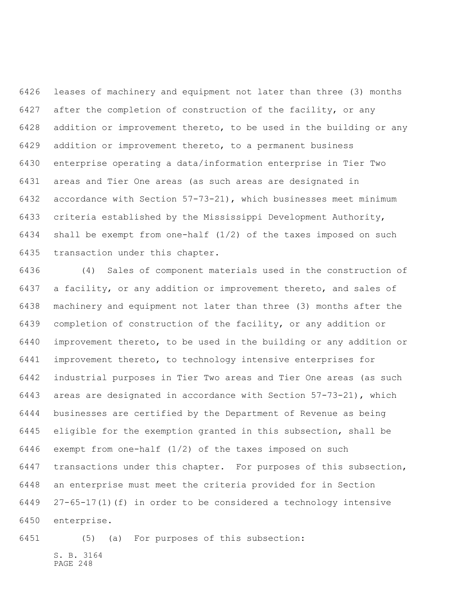leases of machinery and equipment not later than three (3) months after the completion of construction of the facility, or any addition or improvement thereto, to be used in the building or any addition or improvement thereto, to a permanent business enterprise operating a data/information enterprise in Tier Two areas and Tier One areas (as such areas are designated in accordance with Section 57-73-21), which businesses meet minimum criteria established by the Mississippi Development Authority, shall be exempt from one-half (1/2) of the taxes imposed on such transaction under this chapter.

 (4) Sales of component materials used in the construction of a facility, or any addition or improvement thereto, and sales of machinery and equipment not later than three (3) months after the completion of construction of the facility, or any addition or improvement thereto, to be used in the building or any addition or improvement thereto, to technology intensive enterprises for industrial purposes in Tier Two areas and Tier One areas (as such areas are designated in accordance with Section 57-73-21), which businesses are certified by the Department of Revenue as being eligible for the exemption granted in this subsection, shall be exempt from one-half (1/2) of the taxes imposed on such transactions under this chapter. For purposes of this subsection, an enterprise must meet the criteria provided for in Section 27-65-17(1)(f) in order to be considered a technology intensive enterprise.

S. B. 3164 PAGE 248 (5) (a) For purposes of this subsection: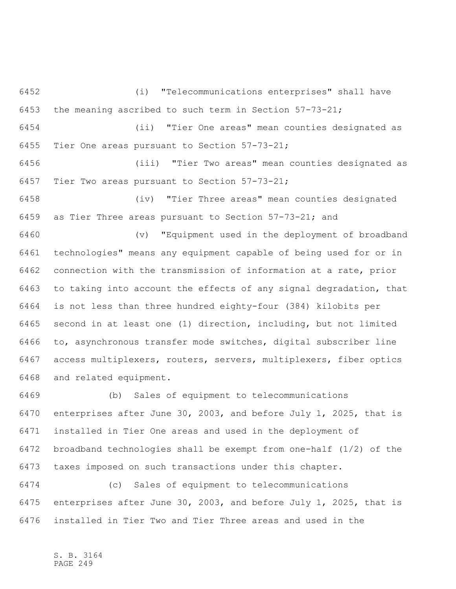(i) "Telecommunications enterprises" shall have the meaning ascribed to such term in Section 57-73-21; (ii) "Tier One areas" mean counties designated as

Tier One areas pursuant to Section 57-73-21;

 (iii) "Tier Two areas" mean counties designated as Tier Two areas pursuant to Section 57-73-21;

 (iv) "Tier Three areas" mean counties designated as Tier Three areas pursuant to Section 57-73-21; and

 (v) "Equipment used in the deployment of broadband technologies" means any equipment capable of being used for or in connection with the transmission of information at a rate, prior to taking into account the effects of any signal degradation, that is not less than three hundred eighty-four (384) kilobits per second in at least one (1) direction, including, but not limited to, asynchronous transfer mode switches, digital subscriber line access multiplexers, routers, servers, multiplexers, fiber optics and related equipment.

 (b) Sales of equipment to telecommunications enterprises after June 30, 2003, and before July 1, 2025, that is installed in Tier One areas and used in the deployment of broadband technologies shall be exempt from one-half (1/2) of the taxes imposed on such transactions under this chapter.

 (c) Sales of equipment to telecommunications enterprises after June 30, 2003, and before July 1, 2025, that is installed in Tier Two and Tier Three areas and used in the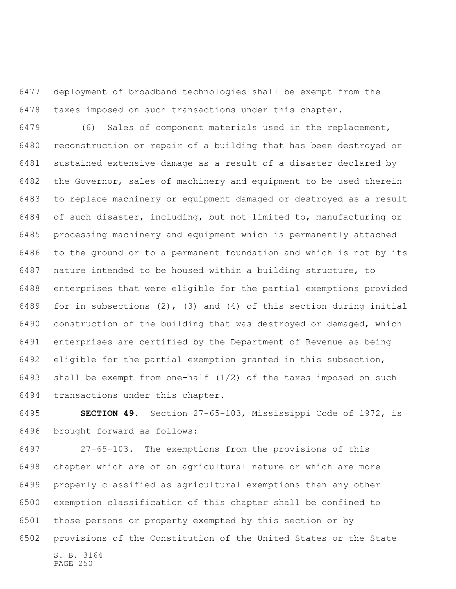deployment of broadband technologies shall be exempt from the taxes imposed on such transactions under this chapter.

 (6) Sales of component materials used in the replacement, reconstruction or repair of a building that has been destroyed or sustained extensive damage as a result of a disaster declared by the Governor, sales of machinery and equipment to be used therein to replace machinery or equipment damaged or destroyed as a result of such disaster, including, but not limited to, manufacturing or processing machinery and equipment which is permanently attached to the ground or to a permanent foundation and which is not by its nature intended to be housed within a building structure, to enterprises that were eligible for the partial exemptions provided for in subsections (2), (3) and (4) of this section during initial construction of the building that was destroyed or damaged, which enterprises are certified by the Department of Revenue as being eligible for the partial exemption granted in this subsection, shall be exempt from one-half (1/2) of the taxes imposed on such transactions under this chapter.

 **SECTION 49.** Section 27-65-103, Mississippi Code of 1972, is brought forward as follows:

S. B. 3164 PAGE 250 27-65-103. The exemptions from the provisions of this chapter which are of an agricultural nature or which are more properly classified as agricultural exemptions than any other exemption classification of this chapter shall be confined to those persons or property exempted by this section or by provisions of the Constitution of the United States or the State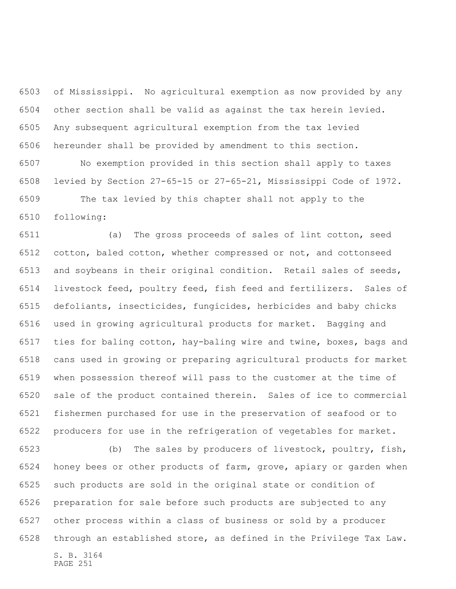of Mississippi. No agricultural exemption as now provided by any other section shall be valid as against the tax herein levied. Any subsequent agricultural exemption from the tax levied hereunder shall be provided by amendment to this section.

 No exemption provided in this section shall apply to taxes levied by Section 27-65-15 or 27-65-21, Mississippi Code of 1972.

 The tax levied by this chapter shall not apply to the following:

 (a) The gross proceeds of sales of lint cotton, seed cotton, baled cotton, whether compressed or not, and cottonseed and soybeans in their original condition. Retail sales of seeds, livestock feed, poultry feed, fish feed and fertilizers. Sales of defoliants, insecticides, fungicides, herbicides and baby chicks used in growing agricultural products for market. Bagging and ties for baling cotton, hay-baling wire and twine, boxes, bags and cans used in growing or preparing agricultural products for market when possession thereof will pass to the customer at the time of sale of the product contained therein. Sales of ice to commercial fishermen purchased for use in the preservation of seafood or to producers for use in the refrigeration of vegetables for market.

S. B. 3164 PAGE 251 (b) The sales by producers of livestock, poultry, fish, honey bees or other products of farm, grove, apiary or garden when such products are sold in the original state or condition of preparation for sale before such products are subjected to any other process within a class of business or sold by a producer through an established store, as defined in the Privilege Tax Law.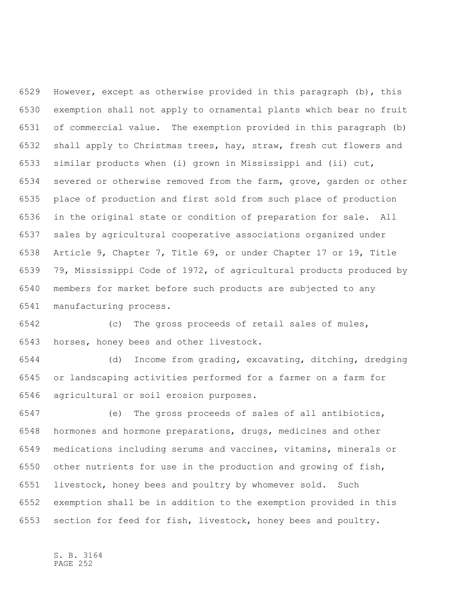However, except as otherwise provided in this paragraph (b), this exemption shall not apply to ornamental plants which bear no fruit of commercial value. The exemption provided in this paragraph (b) shall apply to Christmas trees, hay, straw, fresh cut flowers and similar products when (i) grown in Mississippi and (ii) cut, severed or otherwise removed from the farm, grove, garden or other place of production and first sold from such place of production in the original state or condition of preparation for sale. All sales by agricultural cooperative associations organized under Article 9, Chapter 7, Title 69, or under Chapter 17 or 19, Title 79, Mississippi Code of 1972, of agricultural products produced by members for market before such products are subjected to any manufacturing process.

 (c) The gross proceeds of retail sales of mules, horses, honey bees and other livestock.

 (d) Income from grading, excavating, ditching, dredging or landscaping activities performed for a farmer on a farm for agricultural or soil erosion purposes.

 (e) The gross proceeds of sales of all antibiotics, hormones and hormone preparations, drugs, medicines and other medications including serums and vaccines, vitamins, minerals or other nutrients for use in the production and growing of fish, livestock, honey bees and poultry by whomever sold. Such exemption shall be in addition to the exemption provided in this section for feed for fish, livestock, honey bees and poultry.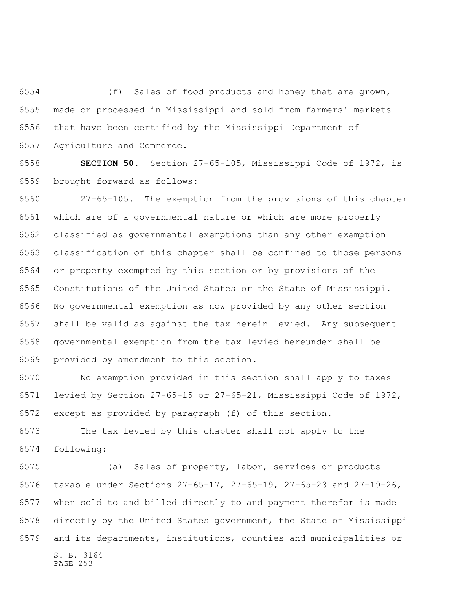(f) Sales of food products and honey that are grown, made or processed in Mississippi and sold from farmers' markets that have been certified by the Mississippi Department of Agriculture and Commerce.

 **SECTION 50.** Section 27-65-105, Mississippi Code of 1972, is brought forward as follows:

 27-65-105. The exemption from the provisions of this chapter which are of a governmental nature or which are more properly classified as governmental exemptions than any other exemption classification of this chapter shall be confined to those persons or property exempted by this section or by provisions of the Constitutions of the United States or the State of Mississippi. No governmental exemption as now provided by any other section shall be valid as against the tax herein levied. Any subsequent governmental exemption from the tax levied hereunder shall be provided by amendment to this section.

 No exemption provided in this section shall apply to taxes levied by Section 27-65-15 or 27-65-21, Mississippi Code of 1972, except as provided by paragraph (f) of this section.

 The tax levied by this chapter shall not apply to the following:

S. B. 3164 PAGE 253 (a) Sales of property, labor, services or products taxable under Sections 27-65-17, 27-65-19, 27-65-23 and 27-19-26, when sold to and billed directly to and payment therefor is made directly by the United States government, the State of Mississippi and its departments, institutions, counties and municipalities or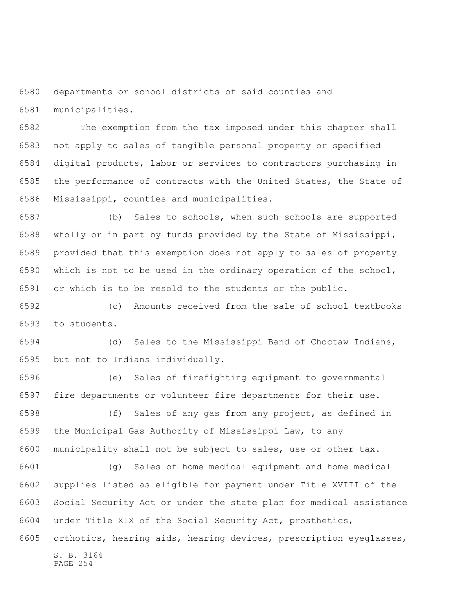departments or school districts of said counties and municipalities.

 The exemption from the tax imposed under this chapter shall not apply to sales of tangible personal property or specified digital products, labor or services to contractors purchasing in the performance of contracts with the United States, the State of Mississippi, counties and municipalities.

 (b) Sales to schools, when such schools are supported wholly or in part by funds provided by the State of Mississippi, provided that this exemption does not apply to sales of property which is not to be used in the ordinary operation of the school, or which is to be resold to the students or the public.

 (c) Amounts received from the sale of school textbooks to students.

 (d) Sales to the Mississippi Band of Choctaw Indians, but not to Indians individually.

 (e) Sales of firefighting equipment to governmental fire departments or volunteer fire departments for their use.

 (f) Sales of any gas from any project, as defined in the Municipal Gas Authority of Mississippi Law, to any municipality shall not be subject to sales, use or other tax.

 (g) Sales of home medical equipment and home medical supplies listed as eligible for payment under Title XVIII of the Social Security Act or under the state plan for medical assistance under Title XIX of the Social Security Act, prosthetics, orthotics, hearing aids, hearing devices, prescription eyeglasses,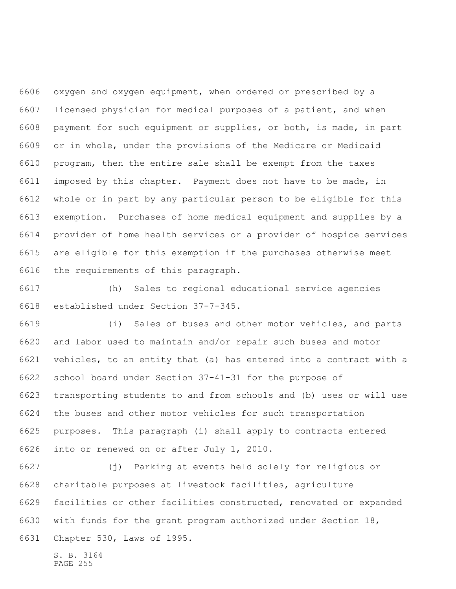oxygen and oxygen equipment, when ordered or prescribed by a licensed physician for medical purposes of a patient, and when payment for such equipment or supplies, or both, is made, in part or in whole, under the provisions of the Medicare or Medicaid program, then the entire sale shall be exempt from the taxes imposed by this chapter. Payment does not have to be made, in whole or in part by any particular person to be eligible for this exemption. Purchases of home medical equipment and supplies by a provider of home health services or a provider of hospice services are eligible for this exemption if the purchases otherwise meet the requirements of this paragraph.

 (h) Sales to regional educational service agencies established under Section 37-7-345.

 (i) Sales of buses and other motor vehicles, and parts and labor used to maintain and/or repair such buses and motor vehicles, to an entity that (a) has entered into a contract with a school board under Section 37-41-31 for the purpose of transporting students to and from schools and (b) uses or will use the buses and other motor vehicles for such transportation purposes. This paragraph (i) shall apply to contracts entered into or renewed on or after July 1, 2010.

 (j) Parking at events held solely for religious or charitable purposes at livestock facilities, agriculture facilities or other facilities constructed, renovated or expanded with funds for the grant program authorized under Section 18, Chapter 530, Laws of 1995.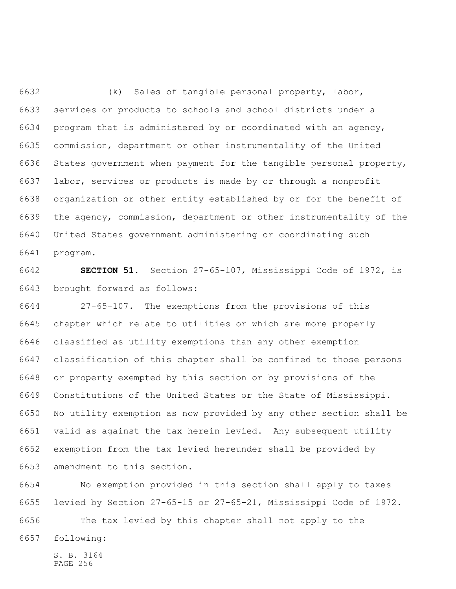(k) Sales of tangible personal property, labor, services or products to schools and school districts under a program that is administered by or coordinated with an agency, commission, department or other instrumentality of the United States government when payment for the tangible personal property, labor, services or products is made by or through a nonprofit organization or other entity established by or for the benefit of the agency, commission, department or other instrumentality of the United States government administering or coordinating such program.

 **SECTION 51.** Section 27-65-107, Mississippi Code of 1972, is brought forward as follows:

 27-65-107. The exemptions from the provisions of this chapter which relate to utilities or which are more properly classified as utility exemptions than any other exemption classification of this chapter shall be confined to those persons or property exempted by this section or by provisions of the Constitutions of the United States or the State of Mississippi. No utility exemption as now provided by any other section shall be valid as against the tax herein levied. Any subsequent utility exemption from the tax levied hereunder shall be provided by amendment to this section.

 No exemption provided in this section shall apply to taxes levied by Section 27-65-15 or 27-65-21, Mississippi Code of 1972.

 The tax levied by this chapter shall not apply to the following: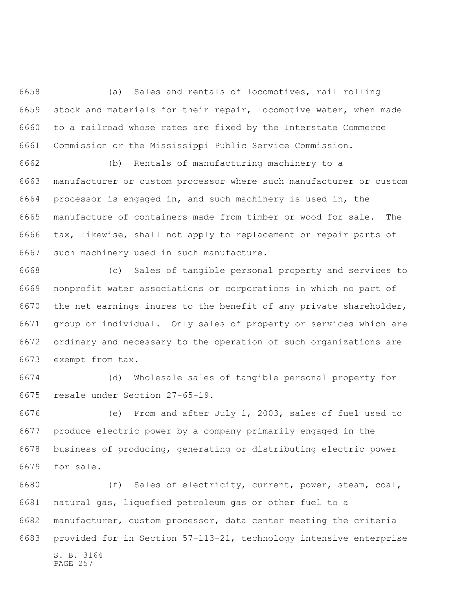(a) Sales and rentals of locomotives, rail rolling stock and materials for their repair, locomotive water, when made to a railroad whose rates are fixed by the Interstate Commerce Commission or the Mississippi Public Service Commission.

 (b) Rentals of manufacturing machinery to a manufacturer or custom processor where such manufacturer or custom processor is engaged in, and such machinery is used in, the manufacture of containers made from timber or wood for sale. The tax, likewise, shall not apply to replacement or repair parts of such machinery used in such manufacture.

 (c) Sales of tangible personal property and services to nonprofit water associations or corporations in which no part of the net earnings inures to the benefit of any private shareholder, group or individual. Only sales of property or services which are ordinary and necessary to the operation of such organizations are exempt from tax.

 (d) Wholesale sales of tangible personal property for resale under Section 27-65-19.

 (e) From and after July 1, 2003, sales of fuel used to produce electric power by a company primarily engaged in the business of producing, generating or distributing electric power for sale.

S. B. 3164 PAGE 257 (f) Sales of electricity, current, power, steam, coal, natural gas, liquefied petroleum gas or other fuel to a manufacturer, custom processor, data center meeting the criteria provided for in Section 57-113-21, technology intensive enterprise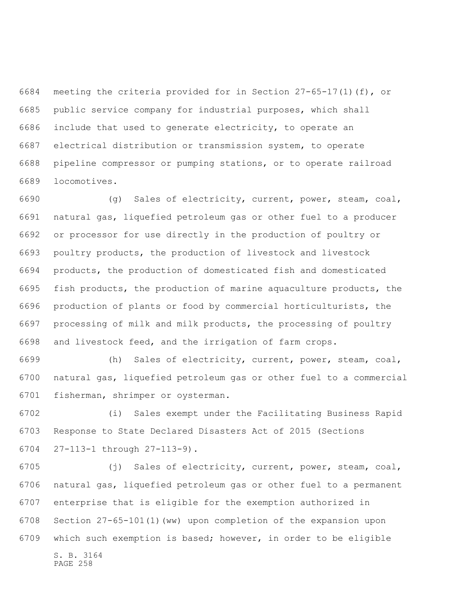meeting the criteria provided for in Section 27-65-17(1)(f), or public service company for industrial purposes, which shall include that used to generate electricity, to operate an electrical distribution or transmission system, to operate pipeline compressor or pumping stations, or to operate railroad locomotives.

 (g) Sales of electricity, current, power, steam, coal, natural gas, liquefied petroleum gas or other fuel to a producer or processor for use directly in the production of poultry or poultry products, the production of livestock and livestock products, the production of domesticated fish and domesticated fish products, the production of marine aquaculture products, the production of plants or food by commercial horticulturists, the processing of milk and milk products, the processing of poultry and livestock feed, and the irrigation of farm crops.

 (h) Sales of electricity, current, power, steam, coal, natural gas, liquefied petroleum gas or other fuel to a commercial fisherman, shrimper or oysterman.

 (i) Sales exempt under the Facilitating Business Rapid Response to State Declared Disasters Act of 2015 (Sections 27-113-1 through 27-113-9).

S. B. 3164 PAGE 258 (j) Sales of electricity, current, power, steam, coal, natural gas, liquefied petroleum gas or other fuel to a permanent enterprise that is eligible for the exemption authorized in Section 27-65-101(1)(ww) upon completion of the expansion upon which such exemption is based; however, in order to be eligible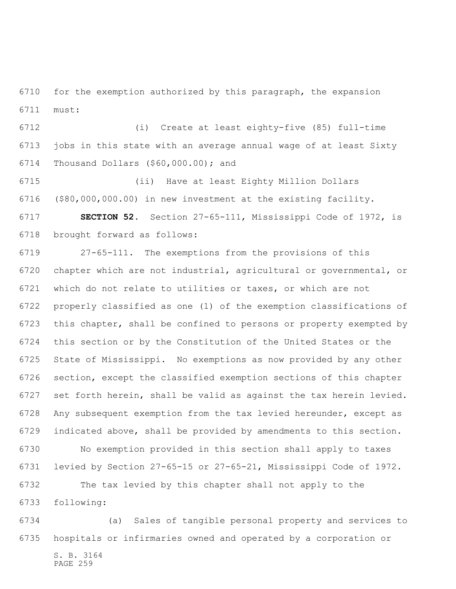for the exemption authorized by this paragraph, the expansion must:

 (i) Create at least eighty-five (85) full-time jobs in this state with an average annual wage of at least Sixty Thousand Dollars (\$60,000.00); and

 (ii) Have at least Eighty Million Dollars (\$80,000,000.00) in new investment at the existing facility.

 **SECTION 52.** Section 27-65-111, Mississippi Code of 1972, is brought forward as follows:

 27-65-111. The exemptions from the provisions of this chapter which are not industrial, agricultural or governmental, or which do not relate to utilities or taxes, or which are not properly classified as one (1) of the exemption classifications of this chapter, shall be confined to persons or property exempted by this section or by the Constitution of the United States or the State of Mississippi. No exemptions as now provided by any other section, except the classified exemption sections of this chapter set forth herein, shall be valid as against the tax herein levied. Any subsequent exemption from the tax levied hereunder, except as indicated above, shall be provided by amendments to this section. No exemption provided in this section shall apply to taxes levied by Section 27-65-15 or 27-65-21, Mississippi Code of 1972. The tax levied by this chapter shall not apply to the

following:

S. B. 3164 PAGE 259 (a) Sales of tangible personal property and services to hospitals or infirmaries owned and operated by a corporation or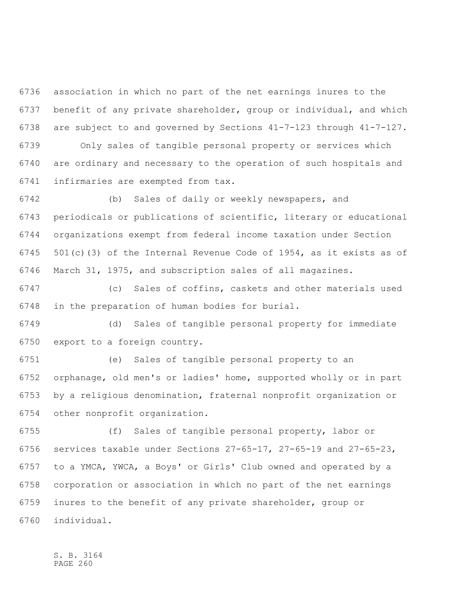association in which no part of the net earnings inures to the benefit of any private shareholder, group or individual, and which are subject to and governed by Sections 41-7-123 through 41-7-127.

 Only sales of tangible personal property or services which are ordinary and necessary to the operation of such hospitals and infirmaries are exempted from tax.

 (b) Sales of daily or weekly newspapers, and periodicals or publications of scientific, literary or educational organizations exempt from federal income taxation under Section 501(c)(3) of the Internal Revenue Code of 1954, as it exists as of March 31, 1975, and subscription sales of all magazines.

 (c) Sales of coffins, caskets and other materials used in the preparation of human bodies for burial.

 (d) Sales of tangible personal property for immediate export to a foreign country.

 (e) Sales of tangible personal property to an orphanage, old men's or ladies' home, supported wholly or in part by a religious denomination, fraternal nonprofit organization or other nonprofit organization.

 (f) Sales of tangible personal property, labor or services taxable under Sections 27-65-17, 27-65-19 and 27-65-23, to a YMCA, YWCA, a Boys' or Girls' Club owned and operated by a corporation or association in which no part of the net earnings inures to the benefit of any private shareholder, group or individual.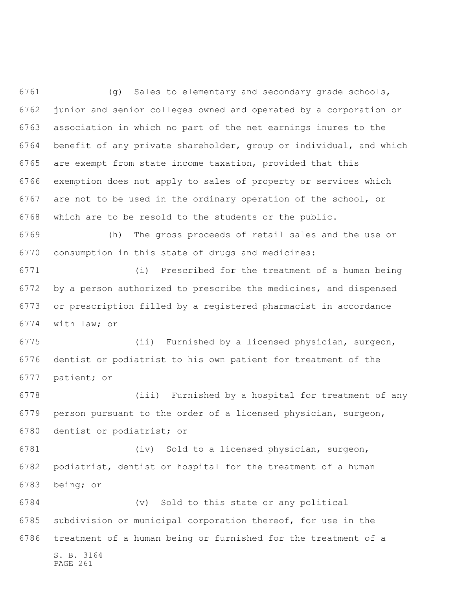(g) Sales to elementary and secondary grade schools, junior and senior colleges owned and operated by a corporation or association in which no part of the net earnings inures to the benefit of any private shareholder, group or individual, and which are exempt from state income taxation, provided that this exemption does not apply to sales of property or services which are not to be used in the ordinary operation of the school, or which are to be resold to the students or the public.

 (h) The gross proceeds of retail sales and the use or consumption in this state of drugs and medicines:

 (i) Prescribed for the treatment of a human being by a person authorized to prescribe the medicines, and dispensed or prescription filled by a registered pharmacist in accordance with law; or

 (ii) Furnished by a licensed physician, surgeon, dentist or podiatrist to his own patient for treatment of the patient; or

 (iii) Furnished by a hospital for treatment of any person pursuant to the order of a licensed physician, surgeon, dentist or podiatrist; or

 (iv) Sold to a licensed physician, surgeon, podiatrist, dentist or hospital for the treatment of a human being; or

S. B. 3164 PAGE 261 (v) Sold to this state or any political subdivision or municipal corporation thereof, for use in the treatment of a human being or furnished for the treatment of a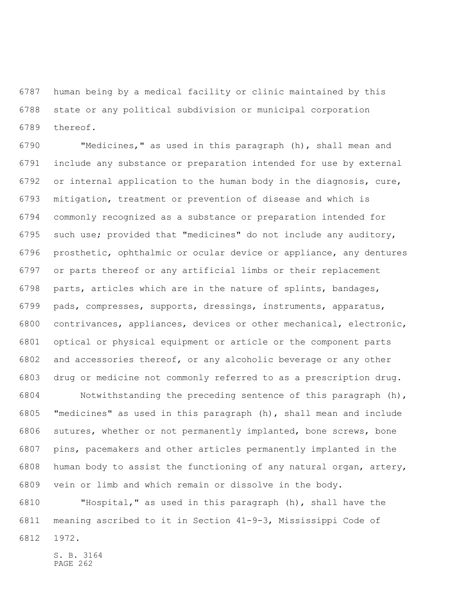human being by a medical facility or clinic maintained by this state or any political subdivision or municipal corporation thereof.

 "Medicines," as used in this paragraph (h), shall mean and include any substance or preparation intended for use by external or internal application to the human body in the diagnosis, cure, mitigation, treatment or prevention of disease and which is commonly recognized as a substance or preparation intended for such use; provided that "medicines" do not include any auditory, prosthetic, ophthalmic or ocular device or appliance, any dentures or parts thereof or any artificial limbs or their replacement parts, articles which are in the nature of splints, bandages, pads, compresses, supports, dressings, instruments, apparatus, contrivances, appliances, devices or other mechanical, electronic, optical or physical equipment or article or the component parts and accessories thereof, or any alcoholic beverage or any other drug or medicine not commonly referred to as a prescription drug.

 Notwithstanding the preceding sentence of this paragraph (h), "medicines" as used in this paragraph (h), shall mean and include sutures, whether or not permanently implanted, bone screws, bone pins, pacemakers and other articles permanently implanted in the human body to assist the functioning of any natural organ, artery, vein or limb and which remain or dissolve in the body.

 "Hospital," as used in this paragraph (h), shall have the meaning ascribed to it in Section 41-9-3, Mississippi Code of

1972.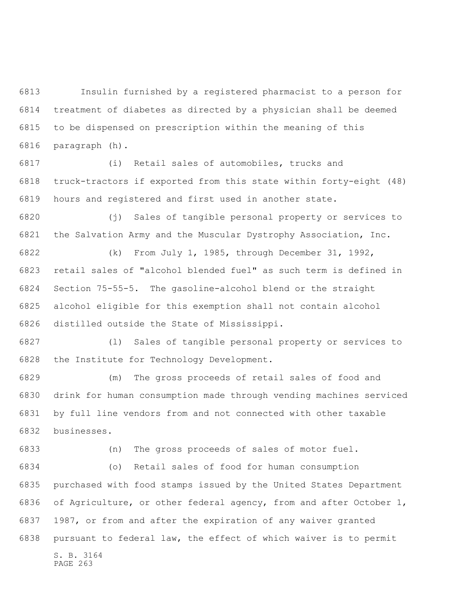Insulin furnished by a registered pharmacist to a person for treatment of diabetes as directed by a physician shall be deemed to be dispensed on prescription within the meaning of this paragraph (h).

 (i) Retail sales of automobiles, trucks and truck-tractors if exported from this state within forty-eight (48) hours and registered and first used in another state.

 (j) Sales of tangible personal property or services to the Salvation Army and the Muscular Dystrophy Association, Inc.

 (k) From July 1, 1985, through December 31, 1992, retail sales of "alcohol blended fuel" as such term is defined in Section 75-55-5. The gasoline-alcohol blend or the straight alcohol eligible for this exemption shall not contain alcohol distilled outside the State of Mississippi.

 (l) Sales of tangible personal property or services to the Institute for Technology Development.

 (m) The gross proceeds of retail sales of food and drink for human consumption made through vending machines serviced by full line vendors from and not connected with other taxable businesses.

(n) The gross proceeds of sales of motor fuel.

S. B. 3164 PAGE 263 (o) Retail sales of food for human consumption purchased with food stamps issued by the United States Department of Agriculture, or other federal agency, from and after October 1, 1987, or from and after the expiration of any waiver granted pursuant to federal law, the effect of which waiver is to permit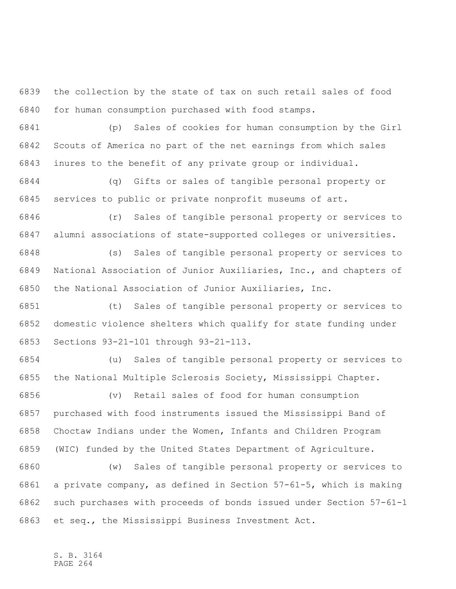the collection by the state of tax on such retail sales of food for human consumption purchased with food stamps.

 (p) Sales of cookies for human consumption by the Girl Scouts of America no part of the net earnings from which sales inures to the benefit of any private group or individual.

 (q) Gifts or sales of tangible personal property or services to public or private nonprofit museums of art.

 (r) Sales of tangible personal property or services to alumni associations of state-supported colleges or universities.

 (s) Sales of tangible personal property or services to National Association of Junior Auxiliaries, Inc., and chapters of the National Association of Junior Auxiliaries, Inc.

 (t) Sales of tangible personal property or services to domestic violence shelters which qualify for state funding under Sections 93-21-101 through 93-21-113.

 (u) Sales of tangible personal property or services to the National Multiple Sclerosis Society, Mississippi Chapter.

 (v) Retail sales of food for human consumption purchased with food instruments issued the Mississippi Band of Choctaw Indians under the Women, Infants and Children Program (WIC) funded by the United States Department of Agriculture.

 (w) Sales of tangible personal property or services to a private company, as defined in Section 57-61-5, which is making such purchases with proceeds of bonds issued under Section 57-61-1 et seq., the Mississippi Business Investment Act.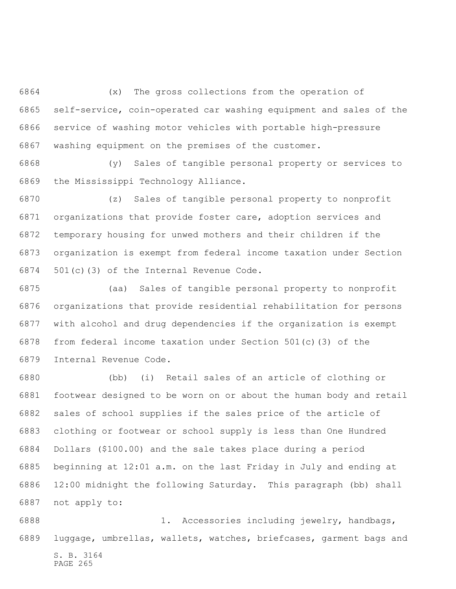(x) The gross collections from the operation of self-service, coin-operated car washing equipment and sales of the service of washing motor vehicles with portable high-pressure washing equipment on the premises of the customer.

 (y) Sales of tangible personal property or services to the Mississippi Technology Alliance.

 (z) Sales of tangible personal property to nonprofit organizations that provide foster care, adoption services and temporary housing for unwed mothers and their children if the organization is exempt from federal income taxation under Section 501(c)(3) of the Internal Revenue Code.

 (aa) Sales of tangible personal property to nonprofit organizations that provide residential rehabilitation for persons with alcohol and drug dependencies if the organization is exempt from federal income taxation under Section 501(c)(3) of the Internal Revenue Code.

 (bb) (i) Retail sales of an article of clothing or footwear designed to be worn on or about the human body and retail sales of school supplies if the sales price of the article of clothing or footwear or school supply is less than One Hundred Dollars (\$100.00) and the sale takes place during a period beginning at 12:01 a.m. on the last Friday in July and ending at 12:00 midnight the following Saturday. This paragraph (bb) shall not apply to:

S. B. 3164 PAGE 265 1. Accessories including jewelry, handbags, luggage, umbrellas, wallets, watches, briefcases, garment bags and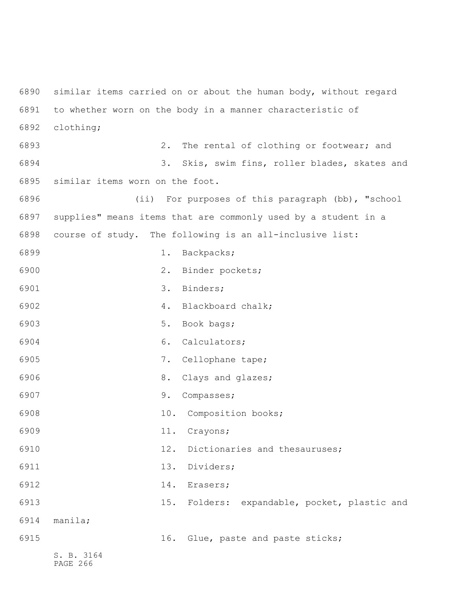S. B. 3164 PAGE 266 similar items carried on or about the human body, without regard to whether worn on the body in a manner characteristic of clothing; 2. The rental of clothing or footwear; and 3. Skis, swim fins, roller blades, skates and similar items worn on the foot. (ii) For purposes of this paragraph (bb), "school supplies" means items that are commonly used by a student in a course of study. The following is an all-inclusive list: 1. Backpacks; 2. Binder pockets; 6901 3. Binders; 4. Blackboard chalk; 5. Book bags; 6. Calculators; 7. Cellophane tape; 6906 8. Clays and glazes; 9. Compasses; 10. Composition books; 11. Crayons; 12. Dictionaries and thesauruses; 6911 13. Dividers; 6912 14. Erasers; 15. Folders: expandable, pocket, plastic and manila; 16. Glue, paste and paste sticks;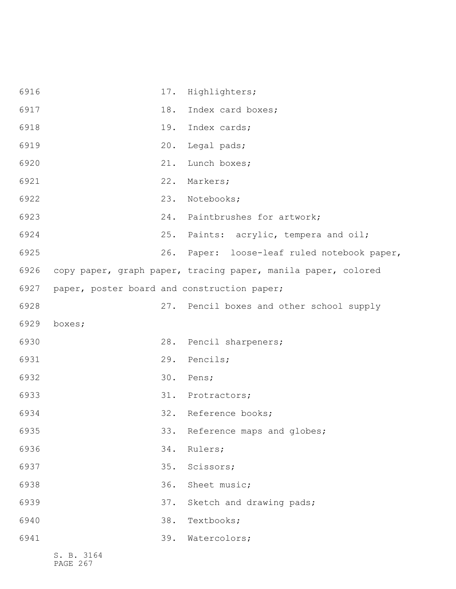| 6916 |                                             | 17. | Highlighters;                                                 |
|------|---------------------------------------------|-----|---------------------------------------------------------------|
| 6917 |                                             | 18. | Index card boxes;                                             |
| 6918 |                                             | 19. | Index cards;                                                  |
| 6919 |                                             | 20. | Legal pads;                                                   |
| 6920 |                                             | 21. | Lunch boxes;                                                  |
| 6921 |                                             | 22. | Markers;                                                      |
| 6922 |                                             | 23. | Notebooks;                                                    |
| 6923 |                                             | 24. | Paintbrushes for artwork;                                     |
| 6924 |                                             | 25. | Paints: acrylic, tempera and oil;                             |
| 6925 |                                             | 26. | Paper: loose-leaf ruled notebook paper,                       |
| 6926 |                                             |     | copy paper, graph paper, tracing paper, manila paper, colored |
| 6927 | paper, poster board and construction paper; |     |                                                               |
| 6928 |                                             |     | 27. Pencil boxes and other school supply                      |
| 6929 | boxes;                                      |     |                                                               |
| 6930 |                                             | 28. | Pencil sharpeners;                                            |
| 6931 |                                             | 29. | Pencils;                                                      |
| 6932 |                                             | 30. | Pens;                                                         |
| 6933 |                                             | 31. | Protractors;                                                  |
| 6934 |                                             |     | 32. Reference books;                                          |
| 6935 |                                             |     | 33. Reference maps and globes;                                |
| 6936 |                                             | 34. | Rulers;                                                       |
| 6937 |                                             | 35. | Scissors;                                                     |
| 6938 |                                             | 36. | Sheet music;                                                  |
| 6939 |                                             | 37. | Sketch and drawing pads;                                      |
| 6940 |                                             | 38. | Textbooks;                                                    |
| 6941 |                                             | 39. | Watercolors;                                                  |
|      |                                             |     |                                                               |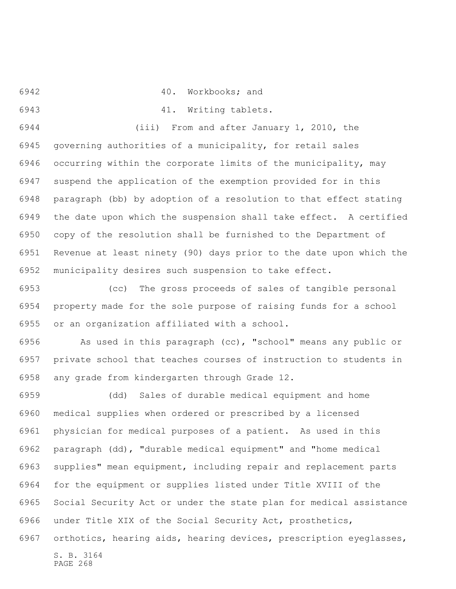40. Workbooks; and

41. Writing tablets.

 (iii) From and after January 1, 2010, the governing authorities of a municipality, for retail sales occurring within the corporate limits of the municipality, may suspend the application of the exemption provided for in this paragraph (bb) by adoption of a resolution to that effect stating the date upon which the suspension shall take effect. A certified copy of the resolution shall be furnished to the Department of Revenue at least ninety (90) days prior to the date upon which the municipality desires such suspension to take effect.

 (cc) The gross proceeds of sales of tangible personal property made for the sole purpose of raising funds for a school or an organization affiliated with a school.

 As used in this paragraph (cc), "school" means any public or private school that teaches courses of instruction to students in any grade from kindergarten through Grade 12.

 (dd) Sales of durable medical equipment and home medical supplies when ordered or prescribed by a licensed physician for medical purposes of a patient. As used in this paragraph (dd), "durable medical equipment" and "home medical supplies" mean equipment, including repair and replacement parts for the equipment or supplies listed under Title XVIII of the Social Security Act or under the state plan for medical assistance under Title XIX of the Social Security Act, prosthetics, orthotics, hearing aids, hearing devices, prescription eyeglasses,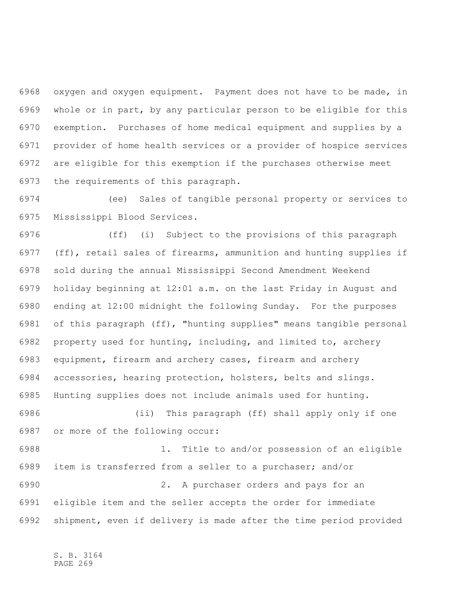oxygen and oxygen equipment. Payment does not have to be made, in whole or in part, by any particular person to be eligible for this exemption. Purchases of home medical equipment and supplies by a provider of home health services or a provider of hospice services are eligible for this exemption if the purchases otherwise meet the requirements of this paragraph.

 (ee) Sales of tangible personal property or services to Mississippi Blood Services.

 (ff) (i) Subject to the provisions of this paragraph (ff), retail sales of firearms, ammunition and hunting supplies if sold during the annual Mississippi Second Amendment Weekend holiday beginning at 12:01 a.m. on the last Friday in August and ending at 12:00 midnight the following Sunday. For the purposes of this paragraph (ff), "hunting supplies" means tangible personal property used for hunting, including, and limited to, archery equipment, firearm and archery cases, firearm and archery accessories, hearing protection, holsters, belts and slings. Hunting supplies does not include animals used for hunting. (ii) This paragraph (ff) shall apply only if one or more of the following occur: 1. Title to and/or possession of an eligible item is transferred from a seller to a purchaser; and/or 2. A purchaser orders and pays for an

 eligible item and the seller accepts the order for immediate shipment, even if delivery is made after the time period provided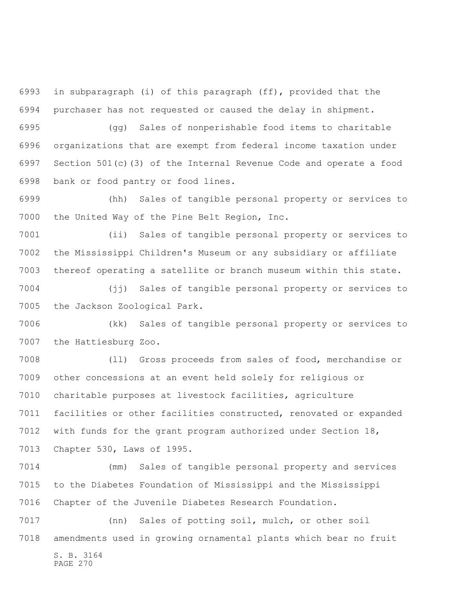in subparagraph (i) of this paragraph (ff), provided that the purchaser has not requested or caused the delay in shipment.

 (gg) Sales of nonperishable food items to charitable organizations that are exempt from federal income taxation under Section 501(c)(3) of the Internal Revenue Code and operate a food bank or food pantry or food lines.

 (hh) Sales of tangible personal property or services to the United Way of the Pine Belt Region, Inc.

 (ii) Sales of tangible personal property or services to the Mississippi Children's Museum or any subsidiary or affiliate thereof operating a satellite or branch museum within this state.

 (jj) Sales of tangible personal property or services to the Jackson Zoological Park.

 (kk) Sales of tangible personal property or services to the Hattiesburg Zoo.

 (ll) Gross proceeds from sales of food, merchandise or other concessions at an event held solely for religious or charitable purposes at livestock facilities, agriculture facilities or other facilities constructed, renovated or expanded with funds for the grant program authorized under Section 18, Chapter 530, Laws of 1995.

 (mm) Sales of tangible personal property and services to the Diabetes Foundation of Mississippi and the Mississippi Chapter of the Juvenile Diabetes Research Foundation.

S. B. 3164 PAGE 270 (nn) Sales of potting soil, mulch, or other soil amendments used in growing ornamental plants which bear no fruit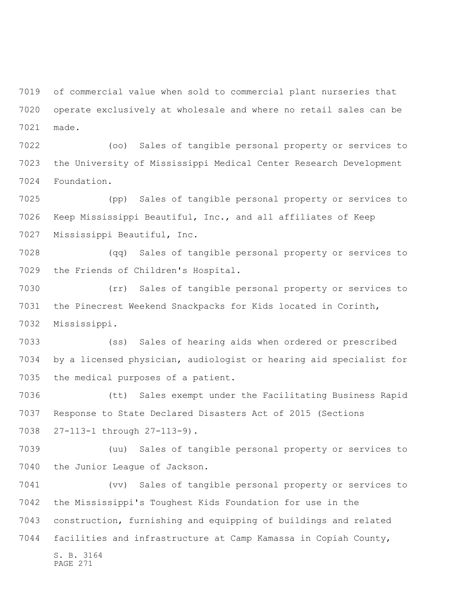of commercial value when sold to commercial plant nurseries that operate exclusively at wholesale and where no retail sales can be made.

 (oo) Sales of tangible personal property or services to the University of Mississippi Medical Center Research Development Foundation.

 (pp) Sales of tangible personal property or services to Keep Mississippi Beautiful, Inc., and all affiliates of Keep Mississippi Beautiful, Inc.

 (qq) Sales of tangible personal property or services to the Friends of Children's Hospital.

 (rr) Sales of tangible personal property or services to the Pinecrest Weekend Snackpacks for Kids located in Corinth, Mississippi.

 (ss) Sales of hearing aids when ordered or prescribed by a licensed physician, audiologist or hearing aid specialist for the medical purposes of a patient.

 (tt) Sales exempt under the Facilitating Business Rapid Response to State Declared Disasters Act of 2015 (Sections 27-113-1 through 27-113-9).

 (uu) Sales of tangible personal property or services to the Junior League of Jackson.

S. B. 3164 (vv) Sales of tangible personal property or services to the Mississippi's Toughest Kids Foundation for use in the construction, furnishing and equipping of buildings and related facilities and infrastructure at Camp Kamassa in Copiah County,

PAGE 271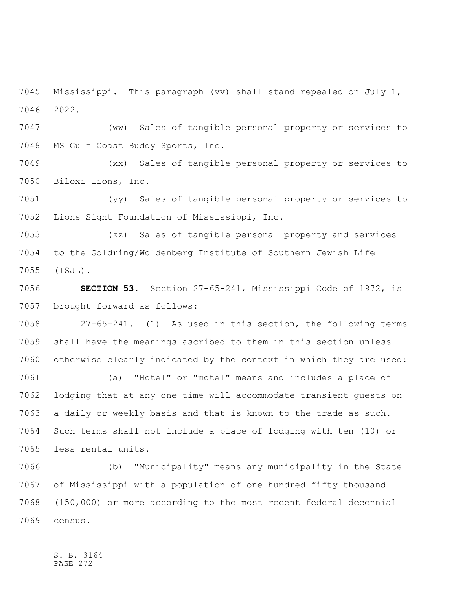Mississippi. This paragraph (vv) shall stand repealed on July 1, 2022.

 (ww) Sales of tangible personal property or services to MS Gulf Coast Buddy Sports, Inc.

 (xx) Sales of tangible personal property or services to Biloxi Lions, Inc.

 (yy) Sales of tangible personal property or services to Lions Sight Foundation of Mississippi, Inc.

 (zz) Sales of tangible personal property and services to the Goldring/Woldenberg Institute of Southern Jewish Life (ISJL).

 **SECTION 53.** Section 27-65-241, Mississippi Code of 1972, is brought forward as follows:

 27-65-241. (1) As used in this section, the following terms shall have the meanings ascribed to them in this section unless otherwise clearly indicated by the context in which they are used:

 (a) "Hotel" or "motel" means and includes a place of lodging that at any one time will accommodate transient guests on a daily or weekly basis and that is known to the trade as such. Such terms shall not include a place of lodging with ten (10) or less rental units.

 (b) "Municipality" means any municipality in the State of Mississippi with a population of one hundred fifty thousand (150,000) or more according to the most recent federal decennial census.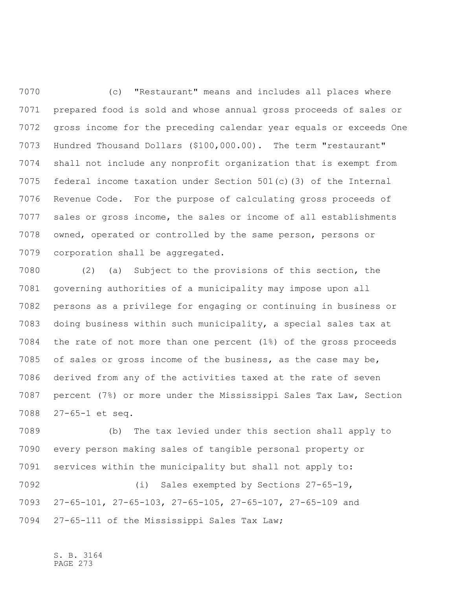(c) "Restaurant" means and includes all places where prepared food is sold and whose annual gross proceeds of sales or gross income for the preceding calendar year equals or exceeds One Hundred Thousand Dollars (\$100,000.00). The term "restaurant" shall not include any nonprofit organization that is exempt from federal income taxation under Section 501(c)(3) of the Internal Revenue Code. For the purpose of calculating gross proceeds of sales or gross income, the sales or income of all establishments owned, operated or controlled by the same person, persons or corporation shall be aggregated.

 (2) (a) Subject to the provisions of this section, the governing authorities of a municipality may impose upon all persons as a privilege for engaging or continuing in business or doing business within such municipality, a special sales tax at the rate of not more than one percent (1%) of the gross proceeds of sales or gross income of the business, as the case may be, derived from any of the activities taxed at the rate of seven percent (7%) or more under the Mississippi Sales Tax Law, Section 27-65-1 et seq.

 (b) The tax levied under this section shall apply to every person making sales of tangible personal property or services within the municipality but shall not apply to: (i) Sales exempted by Sections 27-65-19, 27-65-101, 27-65-103, 27-65-105, 27-65-107, 27-65-109 and 27-65-111 of the Mississippi Sales Tax Law;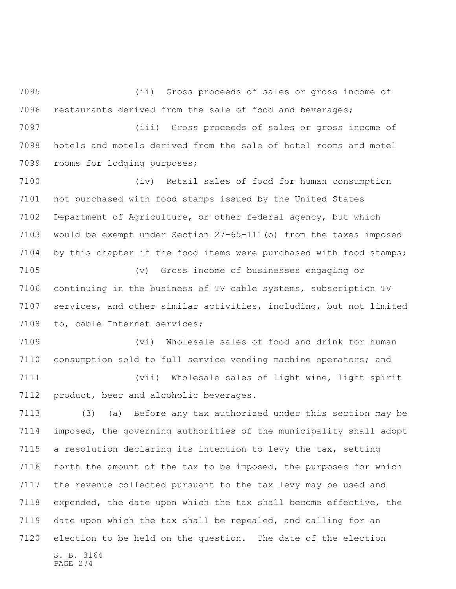(ii) Gross proceeds of sales or gross income of restaurants derived from the sale of food and beverages;

 (iii) Gross proceeds of sales or gross income of hotels and motels derived from the sale of hotel rooms and motel rooms for lodging purposes;

 (iv) Retail sales of food for human consumption not purchased with food stamps issued by the United States Department of Agriculture, or other federal agency, but which would be exempt under Section 27-65-111(o) from the taxes imposed by this chapter if the food items were purchased with food stamps;

 (v) Gross income of businesses engaging or continuing in the business of TV cable systems, subscription TV services, and other similar activities, including, but not limited to, cable Internet services;

 (vi) Wholesale sales of food and drink for human consumption sold to full service vending machine operators; and

 (vii) Wholesale sales of light wine, light spirit product, beer and alcoholic beverages.

S. B. 3164 (3) (a) Before any tax authorized under this section may be imposed, the governing authorities of the municipality shall adopt a resolution declaring its intention to levy the tax, setting forth the amount of the tax to be imposed, the purposes for which the revenue collected pursuant to the tax levy may be used and expended, the date upon which the tax shall become effective, the date upon which the tax shall be repealed, and calling for an election to be held on the question. The date of the election

PAGE 274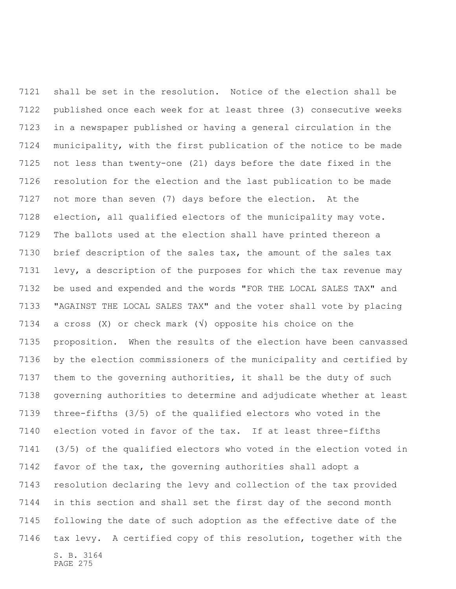S. B. 3164 PAGE 275 shall be set in the resolution. Notice of the election shall be published once each week for at least three (3) consecutive weeks in a newspaper published or having a general circulation in the municipality, with the first publication of the notice to be made not less than twenty-one (21) days before the date fixed in the resolution for the election and the last publication to be made not more than seven (7) days before the election. At the election, all qualified electors of the municipality may vote. The ballots used at the election shall have printed thereon a brief description of the sales tax, the amount of the sales tax levy, a description of the purposes for which the tax revenue may be used and expended and the words "FOR THE LOCAL SALES TAX" and "AGAINST THE LOCAL SALES TAX" and the voter shall vote by placing a cross (X) or check mark (√) opposite his choice on the proposition. When the results of the election have been canvassed by the election commissioners of the municipality and certified by them to the governing authorities, it shall be the duty of such governing authorities to determine and adjudicate whether at least three-fifths (3/5) of the qualified electors who voted in the election voted in favor of the tax. If at least three-fifths (3/5) of the qualified electors who voted in the election voted in favor of the tax, the governing authorities shall adopt a resolution declaring the levy and collection of the tax provided in this section and shall set the first day of the second month following the date of such adoption as the effective date of the tax levy. A certified copy of this resolution, together with the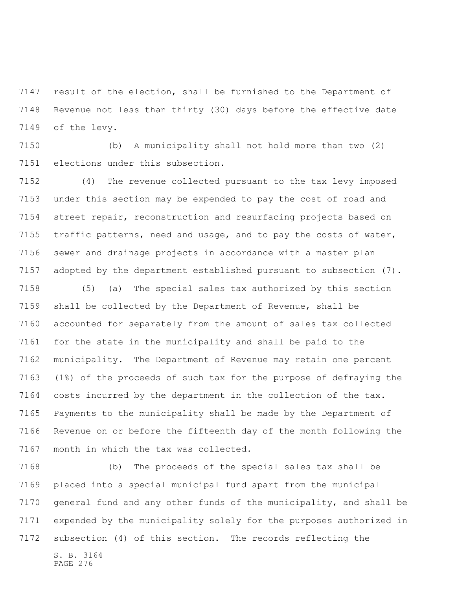result of the election, shall be furnished to the Department of Revenue not less than thirty (30) days before the effective date of the levy.

 (b) A municipality shall not hold more than two (2) elections under this subsection.

 (4) The revenue collected pursuant to the tax levy imposed under this section may be expended to pay the cost of road and street repair, reconstruction and resurfacing projects based on traffic patterns, need and usage, and to pay the costs of water, sewer and drainage projects in accordance with a master plan adopted by the department established pursuant to subsection (7).

 (5) (a) The special sales tax authorized by this section shall be collected by the Department of Revenue, shall be accounted for separately from the amount of sales tax collected for the state in the municipality and shall be paid to the municipality. The Department of Revenue may retain one percent (1%) of the proceeds of such tax for the purpose of defraying the costs incurred by the department in the collection of the tax. Payments to the municipality shall be made by the Department of Revenue on or before the fifteenth day of the month following the month in which the tax was collected.

S. B. 3164 (b) The proceeds of the special sales tax shall be placed into a special municipal fund apart from the municipal general fund and any other funds of the municipality, and shall be expended by the municipality solely for the purposes authorized in subsection (4) of this section. The records reflecting the

PAGE 276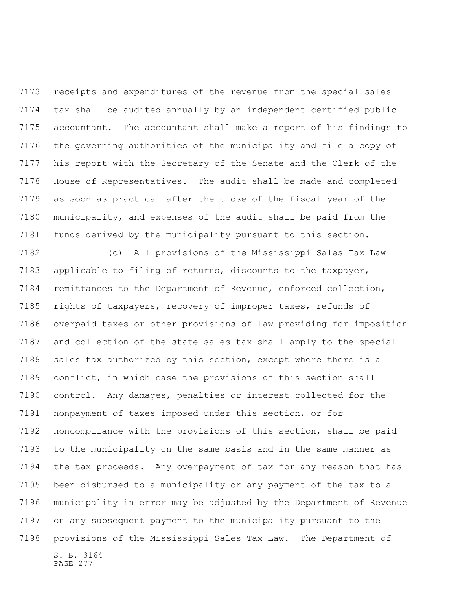receipts and expenditures of the revenue from the special sales tax shall be audited annually by an independent certified public accountant. The accountant shall make a report of his findings to the governing authorities of the municipality and file a copy of his report with the Secretary of the Senate and the Clerk of the House of Representatives. The audit shall be made and completed as soon as practical after the close of the fiscal year of the municipality, and expenses of the audit shall be paid from the funds derived by the municipality pursuant to this section.

S. B. 3164 (c) All provisions of the Mississippi Sales Tax Law applicable to filing of returns, discounts to the taxpayer, remittances to the Department of Revenue, enforced collection, rights of taxpayers, recovery of improper taxes, refunds of overpaid taxes or other provisions of law providing for imposition and collection of the state sales tax shall apply to the special sales tax authorized by this section, except where there is a conflict, in which case the provisions of this section shall control. Any damages, penalties or interest collected for the nonpayment of taxes imposed under this section, or for noncompliance with the provisions of this section, shall be paid to the municipality on the same basis and in the same manner as the tax proceeds. Any overpayment of tax for any reason that has been disbursed to a municipality or any payment of the tax to a municipality in error may be adjusted by the Department of Revenue on any subsequent payment to the municipality pursuant to the provisions of the Mississippi Sales Tax Law. The Department of

PAGE 277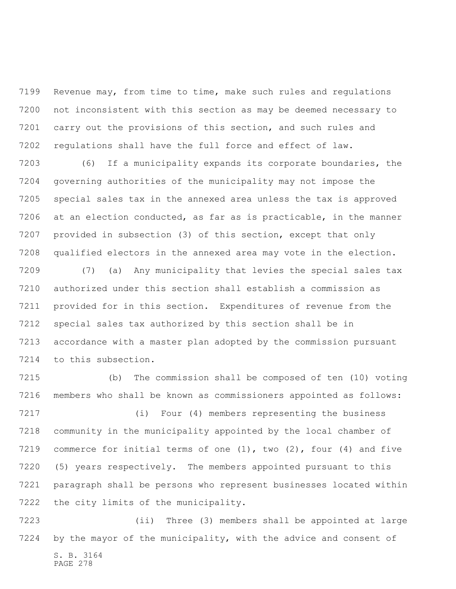Revenue may, from time to time, make such rules and regulations not inconsistent with this section as may be deemed necessary to carry out the provisions of this section, and such rules and regulations shall have the full force and effect of law.

 (6) If a municipality expands its corporate boundaries, the governing authorities of the municipality may not impose the special sales tax in the annexed area unless the tax is approved at an election conducted, as far as is practicable, in the manner provided in subsection (3) of this section, except that only qualified electors in the annexed area may vote in the election.

 (7) (a) Any municipality that levies the special sales tax authorized under this section shall establish a commission as provided for in this section. Expenditures of revenue from the special sales tax authorized by this section shall be in accordance with a master plan adopted by the commission pursuant to this subsection.

 (b) The commission shall be composed of ten (10) voting members who shall be known as commissioners appointed as follows:

 (i) Four (4) members representing the business community in the municipality appointed by the local chamber of commerce for initial terms of one (1), two (2), four (4) and five (5) years respectively. The members appointed pursuant to this paragraph shall be persons who represent businesses located within the city limits of the municipality.

S. B. 3164 PAGE 278 (ii) Three (3) members shall be appointed at large by the mayor of the municipality, with the advice and consent of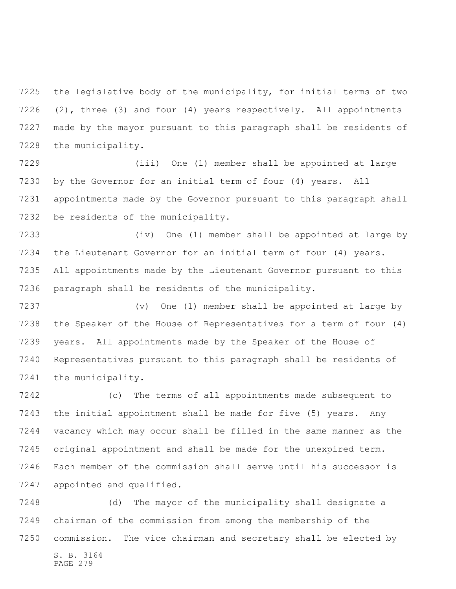the legislative body of the municipality, for initial terms of two (2), three (3) and four (4) years respectively. All appointments made by the mayor pursuant to this paragraph shall be residents of the municipality.

 (iii) One (1) member shall be appointed at large by the Governor for an initial term of four (4) years. All appointments made by the Governor pursuant to this paragraph shall be residents of the municipality.

 (iv) One (1) member shall be appointed at large by the Lieutenant Governor for an initial term of four (4) years. All appointments made by the Lieutenant Governor pursuant to this paragraph shall be residents of the municipality.

 (v) One (1) member shall be appointed at large by the Speaker of the House of Representatives for a term of four (4) years. All appointments made by the Speaker of the House of Representatives pursuant to this paragraph shall be residents of the municipality.

 (c) The terms of all appointments made subsequent to the initial appointment shall be made for five (5) years. Any vacancy which may occur shall be filled in the same manner as the original appointment and shall be made for the unexpired term. Each member of the commission shall serve until his successor is appointed and qualified.

S. B. 3164 PAGE 279 (d) The mayor of the municipality shall designate a chairman of the commission from among the membership of the commission. The vice chairman and secretary shall be elected by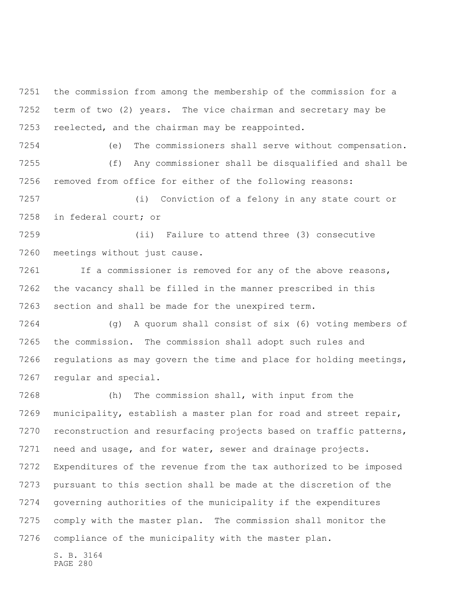the commission from among the membership of the commission for a term of two (2) years. The vice chairman and secretary may be reelected, and the chairman may be reappointed.

 (e) The commissioners shall serve without compensation. (f) Any commissioner shall be disqualified and shall be removed from office for either of the following reasons:

 (i) Conviction of a felony in any state court or in federal court; or

 (ii) Failure to attend three (3) consecutive meetings without just cause.

 If a commissioner is removed for any of the above reasons, the vacancy shall be filled in the manner prescribed in this section and shall be made for the unexpired term.

 (g) A quorum shall consist of six (6) voting members of the commission. The commission shall adopt such rules and 7266 regulations as may govern the time and place for holding meetings, regular and special.

 (h) The commission shall, with input from the municipality, establish a master plan for road and street repair, reconstruction and resurfacing projects based on traffic patterns, need and usage, and for water, sewer and drainage projects. Expenditures of the revenue from the tax authorized to be imposed pursuant to this section shall be made at the discretion of the governing authorities of the municipality if the expenditures comply with the master plan. The commission shall monitor the compliance of the municipality with the master plan.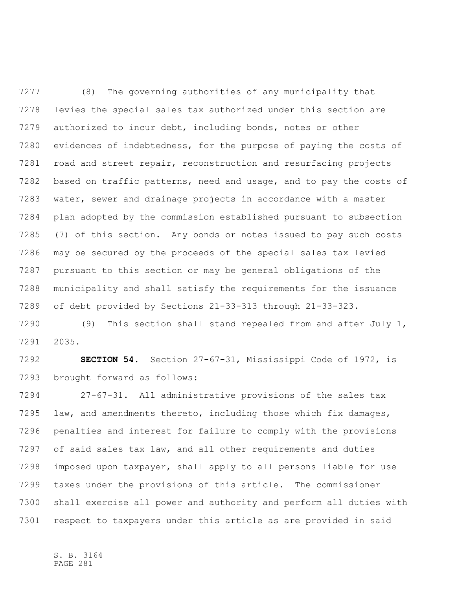(8) The governing authorities of any municipality that levies the special sales tax authorized under this section are authorized to incur debt, including bonds, notes or other evidences of indebtedness, for the purpose of paying the costs of road and street repair, reconstruction and resurfacing projects based on traffic patterns, need and usage, and to pay the costs of water, sewer and drainage projects in accordance with a master plan adopted by the commission established pursuant to subsection (7) of this section. Any bonds or notes issued to pay such costs may be secured by the proceeds of the special sales tax levied pursuant to this section or may be general obligations of the municipality and shall satisfy the requirements for the issuance of debt provided by Sections 21-33-313 through 21-33-323.

 (9) This section shall stand repealed from and after July 1, 2035.

 **SECTION 54.** Section 27-67-31, Mississippi Code of 1972, is brought forward as follows:

 27-67-31. All administrative provisions of the sales tax law, and amendments thereto, including those which fix damages, penalties and interest for failure to comply with the provisions of said sales tax law, and all other requirements and duties imposed upon taxpayer, shall apply to all persons liable for use taxes under the provisions of this article. The commissioner shall exercise all power and authority and perform all duties with respect to taxpayers under this article as are provided in said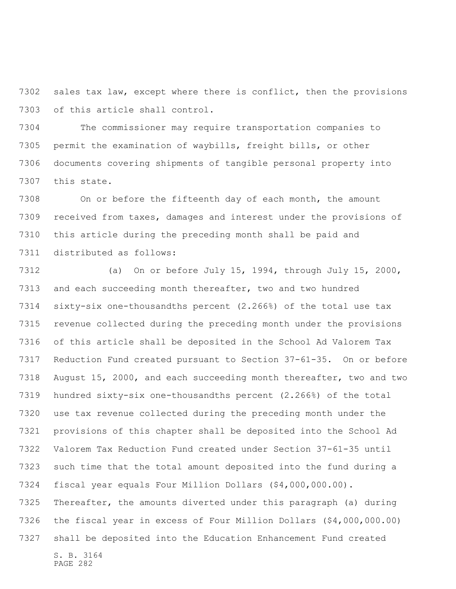sales tax law, except where there is conflict, then the provisions of this article shall control.

 The commissioner may require transportation companies to permit the examination of waybills, freight bills, or other documents covering shipments of tangible personal property into this state.

 On or before the fifteenth day of each month, the amount received from taxes, damages and interest under the provisions of this article during the preceding month shall be paid and distributed as follows:

S. B. 3164 PAGE 282 (a) On or before July 15, 1994, through July 15, 2000, and each succeeding month thereafter, two and two hundred sixty-six one-thousandths percent (2.266%) of the total use tax revenue collected during the preceding month under the provisions of this article shall be deposited in the School Ad Valorem Tax Reduction Fund created pursuant to Section 37-61-35. On or before August 15, 2000, and each succeeding month thereafter, two and two hundred sixty-six one-thousandths percent (2.266%) of the total use tax revenue collected during the preceding month under the provisions of this chapter shall be deposited into the School Ad Valorem Tax Reduction Fund created under Section 37-61-35 until such time that the total amount deposited into the fund during a fiscal year equals Four Million Dollars (\$4,000,000.00). Thereafter, the amounts diverted under this paragraph (a) during the fiscal year in excess of Four Million Dollars (\$4,000,000.00) shall be deposited into the Education Enhancement Fund created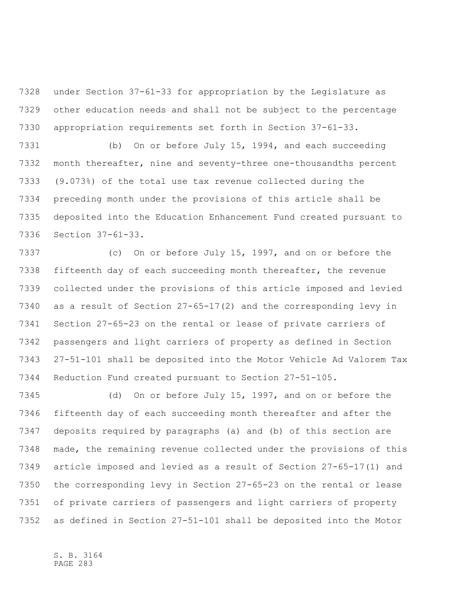under Section 37-61-33 for appropriation by the Legislature as other education needs and shall not be subject to the percentage appropriation requirements set forth in Section 37-61-33.

 (b) On or before July 15, 1994, and each succeeding month thereafter, nine and seventy-three one-thousandths percent (9.073%) of the total use tax revenue collected during the preceding month under the provisions of this article shall be deposited into the Education Enhancement Fund created pursuant to Section 37-61-33.

 (c) On or before July 15, 1997, and on or before the fifteenth day of each succeeding month thereafter, the revenue collected under the provisions of this article imposed and levied as a result of Section 27-65-17(2) and the corresponding levy in Section 27-65-23 on the rental or lease of private carriers of passengers and light carriers of property as defined in Section 27-51-101 shall be deposited into the Motor Vehicle Ad Valorem Tax Reduction Fund created pursuant to Section 27-51-105.

 (d) On or before July 15, 1997, and on or before the fifteenth day of each succeeding month thereafter and after the deposits required by paragraphs (a) and (b) of this section are made, the remaining revenue collected under the provisions of this article imposed and levied as a result of Section 27-65-17(1) and the corresponding levy in Section 27-65-23 on the rental or lease of private carriers of passengers and light carriers of property as defined in Section 27-51-101 shall be deposited into the Motor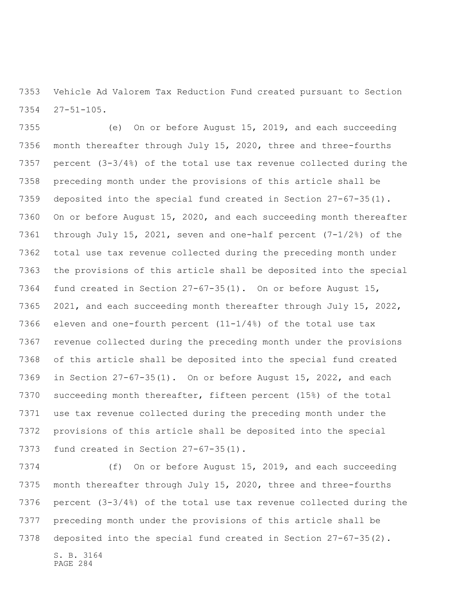Vehicle Ad Valorem Tax Reduction Fund created pursuant to Section 27-51-105.

 (e) On or before August 15, 2019, and each succeeding month thereafter through July 15, 2020, three and three-fourths percent (3-3/4%) of the total use tax revenue collected during the preceding month under the provisions of this article shall be deposited into the special fund created in Section 27-67-35(1). On or before August 15, 2020, and each succeeding month thereafter through July 15, 2021, seven and one-half percent (7-1/2%) of the total use tax revenue collected during the preceding month under the provisions of this article shall be deposited into the special fund created in Section 27-67-35(1). On or before August 15, 2021, and each succeeding month thereafter through July 15, 2022, eleven and one-fourth percent (11-1/4%) of the total use tax revenue collected during the preceding month under the provisions of this article shall be deposited into the special fund created in Section 27-67-35(1). On or before August 15, 2022, and each succeeding month thereafter, fifteen percent (15%) of the total use tax revenue collected during the preceding month under the provisions of this article shall be deposited into the special fund created in Section 27-67-35(1).

 (f) On or before August 15, 2019, and each succeeding month thereafter through July 15, 2020, three and three-fourths percent (3-3/4%) of the total use tax revenue collected during the preceding month under the provisions of this article shall be deposited into the special fund created in Section 27-67-35(2).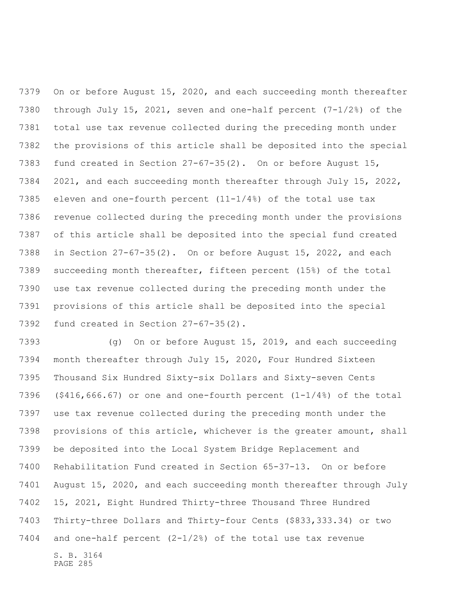On or before August 15, 2020, and each succeeding month thereafter through July 15, 2021, seven and one-half percent (7-1/2%) of the total use tax revenue collected during the preceding month under the provisions of this article shall be deposited into the special fund created in Section 27-67-35(2). On or before August 15, 2021, and each succeeding month thereafter through July 15, 2022, eleven and one-fourth percent (11-1/4%) of the total use tax revenue collected during the preceding month under the provisions of this article shall be deposited into the special fund created in Section 27-67-35(2). On or before August 15, 2022, and each succeeding month thereafter, fifteen percent (15%) of the total use tax revenue collected during the preceding month under the provisions of this article shall be deposited into the special fund created in Section 27-67-35(2).

S. B. 3164 (g) On or before August 15, 2019, and each succeeding month thereafter through July 15, 2020, Four Hundred Sixteen Thousand Six Hundred Sixty-six Dollars and Sixty-seven Cents 7396 (\$416,666.67) or one and one-fourth percent  $(1-1/4)$  of the total use tax revenue collected during the preceding month under the provisions of this article, whichever is the greater amount, shall be deposited into the Local System Bridge Replacement and Rehabilitation Fund created in Section 65-37-13. On or before August 15, 2020, and each succeeding month thereafter through July 15, 2021, Eight Hundred Thirty-three Thousand Three Hundred Thirty-three Dollars and Thirty-four Cents (\$833,333.34) or two and one-half percent (2-1/2%) of the total use tax revenue

PAGE 285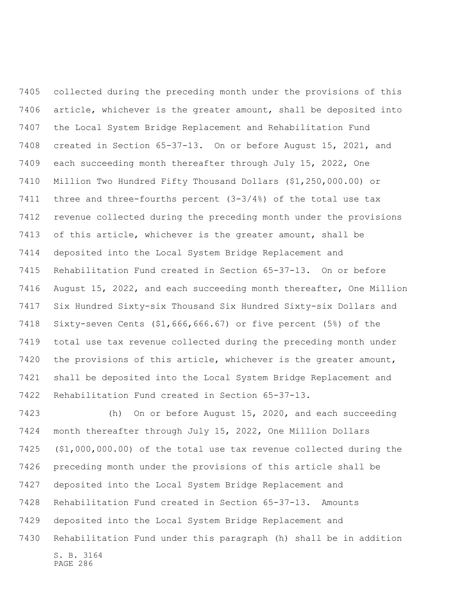collected during the preceding month under the provisions of this article, whichever is the greater amount, shall be deposited into the Local System Bridge Replacement and Rehabilitation Fund created in Section 65-37-13. On or before August 15, 2021, and each succeeding month thereafter through July 15, 2022, One Million Two Hundred Fifty Thousand Dollars (\$1,250,000.00) or three and three-fourths percent (3-3/4%) of the total use tax revenue collected during the preceding month under the provisions of this article, whichever is the greater amount, shall be deposited into the Local System Bridge Replacement and Rehabilitation Fund created in Section 65-37-13. On or before August 15, 2022, and each succeeding month thereafter, One Million Six Hundred Sixty-six Thousand Six Hundred Sixty-six Dollars and Sixty-seven Cents (\$1,666,666.67) or five percent (5%) of the total use tax revenue collected during the preceding month under the provisions of this article, whichever is the greater amount, shall be deposited into the Local System Bridge Replacement and Rehabilitation Fund created in Section 65-37-13.

S. B. 3164 PAGE 286 (h) On or before August 15, 2020, and each succeeding month thereafter through July 15, 2022, One Million Dollars (\$1,000,000.00) of the total use tax revenue collected during the preceding month under the provisions of this article shall be deposited into the Local System Bridge Replacement and Rehabilitation Fund created in Section 65-37-13. Amounts deposited into the Local System Bridge Replacement and Rehabilitation Fund under this paragraph (h) shall be in addition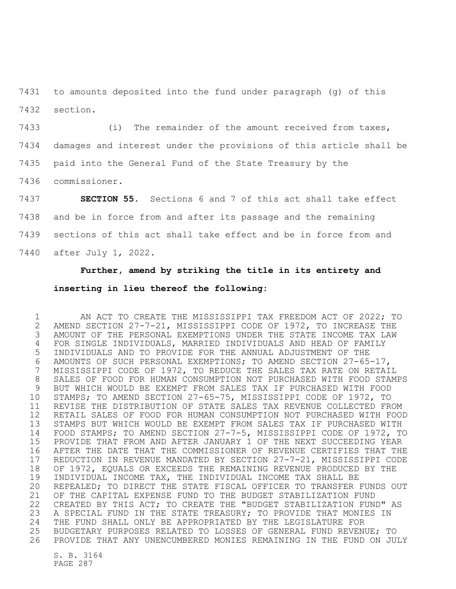to amounts deposited into the fund under paragraph (g) of this section.

7433 (i) The remainder of the amount received from taxes, damages and interest under the provisions of this article shall be paid into the General Fund of the State Treasury by the commissioner.

 **SECTION 55.** Sections 6 and 7 of this act shall take effect and be in force from and after its passage and the remaining sections of this act shall take effect and be in force from and after July 1, 2022.

## **Further, amend by striking the title in its entirety and inserting in lieu thereof the following:**

 AN ACT TO CREATE THE MISSISSIPPI TAX FREEDOM ACT OF 2022; TO AMEND SECTION 27-7-21, MISSISSIPPI CODE OF 1972, TO INCREASE THE AMOUNT OF THE PERSONAL EXEMPTIONS UNDER THE STATE INCOME TAX LAW FOR SINGLE INDIVIDUALS, MARRIED INDIVIDUALS AND HEAD OF FAMILY INDIVIDUALS AND TO PROVIDE FOR THE ANNUAL ADJUSTMENT OF THE AMOUNTS OF SUCH PERSONAL EXEMPTIONS; TO AMEND SECTION 27-65-17, MISSISSIPPI CODE OF 1972, TO REDUCE THE SALES TAX RATE ON RETAIL SALES OF FOOD FOR HUMAN CONSUMPTION NOT PURCHASED WITH FOOD STAMPS BUT WHICH WOULD BE EXEMPT FROM SALES TAX IF PURCHASED WITH FOOD STAMPS; TO AMEND SECTION 27-65-75, MISSISSIPPI CODE OF 1972, TO REVISE THE DISTRIBUTION OF STATE SALES TAX REVENUE COLLECTED FROM RETAIL SALES OF FOOD FOR HUMAN CONSUMPTION NOT PURCHASED WITH FOOD STAMPS BUT WHICH WOULD BE EXEMPT FROM SALES TAX IF PURCHASED WITH FOOD STAMPS; TO AMEND SECTION 27-7-5, MISSISSIPPI CODE OF 1972, TO PROVIDE THAT FROM AND AFTER JANUARY 1 OF THE NEXT SUCCEEDING YEAR AFTER THE DATE THAT THE COMMISSIONER OF REVENUE CERTIFIES THAT THE REDUCTION IN REVENUE MANDATED BY SECTION 27-7-21, MISSISSIPPI CODE OF 1972, EQUALS OR EXCEEDS THE REMAINING REVENUE PRODUCED BY THE INDIVIDUAL INCOME TAX, THE INDIVIDUAL INCOME TAX SHALL BE REPEALED; TO DIRECT THE STATE FISCAL OFFICER TO TRANSFER FUNDS OUT OF THE CAPITAL EXPENSE FUND TO THE BUDGET STABILIZATION FUND CREATED BY THIS ACT; TO CREATE THE "BUDGET STABILIZATION FUND" AS A SPECIAL FUND IN THE STATE TREASURY; TO PROVIDE THAT MONIES IN THE FUND SHALL ONLY BE APPROPRIATED BY THE LEGISLATURE FOR BUDGETARY PURPOSES RELATED TO LOSSES OF GENERAL FUND REVENUE; TO PROVIDE THAT ANY UNENCUMBERED MONIES REMAINING IN THE FUND ON JULY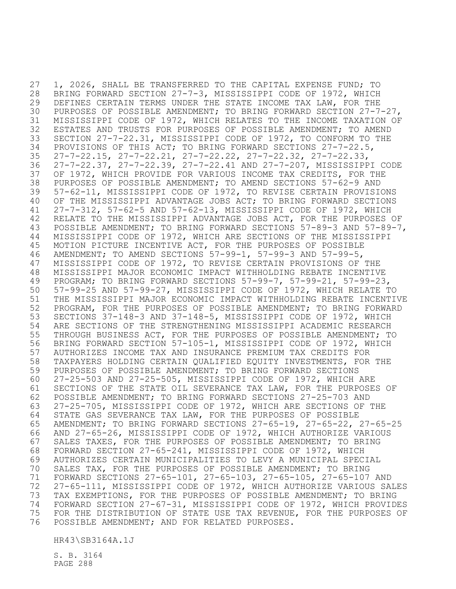1, 2026, SHALL BE TRANSFERRED TO THE CAPITAL EXPENSE FUND; TO BRING FORWARD SECTION 27-7-3, MISSISSIPPI CODE OF 1972, WHICH DEFINES CERTAIN TERMS UNDER THE STATE INCOME TAX LAW, FOR THE PURPOSES OF POSSIBLE AMENDMENT; TO BRING FORWARD SECTION 27-7-27, MISSISSIPPI CODE OF 1972, WHICH RELATES TO THE INCOME TAXATION OF ESTATES AND TRUSTS FOR PURPOSES OF POSSIBLE AMENDMENT; TO AMEND SECTION 27-7-22.31, MISSISSIPPI CODE OF 1972, TO CONFORM TO THE PROVISIONS OF THIS ACT; TO BRING FORWARD SECTIONS 27-7-22.5, 27-7-22.15, 27-7-22.21, 27-7-22.22, 27-7-22.32, 27-7-22.33, 27-7-22.37, 27-7-22.39, 27-7-22.41 AND 27-7-207, MISSISSIPPI CODE OF 1972, WHICH PROVIDE FOR VARIOUS INCOME TAX CREDITS, FOR THE PURPOSES OF POSSIBLE AMENDMENT; TO AMEND SECTIONS 57-62-9 AND 57-62-11, MISSISSIPPI CODE OF 1972, TO REVISE CERTAIN PROVISIONS OF THE MISSISSIPPI ADVANTAGE JOBS ACT; TO BRING FORWARD SECTIONS 27-7-312, 57-62-5 AND 57-62-13, MISSISSIPPI CODE OF 1972, WHICH RELATE TO THE MISSISSIPPI ADVANTAGE JOBS ACT, FOR THE PURPOSES OF POSSIBLE AMENDMENT; TO BRING FORWARD SECTIONS 57-89-3 AND 57-89-7, MISSISSIPPI CODE OF 1972, WHICH ARE SECTIONS OF THE MISSISSIPPI MOTION PICTURE INCENTIVE ACT, FOR THE PURPOSES OF POSSIBLE AMENDMENT; TO AMEND SECTIONS 57-99-1, 57-99-3 AND 57-99-5, MISSISSIPPI CODE OF 1972, TO REVISE CERTAIN PROVISIONS OF THE MISSISSIPPI MAJOR ECONOMIC IMPACT WITHHOLDING REBATE INCENTIVE PROGRAM; TO BRING FORWARD SECTIONS 57-99-7, 57-99-21, 57-99-23, 57-99-25 AND 57-99-27, MISSISSIPPI CODE OF 1972, WHICH RELATE TO THE MISSISSIPPI MAJOR ECONOMIC IMPACT WITHHOLDING REBATE INCENTIVE PROGRAM, FOR THE PURPOSES OF POSSIBLE AMENDMENT; TO BRING FORWARD SECTIONS 37-148-3 AND 37-148-5, MISSISSIPPI CODE OF 1972, WHICH ARE SECTIONS OF THE STRENGTHENING MISSISSIPPI ACADEMIC RESEARCH THROUGH BUSINESS ACT, FOR THE PURPOSES OF POSSIBLE AMENDMENT; TO BRING FORWARD SECTION 57-105-1, MISSISSIPPI CODE OF 1972, WHICH AUTHORIZES INCOME TAX AND INSURANCE PREMIUM TAX CREDITS FOR TAXPAYERS HOLDING CERTAIN QUALIFIED EQUITY INVESTMENTS, FOR THE PURPOSES OF POSSIBLE AMENDMENT; TO BRING FORWARD SECTIONS 27-25-503 AND 27-25-505, MISSISSIPPI CODE OF 1972, WHICH ARE SECTIONS OF THE STATE OIL SEVERANCE TAX LAW, FOR THE PURPOSES OF POSSIBLE AMENDMENT; TO BRING FORWARD SECTIONS 27-25-703 AND 27-25-705, MISSISSIPPI CODE OF 1972, WHICH ARE SECTIONS OF THE STATE GAS SEVERANCE TAX LAW, FOR THE PURPOSES OF POSSIBLE AMENDMENT; TO BRING FORWARD SECTIONS 27-65-19, 27-65-22, 27-65-25 AND 27-65-26, MISSISSIPPI CODE OF 1972, WHICH AUTHORIZE VARIOUS SALES TAXES, FOR THE PURPOSES OF POSSIBLE AMENDMENT; TO BRING FORWARD SECTION 27-65-241, MISSISSIPPI CODE OF 1972, WHICH AUTHORIZES CERTAIN MUNICIPALITIES TO LEVY A MUNICIPAL SPECIAL SALES TAX, FOR THE PURPOSES OF POSSIBLE AMENDMENT; TO BRING FORWARD SECTIONS 27-65-101, 27-65-103, 27-65-105, 27-65-107 AND 27-65-111, MISSISSIPPI CODE OF 1972, WHICH AUTHORIZE VARIOUS SALES TAX EXEMPTIONS, FOR THE PURPOSES OF POSSIBLE AMENDMENT; TO BRING FORWARD SECTION 27-67-31, MISSISSIPPI CODE OF 1972, WHICH PROVIDES FOR THE DISTRIBUTION OF STATE USE TAX REVENUE, FOR THE PURPOSES OF POSSIBLE AMENDMENT; AND FOR RELATED PURPOSES.

HR43\SB3164A.1J